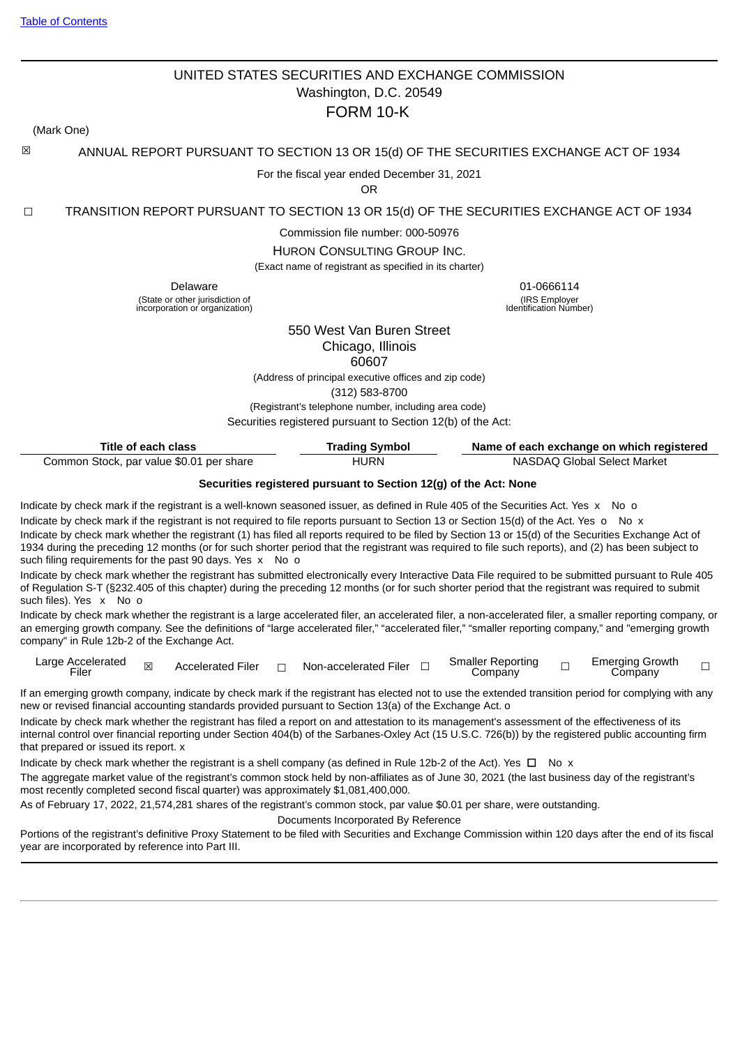# UNITED STATES SECURITIES AND EXCHANGE COMMISSION Washington, D.C. 20549 FORM 10-K

(Mark One)

 $\boxtimes$  ANNUAL REPORT PURSUANT TO SECTION 13 OR 15(d) OF THE SECURITIES EXCHANGE ACT OF 1934

For the fiscal year ended December 31, 2021

OR

☐ TRANSITION REPORT PURSUANT TO SECTION 13 OR 15(d) OF THE SECURITIES EXCHANGE ACT OF 1934

Commission file number: 000-50976

HURON CONSULTING GROUP INC.

(Exact name of registrant as specified in its charter)

(State or other jurisdiction of incorporation or organization)

Delaware 01-0666114 (IRS Employer Identification Number)

> 550 West Van Buren Street Chicago, Illinois

60607

(Address of principal executive offices and zip code)

(312) 583-8700

(Registrant's telephone number, including area code) Securities registered pursuant to Section 12(b) of the Act:

| Title of each class                      | <b>Trading Symbol</b> | Name of each exchange on which registered |
|------------------------------------------|-----------------------|-------------------------------------------|
| Common Stock, par value \$0.01 per share | HURN                  | NASDAO Global Select Market               |

#### **Securities registered pursuant to Section 12(g) of the Act: None**

Indicate by check mark if the registrant is a well-known seasoned issuer, as defined in Rule 405 of the Securities Act. Yes x No o Indicate by check mark if the registrant is not required to file reports pursuant to Section 13 or Section 15(d) of the Act. Yes o No x Indicate by check mark whether the registrant (1) has filed all reports required to be filed by Section 13 or 15(d) of the Securities Exchange Act of 1934 during the preceding 12 months (or for such shorter period that the registrant was required to file such reports), and (2) has been subject to such filing requirements for the past 90 days. Yes x No o

Indicate by check mark whether the registrant has submitted electronically every Interactive Data File required to be submitted pursuant to Rule 405 of Regulation S-T (§232.405 of this chapter) during the preceding 12 months (or for such shorter period that the registrant was required to submit such files). Yes x No o

Indicate by check mark whether the registrant is a large accelerated filer, an accelerated filer, a non-accelerated filer, a smaller reporting company, or an emerging growth company. See the definitions of "large accelerated filer," "accelerated filer," "smaller reporting company," and "emerging growth company" in Rule 12b-2 of the Exchange Act.

| Large Accelerated<br>$F$ iler |  | <b>Accelerated Filer</b> |  | Non-accelerated Filer |  | <b>Smaller Reporting</b><br>Company |  | <b>Emerging Growth</b><br>∶ompany |  |
|-------------------------------|--|--------------------------|--|-----------------------|--|-------------------------------------|--|-----------------------------------|--|
|-------------------------------|--|--------------------------|--|-----------------------|--|-------------------------------------|--|-----------------------------------|--|

If an emerging growth company, indicate by check mark if the registrant has elected not to use the extended transition period for complying with any new or revised financial accounting standards provided pursuant to Section 13(a) of the Exchange Act. o

Indicate by check mark whether the registrant has filed a report on and attestation to its management's assessment of the effectiveness of its internal control over financial reporting under Section 404(b) of the Sarbanes-Oxley Act (15 U.S.C. 726(b)) by the registered public accounting firm that prepared or issued its report. x

Indicate by check mark whether the registrant is a shell company (as defined in Rule 12b-2 of the Act). Yes  $\Box$  No x

The aggregate market value of the registrant's common stock held by non-affiliates as of June 30, 2021 (the last business day of the registrant's most recently completed second fiscal quarter) was approximately \$1,081,400,000.

As of February 17, 2022, 21,574,281 shares of the registrant's common stock, par value \$0.01 per share, were outstanding.

Documents Incorporated By Reference

<span id="page-0-0"></span>Portions of the registrant's definitive Proxy Statement to be filed with Securities and Exchange Commission within 120 days after the end of its fiscal year are incorporated by reference into Part III.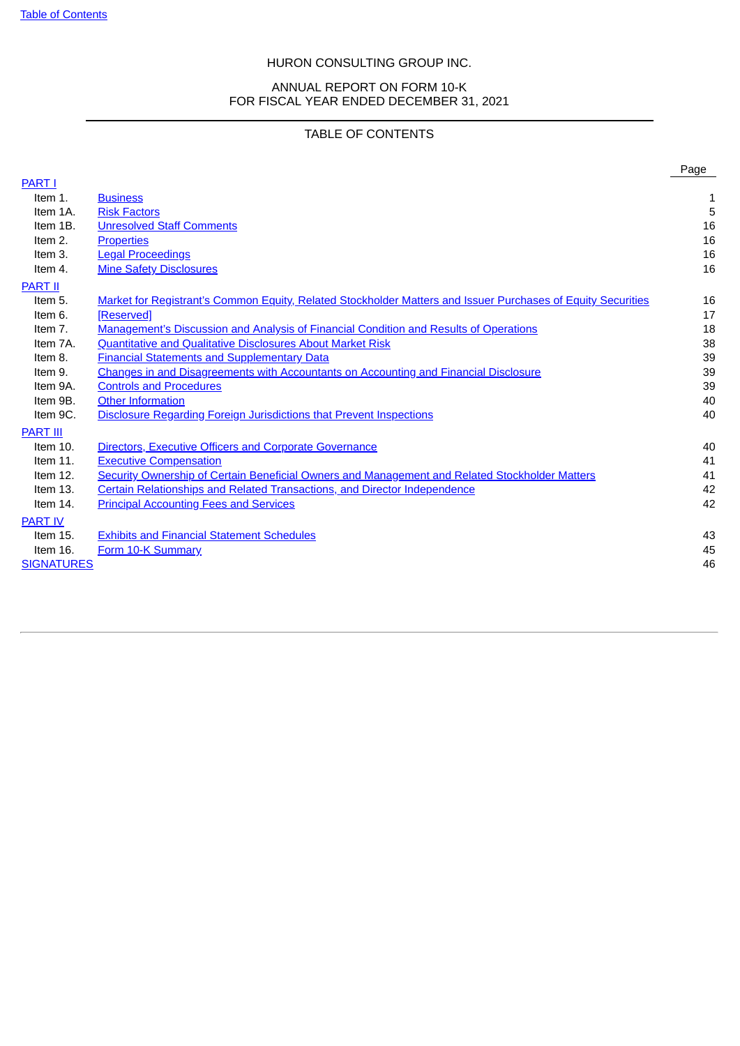# HURON CONSULTING GROUP INC.

# ANNUAL REPORT ON FORM 10-K FOR FISCAL YEAR ENDED DECEMBER 31, 2021

# TABLE OF CONTENTS

|                   |                                                                                                              | Page |
|-------------------|--------------------------------------------------------------------------------------------------------------|------|
| <b>PART I</b>     |                                                                                                              |      |
| Item $1$ .        | <b>Business</b>                                                                                              | 1    |
| Item 1A.          | <b>Risk Factors</b>                                                                                          | 5    |
| Item 1B.          | <b>Unresolved Staff Comments</b>                                                                             | 16   |
| Item 2.           | <b>Properties</b>                                                                                            | 16   |
| Item 3.           | <b>Legal Proceedings</b>                                                                                     | 16   |
| Item 4.           | <b>Mine Safety Disclosures</b>                                                                               | 16   |
| <b>PART II</b>    |                                                                                                              |      |
| Item 5.           | Market for Registrant's Common Equity, Related Stockholder Matters and Issuer Purchases of Equity Securities | 16   |
| Item 6.           | [Reserved]                                                                                                   | 17   |
| Item 7.           | <b>Management's Discussion and Analysis of Financial Condition and Results of Operations</b>                 | 18   |
| Item 7A.          | <b>Quantitative and Qualitative Disclosures About Market Risk</b>                                            | 38   |
| Item 8.           | <b>Financial Statements and Supplementary Data</b>                                                           | 39   |
| Item 9.           | Changes in and Disagreements with Accountants on Accounting and Financial Disclosure                         | 39   |
| Item 9A.          | <b>Controls and Procedures</b>                                                                               | 39   |
| Item 9B.          | <b>Other Information</b>                                                                                     | 40   |
| Item 9C.          | Disclosure Regarding Foreign Jurisdictions that Prevent Inspections                                          | 40   |
| <b>PART III</b>   |                                                                                                              |      |
| Item $10$ .       | <b>Directors, Executive Officers and Corporate Governance</b>                                                | 40   |
| Item $11$ .       | <b>Executive Compensation</b>                                                                                | 41   |
| Item $12$ .       | Security Ownership of Certain Beneficial Owners and Management and Related Stockholder Matters               | 41   |
| Item $13.$        | <b>Certain Relationships and Related Transactions, and Director Independence</b>                             | 42   |
| Item $14.$        | <b>Principal Accounting Fees and Services</b>                                                                | 42   |
| <b>PART IV</b>    |                                                                                                              |      |
| Item 15.          | <b>Exhibits and Financial Statement Schedules</b>                                                            | 43   |
| Item 16.          | Form 10-K Summary                                                                                            | 45   |
| <b>SIGNATURES</b> |                                                                                                              | 46   |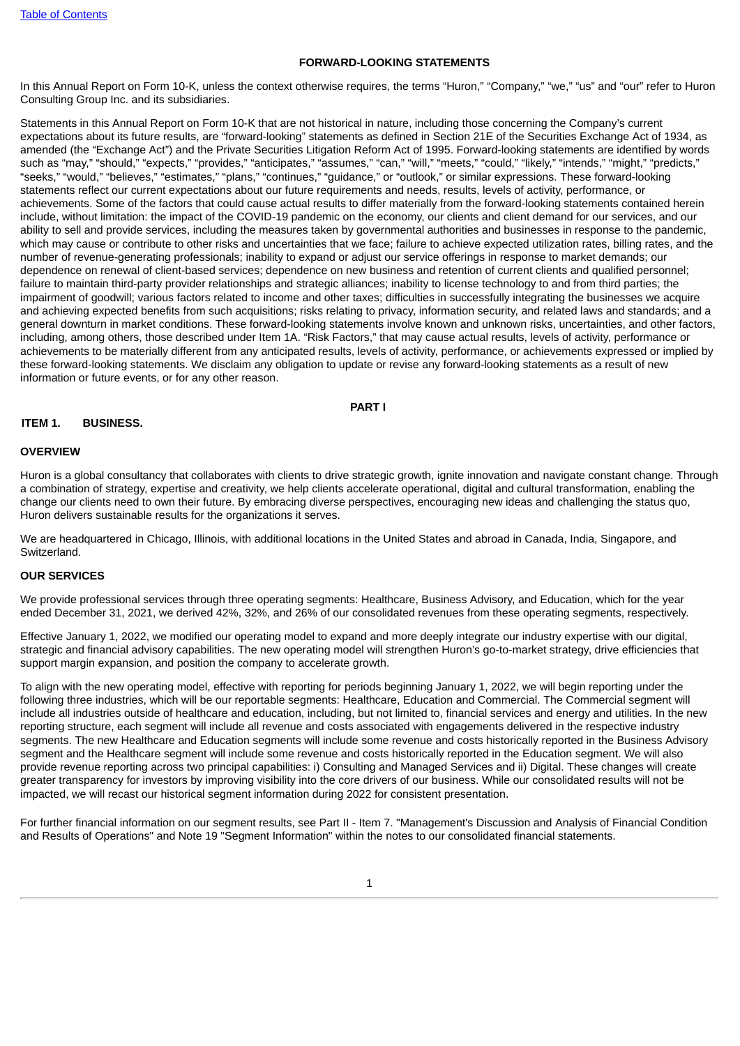## **FORWARD-LOOKING STATEMENTS**

In this Annual Report on Form 10-K, unless the context otherwise requires, the terms "Huron," "Company," "we," "us" and "our" refer to Huron Consulting Group Inc. and its subsidiaries.

Statements in this Annual Report on Form 10-K that are not historical in nature, including those concerning the Company's current expectations about its future results, are "forward-looking" statements as defined in Section 21E of the Securities Exchange Act of 1934, as amended (the "Exchange Act") and the Private Securities Litigation Reform Act of 1995. Forward-looking statements are identified by words such as "may," "should," "expects," "provides," "anticipates," "assumes," "can," "will," "meets," "could," "likely," "intends," "might," "predicts," "seeks," "would," "believes," "estimates," "plans," "continues," "guidance," or "outlook," or similar expressions. These forward-looking statements reflect our current expectations about our future requirements and needs, results, levels of activity, performance, or achievements. Some of the factors that could cause actual results to differ materially from the forward-looking statements contained herein include, without limitation: the impact of the COVID-19 pandemic on the economy, our clients and client demand for our services, and our ability to sell and provide services, including the measures taken by governmental authorities and businesses in response to the pandemic, which may cause or contribute to other risks and uncertainties that we face; failure to achieve expected utilization rates, billing rates, and the number of revenue-generating professionals; inability to expand or adjust our service offerings in response to market demands; our dependence on renewal of client-based services; dependence on new business and retention of current clients and qualified personnel; failure to maintain third-party provider relationships and strategic alliances; inability to license technology to and from third parties; the impairment of goodwill; various factors related to income and other taxes; difficulties in successfully integrating the businesses we acquire and achieving expected benefits from such acquisitions; risks relating to privacy, information security, and related laws and standards; and a general downturn in market conditions. These forward-looking statements involve known and unknown risks, uncertainties, and other factors, including, among others, those described under Item 1A. "Risk Factors," that may cause actual results, levels of activity, performance or achievements to be materially different from any anticipated results, levels of activity, performance, or achievements expressed or implied by these forward-looking statements. We disclaim any obligation to update or revise any forward-looking statements as a result of new information or future events, or for any other reason.

#### **PART I**

#### <span id="page-2-1"></span><span id="page-2-0"></span>**ITEM 1. BUSINESS.**

#### **OVERVIEW**

Huron is a global consultancy that collaborates with clients to drive strategic growth, ignite innovation and navigate constant change. Through a combination of strategy, expertise and creativity, we help clients accelerate operational, digital and cultural transformation, enabling the change our clients need to own their future. By embracing diverse perspectives, encouraging new ideas and challenging the status quo, Huron delivers sustainable results for the organizations it serves.

We are headquartered in Chicago, Illinois, with additional locations in the United States and abroad in Canada, India, Singapore, and Switzerland.

#### **OUR SERVICES**

We provide professional services through three operating segments: Healthcare, Business Advisory, and Education, which for the year ended December 31, 2021, we derived 42%, 32%, and 26% of our consolidated revenues from these operating segments, respectively.

Effective January 1, 2022, we modified our operating model to expand and more deeply integrate our industry expertise with our digital, strategic and financial advisory capabilities. The new operating model will strengthen Huron's go-to-market strategy, drive efficiencies that support margin expansion, and position the company to accelerate growth.

To align with the new operating model, effective with reporting for periods beginning January 1, 2022, we will begin reporting under the following three industries, which will be our reportable segments: Healthcare, Education and Commercial. The Commercial segment will include all industries outside of healthcare and education, including, but not limited to, financial services and energy and utilities. In the new reporting structure, each segment will include all revenue and costs associated with engagements delivered in the respective industry segments. The new Healthcare and Education segments will include some revenue and costs historically reported in the Business Advisory segment and the Healthcare segment will include some revenue and costs historically reported in the Education segment. We will also provide revenue reporting across two principal capabilities: i) Consulting and Managed Services and ii) Digital. These changes will create greater transparency for investors by improving visibility into the core drivers of our business. While our consolidated results will not be impacted, we will recast our historical segment information during 2022 for consistent presentation.

For further financial information on our segment results, see Part II - Item 7. "Management's Discussion and Analysis of Financial Condition and Results of Operations" and Note 19 "Segment Information" within the notes to our consolidated financial statements.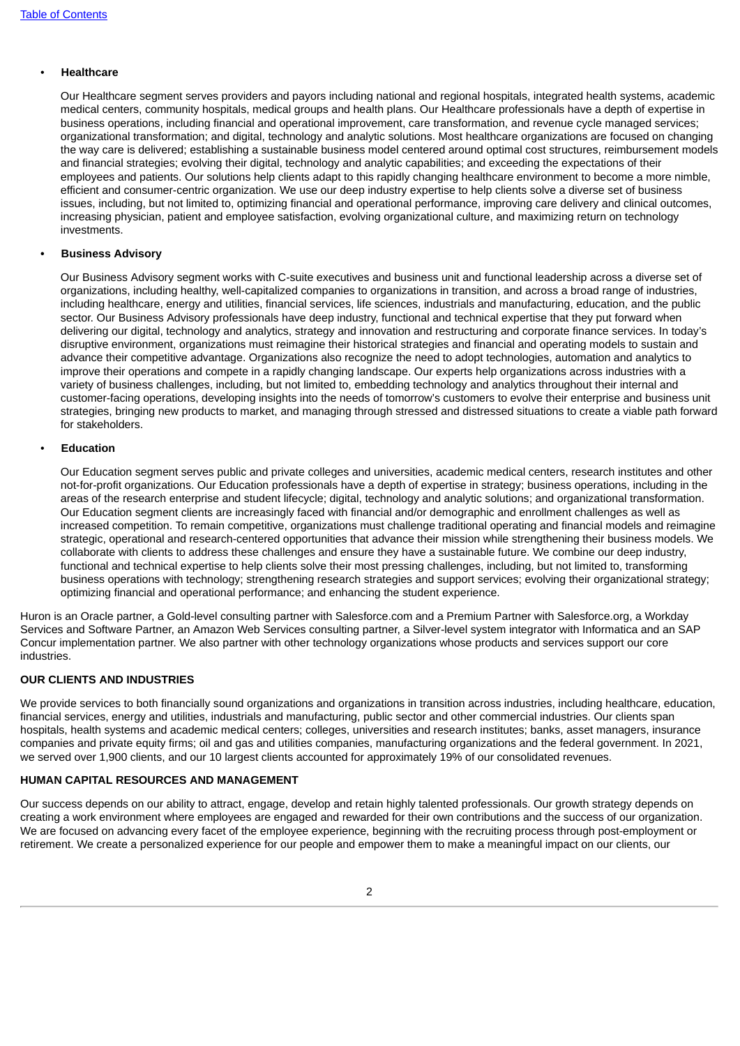## • **Healthcare**

Our Healthcare segment serves providers and payors including national and regional hospitals, integrated health systems, academic medical centers, community hospitals, medical groups and health plans. Our Healthcare professionals have a depth of expertise in business operations, including financial and operational improvement, care transformation, and revenue cycle managed services; organizational transformation; and digital, technology and analytic solutions. Most healthcare organizations are focused on changing the way care is delivered; establishing a sustainable business model centered around optimal cost structures, reimbursement models and financial strategies; evolving their digital, technology and analytic capabilities; and exceeding the expectations of their employees and patients. Our solutions help clients adapt to this rapidly changing healthcare environment to become a more nimble, efficient and consumer-centric organization. We use our deep industry expertise to help clients solve a diverse set of business issues, including, but not limited to, optimizing financial and operational performance, improving care delivery and clinical outcomes, increasing physician, patient and employee satisfaction, evolving organizational culture, and maximizing return on technology investments.

#### **• Business Advisory**

Our Business Advisory segment works with C-suite executives and business unit and functional leadership across a diverse set of organizations, including healthy, well-capitalized companies to organizations in transition, and across a broad range of industries, including healthcare, energy and utilities, financial services, life sciences, industrials and manufacturing, education, and the public sector. Our Business Advisory professionals have deep industry, functional and technical expertise that they put forward when delivering our digital, technology and analytics, strategy and innovation and restructuring and corporate finance services. In today's disruptive environment, organizations must reimagine their historical strategies and financial and operating models to sustain and advance their competitive advantage. Organizations also recognize the need to adopt technologies, automation and analytics to improve their operations and compete in a rapidly changing landscape. Our experts help organizations across industries with a variety of business challenges, including, but not limited to, embedding technology and analytics throughout their internal and customer-facing operations, developing insights into the needs of tomorrow's customers to evolve their enterprise and business unit strategies, bringing new products to market, and managing through stressed and distressed situations to create a viable path forward for stakeholders.

#### • **Education**

Our Education segment serves public and private colleges and universities, academic medical centers, research institutes and other not-for-profit organizations. Our Education professionals have a depth of expertise in strategy; business operations, including in the areas of the research enterprise and student lifecycle; digital, technology and analytic solutions; and organizational transformation. Our Education segment clients are increasingly faced with financial and/or demographic and enrollment challenges as well as increased competition. To remain competitive, organizations must challenge traditional operating and financial models and reimagine strategic, operational and research-centered opportunities that advance their mission while strengthening their business models. We collaborate with clients to address these challenges and ensure they have a sustainable future. We combine our deep industry, functional and technical expertise to help clients solve their most pressing challenges, including, but not limited to, transforming business operations with technology; strengthening research strategies and support services; evolving their organizational strategy; optimizing financial and operational performance; and enhancing the student experience.

Huron is an Oracle partner, a Gold-level consulting partner with Salesforce.com and a Premium Partner with Salesforce.org, a Workday Services and Software Partner, an Amazon Web Services consulting partner, a Silver-level system integrator with Informatica and an SAP Concur implementation partner. We also partner with other technology organizations whose products and services support our core industries.

## **OUR CLIENTS AND INDUSTRIES**

We provide services to both financially sound organizations and organizations in transition across industries, including healthcare, education, financial services, energy and utilities, industrials and manufacturing, public sector and other commercial industries. Our clients span hospitals, health systems and academic medical centers; colleges, universities and research institutes; banks, asset managers, insurance companies and private equity firms; oil and gas and utilities companies, manufacturing organizations and the federal government. In 2021, we served over 1,900 clients, and our 10 largest clients accounted for approximately 19% of our consolidated revenues.

# **HUMAN CAPITAL RESOURCES AND MANAGEMENT**

Our success depends on our ability to attract, engage, develop and retain highly talented professionals. Our growth strategy depends on creating a work environment where employees are engaged and rewarded for their own contributions and the success of our organization. We are focused on advancing every facet of the employee experience, beginning with the recruiting process through post-employment or retirement. We create a personalized experience for our people and empower them to make a meaningful impact on our clients, our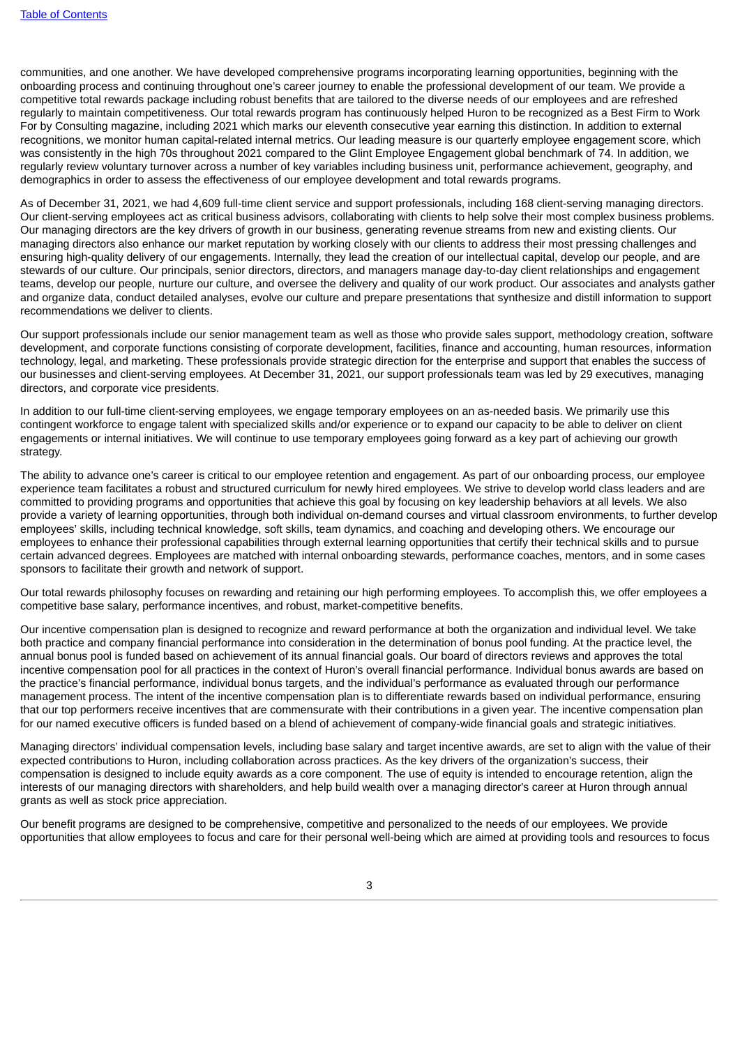communities, and one another. We have developed comprehensive programs incorporating learning opportunities, beginning with the onboarding process and continuing throughout one's career journey to enable the professional development of our team. We provide a competitive total rewards package including robust benefits that are tailored to the diverse needs of our employees and are refreshed regularly to maintain competitiveness. Our total rewards program has continuously helped Huron to be recognized as a Best Firm to Work For by Consulting magazine, including 2021 which marks our eleventh consecutive year earning this distinction. In addition to external recognitions, we monitor human capital-related internal metrics. Our leading measure is our quarterly employee engagement score, which was consistently in the high 70s throughout 2021 compared to the Glint Employee Engagement global benchmark of 74. In addition, we regularly review voluntary turnover across a number of key variables including business unit, performance achievement, geography, and demographics in order to assess the effectiveness of our employee development and total rewards programs.

As of December 31, 2021, we had 4,609 full-time client service and support professionals, including 168 client-serving managing directors. Our client-serving employees act as critical business advisors, collaborating with clients to help solve their most complex business problems. Our managing directors are the key drivers of growth in our business, generating revenue streams from new and existing clients. Our managing directors also enhance our market reputation by working closely with our clients to address their most pressing challenges and ensuring high-quality delivery of our engagements. Internally, they lead the creation of our intellectual capital, develop our people, and are stewards of our culture. Our principals, senior directors, directors, and managers manage day-to-day client relationships and engagement teams, develop our people, nurture our culture, and oversee the delivery and quality of our work product. Our associates and analysts gather and organize data, conduct detailed analyses, evolve our culture and prepare presentations that synthesize and distill information to support recommendations we deliver to clients.

Our support professionals include our senior management team as well as those who provide sales support, methodology creation, software development, and corporate functions consisting of corporate development, facilities, finance and accounting, human resources, information technology, legal, and marketing. These professionals provide strategic direction for the enterprise and support that enables the success of our businesses and client-serving employees. At December 31, 2021, our support professionals team was led by 29 executives, managing directors, and corporate vice presidents.

In addition to our full-time client-serving employees, we engage temporary employees on an as-needed basis. We primarily use this contingent workforce to engage talent with specialized skills and/or experience or to expand our capacity to be able to deliver on client engagements or internal initiatives. We will continue to use temporary employees going forward as a key part of achieving our growth strategy.

The ability to advance one's career is critical to our employee retention and engagement. As part of our onboarding process, our employee experience team facilitates a robust and structured curriculum for newly hired employees. We strive to develop world class leaders and are committed to providing programs and opportunities that achieve this goal by focusing on key leadership behaviors at all levels. We also provide a variety of learning opportunities, through both individual on-demand courses and virtual classroom environments, to further develop employees' skills, including technical knowledge, soft skills, team dynamics, and coaching and developing others. We encourage our employees to enhance their professional capabilities through external learning opportunities that certify their technical skills and to pursue certain advanced degrees. Employees are matched with internal onboarding stewards, performance coaches, mentors, and in some cases sponsors to facilitate their growth and network of support.

Our total rewards philosophy focuses on rewarding and retaining our high performing employees. To accomplish this, we offer employees a competitive base salary, performance incentives, and robust, market-competitive benefits.

Our incentive compensation plan is designed to recognize and reward performance at both the organization and individual level. We take both practice and company financial performance into consideration in the determination of bonus pool funding. At the practice level, the annual bonus pool is funded based on achievement of its annual financial goals. Our board of directors reviews and approves the total incentive compensation pool for all practices in the context of Huron's overall financial performance. Individual bonus awards are based on the practice's financial performance, individual bonus targets, and the individual's performance as evaluated through our performance management process. The intent of the incentive compensation plan is to differentiate rewards based on individual performance, ensuring that our top performers receive incentives that are commensurate with their contributions in a given year. The incentive compensation plan for our named executive officers is funded based on a blend of achievement of company-wide financial goals and strategic initiatives.

Managing directors' individual compensation levels, including base salary and target incentive awards, are set to align with the value of their expected contributions to Huron, including collaboration across practices. As the key drivers of the organization's success, their compensation is designed to include equity awards as a core component. The use of equity is intended to encourage retention, align the interests of our managing directors with shareholders, and help build wealth over a managing director's career at Huron through annual grants as well as stock price appreciation.

Our benefit programs are designed to be comprehensive, competitive and personalized to the needs of our employees. We provide opportunities that allow employees to focus and care for their personal well-being which are aimed at providing tools and resources to focus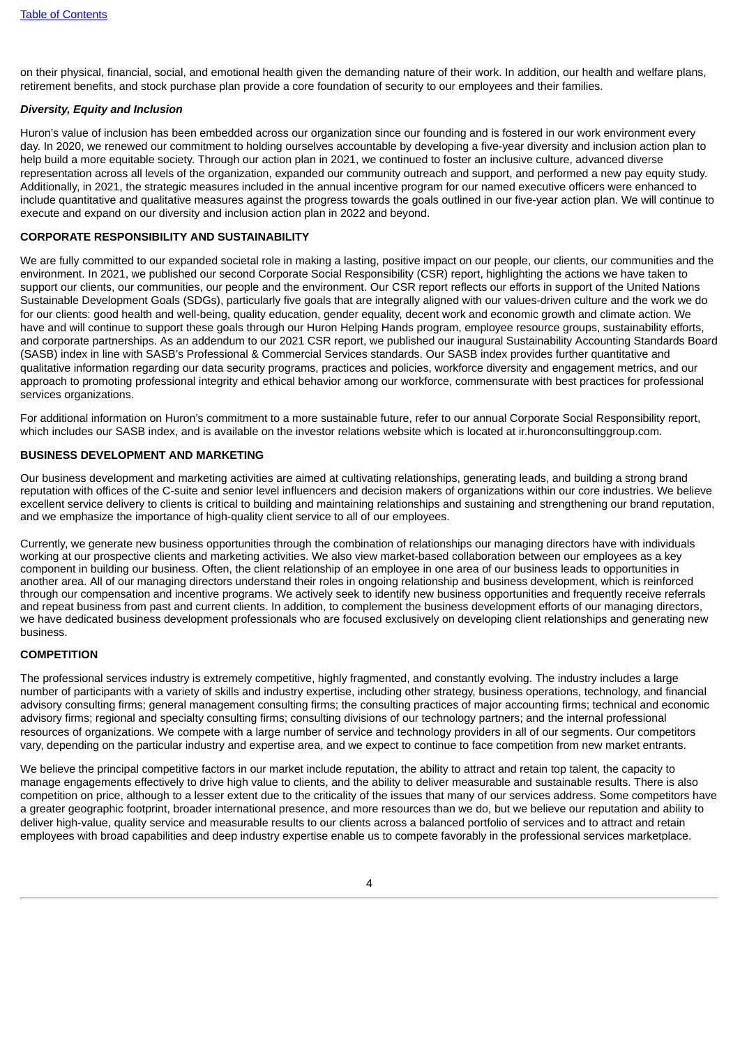on their physical, financial, social, and emotional health given the demanding nature of their work. In addition, our health and welfare plans, retirement benefits, and stock purchase plan provide a core foundation of security to our employees and their families.

# *Diversity, Equity and Inclusion*

Huron's value of inclusion has been embedded across our organization since our founding and is fostered in our work environment every day. In 2020, we renewed our commitment to holding ourselves accountable by developing a five-year diversity and inclusion action plan to help build a more equitable society. Through our action plan in 2021, we continued to foster an inclusive culture, advanced diverse representation across all levels of the organization, expanded our community outreach and support, and performed a new pay equity study. Additionally, in 2021, the strategic measures included in the annual incentive program for our named executive officers were enhanced to include quantitative and qualitative measures against the progress towards the goals outlined in our five-year action plan. We will continue to execute and expand on our diversity and inclusion action plan in 2022 and beyond.

## **CORPORATE RESPONSIBILITY AND SUSTAINABILITY**

We are fully committed to our expanded societal role in making a lasting, positive impact on our people, our clients, our communities and the environment. In 2021, we published our second Corporate Social Responsibility (CSR) report, highlighting the actions we have taken to support our clients, our communities, our people and the environment. Our CSR report reflects our efforts in support of the United Nations Sustainable Development Goals (SDGs), particularly five goals that are integrally aligned with our values-driven culture and the work we do for our clients: good health and well-being, quality education, gender equality, decent work and economic growth and climate action. We have and will continue to support these goals through our Huron Helping Hands program, employee resource groups, sustainability efforts, and corporate partnerships. As an addendum to our 2021 CSR report, we published our inaugural Sustainability Accounting Standards Board (SASB) index in line with SASB's Professional & Commercial Services standards. Our SASB index provides further quantitative and qualitative information regarding our data security programs, practices and policies, workforce diversity and engagement metrics, and our approach to promoting professional integrity and ethical behavior among our workforce, commensurate with best practices for professional services organizations.

For additional information on Huron's commitment to a more sustainable future, refer to our annual Corporate Social Responsibility report, which includes our SASB index, and is available on the investor relations website which is located at ir.huronconsultinggroup.com.

## **BUSINESS DEVELOPMENT AND MARKETING**

Our business development and marketing activities are aimed at cultivating relationships, generating leads, and building a strong brand reputation with offices of the C-suite and senior level influencers and decision makers of organizations within our core industries. We believe excellent service delivery to clients is critical to building and maintaining relationships and sustaining and strengthening our brand reputation, and we emphasize the importance of high-quality client service to all of our employees.

Currently, we generate new business opportunities through the combination of relationships our managing directors have with individuals working at our prospective clients and marketing activities. We also view market-based collaboration between our employees as a key component in building our business. Often, the client relationship of an employee in one area of our business leads to opportunities in another area. All of our managing directors understand their roles in ongoing relationship and business development, which is reinforced through our compensation and incentive programs. We actively seek to identify new business opportunities and frequently receive referrals and repeat business from past and current clients. In addition, to complement the business development efforts of our managing directors, we have dedicated business development professionals who are focused exclusively on developing client relationships and generating new business.

## **COMPETITION**

The professional services industry is extremely competitive, highly fragmented, and constantly evolving. The industry includes a large number of participants with a variety of skills and industry expertise, including other strategy, business operations, technology, and financial advisory consulting firms; general management consulting firms; the consulting practices of major accounting firms; technical and economic advisory firms; regional and specialty consulting firms; consulting divisions of our technology partners; and the internal professional resources of organizations. We compete with a large number of service and technology providers in all of our segments. Our competitors vary, depending on the particular industry and expertise area, and we expect to continue to face competition from new market entrants.

We believe the principal competitive factors in our market include reputation, the ability to attract and retain top talent, the capacity to manage engagements effectively to drive high value to clients, and the ability to deliver measurable and sustainable results. There is also competition on price, although to a lesser extent due to the criticality of the issues that many of our services address. Some competitors have a greater geographic footprint, broader international presence, and more resources than we do, but we believe our reputation and ability to deliver high-value, quality service and measurable results to our clients across a balanced portfolio of services and to attract and retain employees with broad capabilities and deep industry expertise enable us to compete favorably in the professional services marketplace.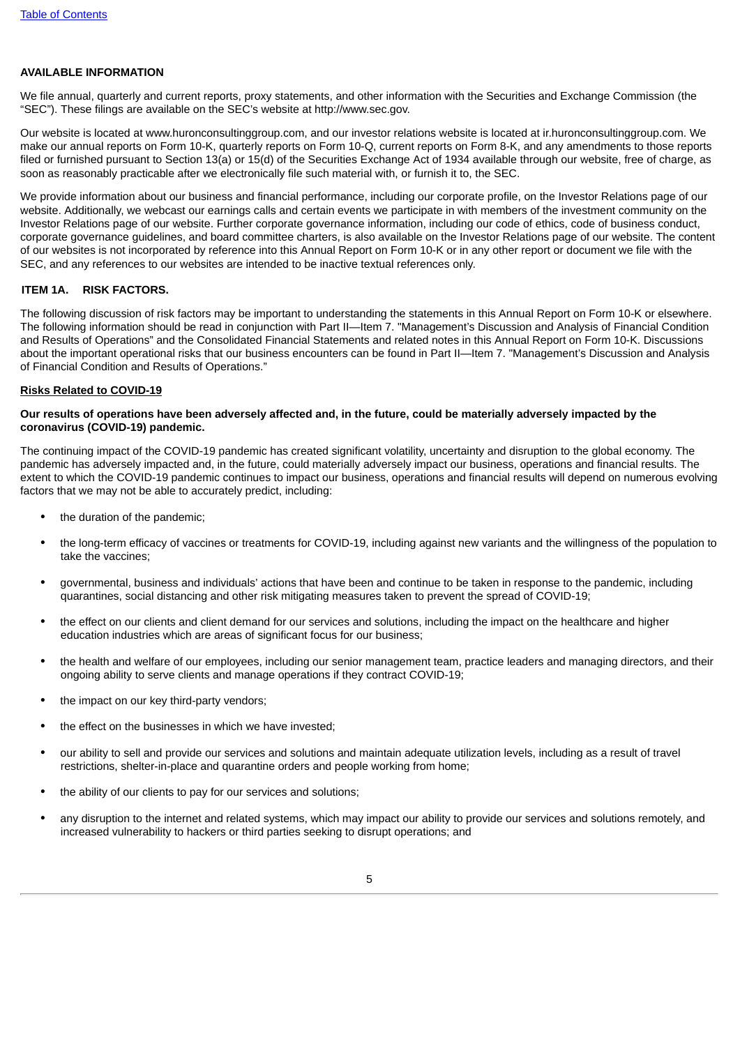## **AVAILABLE INFORMATION**

We file annual, quarterly and current reports, proxy statements, and other information with the Securities and Exchange Commission (the "SEC"). These filings are available on the SEC's website at http://www.sec.gov.

Our website is located at www.huronconsultinggroup.com, and our investor relations website is located at ir.huronconsultinggroup.com. We make our annual reports on Form 10-K, quarterly reports on Form 10-Q, current reports on Form 8-K, and any amendments to those reports filed or furnished pursuant to Section 13(a) or 15(d) of the Securities Exchange Act of 1934 available through our website, free of charge, as soon as reasonably practicable after we electronically file such material with, or furnish it to, the SEC.

We provide information about our business and financial performance, including our corporate profile, on the Investor Relations page of our website. Additionally, we webcast our earnings calls and certain events we participate in with members of the investment community on the Investor Relations page of our website. Further corporate governance information, including our code of ethics, code of business conduct, corporate governance guidelines, and board committee charters, is also available on the Investor Relations page of our website. The content of our websites is not incorporated by reference into this Annual Report on Form 10-K or in any other report or document we file with the SEC, and any references to our websites are intended to be inactive textual references only.

#### <span id="page-6-0"></span>**ITEM 1A. RISK FACTORS.**

The following discussion of risk factors may be important to understanding the statements in this Annual Report on Form 10-K or elsewhere. The following information should be read in conjunction with Part II—Item 7. "Management's Discussion and Analysis of Financial Condition and Results of Operations" and the Consolidated Financial Statements and related notes in this Annual Report on Form 10-K. Discussions about the important operational risks that our business encounters can be found in Part II—Item 7. "Management's Discussion and Analysis of Financial Condition and Results of Operations."

#### **Risks Related to COVID-19**

## Our results of operations have been adversely affected and, in the future, could be materially adversely impacted by the **coronavirus (COVID-19) pandemic.**

The continuing impact of the COVID-19 pandemic has created significant volatility, uncertainty and disruption to the global economy. The pandemic has adversely impacted and, in the future, could materially adversely impact our business, operations and financial results. The extent to which the COVID-19 pandemic continues to impact our business, operations and financial results will depend on numerous evolving factors that we may not be able to accurately predict, including:

- the duration of the pandemic:
- the long-term efficacy of vaccines or treatments for COVID-19, including against new variants and the willingness of the population to take the vaccines;
- governmental, business and individuals' actions that have been and continue to be taken in response to the pandemic, including quarantines, social distancing and other risk mitigating measures taken to prevent the spread of COVID-19;
- the effect on our clients and client demand for our services and solutions, including the impact on the healthcare and higher education industries which are areas of significant focus for our business;
- the health and welfare of our employees, including our senior management team, practice leaders and managing directors, and their ongoing ability to serve clients and manage operations if they contract COVID-19;
- the impact on our key third-party vendors;
- the effect on the businesses in which we have invested;
- our ability to sell and provide our services and solutions and maintain adequate utilization levels, including as a result of travel restrictions, shelter-in-place and quarantine orders and people working from home;
- the ability of our clients to pay for our services and solutions;
- any disruption to the internet and related systems, which may impact our ability to provide our services and solutions remotely, and increased vulnerability to hackers or third parties seeking to disrupt operations; and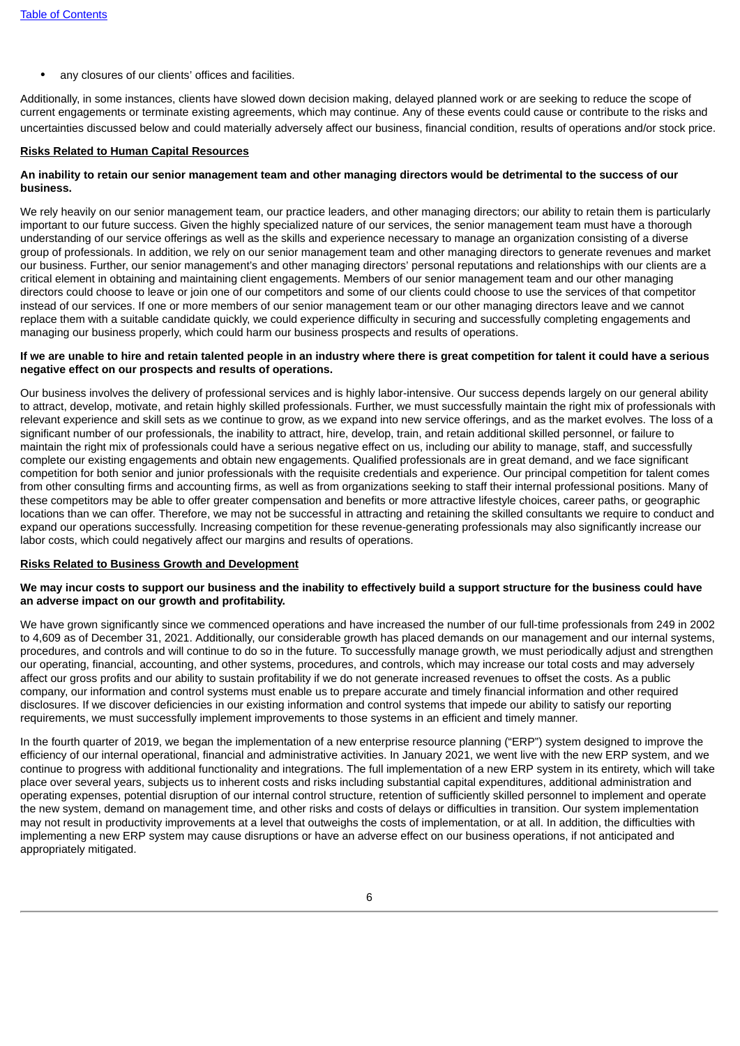any closures of our clients' offices and facilities.

Additionally, in some instances, clients have slowed down decision making, delayed planned work or are seeking to reduce the scope of current engagements or terminate existing agreements, which may continue. Any of these events could cause or contribute to the risks and uncertainties discussed below and could materially adversely affect our business, financial condition, results of operations and/or stock price.

#### **Risks Related to Human Capital Resources**

# An inability to retain our senior management team and other managing directors would be detrimental to the success of our **business.**

We rely heavily on our senior management team, our practice leaders, and other managing directors; our ability to retain them is particularly important to our future success. Given the highly specialized nature of our services, the senior management team must have a thorough understanding of our service offerings as well as the skills and experience necessary to manage an organization consisting of a diverse group of professionals. In addition, we rely on our senior management team and other managing directors to generate revenues and market our business. Further, our senior management's and other managing directors' personal reputations and relationships with our clients are a critical element in obtaining and maintaining client engagements. Members of our senior management team and our other managing directors could choose to leave or join one of our competitors and some of our clients could choose to use the services of that competitor instead of our services. If one or more members of our senior management team or our other managing directors leave and we cannot replace them with a suitable candidate quickly, we could experience difficulty in securing and successfully completing engagements and managing our business properly, which could harm our business prospects and results of operations.

## If we are unable to hire and retain talented people in an industry where there is great competition for talent it could have a serious **negative effect on our prospects and results of operations.**

Our business involves the delivery of professional services and is highly labor-intensive. Our success depends largely on our general ability to attract, develop, motivate, and retain highly skilled professionals. Further, we must successfully maintain the right mix of professionals with relevant experience and skill sets as we continue to grow, as we expand into new service offerings, and as the market evolves. The loss of a significant number of our professionals, the inability to attract, hire, develop, train, and retain additional skilled personnel, or failure to maintain the right mix of professionals could have a serious negative effect on us, including our ability to manage, staff, and successfully complete our existing engagements and obtain new engagements. Qualified professionals are in great demand, and we face significant competition for both senior and junior professionals with the requisite credentials and experience. Our principal competition for talent comes from other consulting firms and accounting firms, as well as from organizations seeking to staff their internal professional positions. Many of these competitors may be able to offer greater compensation and benefits or more attractive lifestyle choices, career paths, or geographic locations than we can offer. Therefore, we may not be successful in attracting and retaining the skilled consultants we require to conduct and expand our operations successfully. Increasing competition for these revenue-generating professionals may also significantly increase our labor costs, which could negatively affect our margins and results of operations.

## **Risks Related to Business Growth and Development**

## We may incur costs to support our business and the inability to effectively build a support structure for the business could have **an adverse impact on our growth and profitability.**

We have grown significantly since we commenced operations and have increased the number of our full-time professionals from 249 in 2002 to 4,609 as of December 31, 2021. Additionally, our considerable growth has placed demands on our management and our internal systems, procedures, and controls and will continue to do so in the future. To successfully manage growth, we must periodically adjust and strengthen our operating, financial, accounting, and other systems, procedures, and controls, which may increase our total costs and may adversely affect our gross profits and our ability to sustain profitability if we do not generate increased revenues to offset the costs. As a public company, our information and control systems must enable us to prepare accurate and timely financial information and other required disclosures. If we discover deficiencies in our existing information and control systems that impede our ability to satisfy our reporting requirements, we must successfully implement improvements to those systems in an efficient and timely manner.

In the fourth quarter of 2019, we began the implementation of a new enterprise resource planning ("ERP") system designed to improve the efficiency of our internal operational, financial and administrative activities. In January 2021, we went live with the new ERP system, and we continue to progress with additional functionality and integrations. The full implementation of a new ERP system in its entirety, which will take place over several years, subjects us to inherent costs and risks including substantial capital expenditures, additional administration and operating expenses, potential disruption of our internal control structure, retention of sufficiently skilled personnel to implement and operate the new system, demand on management time, and other risks and costs of delays or difficulties in transition. Our system implementation may not result in productivity improvements at a level that outweighs the costs of implementation, or at all. In addition, the difficulties with implementing a new ERP system may cause disruptions or have an adverse effect on our business operations, if not anticipated and appropriately mitigated.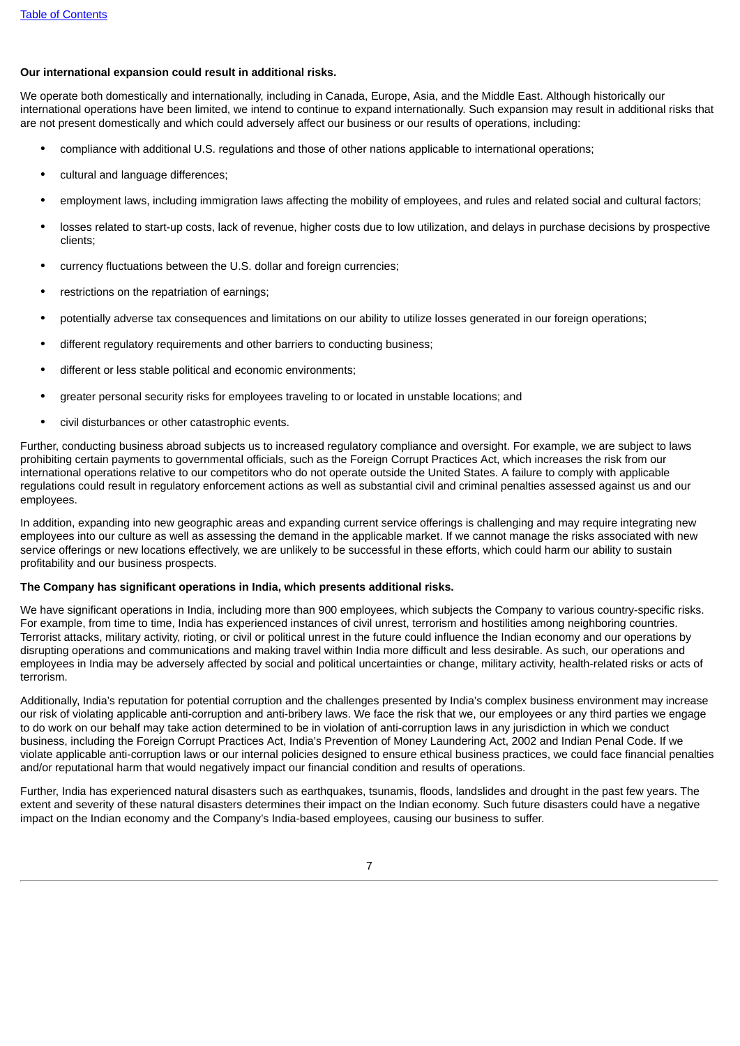## **Our international expansion could result in additional risks.**

We operate both domestically and internationally, including in Canada, Europe, Asia, and the Middle East. Although historically our international operations have been limited, we intend to continue to expand internationally. Such expansion may result in additional risks that are not present domestically and which could adversely affect our business or our results of operations, including:

- compliance with additional U.S. regulations and those of other nations applicable to international operations;
- cultural and language differences;
- employment laws, including immigration laws affecting the mobility of employees, and rules and related social and cultural factors;
- losses related to start-up costs, lack of revenue, higher costs due to low utilization, and delays in purchase decisions by prospective clients;
- currency fluctuations between the U.S. dollar and foreign currencies;
- restrictions on the repatriation of earnings;
- potentially adverse tax consequences and limitations on our ability to utilize losses generated in our foreign operations;
- different regulatory requirements and other barriers to conducting business;
- different or less stable political and economic environments;
- greater personal security risks for employees traveling to or located in unstable locations; and
- civil disturbances or other catastrophic events.

Further, conducting business abroad subjects us to increased regulatory compliance and oversight. For example, we are subject to laws prohibiting certain payments to governmental officials, such as the Foreign Corrupt Practices Act, which increases the risk from our international operations relative to our competitors who do not operate outside the United States. A failure to comply with applicable regulations could result in regulatory enforcement actions as well as substantial civil and criminal penalties assessed against us and our employees.

In addition, expanding into new geographic areas and expanding current service offerings is challenging and may require integrating new employees into our culture as well as assessing the demand in the applicable market. If we cannot manage the risks associated with new service offerings or new locations effectively, we are unlikely to be successful in these efforts, which could harm our ability to sustain profitability and our business prospects.

## **The Company has significant operations in India, which presents additional risks.**

We have significant operations in India, including more than 900 employees, which subjects the Company to various country-specific risks. For example, from time to time, India has experienced instances of civil unrest, terrorism and hostilities among neighboring countries. Terrorist attacks, military activity, rioting, or civil or political unrest in the future could influence the Indian economy and our operations by disrupting operations and communications and making travel within India more difficult and less desirable. As such, our operations and employees in India may be adversely affected by social and political uncertainties or change, military activity, health-related risks or acts of terrorism.

Additionally, India's reputation for potential corruption and the challenges presented by India's complex business environment may increase our risk of violating applicable anti-corruption and anti-bribery laws. We face the risk that we, our employees or any third parties we engage to do work on our behalf may take action determined to be in violation of anti-corruption laws in any jurisdiction in which we conduct business, including the Foreign Corrupt Practices Act, India's Prevention of Money Laundering Act, 2002 and Indian Penal Code. If we violate applicable anti-corruption laws or our internal policies designed to ensure ethical business practices, we could face financial penalties and/or reputational harm that would negatively impact our financial condition and results of operations.

Further, India has experienced natural disasters such as earthquakes, tsunamis, floods, landslides and drought in the past few years. The extent and severity of these natural disasters determines their impact on the Indian economy. Such future disasters could have a negative impact on the Indian economy and the Company's India-based employees, causing our business to suffer.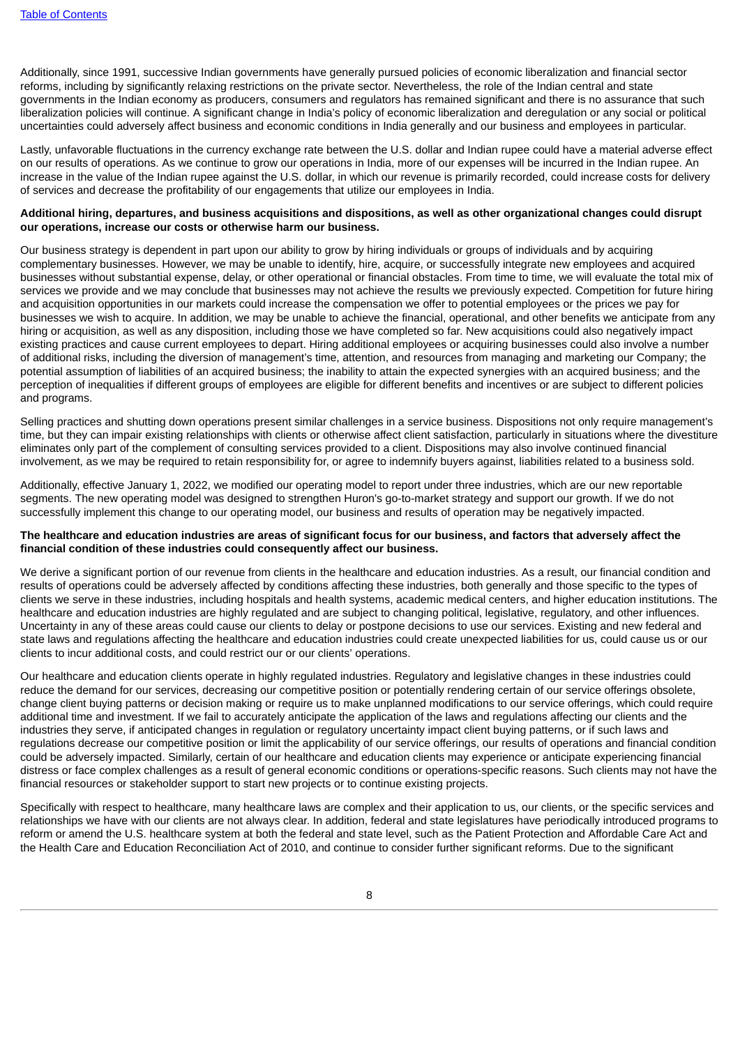Additionally, since 1991, successive Indian governments have generally pursued policies of economic liberalization and financial sector reforms, including by significantly relaxing restrictions on the private sector. Nevertheless, the role of the Indian central and state governments in the Indian economy as producers, consumers and regulators has remained significant and there is no assurance that such liberalization policies will continue. A significant change in India's policy of economic liberalization and deregulation or any social or political uncertainties could adversely affect business and economic conditions in India generally and our business and employees in particular.

Lastly, unfavorable fluctuations in the currency exchange rate between the U.S. dollar and Indian rupee could have a material adverse effect on our results of operations. As we continue to grow our operations in India, more of our expenses will be incurred in the Indian rupee. An increase in the value of the Indian rupee against the U.S. dollar, in which our revenue is primarily recorded, could increase costs for delivery of services and decrease the profitability of our engagements that utilize our employees in India.

## Additional hiring, departures, and business acquisitions and dispositions, as well as other organizational changes could disrupt **our operations, increase our costs or otherwise harm our business.**

Our business strategy is dependent in part upon our ability to grow by hiring individuals or groups of individuals and by acquiring complementary businesses. However, we may be unable to identify, hire, acquire, or successfully integrate new employees and acquired businesses without substantial expense, delay, or other operational or financial obstacles. From time to time, we will evaluate the total mix of services we provide and we may conclude that businesses may not achieve the results we previously expected. Competition for future hiring and acquisition opportunities in our markets could increase the compensation we offer to potential employees or the prices we pay for businesses we wish to acquire. In addition, we may be unable to achieve the financial, operational, and other benefits we anticipate from any hiring or acquisition, as well as any disposition, including those we have completed so far. New acquisitions could also negatively impact existing practices and cause current employees to depart. Hiring additional employees or acquiring businesses could also involve a number of additional risks, including the diversion of management's time, attention, and resources from managing and marketing our Company; the potential assumption of liabilities of an acquired business; the inability to attain the expected synergies with an acquired business; and the perception of inequalities if different groups of employees are eligible for different benefits and incentives or are subject to different policies and programs.

Selling practices and shutting down operations present similar challenges in a service business. Dispositions not only require management's time, but they can impair existing relationships with clients or otherwise affect client satisfaction, particularly in situations where the divestiture eliminates only part of the complement of consulting services provided to a client. Dispositions may also involve continued financial involvement, as we may be required to retain responsibility for, or agree to indemnify buyers against, liabilities related to a business sold.

Additionally, effective January 1, 2022, we modified our operating model to report under three industries, which are our new reportable segments. The new operating model was designed to strengthen Huron's go-to-market strategy and support our growth. If we do not successfully implement this change to our operating model, our business and results of operation may be negatively impacted.

# The healthcare and education industries are areas of significant focus for our business, and factors that adversely affect the **financial condition of these industries could consequently affect our business.**

We derive a significant portion of our revenue from clients in the healthcare and education industries. As a result, our financial condition and results of operations could be adversely affected by conditions affecting these industries, both generally and those specific to the types of clients we serve in these industries, including hospitals and health systems, academic medical centers, and higher education institutions. The healthcare and education industries are highly regulated and are subject to changing political, legislative, regulatory, and other influences. Uncertainty in any of these areas could cause our clients to delay or postpone decisions to use our services. Existing and new federal and state laws and regulations affecting the healthcare and education industries could create unexpected liabilities for us, could cause us or our clients to incur additional costs, and could restrict our or our clients' operations.

Our healthcare and education clients operate in highly regulated industries. Regulatory and legislative changes in these industries could reduce the demand for our services, decreasing our competitive position or potentially rendering certain of our service offerings obsolete, change client buying patterns or decision making or require us to make unplanned modifications to our service offerings, which could require additional time and investment. If we fail to accurately anticipate the application of the laws and regulations affecting our clients and the industries they serve, if anticipated changes in regulation or regulatory uncertainty impact client buying patterns, or if such laws and regulations decrease our competitive position or limit the applicability of our service offerings, our results of operations and financial condition could be adversely impacted. Similarly, certain of our healthcare and education clients may experience or anticipate experiencing financial distress or face complex challenges as a result of general economic conditions or operations-specific reasons. Such clients may not have the financial resources or stakeholder support to start new projects or to continue existing projects.

Specifically with respect to healthcare, many healthcare laws are complex and their application to us, our clients, or the specific services and relationships we have with our clients are not always clear. In addition, federal and state legislatures have periodically introduced programs to reform or amend the U.S. healthcare system at both the federal and state level, such as the Patient Protection and Affordable Care Act and the Health Care and Education Reconciliation Act of 2010, and continue to consider further significant reforms. Due to the significant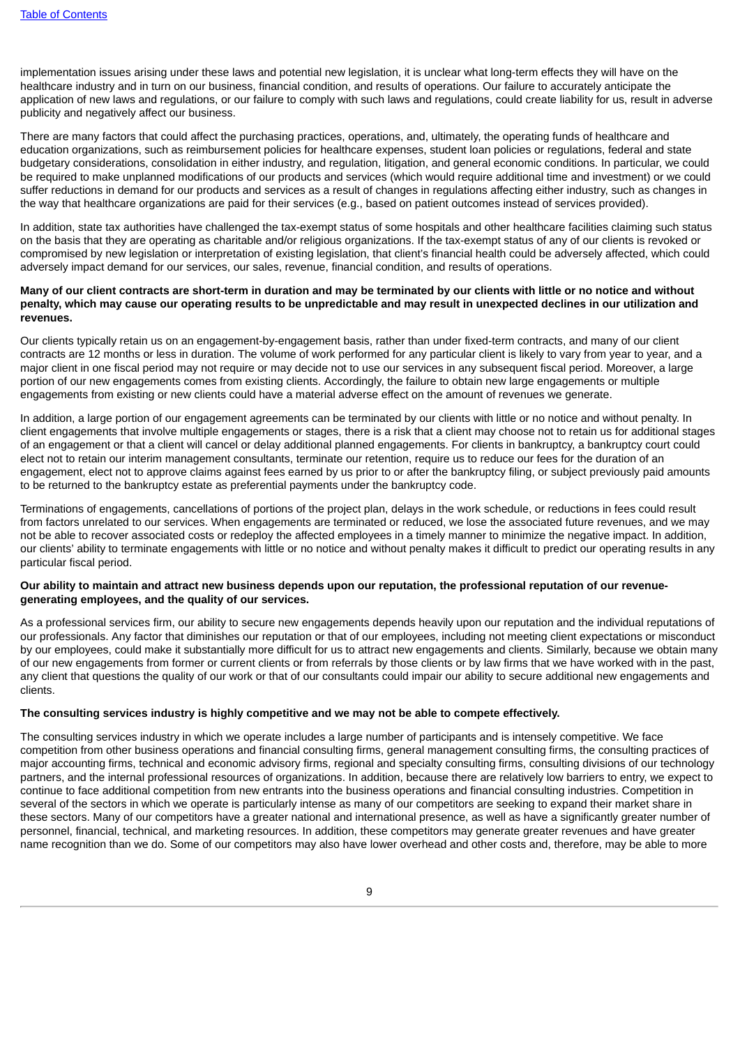implementation issues arising under these laws and potential new legislation, it is unclear what long-term effects they will have on the healthcare industry and in turn on our business, financial condition, and results of operations. Our failure to accurately anticipate the application of new laws and regulations, or our failure to comply with such laws and regulations, could create liability for us, result in adverse publicity and negatively affect our business.

There are many factors that could affect the purchasing practices, operations, and, ultimately, the operating funds of healthcare and education organizations, such as reimbursement policies for healthcare expenses, student loan policies or regulations, federal and state budgetary considerations, consolidation in either industry, and regulation, litigation, and general economic conditions. In particular, we could be required to make unplanned modifications of our products and services (which would require additional time and investment) or we could suffer reductions in demand for our products and services as a result of changes in regulations affecting either industry, such as changes in the way that healthcare organizations are paid for their services (e.g., based on patient outcomes instead of services provided).

In addition, state tax authorities have challenged the tax-exempt status of some hospitals and other healthcare facilities claiming such status on the basis that they are operating as charitable and/or religious organizations. If the tax-exempt status of any of our clients is revoked or compromised by new legislation or interpretation of existing legislation, that client's financial health could be adversely affected, which could adversely impact demand for our services, our sales, revenue, financial condition, and results of operations.

## Many of our client contracts are short-term in duration and may be terminated by our clients with little or no notice and without penalty, which may cause our operating results to be unpredictable and may result in unexpected declines in our utilization and **revenues.**

Our clients typically retain us on an engagement-by-engagement basis, rather than under fixed-term contracts, and many of our client contracts are 12 months or less in duration. The volume of work performed for any particular client is likely to vary from year to year, and a major client in one fiscal period may not require or may decide not to use our services in any subsequent fiscal period. Moreover, a large portion of our new engagements comes from existing clients. Accordingly, the failure to obtain new large engagements or multiple engagements from existing or new clients could have a material adverse effect on the amount of revenues we generate.

In addition, a large portion of our engagement agreements can be terminated by our clients with little or no notice and without penalty. In client engagements that involve multiple engagements or stages, there is a risk that a client may choose not to retain us for additional stages of an engagement or that a client will cancel or delay additional planned engagements. For clients in bankruptcy, a bankruptcy court could elect not to retain our interim management consultants, terminate our retention, require us to reduce our fees for the duration of an engagement, elect not to approve claims against fees earned by us prior to or after the bankruptcy filing, or subject previously paid amounts to be returned to the bankruptcy estate as preferential payments under the bankruptcy code.

Terminations of engagements, cancellations of portions of the project plan, delays in the work schedule, or reductions in fees could result from factors unrelated to our services. When engagements are terminated or reduced, we lose the associated future revenues, and we may not be able to recover associated costs or redeploy the affected employees in a timely manner to minimize the negative impact. In addition, our clients' ability to terminate engagements with little or no notice and without penalty makes it difficult to predict our operating results in any particular fiscal period.

## Our ability to maintain and attract new business depends upon our reputation, the professional reputation of our revenue**generating employees, and the quality of our services.**

As a professional services firm, our ability to secure new engagements depends heavily upon our reputation and the individual reputations of our professionals. Any factor that diminishes our reputation or that of our employees, including not meeting client expectations or misconduct by our employees, could make it substantially more difficult for us to attract new engagements and clients. Similarly, because we obtain many of our new engagements from former or current clients or from referrals by those clients or by law firms that we have worked with in the past, any client that questions the quality of our work or that of our consultants could impair our ability to secure additional new engagements and clients.

# **The consulting services industry is highly competitive and we may not be able to compete effectively.**

The consulting services industry in which we operate includes a large number of participants and is intensely competitive. We face competition from other business operations and financial consulting firms, general management consulting firms, the consulting practices of major accounting firms, technical and economic advisory firms, regional and specialty consulting firms, consulting divisions of our technology partners, and the internal professional resources of organizations. In addition, because there are relatively low barriers to entry, we expect to continue to face additional competition from new entrants into the business operations and financial consulting industries. Competition in several of the sectors in which we operate is particularly intense as many of our competitors are seeking to expand their market share in these sectors. Many of our competitors have a greater national and international presence, as well as have a significantly greater number of personnel, financial, technical, and marketing resources. In addition, these competitors may generate greater revenues and have greater name recognition than we do. Some of our competitors may also have lower overhead and other costs and, therefore, may be able to more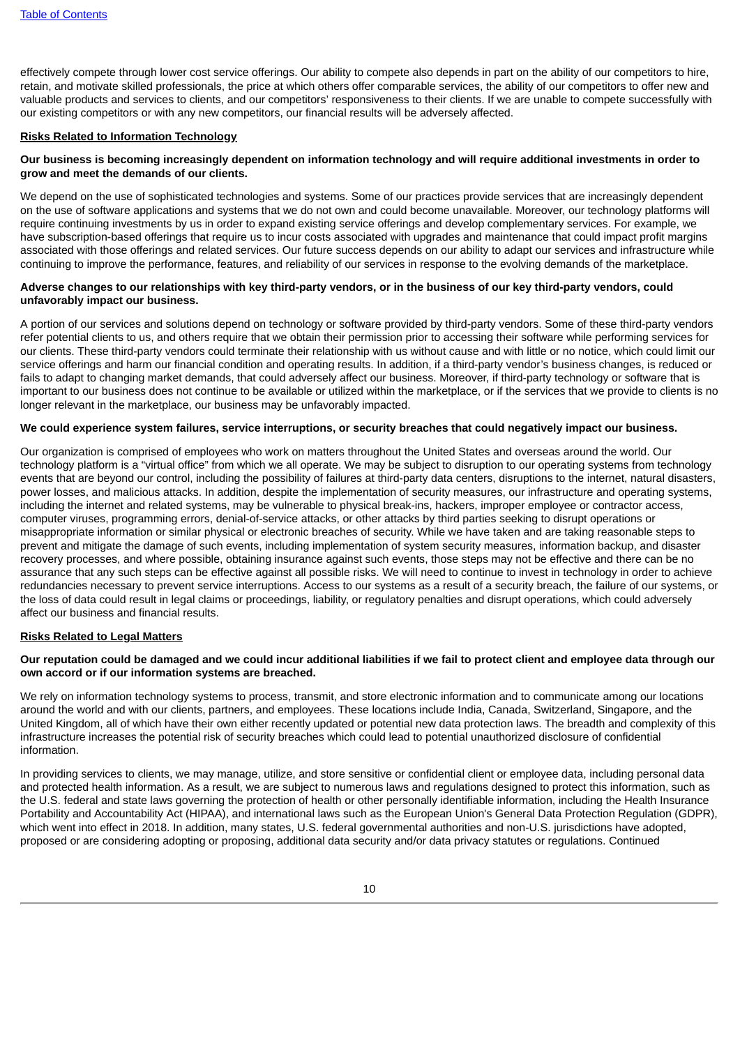effectively compete through lower cost service offerings. Our ability to compete also depends in part on the ability of our competitors to hire, retain, and motivate skilled professionals, the price at which others offer comparable services, the ability of our competitors to offer new and valuable products and services to clients, and our competitors' responsiveness to their clients. If we are unable to compete successfully with our existing competitors or with any new competitors, our financial results will be adversely affected.

## **Risks Related to Information Technology**

## Our business is becoming increasingly dependent on information technology and will require additional investments in order to **grow and meet the demands of our clients.**

We depend on the use of sophisticated technologies and systems. Some of our practices provide services that are increasingly dependent on the use of software applications and systems that we do not own and could become unavailable. Moreover, our technology platforms will require continuing investments by us in order to expand existing service offerings and develop complementary services. For example, we have subscription-based offerings that require us to incur costs associated with upgrades and maintenance that could impact profit margins associated with those offerings and related services. Our future success depends on our ability to adapt our services and infrastructure while continuing to improve the performance, features, and reliability of our services in response to the evolving demands of the marketplace.

#### Adverse changes to our relationships with key third-party vendors, or in the business of our key third-party vendors, could **unfavorably impact our business.**

A portion of our services and solutions depend on technology or software provided by third-party vendors. Some of these third-party vendors refer potential clients to us, and others require that we obtain their permission prior to accessing their software while performing services for our clients. These third-party vendors could terminate their relationship with us without cause and with little or no notice, which could limit our service offerings and harm our financial condition and operating results. In addition, if a third-party vendor's business changes, is reduced or fails to adapt to changing market demands, that could adversely affect our business. Moreover, if third-party technology or software that is important to our business does not continue to be available or utilized within the marketplace, or if the services that we provide to clients is no longer relevant in the marketplace, our business may be unfavorably impacted.

## We could experience system failures, service interruptions, or security breaches that could negatively impact our business.

Our organization is comprised of employees who work on matters throughout the United States and overseas around the world. Our technology platform is a "virtual office" from which we all operate. We may be subject to disruption to our operating systems from technology events that are beyond our control, including the possibility of failures at third-party data centers, disruptions to the internet, natural disasters, power losses, and malicious attacks. In addition, despite the implementation of security measures, our infrastructure and operating systems, including the internet and related systems, may be vulnerable to physical break-ins, hackers, improper employee or contractor access, computer viruses, programming errors, denial-of-service attacks, or other attacks by third parties seeking to disrupt operations or misappropriate information or similar physical or electronic breaches of security. While we have taken and are taking reasonable steps to prevent and mitigate the damage of such events, including implementation of system security measures, information backup, and disaster recovery processes, and where possible, obtaining insurance against such events, those steps may not be effective and there can be no assurance that any such steps can be effective against all possible risks. We will need to continue to invest in technology in order to achieve redundancies necessary to prevent service interruptions. Access to our systems as a result of a security breach, the failure of our systems, or the loss of data could result in legal claims or proceedings, liability, or regulatory penalties and disrupt operations, which could adversely affect our business and financial results.

# **Risks Related to Legal Matters**

# Our reputation could be damaged and we could incur additional liabilities if we fail to protect client and employee data through our **own accord or if our information systems are breached.**

We rely on information technology systems to process, transmit, and store electronic information and to communicate among our locations around the world and with our clients, partners, and employees. These locations include India, Canada, Switzerland, Singapore, and the United Kingdom, all of which have their own either recently updated or potential new data protection laws. The breadth and complexity of this infrastructure increases the potential risk of security breaches which could lead to potential unauthorized disclosure of confidential information.

In providing services to clients, we may manage, utilize, and store sensitive or confidential client or employee data, including personal data and protected health information. As a result, we are subject to numerous laws and regulations designed to protect this information, such as the U.S. federal and state laws governing the protection of health or other personally identifiable information, including the Health Insurance Portability and Accountability Act (HIPAA), and international laws such as the European Union's General Data Protection Regulation (GDPR), which went into effect in 2018. In addition, many states, U.S. federal governmental authorities and non-U.S. jurisdictions have adopted, proposed or are considering adopting or proposing, additional data security and/or data privacy statutes or regulations. Continued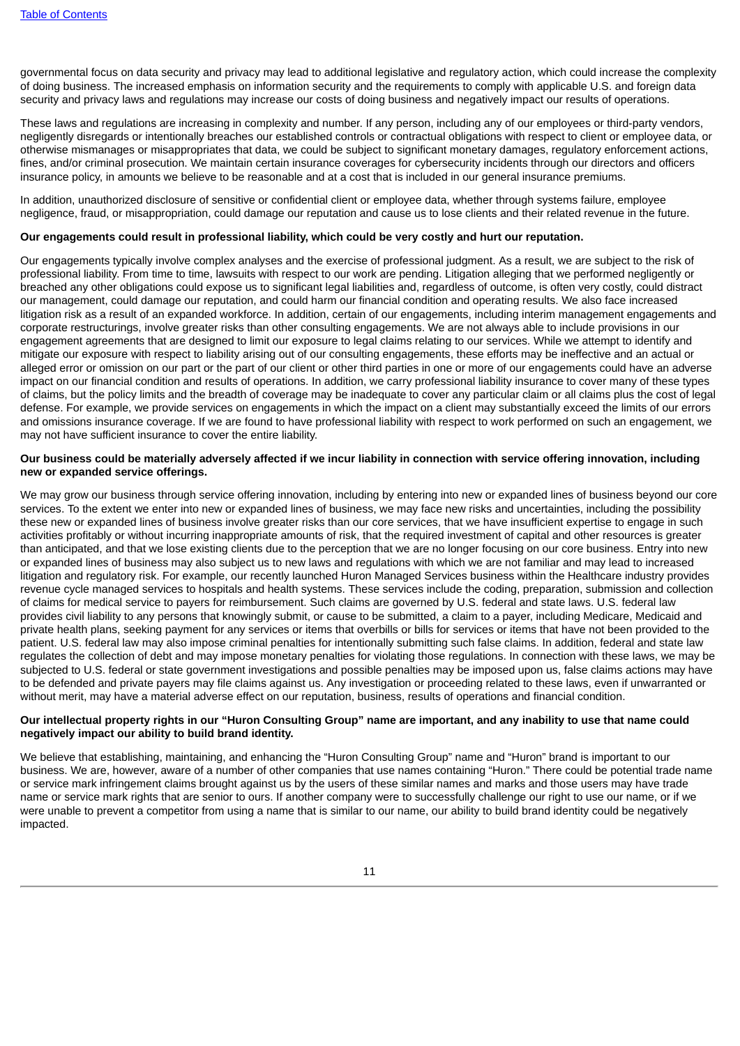governmental focus on data security and privacy may lead to additional legislative and regulatory action, which could increase the complexity of doing business. The increased emphasis on information security and the requirements to comply with applicable U.S. and foreign data security and privacy laws and regulations may increase our costs of doing business and negatively impact our results of operations.

These laws and regulations are increasing in complexity and number. If any person, including any of our employees or third-party vendors, negligently disregards or intentionally breaches our established controls or contractual obligations with respect to client or employee data, or otherwise mismanages or misappropriates that data, we could be subject to significant monetary damages, regulatory enforcement actions, fines, and/or criminal prosecution. We maintain certain insurance coverages for cybersecurity incidents through our directors and officers insurance policy, in amounts we believe to be reasonable and at a cost that is included in our general insurance premiums.

In addition, unauthorized disclosure of sensitive or confidential client or employee data, whether through systems failure, employee negligence, fraud, or misappropriation, could damage our reputation and cause us to lose clients and their related revenue in the future.

## **Our engagements could result in professional liability, which could be very costly and hurt our reputation.**

Our engagements typically involve complex analyses and the exercise of professional judgment. As a result, we are subject to the risk of professional liability. From time to time, lawsuits with respect to our work are pending. Litigation alleging that we performed negligently or breached any other obligations could expose us to significant legal liabilities and, regardless of outcome, is often very costly, could distract our management, could damage our reputation, and could harm our financial condition and operating results. We also face increased litigation risk as a result of an expanded workforce. In addition, certain of our engagements, including interim management engagements and corporate restructurings, involve greater risks than other consulting engagements. We are not always able to include provisions in our engagement agreements that are designed to limit our exposure to legal claims relating to our services. While we attempt to identify and mitigate our exposure with respect to liability arising out of our consulting engagements, these efforts may be ineffective and an actual or alleged error or omission on our part or the part of our client or other third parties in one or more of our engagements could have an adverse impact on our financial condition and results of operations. In addition, we carry professional liability insurance to cover many of these types of claims, but the policy limits and the breadth of coverage may be inadequate to cover any particular claim or all claims plus the cost of legal defense. For example, we provide services on engagements in which the impact on a client may substantially exceed the limits of our errors and omissions insurance coverage. If we are found to have professional liability with respect to work performed on such an engagement, we may not have sufficient insurance to cover the entire liability.

# Our business could be materially adversely affected if we incur liability in connection with service offering innovation, including **new or expanded service offerings.**

We may grow our business through service offering innovation, including by entering into new or expanded lines of business beyond our core services. To the extent we enter into new or expanded lines of business, we may face new risks and uncertainties, including the possibility these new or expanded lines of business involve greater risks than our core services, that we have insufficient expertise to engage in such activities profitably or without incurring inappropriate amounts of risk, that the required investment of capital and other resources is greater than anticipated, and that we lose existing clients due to the perception that we are no longer focusing on our core business. Entry into new or expanded lines of business may also subject us to new laws and regulations with which we are not familiar and may lead to increased litigation and regulatory risk. For example, our recently launched Huron Managed Services business within the Healthcare industry provides revenue cycle managed services to hospitals and health systems. These services include the coding, preparation, submission and collection of claims for medical service to payers for reimbursement. Such claims are governed by U.S. federal and state laws. U.S. federal law provides civil liability to any persons that knowingly submit, or cause to be submitted, a claim to a payer, including Medicare, Medicaid and private health plans, seeking payment for any services or items that overbills or bills for services or items that have not been provided to the patient. U.S. federal law may also impose criminal penalties for intentionally submitting such false claims. In addition, federal and state law regulates the collection of debt and may impose monetary penalties for violating those regulations. In connection with these laws, we may be subjected to U.S. federal or state government investigations and possible penalties may be imposed upon us, false claims actions may have to be defended and private payers may file claims against us. Any investigation or proceeding related to these laws, even if unwarranted or without merit, may have a material adverse effect on our reputation, business, results of operations and financial condition.

# Our intellectual property rights in our "Huron Consulting Group" name are important, and any inability to use that name could **negatively impact our ability to build brand identity.**

We believe that establishing, maintaining, and enhancing the "Huron Consulting Group" name and "Huron" brand is important to our business. We are, however, aware of a number of other companies that use names containing "Huron." There could be potential trade name or service mark infringement claims brought against us by the users of these similar names and marks and those users may have trade name or service mark rights that are senior to ours. If another company were to successfully challenge our right to use our name, or if we were unable to prevent a competitor from using a name that is similar to our name, our ability to build brand identity could be negatively impacted.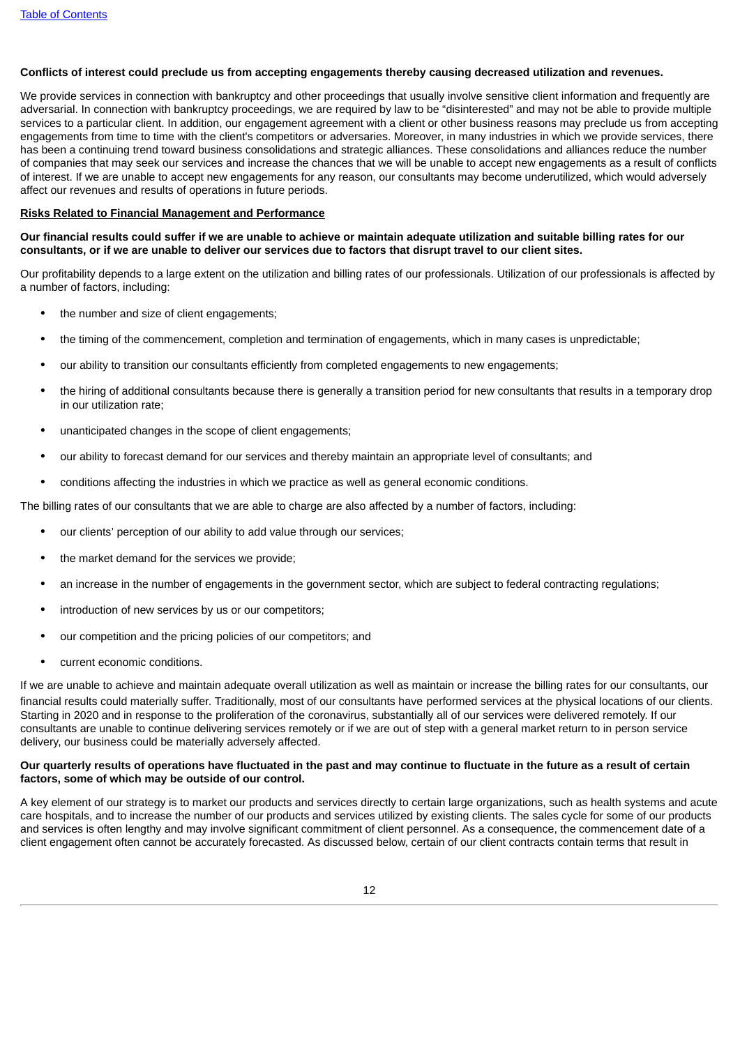## **Conflicts of interest could preclude us from accepting engagements thereby causing decreased utilization and revenues.**

We provide services in connection with bankruptcy and other proceedings that usually involve sensitive client information and frequently are adversarial. In connection with bankruptcy proceedings, we are required by law to be "disinterested" and may not be able to provide multiple services to a particular client. In addition, our engagement agreement with a client or other business reasons may preclude us from accepting engagements from time to time with the client's competitors or adversaries. Moreover, in many industries in which we provide services, there has been a continuing trend toward business consolidations and strategic alliances. These consolidations and alliances reduce the number of companies that may seek our services and increase the chances that we will be unable to accept new engagements as a result of conflicts of interest. If we are unable to accept new engagements for any reason, our consultants may become underutilized, which would adversely affect our revenues and results of operations in future periods.

#### **Risks Related to Financial Management and Performance**

## Our financial results could suffer if we are unable to achieve or maintain adequate utilization and suitable billing rates for our consultants, or if we are unable to deliver our services due to factors that disrupt travel to our client sites.

Our profitability depends to a large extent on the utilization and billing rates of our professionals. Utilization of our professionals is affected by a number of factors, including:

- the number and size of client engagements;
- the timing of the commencement, completion and termination of engagements, which in many cases is unpredictable;
- our ability to transition our consultants efficiently from completed engagements to new engagements;
- the hiring of additional consultants because there is generally a transition period for new consultants that results in a temporary drop in our utilization rate;
- unanticipated changes in the scope of client engagements;
- our ability to forecast demand for our services and thereby maintain an appropriate level of consultants; and
- conditions affecting the industries in which we practice as well as general economic conditions.

The billing rates of our consultants that we are able to charge are also affected by a number of factors, including:

- our clients' perception of our ability to add value through our services;
- the market demand for the services we provide;
- an increase in the number of engagements in the government sector, which are subject to federal contracting regulations;
- introduction of new services by us or our competitors:
- our competition and the pricing policies of our competitors; and
- current economic conditions.

If we are unable to achieve and maintain adequate overall utilization as well as maintain or increase the billing rates for our consultants, our financial results could materially suffer. Traditionally, most of our consultants have performed services at the physical locations of our clients. Starting in 2020 and in response to the proliferation of the coronavirus, substantially all of our services were delivered remotely. If our consultants are unable to continue delivering services remotely or if we are out of step with a general market return to in person service delivery, our business could be materially adversely affected.

# Our quarterly results of operations have fluctuated in the past and may continue to fluctuate in the future as a result of certain **factors, some of which may be outside of our control.**

A key element of our strategy is to market our products and services directly to certain large organizations, such as health systems and acute care hospitals, and to increase the number of our products and services utilized by existing clients. The sales cycle for some of our products and services is often lengthy and may involve significant commitment of client personnel. As a consequence, the commencement date of a client engagement often cannot be accurately forecasted. As discussed below, certain of our client contracts contain terms that result in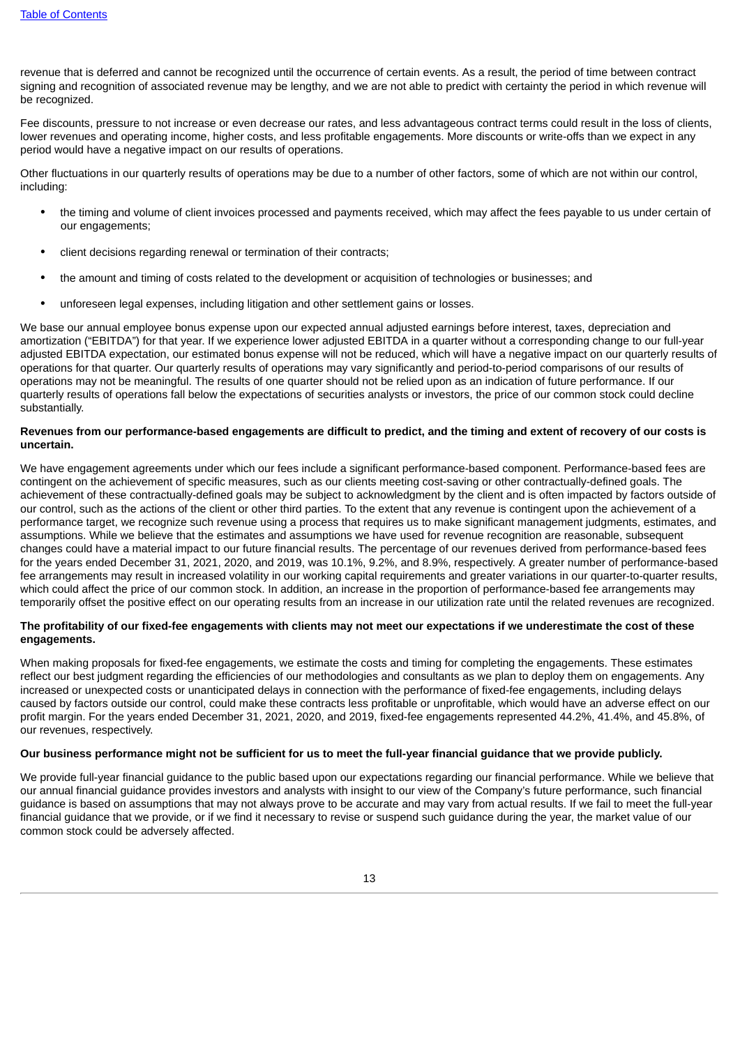revenue that is deferred and cannot be recognized until the occurrence of certain events. As a result, the period of time between contract signing and recognition of associated revenue may be lengthy, and we are not able to predict with certainty the period in which revenue will be recognized.

Fee discounts, pressure to not increase or even decrease our rates, and less advantageous contract terms could result in the loss of clients, lower revenues and operating income, higher costs, and less profitable engagements. More discounts or write-offs than we expect in any period would have a negative impact on our results of operations.

Other fluctuations in our quarterly results of operations may be due to a number of other factors, some of which are not within our control, including:

- the timing and volume of client invoices processed and payments received, which may affect the fees payable to us under certain of our engagements;
- client decisions regarding renewal or termination of their contracts;
- the amount and timing of costs related to the development or acquisition of technologies or businesses; and
- unforeseen legal expenses, including litigation and other settlement gains or losses.

We base our annual employee bonus expense upon our expected annual adjusted earnings before interest, taxes, depreciation and amortization ("EBITDA") for that year. If we experience lower adjusted EBITDA in a quarter without a corresponding change to our full-year adjusted EBITDA expectation, our estimated bonus expense will not be reduced, which will have a negative impact on our quarterly results of operations for that quarter. Our quarterly results of operations may vary significantly and period-to-period comparisons of our results of operations may not be meaningful. The results of one quarter should not be relied upon as an indication of future performance. If our quarterly results of operations fall below the expectations of securities analysts or investors, the price of our common stock could decline substantially.

## Revenues from our performance-based engagements are difficult to predict, and the timing and extent of recovery of our costs is **uncertain.**

We have engagement agreements under which our fees include a significant performance-based component. Performance-based fees are contingent on the achievement of specific measures, such as our clients meeting cost-saving or other contractually-defined goals. The achievement of these contractually-defined goals may be subject to acknowledgment by the client and is often impacted by factors outside of our control, such as the actions of the client or other third parties. To the extent that any revenue is contingent upon the achievement of a performance target, we recognize such revenue using a process that requires us to make significant management judgments, estimates, and assumptions. While we believe that the estimates and assumptions we have used for revenue recognition are reasonable, subsequent changes could have a material impact to our future financial results. The percentage of our revenues derived from performance-based fees for the years ended December 31, 2021, 2020, and 2019, was 10.1%, 9.2%, and 8.9%, respectively. A greater number of performance-based fee arrangements may result in increased volatility in our working capital requirements and greater variations in our quarter-to-quarter results, which could affect the price of our common stock. In addition, an increase in the proportion of performance-based fee arrangements may temporarily offset the positive effect on our operating results from an increase in our utilization rate until the related revenues are recognized.

# The profitability of our fixed-fee engagements with clients may not meet our expectations if we underestimate the cost of these **engagements.**

When making proposals for fixed-fee engagements, we estimate the costs and timing for completing the engagements. These estimates reflect our best judgment regarding the efficiencies of our methodologies and consultants as we plan to deploy them on engagements. Any increased or unexpected costs or unanticipated delays in connection with the performance of fixed-fee engagements, including delays caused by factors outside our control, could make these contracts less profitable or unprofitable, which would have an adverse effect on our profit margin. For the years ended December 31, 2021, 2020, and 2019, fixed-fee engagements represented 44.2%, 41.4%, and 45.8%, of our revenues, respectively.

# Our business performance might not be sufficient for us to meet the full-year financial quidance that we provide publicly.

We provide full-year financial guidance to the public based upon our expectations regarding our financial performance. While we believe that our annual financial guidance provides investors and analysts with insight to our view of the Company's future performance, such financial guidance is based on assumptions that may not always prove to be accurate and may vary from actual results. If we fail to meet the full-year financial guidance that we provide, or if we find it necessary to revise or suspend such guidance during the year, the market value of our common stock could be adversely affected.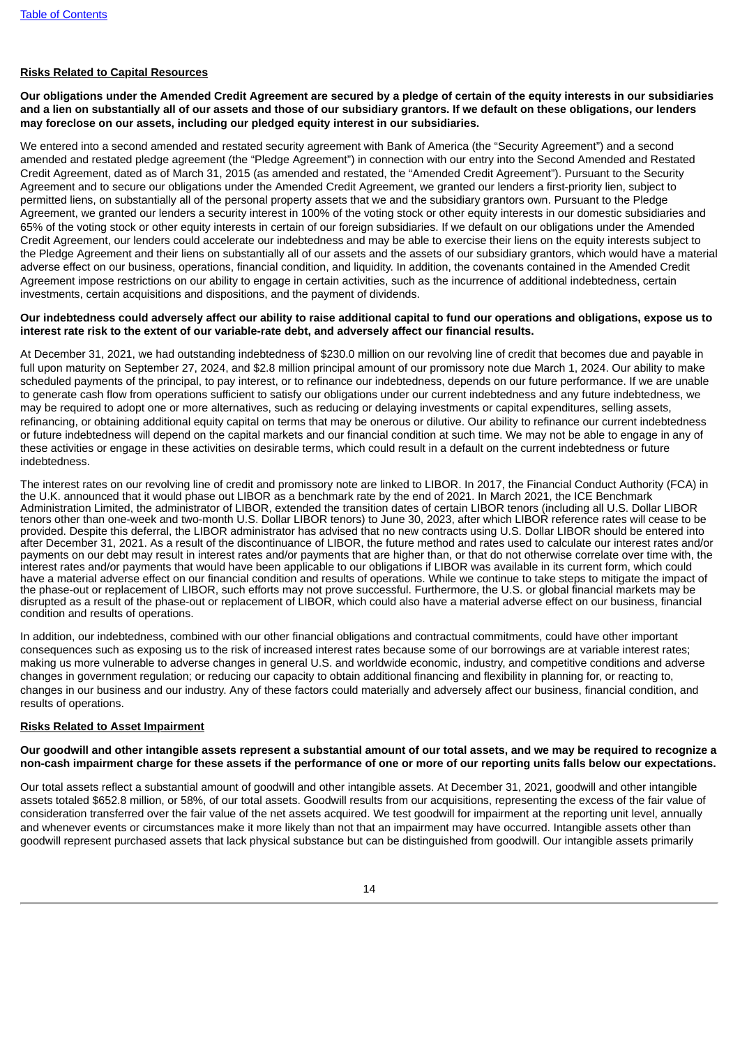## **Risks Related to Capital Resources**

Our obligations under the Amended Credit Agreement are secured by a pledge of certain of the equity interests in our subsidiaries and a lien on substantially all of our assets and those of our subsidiary grantors. If we default on these obligations, our lenders **may foreclose on our assets, including our pledged equity interest in our subsidiaries.**

We entered into a second amended and restated security agreement with Bank of America (the "Security Agreement") and a second amended and restated pledge agreement (the "Pledge Agreement") in connection with our entry into the Second Amended and Restated Credit Agreement, dated as of March 31, 2015 (as amended and restated, the "Amended Credit Agreement"). Pursuant to the Security Agreement and to secure our obligations under the Amended Credit Agreement, we granted our lenders a first-priority lien, subject to permitted liens, on substantially all of the personal property assets that we and the subsidiary grantors own. Pursuant to the Pledge Agreement, we granted our lenders a security interest in 100% of the voting stock or other equity interests in our domestic subsidiaries and 65% of the voting stock or other equity interests in certain of our foreign subsidiaries. If we default on our obligations under the Amended Credit Agreement, our lenders could accelerate our indebtedness and may be able to exercise their liens on the equity interests subject to the Pledge Agreement and their liens on substantially all of our assets and the assets of our subsidiary grantors, which would have a material adverse effect on our business, operations, financial condition, and liquidity. In addition, the covenants contained in the Amended Credit Agreement impose restrictions on our ability to engage in certain activities, such as the incurrence of additional indebtedness, certain investments, certain acquisitions and dispositions, and the payment of dividends.

## Our indebtedness could adversely affect our ability to raise additional capital to fund our operations and obligations, expose us to **interest rate risk to the extent of our variable-rate debt, and adversely affect our financial results.**

At December 31, 2021, we had outstanding indebtedness of \$230.0 million on our revolving line of credit that becomes due and payable in full upon maturity on September 27, 2024, and \$2.8 million principal amount of our promissory note due March 1, 2024. Our ability to make scheduled payments of the principal, to pay interest, or to refinance our indebtedness, depends on our future performance. If we are unable to generate cash flow from operations sufficient to satisfy our obligations under our current indebtedness and any future indebtedness, we may be required to adopt one or more alternatives, such as reducing or delaying investments or capital expenditures, selling assets, refinancing, or obtaining additional equity capital on terms that may be onerous or dilutive. Our ability to refinance our current indebtedness or future indebtedness will depend on the capital markets and our financial condition at such time. We may not be able to engage in any of these activities or engage in these activities on desirable terms, which could result in a default on the current indebtedness or future indebtedness.

The interest rates on our revolving line of credit and promissory note are linked to LIBOR. In 2017, the Financial Conduct Authority (FCA) in the U.K. announced that it would phase out LIBOR as a benchmark rate by the end of 2021. In March 2021, the ICE Benchmark Administration Limited, the administrator of LIBOR, extended the transition dates of certain LIBOR tenors (including all U.S. Dollar LIBOR tenors other than one-week and two-month U.S. Dollar LIBOR tenors) to June 30, 2023, after which LIBOR reference rates will cease to be provided. Despite this deferral, the LIBOR administrator has advised that no new contracts using U.S. Dollar LIBOR should be entered into after December 31, 2021. As a result of the discontinuance of LIBOR, the future method and rates used to calculate our interest rates and/or payments on our debt may result in interest rates and/or payments that are higher than, or that do not otherwise correlate over time with, the interest rates and/or payments that would have been applicable to our obligations if LIBOR was available in its current form, which could have a material adverse effect on our financial condition and results of operations. While we continue to take steps to mitigate the impact of the phase-out or replacement of LIBOR, such efforts may not prove successful. Furthermore, the U.S. or global financial markets may be disrupted as a result of the phase-out or replacement of LIBOR, which could also have a material adverse effect on our business, financial condition and results of operations.

In addition, our indebtedness, combined with our other financial obligations and contractual commitments, could have other important consequences such as exposing us to the risk of increased interest rates because some of our borrowings are at variable interest rates; making us more vulnerable to adverse changes in general U.S. and worldwide economic, industry, and competitive conditions and adverse changes in government regulation; or reducing our capacity to obtain additional financing and flexibility in planning for, or reacting to, changes in our business and our industry. Any of these factors could materially and adversely affect our business, financial condition, and results of operations.

## **Risks Related to Asset Impairment**

## Our goodwill and other intangible assets represent a substantial amount of our total assets, and we may be required to recognize a non-cash impairment charge for these assets if the performance of one or more of our reporting units falls below our expectations.

Our total assets reflect a substantial amount of goodwill and other intangible assets. At December 31, 2021, goodwill and other intangible assets totaled \$652.8 million, or 58%, of our total assets. Goodwill results from our acquisitions, representing the excess of the fair value of consideration transferred over the fair value of the net assets acquired. We test goodwill for impairment at the reporting unit level, annually and whenever events or circumstances make it more likely than not that an impairment may have occurred. Intangible assets other than goodwill represent purchased assets that lack physical substance but can be distinguished from goodwill. Our intangible assets primarily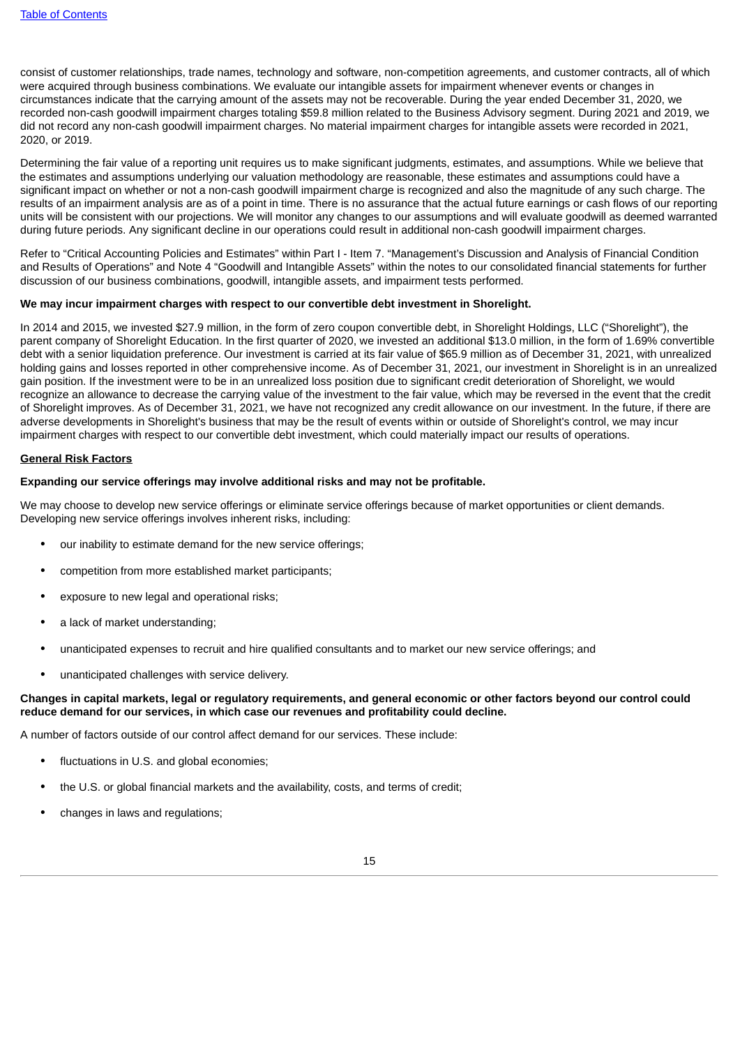consist of customer relationships, trade names, technology and software, non-competition agreements, and customer contracts, all of which were acquired through business combinations. We evaluate our intangible assets for impairment whenever events or changes in circumstances indicate that the carrying amount of the assets may not be recoverable. During the year ended December 31, 2020, we recorded non-cash goodwill impairment charges totaling \$59.8 million related to the Business Advisory segment. During 2021 and 2019, we did not record any non-cash goodwill impairment charges. No material impairment charges for intangible assets were recorded in 2021, 2020, or 2019.

Determining the fair value of a reporting unit requires us to make significant judgments, estimates, and assumptions. While we believe that the estimates and assumptions underlying our valuation methodology are reasonable, these estimates and assumptions could have a significant impact on whether or not a non-cash goodwill impairment charge is recognized and also the magnitude of any such charge. The results of an impairment analysis are as of a point in time. There is no assurance that the actual future earnings or cash flows of our reporting units will be consistent with our projections. We will monitor any changes to our assumptions and will evaluate goodwill as deemed warranted during future periods. Any significant decline in our operations could result in additional non-cash goodwill impairment charges.

Refer to "Critical Accounting Policies and Estimates" within Part I - Item 7. "Management's Discussion and Analysis of Financial Condition and Results of Operations" and Note 4 "Goodwill and Intangible Assets" within the notes to our consolidated financial statements for further discussion of our business combinations, goodwill, intangible assets, and impairment tests performed.

#### **We may incur impairment charges with respect to our convertible debt investment in Shorelight.**

In 2014 and 2015, we invested \$27.9 million, in the form of zero coupon convertible debt, in Shorelight Holdings, LLC ("Shorelight"), the parent company of Shorelight Education. In the first quarter of 2020, we invested an additional \$13.0 million, in the form of 1.69% convertible debt with a senior liquidation preference. Our investment is carried at its fair value of \$65.9 million as of December 31, 2021, with unrealized holding gains and losses reported in other comprehensive income. As of December 31, 2021, our investment in Shorelight is in an unrealized gain position. If the investment were to be in an unrealized loss position due to significant credit deterioration of Shorelight, we would recognize an allowance to decrease the carrying value of the investment to the fair value, which may be reversed in the event that the credit of Shorelight improves. As of December 31, 2021, we have not recognized any credit allowance on our investment. In the future, if there are adverse developments in Shorelight's business that may be the result of events within or outside of Shorelight's control, we may incur impairment charges with respect to our convertible debt investment, which could materially impact our results of operations.

#### **General Risk Factors**

## **Expanding our service offerings may involve additional risks and may not be profitable.**

We may choose to develop new service offerings or eliminate service offerings because of market opportunities or client demands. Developing new service offerings involves inherent risks, including:

- our inability to estimate demand for the new service offerings;
- competition from more established market participants;
- exposure to new legal and operational risks;
- a lack of market understanding;
- unanticipated expenses to recruit and hire qualified consultants and to market our new service offerings; and
- unanticipated challenges with service delivery.

## Changes in capital markets, legal or regulatory requirements, and general economic or other factors beyond our control could **reduce demand for our services, in which case our revenues and profitability could decline.**

A number of factors outside of our control affect demand for our services. These include:

- fluctuations in U.S. and global economies;
- the U.S. or global financial markets and the availability, costs, and terms of credit;
- changes in laws and regulations;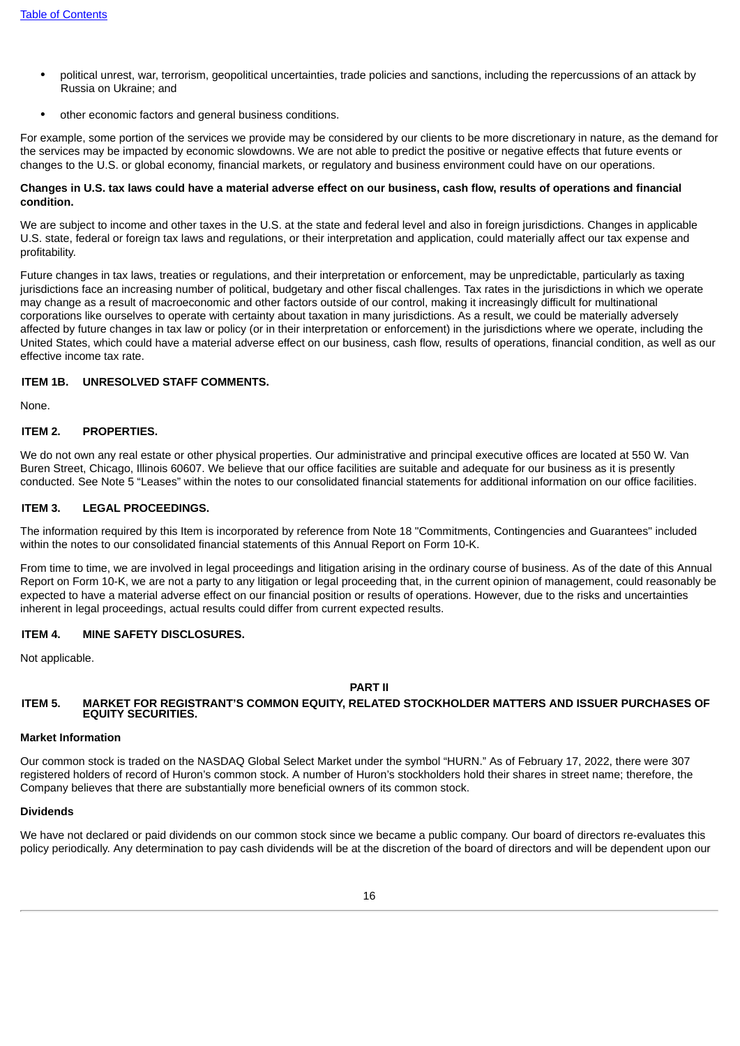- political unrest, war, terrorism, geopolitical uncertainties, trade policies and sanctions, including the repercussions of an attack by Russia on Ukraine; and
- other economic factors and general business conditions.

For example, some portion of the services we provide may be considered by our clients to be more discretionary in nature, as the demand for the services may be impacted by economic slowdowns. We are not able to predict the positive or negative effects that future events or changes to the U.S. or global economy, financial markets, or regulatory and business environment could have on our operations.

## Changes in U.S. tax laws could have a material adverse effect on our business, cash flow, results of operations and financial **condition.**

We are subject to income and other taxes in the U.S. at the state and federal level and also in foreign jurisdictions. Changes in applicable U.S. state, federal or foreign tax laws and regulations, or their interpretation and application, could materially affect our tax expense and profitability.

Future changes in tax laws, treaties or regulations, and their interpretation or enforcement, may be unpredictable, particularly as taxing jurisdictions face an increasing number of political, budgetary and other fiscal challenges. Tax rates in the jurisdictions in which we operate may change as a result of macroeconomic and other factors outside of our control, making it increasingly difficult for multinational corporations like ourselves to operate with certainty about taxation in many jurisdictions. As a result, we could be materially adversely affected by future changes in tax law or policy (or in their interpretation or enforcement) in the jurisdictions where we operate, including the United States, which could have a material adverse effect on our business, cash flow, results of operations, financial condition, as well as our effective income tax rate.

# <span id="page-17-0"></span>**ITEM 1B. UNRESOLVED STAFF COMMENTS.**

None.

#### <span id="page-17-1"></span>**ITEM 2. PROPERTIES.**

We do not own any real estate or other physical properties. Our administrative and principal executive offices are located at 550 W. Van Buren Street, Chicago, Illinois 60607. We believe that our office facilities are suitable and adequate for our business as it is presently conducted. See Note 5 "Leases" within the notes to our consolidated financial statements for additional information on our office facilities.

#### <span id="page-17-2"></span>**ITEM 3. LEGAL PROCEEDINGS.**

The information required by this Item is incorporated by reference from Note 18 "Commitments, Contingencies and Guarantees" included within the notes to our consolidated financial statements of this Annual Report on Form 10-K.

From time to time, we are involved in legal proceedings and litigation arising in the ordinary course of business. As of the date of this Annual Report on Form 10-K, we are not a party to any litigation or legal proceeding that, in the current opinion of management, could reasonably be expected to have a material adverse effect on our financial position or results of operations. However, due to the risks and uncertainties inherent in legal proceedings, actual results could differ from current expected results.

## <span id="page-17-3"></span>**ITEM 4. MINE SAFETY DISCLOSURES.**

<span id="page-17-4"></span>Not applicable.

#### **PART II**

# <span id="page-17-5"></span>**ITEM 5. MARKET FOR REGISTRANT'S COMMON EQUITY, RELATED STOCKHOLDER MATTERS AND ISSUER PURCHASES OF EQUITY SECURITIES.**

#### **Market Information**

Our common stock is traded on the NASDAQ Global Select Market under the symbol "HURN." As of February 17, 2022, there were 307 registered holders of record of Huron's common stock. A number of Huron's stockholders hold their shares in street name; therefore, the Company believes that there are substantially more beneficial owners of its common stock.

#### **Dividends**

We have not declared or paid dividends on our common stock since we became a public company. Our board of directors re-evaluates this policy periodically. Any determination to pay cash dividends will be at the discretion of the board of directors and will be dependent upon our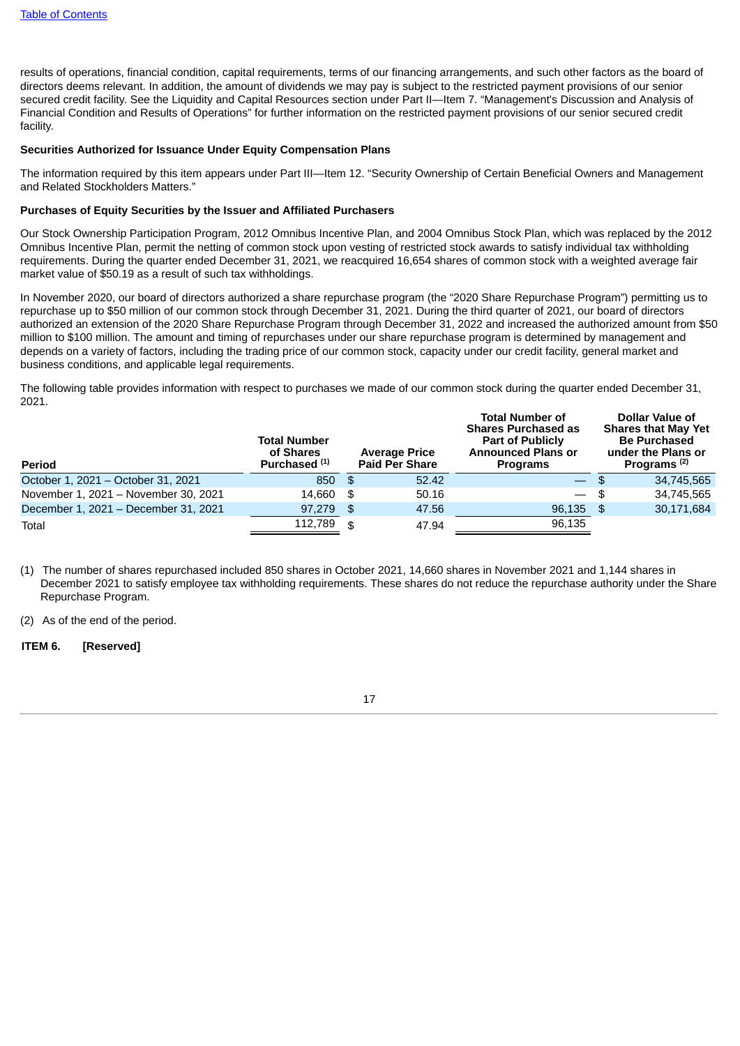results of operations, financial condition, capital requirements, terms of our financing arrangements, and such other factors as the board of directors deems relevant. In addition, the amount of dividends we may pay is subject to the restricted payment provisions of our senior secured credit facility. See the Liquidity and Capital Resources section under Part II—Item 7. "Management's Discussion and Analysis of Financial Condition and Results of Operations" for further information on the restricted payment provisions of our senior secured credit facility.

#### **Securities Authorized for Issuance Under Equity Compensation Plans**

The information required by this item appears under Part III—Item 12. "Security Ownership of Certain Beneficial Owners and Management and Related Stockholders Matters."

# **Purchases of Equity Securities by the Issuer and Affiliated Purchasers**

Our Stock Ownership Participation Program, 2012 Omnibus Incentive Plan, and 2004 Omnibus Stock Plan, which was replaced by the 2012 Omnibus Incentive Plan, permit the netting of common stock upon vesting of restricted stock awards to satisfy individual tax withholding requirements. During the quarter ended December 31, 2021, we reacquired 16,654 shares of common stock with a weighted average fair market value of \$50.19 as a result of such tax withholdings.

In November 2020, our board of directors authorized a share repurchase program (the "2020 Share Repurchase Program") permitting us to repurchase up to \$50 million of our common stock through December 31, 2021. During the third quarter of 2021, our board of directors authorized an extension of the 2020 Share Repurchase Program through December 31, 2022 and increased the authorized amount from \$50 million to \$100 million. The amount and timing of repurchases under our share repurchase program is determined by management and depends on a variety of factors, including the trading price of our common stock, capacity under our credit facility, general market and business conditions, and applicable legal requirements.

The following table provides information with respect to purchases we made of our common stock during the quarter ended December 31, 2021.

| <b>Period</b>                        | <b>Total Number</b><br>of Shares<br>Purchased <sup>(1)</sup> |      | <b>Average Price</b><br><b>Paid Per Share</b> | <b>Total Number of</b><br><b>Shares Purchased as</b><br><b>Part of Publicly</b><br><b>Announced Plans or</b><br><b>Programs</b> |      | <b>Dollar Value of</b><br><b>Shares that May Yet</b><br><b>Be Purchased</b><br>under the Plans or<br>Programs <sup>(2)</sup> |
|--------------------------------------|--------------------------------------------------------------|------|-----------------------------------------------|---------------------------------------------------------------------------------------------------------------------------------|------|------------------------------------------------------------------------------------------------------------------------------|
| October 1, 2021 – October 31, 2021   | 850                                                          | -\$  | 52.42                                         | $-$ \$                                                                                                                          |      | 34,745,565                                                                                                                   |
| November 1, 2021 - November 30, 2021 | 14.660                                                       | - \$ | 50.16                                         | $\overline{\phantom{0}}$                                                                                                        | -\$  | 34,745,565                                                                                                                   |
| December 1, 2021 - December 31, 2021 | 97,279                                                       | - SS | 47.56                                         | 96,135                                                                                                                          | - \$ | 30,171,684                                                                                                                   |
| Total                                | 112,789                                                      | -\$  | 47.94                                         | 96,135                                                                                                                          |      |                                                                                                                              |

(1) The number of shares repurchased included 850 shares in October 2021, 14,660 shares in November 2021 and 1,144 shares in December 2021 to satisfy employee tax withholding requirements. These shares do not reduce the repurchase authority under the Share Repurchase Program.

(2) As of the end of the period.

<span id="page-18-1"></span><span id="page-18-0"></span>**ITEM 6. [Reserved]**

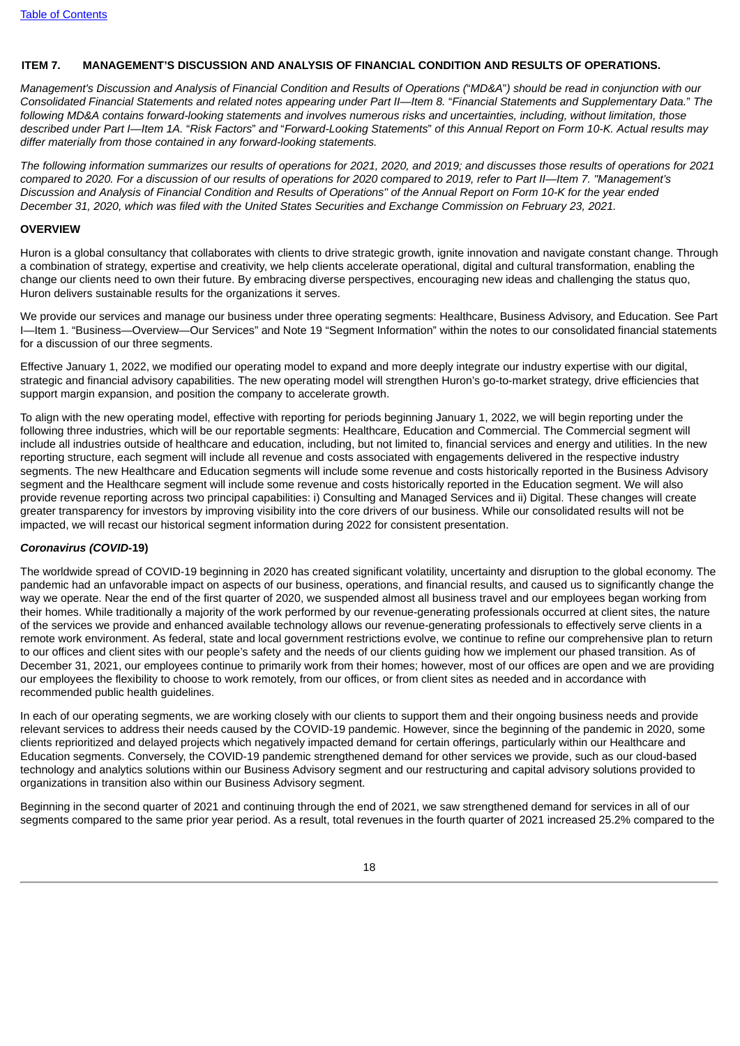# **ITEM 7. MANAGEMENT'S DISCUSSION AND ANALYSIS OF FINANCIAL CONDITION AND RESULTS OF OPERATIONS.**

Management's Discussion and Analysis of Financial Condition and Results of Operations ("MD&A") should be read in conjunction with our Consolidated Financial Statements and related notes appearing under Part II—Item 8. "Financial Statements and Supplementary Data." The following MD&A contains forward-looking statements and involves numerous risks and uncertainties, including, without limitation, those described under Part I-ltem 1A. "Risk Factors" and "Forward-Looking Statements" of this Annual Report on Form 10-K. Actual results may *differ materially from those contained in any forward-looking statements.*

The following information summarizes our results of operations for 2021, 2020, and 2019; and discusses those results of operations for 2021 compared to 2020. For a discussion of our results of operations for 2020 compared to 2019, refer to Part II-ltem 7. "Management's Discussion and Analysis of Financial Condition and Results of Operations" of the Annual Report on Form 10-K for the year ended December 31, 2020, which was filed with the United States Securities and Exchange Commission on February 23, 2021.

#### **OVERVIEW**

Huron is a global consultancy that collaborates with clients to drive strategic growth, ignite innovation and navigate constant change. Through a combination of strategy, expertise and creativity, we help clients accelerate operational, digital and cultural transformation, enabling the change our clients need to own their future. By embracing diverse perspectives, encouraging new ideas and challenging the status quo, Huron delivers sustainable results for the organizations it serves.

We provide our services and manage our business under three operating segments: Healthcare, Business Advisory, and Education. See Part I—Item 1. "Business—Overview—Our Services" and Note 19 "Segment Information" within the notes to our consolidated financial statements for a discussion of our three segments.

Effective January 1, 2022, we modified our operating model to expand and more deeply integrate our industry expertise with our digital, strategic and financial advisory capabilities. The new operating model will strengthen Huron's go-to-market strategy, drive efficiencies that support margin expansion, and position the company to accelerate growth.

To align with the new operating model, effective with reporting for periods beginning January 1, 2022, we will begin reporting under the following three industries, which will be our reportable segments: Healthcare, Education and Commercial. The Commercial segment will include all industries outside of healthcare and education, including, but not limited to, financial services and energy and utilities. In the new reporting structure, each segment will include all revenue and costs associated with engagements delivered in the respective industry segments. The new Healthcare and Education segments will include some revenue and costs historically reported in the Business Advisory segment and the Healthcare segment will include some revenue and costs historically reported in the Education segment. We will also provide revenue reporting across two principal capabilities: i) Consulting and Managed Services and ii) Digital. These changes will create greater transparency for investors by improving visibility into the core drivers of our business. While our consolidated results will not be impacted, we will recast our historical segment information during 2022 for consistent presentation.

## *Coronavirus (COVID-***19)**

The worldwide spread of COVID-19 beginning in 2020 has created significant volatility, uncertainty and disruption to the global economy. The pandemic had an unfavorable impact on aspects of our business, operations, and financial results, and caused us to significantly change the way we operate. Near the end of the first quarter of 2020, we suspended almost all business travel and our employees began working from their homes. While traditionally a majority of the work performed by our revenue-generating professionals occurred at client sites, the nature of the services we provide and enhanced available technology allows our revenue-generating professionals to effectively serve clients in a remote work environment. As federal, state and local government restrictions evolve, we continue to refine our comprehensive plan to return to our offices and client sites with our people's safety and the needs of our clients guiding how we implement our phased transition. As of December 31, 2021, our employees continue to primarily work from their homes; however, most of our offices are open and we are providing our employees the flexibility to choose to work remotely, from our offices, or from client sites as needed and in accordance with recommended public health guidelines.

In each of our operating segments, we are working closely with our clients to support them and their ongoing business needs and provide relevant services to address their needs caused by the COVID-19 pandemic. However, since the beginning of the pandemic in 2020, some clients reprioritized and delayed projects which negatively impacted demand for certain offerings, particularly within our Healthcare and Education segments. Conversely, the COVID-19 pandemic strengthened demand for other services we provide, such as our cloud-based technology and analytics solutions within our Business Advisory segment and our restructuring and capital advisory solutions provided to organizations in transition also within our Business Advisory segment.

Beginning in the second quarter of 2021 and continuing through the end of 2021, we saw strengthened demand for services in all of our segments compared to the same prior year period. As a result, total revenues in the fourth quarter of 2021 increased 25.2% compared to the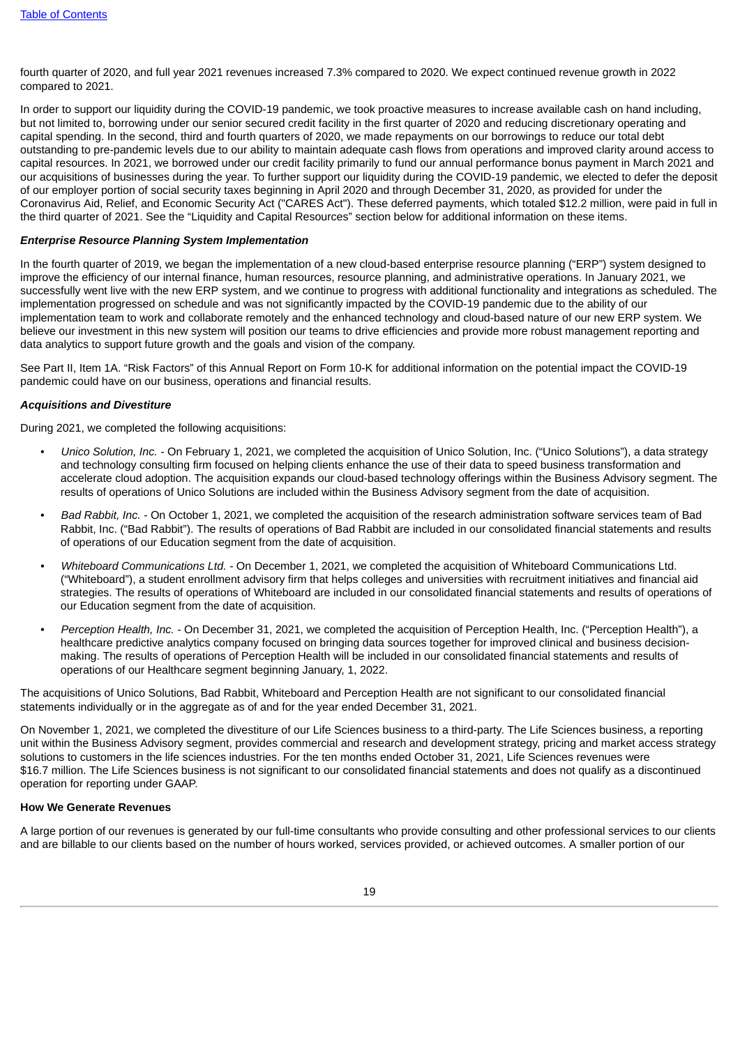fourth quarter of 2020, and full year 2021 revenues increased 7.3% compared to 2020. We expect continued revenue growth in 2022 compared to 2021.

In order to support our liquidity during the COVID-19 pandemic, we took proactive measures to increase available cash on hand including, but not limited to, borrowing under our senior secured credit facility in the first quarter of 2020 and reducing discretionary operating and capital spending. In the second, third and fourth quarters of 2020, we made repayments on our borrowings to reduce our total debt outstanding to pre-pandemic levels due to our ability to maintain adequate cash flows from operations and improved clarity around access to capital resources. In 2021, we borrowed under our credit facility primarily to fund our annual performance bonus payment in March 2021 and our acquisitions of businesses during the year. To further support our liquidity during the COVID-19 pandemic, we elected to defer the deposit of our employer portion of social security taxes beginning in April 2020 and through December 31, 2020, as provided for under the Coronavirus Aid, Relief, and Economic Security Act ("CARES Act"). These deferred payments, which totaled \$12.2 million, were paid in full in the third quarter of 2021. See the "Liquidity and Capital Resources" section below for additional information on these items.

#### *Enterprise Resource Planning System Implementation*

In the fourth quarter of 2019, we began the implementation of a new cloud-based enterprise resource planning ("ERP") system designed to improve the efficiency of our internal finance, human resources, resource planning, and administrative operations. In January 2021, we successfully went live with the new ERP system, and we continue to progress with additional functionality and integrations as scheduled. The implementation progressed on schedule and was not significantly impacted by the COVID-19 pandemic due to the ability of our implementation team to work and collaborate remotely and the enhanced technology and cloud-based nature of our new ERP system. We believe our investment in this new system will position our teams to drive efficiencies and provide more robust management reporting and data analytics to support future growth and the goals and vision of the company.

See Part II, Item 1A. "Risk Factors" of this Annual Report on Form 10-K for additional information on the potential impact the COVID-19 pandemic could have on our business, operations and financial results.

#### *Acquisitions and Divestiture*

During 2021, we completed the following acquisitions:

- *Unico Solution, Inc. -* On February 1, 2021, we completed the acquisition of Unico Solution, Inc. ("Unico Solutions"), a data strategy and technology consulting firm focused on helping clients enhance the use of their data to speed business transformation and accelerate cloud adoption. The acquisition expands our cloud-based technology offerings within the Business Advisory segment. The results of operations of Unico Solutions are included within the Business Advisory segment from the date of acquisition.
- *Bad Rabbit, Inc. -* On October 1, 2021, we completed the acquisition of the research administration software services team of Bad Rabbit, Inc. ("Bad Rabbit"). The results of operations of Bad Rabbit are included in our consolidated financial statements and results of operations of our Education segment from the date of acquisition.
- *• Whiteboard Communications Ltd. -* On December 1, 2021, we completed the acquisition of Whiteboard Communications Ltd. ("Whiteboard"), a student enrollment advisory firm that helps colleges and universities with recruitment initiatives and financial aid strategies. The results of operations of Whiteboard are included in our consolidated financial statements and results of operations of our Education segment from the date of acquisition.
- *• Perception Health, Inc. -* On December 31, 2021, we completed the acquisition of Perception Health, Inc. ("Perception Health"), a healthcare predictive analytics company focused on bringing data sources together for improved clinical and business decisionmaking. The results of operations of Perception Health will be included in our consolidated financial statements and results of operations of our Healthcare segment beginning January, 1, 2022.

The acquisitions of Unico Solutions, Bad Rabbit, Whiteboard and Perception Health are not significant to our consolidated financial statements individually or in the aggregate as of and for the year ended December 31, 2021.

On November 1, 2021, we completed the divestiture of our Life Sciences business to a third-party. The Life Sciences business, a reporting unit within the Business Advisory segment, provides commercial and research and development strategy, pricing and market access strategy solutions to customers in the life sciences industries. For the ten months ended October 31, 2021, Life Sciences revenues were \$16.7 million. The Life Sciences business is not significant to our consolidated financial statements and does not qualify as a discontinued operation for reporting under GAAP.

## **How We Generate Revenues**

A large portion of our revenues is generated by our full-time consultants who provide consulting and other professional services to our clients and are billable to our clients based on the number of hours worked, services provided, or achieved outcomes. A smaller portion of our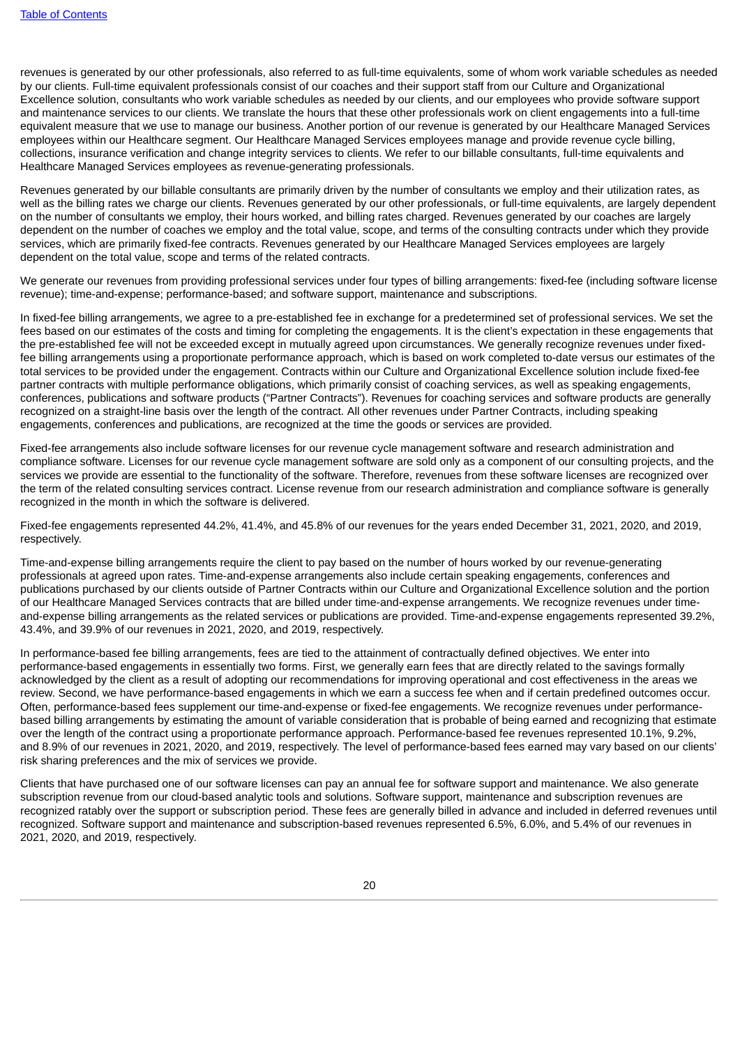revenues is generated by our other professionals, also referred to as full-time equivalents, some of whom work variable schedules as needed by our clients. Full-time equivalent professionals consist of our coaches and their support staff from our Culture and Organizational Excellence solution, consultants who work variable schedules as needed by our clients, and our employees who provide software support and maintenance services to our clients. We translate the hours that these other professionals work on client engagements into a full-time equivalent measure that we use to manage our business. Another portion of our revenue is generated by our Healthcare Managed Services employees within our Healthcare segment. Our Healthcare Managed Services employees manage and provide revenue cycle billing, collections, insurance verification and change integrity services to clients. We refer to our billable consultants, full-time equivalents and Healthcare Managed Services employees as revenue-generating professionals.

Revenues generated by our billable consultants are primarily driven by the number of consultants we employ and their utilization rates, as well as the billing rates we charge our clients. Revenues generated by our other professionals, or full-time equivalents, are largely dependent on the number of consultants we employ, their hours worked, and billing rates charged. Revenues generated by our coaches are largely dependent on the number of coaches we employ and the total value, scope, and terms of the consulting contracts under which they provide services, which are primarily fixed-fee contracts. Revenues generated by our Healthcare Managed Services employees are largely dependent on the total value, scope and terms of the related contracts.

We generate our revenues from providing professional services under four types of billing arrangements: fixed-fee (including software license revenue); time-and-expense; performance-based; and software support, maintenance and subscriptions.

In fixed-fee billing arrangements, we agree to a pre-established fee in exchange for a predetermined set of professional services. We set the fees based on our estimates of the costs and timing for completing the engagements. It is the client's expectation in these engagements that the pre-established fee will not be exceeded except in mutually agreed upon circumstances. We generally recognize revenues under fixedfee billing arrangements using a proportionate performance approach, which is based on work completed to-date versus our estimates of the total services to be provided under the engagement. Contracts within our Culture and Organizational Excellence solution include fixed-fee partner contracts with multiple performance obligations, which primarily consist of coaching services, as well as speaking engagements, conferences, publications and software products ("Partner Contracts"). Revenues for coaching services and software products are generally recognized on a straight-line basis over the length of the contract. All other revenues under Partner Contracts, including speaking engagements, conferences and publications, are recognized at the time the goods or services are provided.

Fixed-fee arrangements also include software licenses for our revenue cycle management software and research administration and compliance software. Licenses for our revenue cycle management software are sold only as a component of our consulting projects, and the services we provide are essential to the functionality of the software. Therefore, revenues from these software licenses are recognized over the term of the related consulting services contract. License revenue from our research administration and compliance software is generally recognized in the month in which the software is delivered.

Fixed-fee engagements represented 44.2%, 41.4%, and 45.8% of our revenues for the years ended December 31, 2021, 2020, and 2019, respectively.

Time-and-expense billing arrangements require the client to pay based on the number of hours worked by our revenue-generating professionals at agreed upon rates. Time-and-expense arrangements also include certain speaking engagements, conferences and publications purchased by our clients outside of Partner Contracts within our Culture and Organizational Excellence solution and the portion of our Healthcare Managed Services contracts that are billed under time-and-expense arrangements. We recognize revenues under timeand-expense billing arrangements as the related services or publications are provided. Time-and-expense engagements represented 39.2%, 43.4%, and 39.9% of our revenues in 2021, 2020, and 2019, respectively.

In performance-based fee billing arrangements, fees are tied to the attainment of contractually defined objectives. We enter into performance-based engagements in essentially two forms. First, we generally earn fees that are directly related to the savings formally acknowledged by the client as a result of adopting our recommendations for improving operational and cost effectiveness in the areas we review. Second, we have performance-based engagements in which we earn a success fee when and if certain predefined outcomes occur. Often, performance-based fees supplement our time-and-expense or fixed-fee engagements. We recognize revenues under performancebased billing arrangements by estimating the amount of variable consideration that is probable of being earned and recognizing that estimate over the length of the contract using a proportionate performance approach. Performance-based fee revenues represented 10.1%, 9.2%, and 8.9% of our revenues in 2021, 2020, and 2019, respectively. The level of performance-based fees earned may vary based on our clients' risk sharing preferences and the mix of services we provide.

Clients that have purchased one of our software licenses can pay an annual fee for software support and maintenance. We also generate subscription revenue from our cloud-based analytic tools and solutions. Software support, maintenance and subscription revenues are recognized ratably over the support or subscription period. These fees are generally billed in advance and included in deferred revenues until recognized. Software support and maintenance and subscription-based revenues represented 6.5%, 6.0%, and 5.4% of our revenues in 2021, 2020, and 2019, respectively.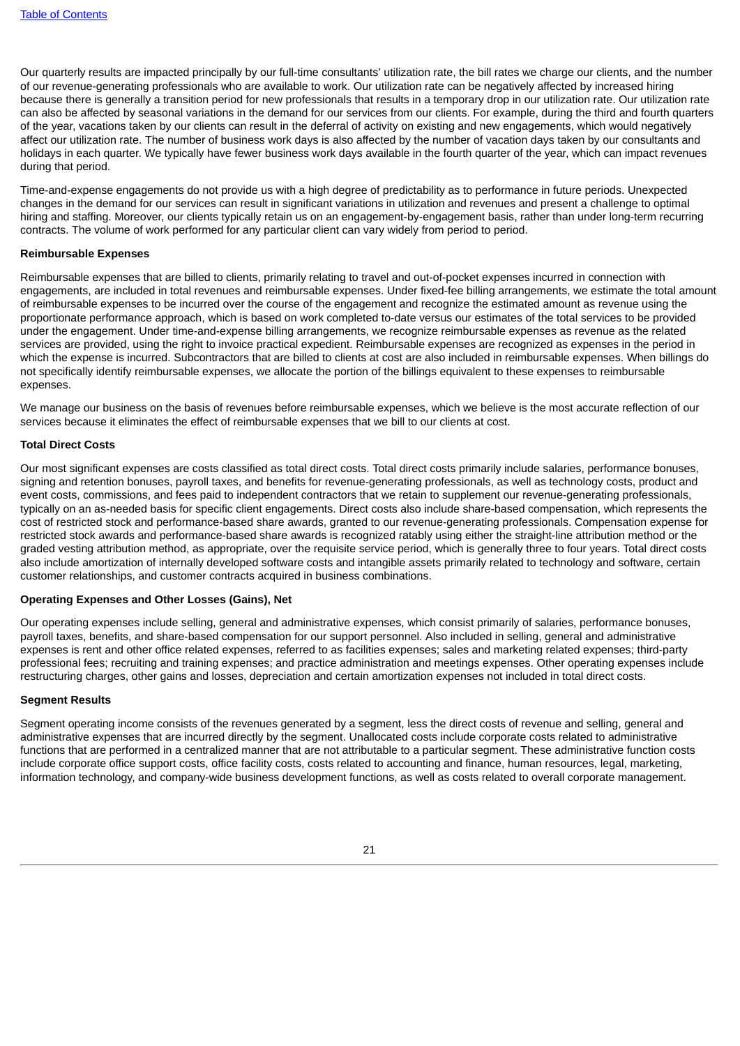Our quarterly results are impacted principally by our full-time consultants' utilization rate, the bill rates we charge our clients, and the number of our revenue-generating professionals who are available to work. Our utilization rate can be negatively affected by increased hiring because there is generally a transition period for new professionals that results in a temporary drop in our utilization rate. Our utilization rate can also be affected by seasonal variations in the demand for our services from our clients. For example, during the third and fourth quarters of the year, vacations taken by our clients can result in the deferral of activity on existing and new engagements, which would negatively affect our utilization rate. The number of business work days is also affected by the number of vacation days taken by our consultants and holidays in each quarter. We typically have fewer business work days available in the fourth quarter of the year, which can impact revenues during that period.

Time-and-expense engagements do not provide us with a high degree of predictability as to performance in future periods. Unexpected changes in the demand for our services can result in significant variations in utilization and revenues and present a challenge to optimal hiring and staffing. Moreover, our clients typically retain us on an engagement-by-engagement basis, rather than under long-term recurring contracts. The volume of work performed for any particular client can vary widely from period to period.

#### **Reimbursable Expenses**

Reimbursable expenses that are billed to clients, primarily relating to travel and out-of-pocket expenses incurred in connection with engagements, are included in total revenues and reimbursable expenses. Under fixed-fee billing arrangements, we estimate the total amount of reimbursable expenses to be incurred over the course of the engagement and recognize the estimated amount as revenue using the proportionate performance approach, which is based on work completed to-date versus our estimates of the total services to be provided under the engagement. Under time-and-expense billing arrangements, we recognize reimbursable expenses as revenue as the related services are provided, using the right to invoice practical expedient. Reimbursable expenses are recognized as expenses in the period in which the expense is incurred. Subcontractors that are billed to clients at cost are also included in reimbursable expenses. When billings do not specifically identify reimbursable expenses, we allocate the portion of the billings equivalent to these expenses to reimbursable expenses.

We manage our business on the basis of revenues before reimbursable expenses, which we believe is the most accurate reflection of our services because it eliminates the effect of reimbursable expenses that we bill to our clients at cost.

#### **Total Direct Costs**

Our most significant expenses are costs classified as total direct costs. Total direct costs primarily include salaries, performance bonuses, signing and retention bonuses, payroll taxes, and benefits for revenue-generating professionals, as well as technology costs, product and event costs, commissions, and fees paid to independent contractors that we retain to supplement our revenue-generating professionals, typically on an as-needed basis for specific client engagements. Direct costs also include share-based compensation, which represents the cost of restricted stock and performance-based share awards, granted to our revenue-generating professionals. Compensation expense for restricted stock awards and performance-based share awards is recognized ratably using either the straight-line attribution method or the graded vesting attribution method, as appropriate, over the requisite service period, which is generally three to four years. Total direct costs also include amortization of internally developed software costs and intangible assets primarily related to technology and software, certain customer relationships, and customer contracts acquired in business combinations.

#### **Operating Expenses and Other Losses (Gains), Net**

Our operating expenses include selling, general and administrative expenses, which consist primarily of salaries, performance bonuses, payroll taxes, benefits, and share-based compensation for our support personnel. Also included in selling, general and administrative expenses is rent and other office related expenses, referred to as facilities expenses; sales and marketing related expenses; third-party professional fees; recruiting and training expenses; and practice administration and meetings expenses. Other operating expenses include restructuring charges, other gains and losses, depreciation and certain amortization expenses not included in total direct costs.

## **Segment Results**

Segment operating income consists of the revenues generated by a segment, less the direct costs of revenue and selling, general and administrative expenses that are incurred directly by the segment. Unallocated costs include corporate costs related to administrative functions that are performed in a centralized manner that are not attributable to a particular segment. These administrative function costs include corporate office support costs, office facility costs, costs related to accounting and finance, human resources, legal, marketing, information technology, and company-wide business development functions, as well as costs related to overall corporate management.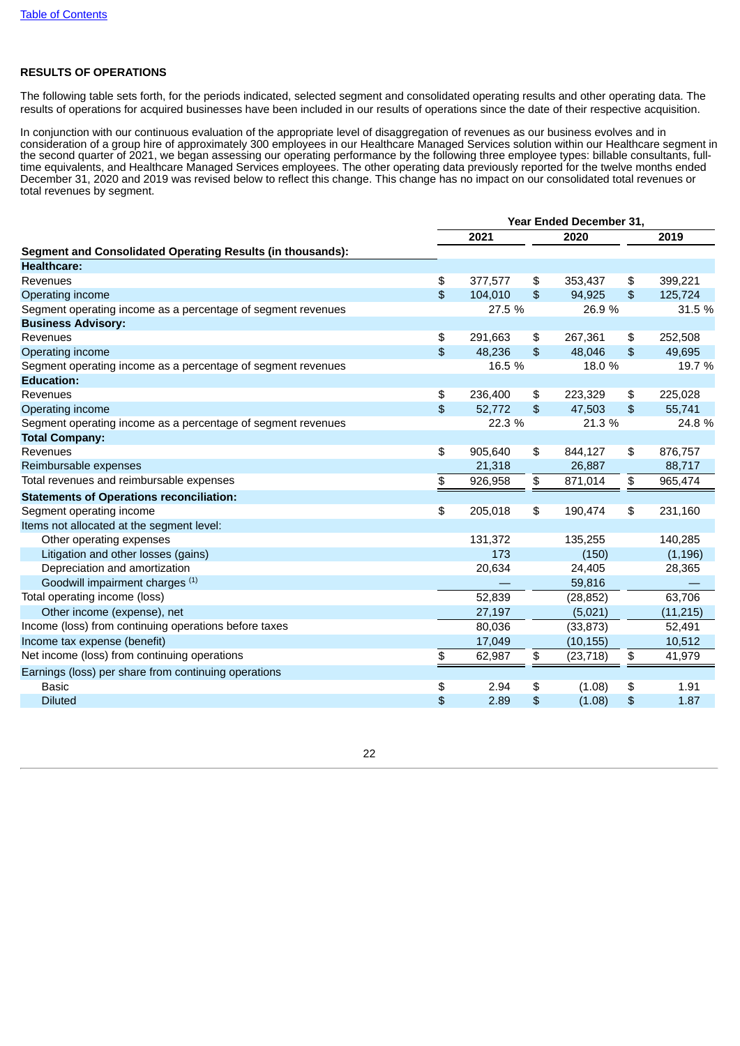## **RESULTS OF OPERATIONS**

The following table sets forth, for the periods indicated, selected segment and consolidated operating results and other operating data. The results of operations for acquired businesses have been included in our results of operations since the date of their respective acquisition.

In conjunction with our continuous evaluation of the appropriate level of disaggregation of revenues as our business evolves and in consideration of a group hire of approximately 300 employees in our Healthcare Managed Services solution within our Healthcare segment in the second quarter of 2021, we began assessing our operating performance by the following three employee types: billable consultants, fulltime equivalents, and Healthcare Managed Services employees. The other operating data previously reported for the twelve months ended December 31, 2020 and 2019 was revised below to reflect this change. This change has no impact on our consolidated total revenues or total revenues by segment.

|                                                                   | Year Ended December 31, |         |                    |           |                |           |
|-------------------------------------------------------------------|-------------------------|---------|--------------------|-----------|----------------|-----------|
|                                                                   |                         | 2021    |                    | 2020      |                | 2019      |
| <b>Segment and Consolidated Operating Results (in thousands):</b> |                         |         |                    |           |                |           |
| <b>Healthcare:</b>                                                |                         |         |                    |           |                |           |
| Revenues                                                          | \$                      | 377,577 | \$                 | 353,437   | \$             | 399,221   |
| Operating income                                                  | \$                      | 104,010 | $\mathfrak{P}$     | 94,925    | \$             | 125,724   |
| Segment operating income as a percentage of segment revenues      |                         | 27.5 %  |                    | 26.9 %    |                | 31.5 %    |
| <b>Business Advisory:</b>                                         |                         |         |                    |           |                |           |
| Revenues                                                          | \$                      | 291,663 | \$                 | 267,361   | \$             | 252,508   |
| Operating income                                                  | \$                      | 48,236  | $\mathbf{\hat{z}}$ | 48,046    | $\mathfrak{P}$ | 49,695    |
| Segment operating income as a percentage of segment revenues      |                         | 16.5 %  |                    | 18.0 %    |                | 19.7 %    |
| <b>Education:</b>                                                 |                         |         |                    |           |                |           |
| Revenues                                                          | \$                      | 236,400 | \$                 | 223,329   | \$             | 225,028   |
| Operating income                                                  | \$                      | 52.772  | \$                 | 47,503    | \$             | 55,741    |
| Segment operating income as a percentage of segment revenues      |                         | 22.3 %  |                    | 21.3 %    |                | 24.8 %    |
| <b>Total Company:</b>                                             |                         |         |                    |           |                |           |
| Revenues                                                          | \$                      | 905,640 | \$                 | 844,127   | \$             | 876,757   |
| Reimbursable expenses                                             |                         | 21,318  |                    | 26,887    |                | 88,717    |
| Total revenues and reimbursable expenses                          | \$                      | 926,958 | \$                 | 871,014   | \$             | 965,474   |
| <b>Statements of Operations reconciliation:</b>                   |                         |         |                    |           |                |           |
| Segment operating income                                          | \$                      | 205,018 | \$                 | 190,474   | \$             | 231,160   |
| Items not allocated at the segment level:                         |                         |         |                    |           |                |           |
| Other operating expenses                                          |                         | 131,372 |                    | 135,255   |                | 140,285   |
| Litigation and other losses (gains)                               |                         | 173     |                    | (150)     |                | (1, 196)  |
| Depreciation and amortization                                     |                         | 20,634  |                    | 24,405    |                | 28,365    |
| Goodwill impairment charges <sup>(1)</sup>                        |                         |         |                    | 59,816    |                |           |
| Total operating income (loss)                                     |                         | 52,839  |                    | (28, 852) |                | 63,706    |
| Other income (expense), net                                       |                         | 27,197  |                    | (5,021)   |                | (11, 215) |
| Income (loss) from continuing operations before taxes             |                         | 80,036  |                    | (33, 873) |                | 52,491    |
| Income tax expense (benefit)                                      |                         | 17,049  |                    | (10, 155) |                | 10,512    |
| Net income (loss) from continuing operations                      | \$                      | 62,987  | \$                 | (23, 718) | \$             | 41,979    |
| Earnings (loss) per share from continuing operations              |                         |         |                    |           |                |           |
| <b>Basic</b>                                                      | \$                      | 2.94    | \$                 | (1.08)    | \$             | 1.91      |
| <b>Diluted</b>                                                    | \$                      | 2.89    | \$                 | (1.08)    | \$             | 1.87      |
|                                                                   |                         |         |                    |           |                |           |

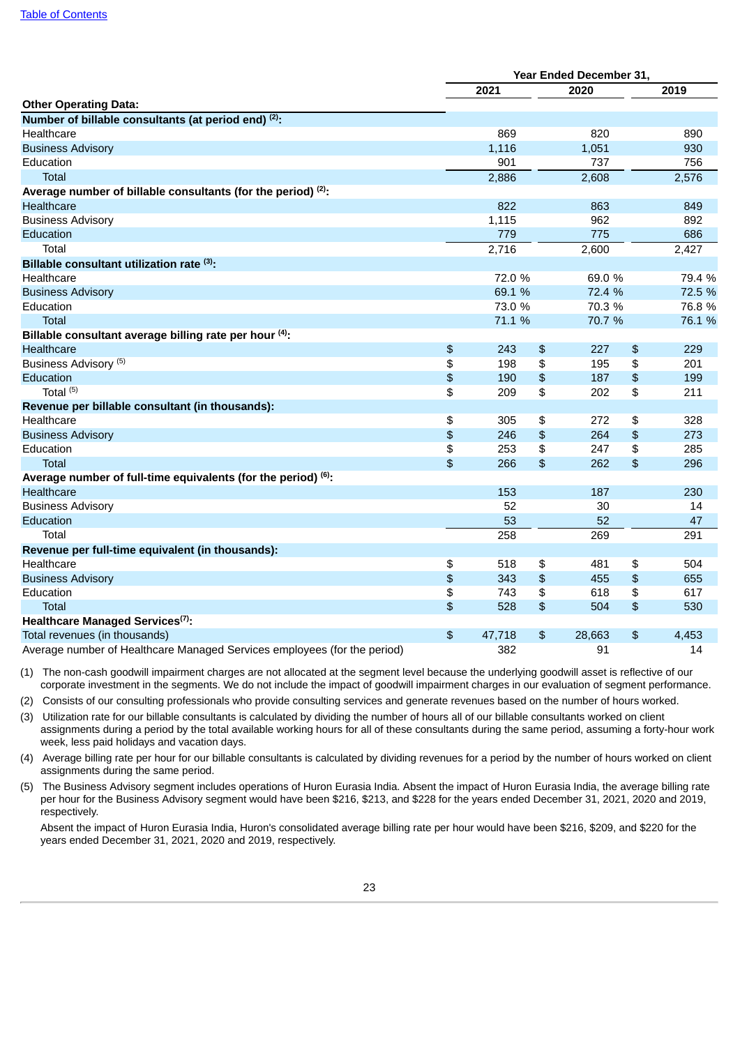|                                                                          |                | 2021   | 2020         |    | 2019   |
|--------------------------------------------------------------------------|----------------|--------|--------------|----|--------|
| <b>Other Operating Data:</b>                                             |                |        |              |    |        |
| Number of billable consultants (at period end) (2):                      |                |        |              |    |        |
| Healthcare                                                               |                | 869    | 820          |    | 890    |
| <b>Business Advisory</b>                                                 |                | 1,116  | 1,051        |    | 930    |
| Education                                                                |                | 901    | 737          |    | 756    |
| <b>Total</b>                                                             |                | 2,886  | 2,608        |    | 2,576  |
| Average number of billable consultants (for the period) $(2)$ :          |                |        |              |    |        |
| Healthcare                                                               |                | 822    | 863          |    | 849    |
| <b>Business Advisory</b>                                                 |                | 1,115  | 962          |    | 892    |
| Education                                                                |                | 779    | 775          |    | 686    |
| <b>Total</b>                                                             |                | 2,716  | 2,600        |    | 2,427  |
| Billable consultant utilization rate (3):                                |                |        |              |    |        |
| Healthcare                                                               |                | 72.0 % | 69.0 %       |    | 79.4 % |
| <b>Business Advisory</b>                                                 |                | 69.1 % | 72.4 %       |    | 72.5 % |
| Education                                                                |                | 73.0 % | 70.3 %       |    | 76.8 % |
| <b>Total</b>                                                             |                | 71.1 % | 70.7 %       |    | 76.1 % |
| Billable consultant average billing rate per hour (4):                   |                |        |              |    |        |
| Healthcare                                                               | \$             | 243    | \$<br>227    | \$ | 229    |
| Business Advisory <sup>(5)</sup>                                         | \$             | 198    | \$<br>195    | \$ | 201    |
| Education                                                                | \$             | 190    | \$<br>187    | \$ | 199    |
| Total <sup>(5)</sup>                                                     | \$             | 209    | \$<br>202    | \$ | 211    |
| Revenue per billable consultant (in thousands):                          |                |        |              |    |        |
| Healthcare                                                               | \$             | 305    | \$<br>272    | \$ | 328    |
| <b>Business Advisory</b>                                                 | \$             | 246    | \$<br>264    | \$ | 273    |
| Education                                                                | \$             | 253    | \$<br>247    | \$ | 285    |
| Total                                                                    | $\mathfrak{D}$ | 266    | \$<br>262    | \$ | 296    |
| Average number of full-time equivalents (for the period) (6):            |                |        |              |    |        |
| Healthcare                                                               |                | 153    | 187          |    | 230    |
| <b>Business Advisory</b>                                                 |                | 52     | 30           |    | 14     |
| Education                                                                |                | 53     | 52           |    | 47     |
| Total                                                                    |                | 258    | 269          |    | 291    |
| Revenue per full-time equivalent (in thousands):                         |                |        |              |    |        |
| Healthcare                                                               | \$             | 518    | \$<br>481    | \$ | 504    |
| <b>Business Advisory</b>                                                 | \$             | 343    | \$<br>455    | \$ | 655    |
| Education                                                                | \$             | 743    | \$<br>618    | \$ | 617    |
| <b>Total</b>                                                             | \$             | 528    | \$<br>504    | \$ | 530    |
| Healthcare Managed Services <sup>(7)</sup> :                             |                |        |              |    |        |
| Total revenues (in thousands)                                            | $\frac{4}{5}$  | 47,718 | \$<br>28,663 | \$ | 4,453  |
| Average number of Healthcare Managed Services employees (for the period) |                | 382    | 91           |    | 14     |

(1) The non-cash goodwill impairment charges are not allocated at the segment level because the underlying goodwill asset is reflective of our corporate investment in the segments. We do not include the impact of goodwill impairment charges in our evaluation of segment performance.

(2) Consists of our consulting professionals who provide consulting services and generate revenues based on the number of hours worked.

(3) Utilization rate for our billable consultants is calculated by dividing the number of hours all of our billable consultants worked on client assignments during a period by the total available working hours for all of these consultants during the same period, assuming a forty-hour work week, less paid holidays and vacation days.

(4) Average billing rate per hour for our billable consultants is calculated by dividing revenues for a period by the number of hours worked on client assignments during the same period.

(5) The Business Advisory segment includes operations of Huron Eurasia India. Absent the impact of Huron Eurasia India, the average billing rate per hour for the Business Advisory segment would have been \$216, \$213, and \$228 for the years ended December 31, 2021, 2020 and 2019, respectively.

Absent the impact of Huron Eurasia India, Huron's consolidated average billing rate per hour would have been \$216, \$209, and \$220 for the years ended December 31, 2021, 2020 and 2019, respectively.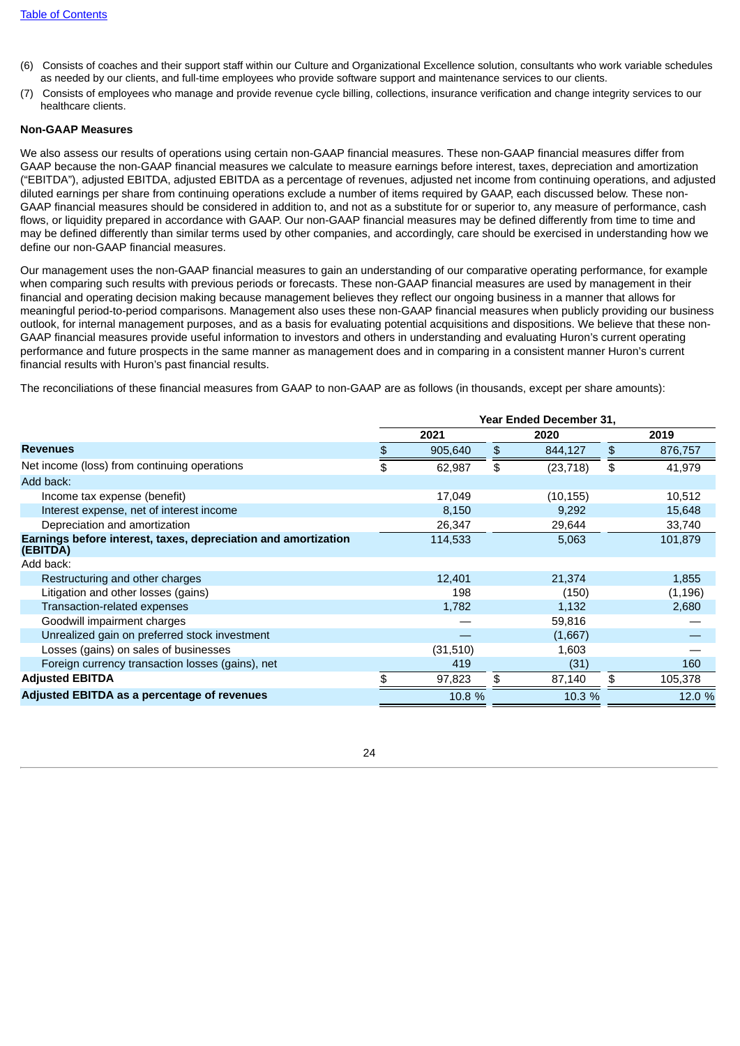- (6) Consists of coaches and their support staff within our Culture and Organizational Excellence solution, consultants who work variable schedules as needed by our clients, and full-time employees who provide software support and maintenance services to our clients.
- (7) Consists of employees who manage and provide revenue cycle billing, collections, insurance verification and change integrity services to our healthcare clients.

# **Non-GAAP Measures**

We also assess our results of operations using certain non-GAAP financial measures. These non-GAAP financial measures differ from GAAP because the non-GAAP financial measures we calculate to measure earnings before interest, taxes, depreciation and amortization ("EBITDA"), adjusted EBITDA, adjusted EBITDA as a percentage of revenues, adjusted net income from continuing operations, and adjusted diluted earnings per share from continuing operations exclude a number of items required by GAAP, each discussed below. These non-GAAP financial measures should be considered in addition to, and not as a substitute for or superior to, any measure of performance, cash flows, or liquidity prepared in accordance with GAAP. Our non-GAAP financial measures may be defined differently from time to time and may be defined differently than similar terms used by other companies, and accordingly, care should be exercised in understanding how we define our non-GAAP financial measures.

Our management uses the non-GAAP financial measures to gain an understanding of our comparative operating performance, for example when comparing such results with previous periods or forecasts. These non-GAAP financial measures are used by management in their financial and operating decision making because management believes they reflect our ongoing business in a manner that allows for meaningful period-to-period comparisons. Management also uses these non-GAAP financial measures when publicly providing our business outlook, for internal management purposes, and as a basis for evaluating potential acquisitions and dispositions. We believe that these non-GAAP financial measures provide useful information to investors and others in understanding and evaluating Huron's current operating performance and future prospects in the same manner as management does and in comparing in a consistent manner Huron's current financial results with Huron's past financial results.

The reconciliations of these financial measures from GAAP to non-GAAP are as follows (in thousands, except per share amounts):

|                                                                            | Year Ended December 31, |          |    |           |    |          |  |  |
|----------------------------------------------------------------------------|-------------------------|----------|----|-----------|----|----------|--|--|
|                                                                            |                         | 2021     |    | 2020      |    | 2019     |  |  |
| <b>Revenues</b>                                                            |                         | 905,640  | \$ | 844,127   | \$ | 876,757  |  |  |
| Net income (loss) from continuing operations                               | \$                      | 62,987   | \$ | (23, 718) | \$ | 41,979   |  |  |
| Add back:                                                                  |                         |          |    |           |    |          |  |  |
| Income tax expense (benefit)                                               |                         | 17,049   |    | (10, 155) |    | 10,512   |  |  |
| Interest expense, net of interest income                                   |                         | 8,150    |    | 9,292     |    | 15,648   |  |  |
| Depreciation and amortization                                              |                         | 26,347   |    | 29,644    |    | 33,740   |  |  |
| Earnings before interest, taxes, depreciation and amortization<br>(EBITDA) |                         | 114,533  |    | 5,063     |    | 101,879  |  |  |
| Add back:                                                                  |                         |          |    |           |    |          |  |  |
| Restructuring and other charges                                            |                         | 12,401   |    | 21,374    |    | 1,855    |  |  |
| Litigation and other losses (gains)                                        |                         | 198      |    | (150)     |    | (1, 196) |  |  |
| Transaction-related expenses                                               |                         | 1,782    |    | 1,132     |    | 2,680    |  |  |
| Goodwill impairment charges                                                |                         |          |    | 59,816    |    |          |  |  |
| Unrealized gain on preferred stock investment                              |                         |          |    | (1,667)   |    |          |  |  |
| Losses (gains) on sales of businesses                                      |                         | (31,510) |    | 1,603     |    |          |  |  |
| Foreign currency transaction losses (gains), net                           |                         | 419      |    | (31)      |    | 160      |  |  |
| <b>Adjusted EBITDA</b>                                                     |                         | 97,823   | \$ | 87,140    | \$ | 105,378  |  |  |
| Adjusted EBITDA as a percentage of revenues                                |                         | 10.8 %   |    | 10.3 %    |    | 12.0 %   |  |  |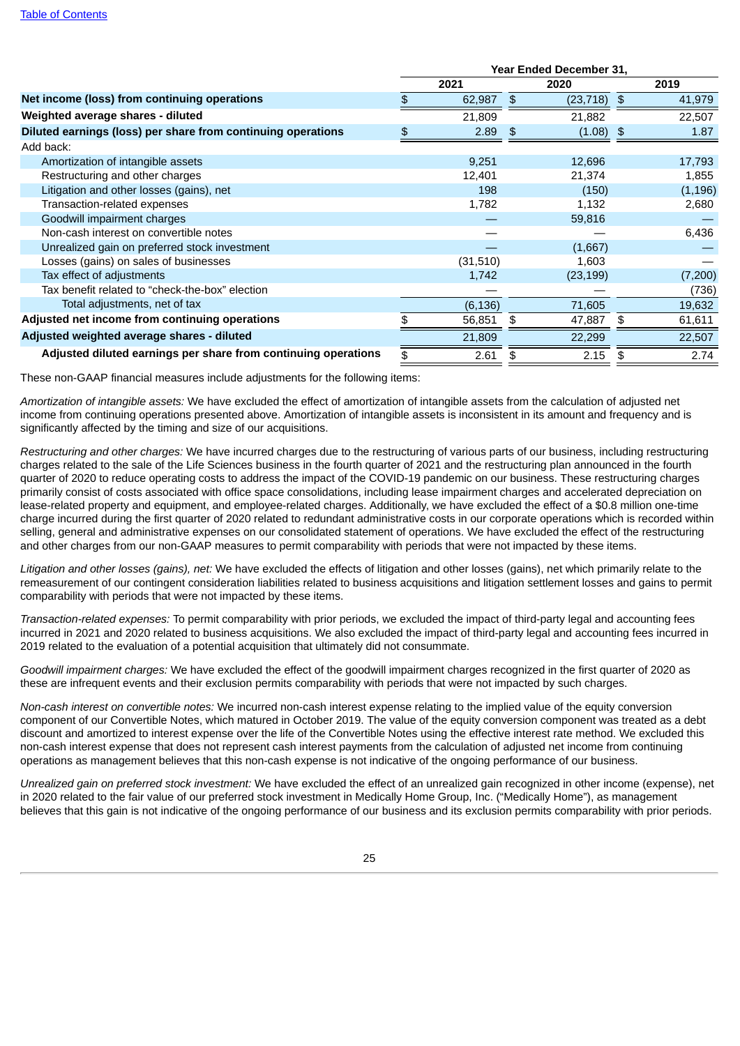|                                                                | Year Ended December 31, |          |     |           |     |          |  |  |
|----------------------------------------------------------------|-------------------------|----------|-----|-----------|-----|----------|--|--|
|                                                                |                         | 2021     |     | 2020      |     | 2019     |  |  |
| Net income (loss) from continuing operations                   |                         | 62,987   | \$  | (23, 718) | \$  | 41,979   |  |  |
| Weighted average shares - diluted                              |                         | 21.809   |     | 21.882    |     | 22,507   |  |  |
| Diluted earnings (loss) per share from continuing operations   |                         | 2.89     | \$. | (1.08)    | \$  | 1.87     |  |  |
| Add back:                                                      |                         |          |     |           |     |          |  |  |
| Amortization of intangible assets                              |                         | 9,251    |     | 12,696    |     | 17,793   |  |  |
| Restructuring and other charges                                |                         | 12,401   |     | 21,374    |     | 1,855    |  |  |
| Litigation and other losses (gains), net                       |                         | 198      |     | (150)     |     | (1, 196) |  |  |
| Transaction-related expenses                                   |                         | 1,782    |     | 1,132     |     | 2,680    |  |  |
| Goodwill impairment charges                                    |                         |          |     | 59,816    |     |          |  |  |
| Non-cash interest on convertible notes                         |                         |          |     |           |     | 6,436    |  |  |
| Unrealized gain on preferred stock investment                  |                         |          |     | (1,667)   |     |          |  |  |
| Losses (gains) on sales of businesses                          |                         | (31,510) |     | 1,603     |     |          |  |  |
| Tax effect of adjustments                                      |                         | 1,742    |     | (23, 199) |     | (7, 200) |  |  |
| Tax benefit related to "check-the-box" election                |                         |          |     |           |     | (736)    |  |  |
| Total adjustments, net of tax                                  |                         | (6, 136) |     | 71,605    |     | 19,632   |  |  |
| Adjusted net income from continuing operations                 | £                       | 56,851   | \$  | 47,887    | \$  | 61,611   |  |  |
| Adjusted weighted average shares - diluted                     |                         | 21,809   |     | 22,299    |     | 22,507   |  |  |
| Adjusted diluted earnings per share from continuing operations | \$                      | 2.61     |     | 2.15      | \$. | 2.74     |  |  |

These non-GAAP financial measures include adjustments for the following items:

*Amortization of intangible assets:* We have excluded the effect of amortization of intangible assets from the calculation of adjusted net income from continuing operations presented above. Amortization of intangible assets is inconsistent in its amount and frequency and is significantly affected by the timing and size of our acquisitions.

*Restructuring and other charges:* We have incurred charges due to the restructuring of various parts of our business, including restructuring charges related to the sale of the Life Sciences business in the fourth quarter of 2021 and the restructuring plan announced in the fourth quarter of 2020 to reduce operating costs to address the impact of the COVID-19 pandemic on our business. These restructuring charges primarily consist of costs associated with office space consolidations, including lease impairment charges and accelerated depreciation on lease-related property and equipment, and employee-related charges. Additionally, we have excluded the effect of a \$0.8 million one-time charge incurred during the first quarter of 2020 related to redundant administrative costs in our corporate operations which is recorded within selling, general and administrative expenses on our consolidated statement of operations. We have excluded the effect of the restructuring and other charges from our non-GAAP measures to permit comparability with periods that were not impacted by these items.

*Litigation and other losses (gains), net:* We have excluded the effects of litigation and other losses (gains), net which primarily relate to the remeasurement of our contingent consideration liabilities related to business acquisitions and litigation settlement losses and gains to permit comparability with periods that were not impacted by these items.

*Transaction-related expenses:* To permit comparability with prior periods, we excluded the impact of third-party legal and accounting fees incurred in 2021 and 2020 related to business acquisitions. We also excluded the impact of third-party legal and accounting fees incurred in 2019 related to the evaluation of a potential acquisition that ultimately did not consummate.

*Goodwill impairment charges:* We have excluded the effect of the goodwill impairment charges recognized in the first quarter of 2020 as these are infrequent events and their exclusion permits comparability with periods that were not impacted by such charges.

*Non-cash interest on convertible notes:* We incurred non-cash interest expense relating to the implied value of the equity conversion component of our Convertible Notes, which matured in October 2019. The value of the equity conversion component was treated as a debt discount and amortized to interest expense over the life of the Convertible Notes using the effective interest rate method. We excluded this non-cash interest expense that does not represent cash interest payments from the calculation of adjusted net income from continuing operations as management believes that this non-cash expense is not indicative of the ongoing performance of our business.

*Unrealized gain on preferred stock investment:* We have excluded the effect of an unrealized gain recognized in other income (expense), net in 2020 related to the fair value of our preferred stock investment in Medically Home Group, Inc. ("Medically Home"), as management believes that this gain is not indicative of the ongoing performance of our business and its exclusion permits comparability with prior periods.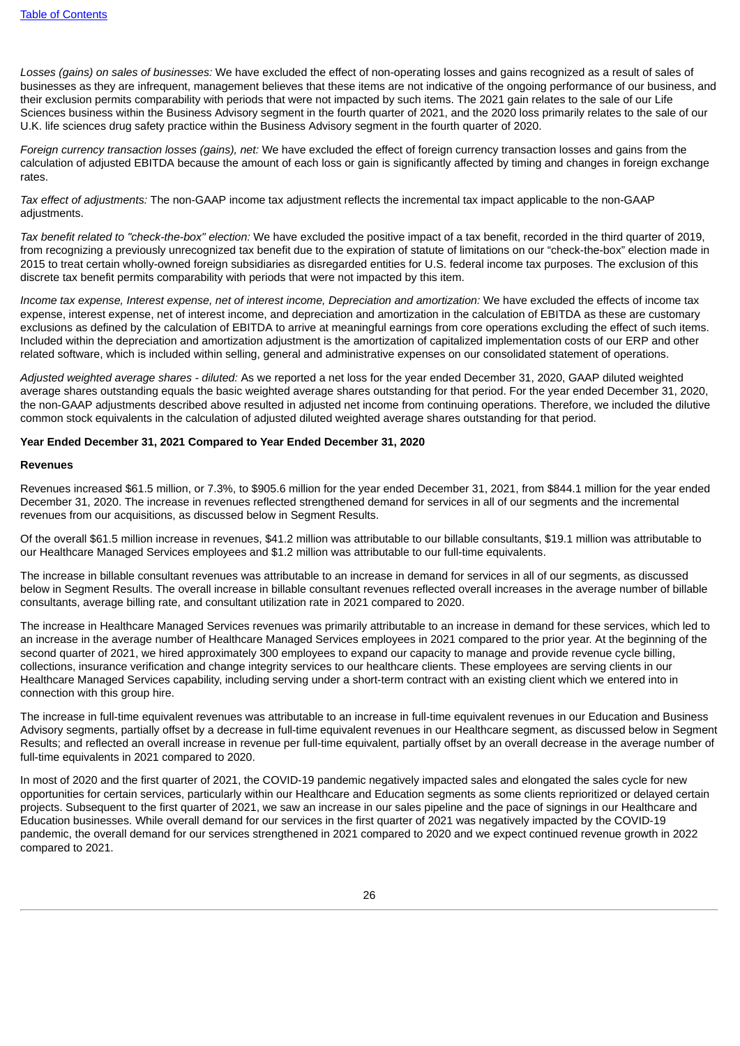*Losses (gains) on sales of businesses:* We have excluded the effect of non-operating losses and gains recognized as a result of sales of businesses as they are infrequent, management believes that these items are not indicative of the ongoing performance of our business, and their exclusion permits comparability with periods that were not impacted by such items. The 2021 gain relates to the sale of our Life Sciences business within the Business Advisory segment in the fourth quarter of 2021, and the 2020 loss primarily relates to the sale of our U.K. life sciences drug safety practice within the Business Advisory segment in the fourth quarter of 2020.

*Foreign currency transaction losses (gains), net:* We have excluded the effect of foreign currency transaction losses and gains from the calculation of adjusted EBITDA because the amount of each loss or gain is significantly affected by timing and changes in foreign exchange rates.

*Tax effect of adjustments:* The non-GAAP income tax adjustment reflects the incremental tax impact applicable to the non-GAAP adiustments.

*Tax benefit related to "check-the-box" election:* We have excluded the positive impact of a tax benefit, recorded in the third quarter of 2019, from recognizing a previously unrecognized tax benefit due to the expiration of statute of limitations on our "check-the-box" election made in 2015 to treat certain wholly-owned foreign subsidiaries as disregarded entities for U.S. federal income tax purposes. The exclusion of this discrete tax benefit permits comparability with periods that were not impacted by this item.

*Income tax expense, Interest expense, net of interest income, Depreciation and amortization:* We have excluded the effects of income tax expense, interest expense, net of interest income, and depreciation and amortization in the calculation of EBITDA as these are customary exclusions as defined by the calculation of EBITDA to arrive at meaningful earnings from core operations excluding the effect of such items. Included within the depreciation and amortization adjustment is the amortization of capitalized implementation costs of our ERP and other related software, which is included within selling, general and administrative expenses on our consolidated statement of operations.

*Adjusted weighted average shares - diluted:* As we reported a net loss for the year ended December 31, 2020, GAAP diluted weighted average shares outstanding equals the basic weighted average shares outstanding for that period. For the year ended December 31, 2020, the non-GAAP adjustments described above resulted in adjusted net income from continuing operations. Therefore, we included the dilutive common stock equivalents in the calculation of adjusted diluted weighted average shares outstanding for that period.

#### **Year Ended December 31, 2021 Compared to Year Ended December 31, 2020**

#### **Revenues**

Revenues increased \$61.5 million, or 7.3%, to \$905.6 million for the year ended December 31, 2021, from \$844.1 million for the year ended December 31, 2020. The increase in revenues reflected strengthened demand for services in all of our segments and the incremental revenues from our acquisitions, as discussed below in Segment Results.

Of the overall \$61.5 million increase in revenues, \$41.2 million was attributable to our billable consultants, \$19.1 million was attributable to our Healthcare Managed Services employees and \$1.2 million was attributable to our full-time equivalents.

The increase in billable consultant revenues was attributable to an increase in demand for services in all of our segments, as discussed below in Segment Results. The overall increase in billable consultant revenues reflected overall increases in the average number of billable consultants, average billing rate, and consultant utilization rate in 2021 compared to 2020.

The increase in Healthcare Managed Services revenues was primarily attributable to an increase in demand for these services, which led to an increase in the average number of Healthcare Managed Services employees in 2021 compared to the prior year. At the beginning of the second quarter of 2021, we hired approximately 300 employees to expand our capacity to manage and provide revenue cycle billing, collections, insurance verification and change integrity services to our healthcare clients. These employees are serving clients in our Healthcare Managed Services capability, including serving under a short-term contract with an existing client which we entered into in connection with this group hire.

The increase in full-time equivalent revenues was attributable to an increase in full-time equivalent revenues in our Education and Business Advisory segments, partially offset by a decrease in full-time equivalent revenues in our Healthcare segment, as discussed below in Segment Results; and reflected an overall increase in revenue per full-time equivalent, partially offset by an overall decrease in the average number of full-time equivalents in 2021 compared to 2020.

In most of 2020 and the first quarter of 2021, the COVID-19 pandemic negatively impacted sales and elongated the sales cycle for new opportunities for certain services, particularly within our Healthcare and Education segments as some clients reprioritized or delayed certain projects. Subsequent to the first quarter of 2021, we saw an increase in our sales pipeline and the pace of signings in our Healthcare and Education businesses. While overall demand for our services in the first quarter of 2021 was negatively impacted by the COVID-19 pandemic, the overall demand for our services strengthened in 2021 compared to 2020 and we expect continued revenue growth in 2022 compared to 2021.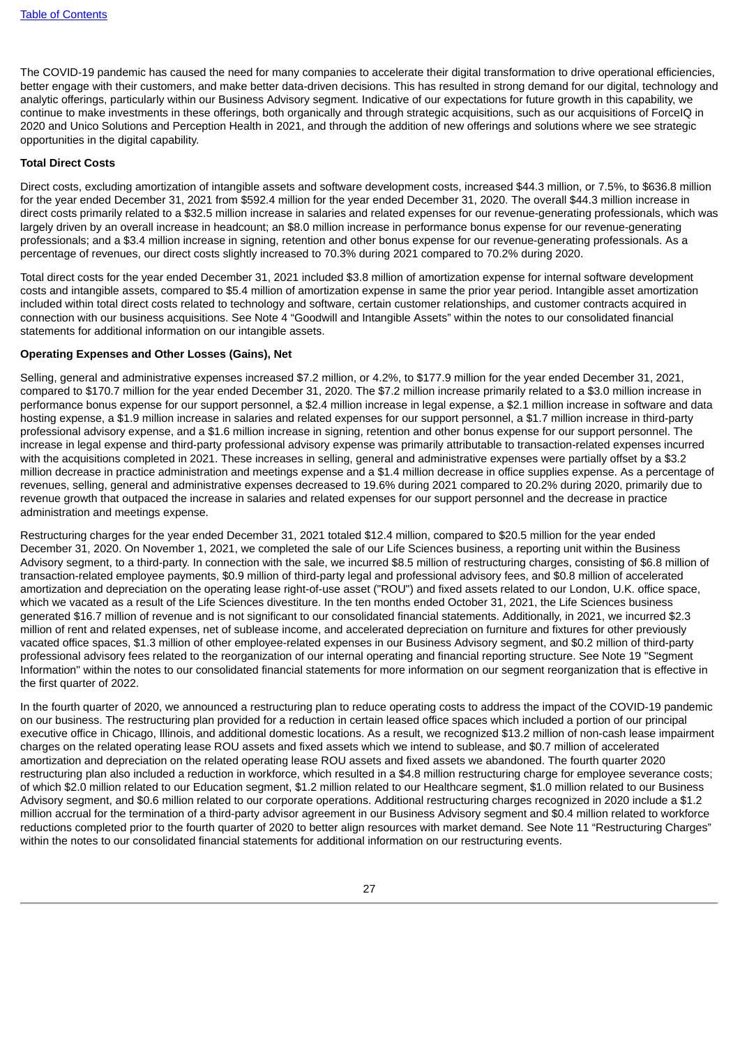The COVID-19 pandemic has caused the need for many companies to accelerate their digital transformation to drive operational efficiencies, better engage with their customers, and make better data-driven decisions. This has resulted in strong demand for our digital, technology and analytic offerings, particularly within our Business Advisory segment. Indicative of our expectations for future growth in this capability, we continue to make investments in these offerings, both organically and through strategic acquisitions, such as our acquisitions of ForceIQ in 2020 and Unico Solutions and Perception Health in 2021, and through the addition of new offerings and solutions where we see strategic opportunities in the digital capability.

## **Total Direct Costs**

Direct costs, excluding amortization of intangible assets and software development costs, increased \$44.3 million, or 7.5%, to \$636.8 million for the year ended December 31, 2021 from \$592.4 million for the year ended December 31, 2020. The overall \$44.3 million increase in direct costs primarily related to a \$32.5 million increase in salaries and related expenses for our revenue-generating professionals, which was largely driven by an overall increase in headcount; an \$8.0 million increase in performance bonus expense for our revenue-generating professionals; and a \$3.4 million increase in signing, retention and other bonus expense for our revenue-generating professionals. As a percentage of revenues, our direct costs slightly increased to 70.3% during 2021 compared to 70.2% during 2020.

Total direct costs for the year ended December 31, 2021 included \$3.8 million of amortization expense for internal software development costs and intangible assets, compared to \$5.4 million of amortization expense in same the prior year period. Intangible asset amortization included within total direct costs related to technology and software, certain customer relationships, and customer contracts acquired in connection with our business acquisitions. See Note 4 "Goodwill and Intangible Assets" within the notes to our consolidated financial statements for additional information on our intangible assets.

## **Operating Expenses and Other Losses (Gains), Net**

Selling, general and administrative expenses increased \$7.2 million, or 4.2%, to \$177.9 million for the year ended December 31, 2021, compared to \$170.7 million for the year ended December 31, 2020. The \$7.2 million increase primarily related to a \$3.0 million increase in performance bonus expense for our support personnel, a \$2.4 million increase in legal expense, a \$2.1 million increase in software and data hosting expense, a \$1.9 million increase in salaries and related expenses for our support personnel, a \$1.7 million increase in third-party professional advisory expense, and a \$1.6 million increase in signing, retention and other bonus expense for our support personnel. The increase in legal expense and third-party professional advisory expense was primarily attributable to transaction-related expenses incurred with the acquisitions completed in 2021. These increases in selling, general and administrative expenses were partially offset by a \$3.2 million decrease in practice administration and meetings expense and a \$1.4 million decrease in office supplies expense. As a percentage of revenues, selling, general and administrative expenses decreased to 19.6% during 2021 compared to 20.2% during 2020, primarily due to revenue growth that outpaced the increase in salaries and related expenses for our support personnel and the decrease in practice administration and meetings expense.

Restructuring charges for the year ended December 31, 2021 totaled \$12.4 million, compared to \$20.5 million for the year ended December 31, 2020. On November 1, 2021, we completed the sale of our Life Sciences business, a reporting unit within the Business Advisory segment, to a third-party. In connection with the sale, we incurred \$8.5 million of restructuring charges, consisting of \$6.8 million of transaction-related employee payments, \$0.9 million of third-party legal and professional advisory fees, and \$0.8 million of accelerated amortization and depreciation on the operating lease right-of-use asset ("ROU") and fixed assets related to our London, U.K. office space, which we vacated as a result of the Life Sciences divestiture. In the ten months ended October 31, 2021, the Life Sciences business generated \$16.7 million of revenue and is not significant to our consolidated financial statements. Additionally, in 2021, we incurred \$2.3 million of rent and related expenses, net of sublease income, and accelerated depreciation on furniture and fixtures for other previously vacated office spaces, \$1.3 million of other employee-related expenses in our Business Advisory segment, and \$0.2 million of third-party professional advisory fees related to the reorganization of our internal operating and financial reporting structure. See Note 19 "Segment Information" within the notes to our consolidated financial statements for more information on our segment reorganization that is effective in the first quarter of 2022.

In the fourth quarter of 2020, we announced a restructuring plan to reduce operating costs to address the impact of the COVID-19 pandemic on our business. The restructuring plan provided for a reduction in certain leased office spaces which included a portion of our principal executive office in Chicago, Illinois, and additional domestic locations. As a result, we recognized \$13.2 million of non-cash lease impairment charges on the related operating lease ROU assets and fixed assets which we intend to sublease, and \$0.7 million of accelerated amortization and depreciation on the related operating lease ROU assets and fixed assets we abandoned. The fourth quarter 2020 restructuring plan also included a reduction in workforce, which resulted in a \$4.8 million restructuring charge for employee severance costs; of which \$2.0 million related to our Education segment, \$1.2 million related to our Healthcare segment, \$1.0 million related to our Business Advisory segment, and \$0.6 million related to our corporate operations. Additional restructuring charges recognized in 2020 include a \$1.2 million accrual for the termination of a third-party advisor agreement in our Business Advisory segment and \$0.4 million related to workforce reductions completed prior to the fourth quarter of 2020 to better align resources with market demand. See Note 11 "Restructuring Charges" within the notes to our consolidated financial statements for additional information on our restructuring events.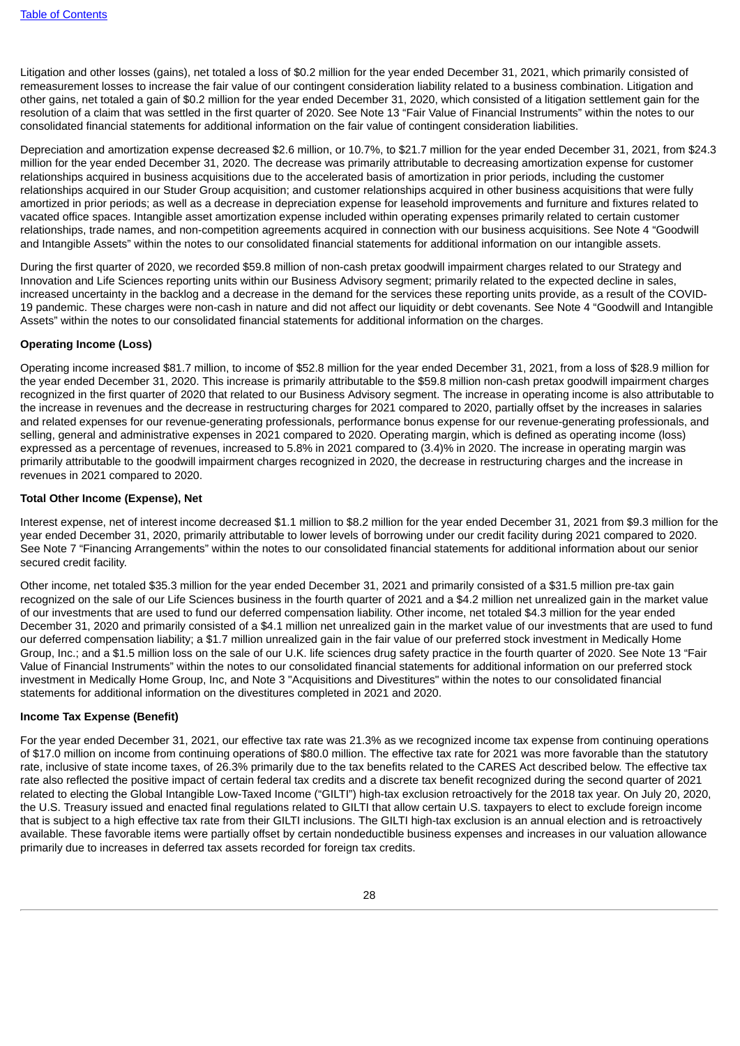Litigation and other losses (gains), net totaled a loss of \$0.2 million for the year ended December 31, 2021, which primarily consisted of remeasurement losses to increase the fair value of our contingent consideration liability related to a business combination. Litigation and other gains, net totaled a gain of \$0.2 million for the year ended December 31, 2020, which consisted of a litigation settlement gain for the resolution of a claim that was settled in the first quarter of 2020. See Note 13 "Fair Value of Financial Instruments" within the notes to our consolidated financial statements for additional information on the fair value of contingent consideration liabilities.

Depreciation and amortization expense decreased \$2.6 million, or 10.7%, to \$21.7 million for the year ended December 31, 2021, from \$24.3 million for the year ended December 31, 2020. The decrease was primarily attributable to decreasing amortization expense for customer relationships acquired in business acquisitions due to the accelerated basis of amortization in prior periods, including the customer relationships acquired in our Studer Group acquisition; and customer relationships acquired in other business acquisitions that were fully amortized in prior periods; as well as a decrease in depreciation expense for leasehold improvements and furniture and fixtures related to vacated office spaces. Intangible asset amortization expense included within operating expenses primarily related to certain customer relationships, trade names, and non-competition agreements acquired in connection with our business acquisitions. See Note 4 "Goodwill and Intangible Assets" within the notes to our consolidated financial statements for additional information on our intangible assets.

During the first quarter of 2020, we recorded \$59.8 million of non-cash pretax goodwill impairment charges related to our Strategy and Innovation and Life Sciences reporting units within our Business Advisory segment; primarily related to the expected decline in sales, increased uncertainty in the backlog and a decrease in the demand for the services these reporting units provide, as a result of the COVID-19 pandemic. These charges were non-cash in nature and did not affect our liquidity or debt covenants. See Note 4 "Goodwill and Intangible Assets" within the notes to our consolidated financial statements for additional information on the charges.

# **Operating Income (Loss)**

Operating income increased \$81.7 million, to income of \$52.8 million for the year ended December 31, 2021, from a loss of \$28.9 million for the year ended December 31, 2020. This increase is primarily attributable to the \$59.8 million non-cash pretax goodwill impairment charges recognized in the first quarter of 2020 that related to our Business Advisory segment. The increase in operating income is also attributable to the increase in revenues and the decrease in restructuring charges for 2021 compared to 2020, partially offset by the increases in salaries and related expenses for our revenue-generating professionals, performance bonus expense for our revenue-generating professionals, and selling, general and administrative expenses in 2021 compared to 2020. Operating margin, which is defined as operating income (loss) expressed as a percentage of revenues, increased to 5.8% in 2021 compared to (3.4)% in 2020. The increase in operating margin was primarily attributable to the goodwill impairment charges recognized in 2020, the decrease in restructuring charges and the increase in revenues in 2021 compared to 2020.

## **Total Other Income (Expense), Net**

Interest expense, net of interest income decreased \$1.1 million to \$8.2 million for the year ended December 31, 2021 from \$9.3 million for the year ended December 31, 2020, primarily attributable to lower levels of borrowing under our credit facility during 2021 compared to 2020. See Note 7 "Financing Arrangements" within the notes to our consolidated financial statements for additional information about our senior secured credit facility.

Other income, net totaled \$35.3 million for the year ended December 31, 2021 and primarily consisted of a \$31.5 million pre-tax gain recognized on the sale of our Life Sciences business in the fourth quarter of 2021 and a \$4.2 million net unrealized gain in the market value of our investments that are used to fund our deferred compensation liability. Other income, net totaled \$4.3 million for the year ended December 31, 2020 and primarily consisted of a \$4.1 million net unrealized gain in the market value of our investments that are used to fund our deferred compensation liability; a \$1.7 million unrealized gain in the fair value of our preferred stock investment in Medically Home Group, Inc.; and a \$1.5 million loss on the sale of our U.K. life sciences drug safety practice in the fourth quarter of 2020. See Note 13 "Fair Value of Financial Instruments" within the notes to our consolidated financial statements for additional information on our preferred stock investment in Medically Home Group, Inc, and Note 3 "Acquisitions and Divestitures" within the notes to our consolidated financial statements for additional information on the divestitures completed in 2021 and 2020.

#### **Income Tax Expense (Benefit)**

For the year ended December 31, 2021, our effective tax rate was 21.3% as we recognized income tax expense from continuing operations of \$17.0 million on income from continuing operations of \$80.0 million. The effective tax rate for 2021 was more favorable than the statutory rate, inclusive of state income taxes, of 26.3% primarily due to the tax benefits related to the CARES Act described below. The effective tax rate also reflected the positive impact of certain federal tax credits and a discrete tax benefit recognized during the second quarter of 2021 related to electing the Global Intangible Low-Taxed Income ("GILTI") high-tax exclusion retroactively for the 2018 tax year. On July 20, 2020, the U.S. Treasury issued and enacted final regulations related to GILTI that allow certain U.S. taxpayers to elect to exclude foreign income that is subject to a high effective tax rate from their GILTI inclusions. The GILTI high-tax exclusion is an annual election and is retroactively available. These favorable items were partially offset by certain nondeductible business expenses and increases in our valuation allowance primarily due to increases in deferred tax assets recorded for foreign tax credits.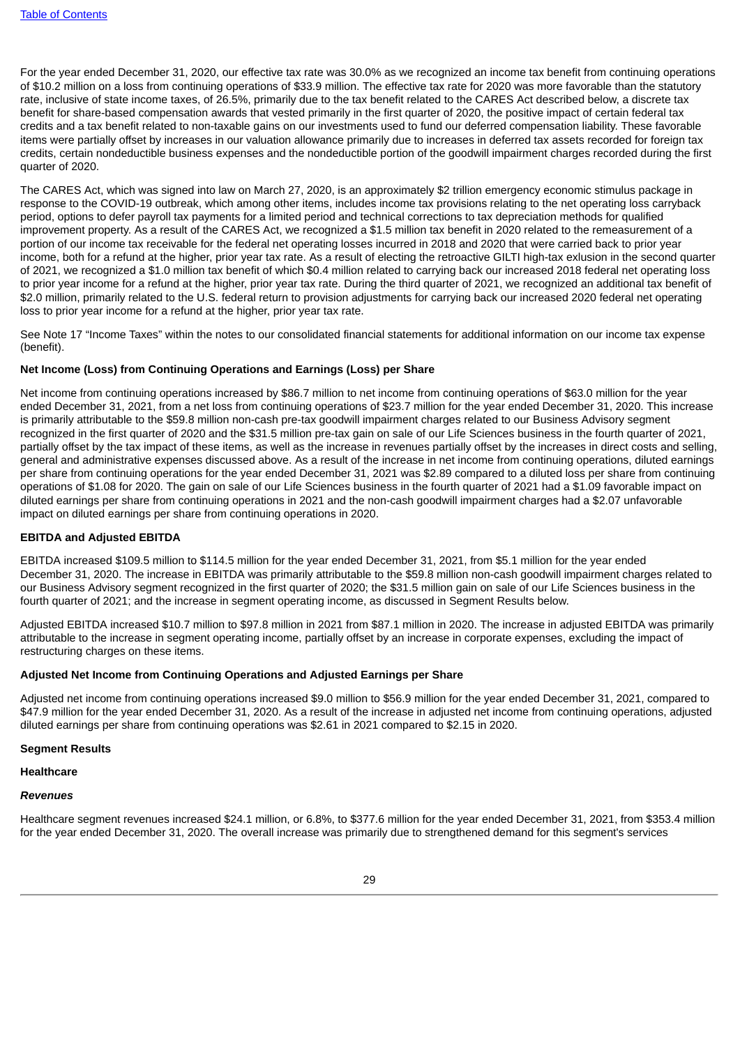For the year ended December 31, 2020, our effective tax rate was 30.0% as we recognized an income tax benefit from continuing operations of \$10.2 million on a loss from continuing operations of \$33.9 million. The effective tax rate for 2020 was more favorable than the statutory rate, inclusive of state income taxes, of 26.5%, primarily due to the tax benefit related to the CARES Act described below, a discrete tax benefit for share-based compensation awards that vested primarily in the first quarter of 2020, the positive impact of certain federal tax credits and a tax benefit related to non-taxable gains on our investments used to fund our deferred compensation liability. These favorable items were partially offset by increases in our valuation allowance primarily due to increases in deferred tax assets recorded for foreign tax credits, certain nondeductible business expenses and the nondeductible portion of the goodwill impairment charges recorded during the first quarter of 2020.

The CARES Act, which was signed into law on March 27, 2020, is an approximately \$2 trillion emergency economic stimulus package in response to the COVID-19 outbreak, which among other items, includes income tax provisions relating to the net operating loss carryback period, options to defer payroll tax payments for a limited period and technical corrections to tax depreciation methods for qualified improvement property. As a result of the CARES Act, we recognized a \$1.5 million tax benefit in 2020 related to the remeasurement of a portion of our income tax receivable for the federal net operating losses incurred in 2018 and 2020 that were carried back to prior year income, both for a refund at the higher, prior year tax rate. As a result of electing the retroactive GILTI high-tax exlusion in the second quarter of 2021, we recognized a \$1.0 million tax benefit of which \$0.4 million related to carrying back our increased 2018 federal net operating loss to prior year income for a refund at the higher, prior year tax rate. During the third quarter of 2021, we recognized an additional tax benefit of \$2.0 million, primarily related to the U.S. federal return to provision adjustments for carrying back our increased 2020 federal net operating loss to prior year income for a refund at the higher, prior year tax rate.

See Note 17 "Income Taxes" within the notes to our consolidated financial statements for additional information on our income tax expense (benefit).

#### **Net Income (Loss) from Continuing Operations and Earnings (Loss) per Share**

Net income from continuing operations increased by \$86.7 million to net income from continuing operations of \$63.0 million for the year ended December 31, 2021, from a net loss from continuing operations of \$23.7 million for the year ended December 31, 2020. This increase is primarily attributable to the \$59.8 million non-cash pre-tax goodwill impairment charges related to our Business Advisory segment recognized in the first quarter of 2020 and the \$31.5 million pre-tax gain on sale of our Life Sciences business in the fourth quarter of 2021, partially offset by the tax impact of these items, as well as the increase in revenues partially offset by the increases in direct costs and selling, general and administrative expenses discussed above. As a result of the increase in net income from continuing operations, diluted earnings per share from continuing operations for the year ended December 31, 2021 was \$2.89 compared to a diluted loss per share from continuing operations of \$1.08 for 2020. The gain on sale of our Life Sciences business in the fourth quarter of 2021 had a \$1.09 favorable impact on diluted earnings per share from continuing operations in 2021 and the non-cash goodwill impairment charges had a \$2.07 unfavorable impact on diluted earnings per share from continuing operations in 2020.

## **EBITDA and Adjusted EBITDA**

EBITDA increased \$109.5 million to \$114.5 million for the year ended December 31, 2021, from \$5.1 million for the year ended December 31, 2020. The increase in EBITDA was primarily attributable to the \$59.8 million non-cash goodwill impairment charges related to our Business Advisory segment recognized in the first quarter of 2020; the \$31.5 million gain on sale of our Life Sciences business in the fourth quarter of 2021; and the increase in segment operating income, as discussed in Segment Results below.

Adjusted EBITDA increased \$10.7 million to \$97.8 million in 2021 from \$87.1 million in 2020. The increase in adjusted EBITDA was primarily attributable to the increase in segment operating income, partially offset by an increase in corporate expenses, excluding the impact of restructuring charges on these items.

#### **Adjusted Net Income from Continuing Operations and Adjusted Earnings per Share**

Adjusted net income from continuing operations increased \$9.0 million to \$56.9 million for the year ended December 31, 2021, compared to \$47.9 million for the year ended December 31, 2020. As a result of the increase in adjusted net income from continuing operations, adjusted diluted earnings per share from continuing operations was \$2.61 in 2021 compared to \$2.15 in 2020.

#### **Segment Results**

## **Healthcare**

#### *Revenues*

Healthcare segment revenues increased \$24.1 million, or 6.8%, to \$377.6 million for the year ended December 31, 2021, from \$353.4 million for the year ended December 31, 2020. The overall increase was primarily due to strengthened demand for this segment's services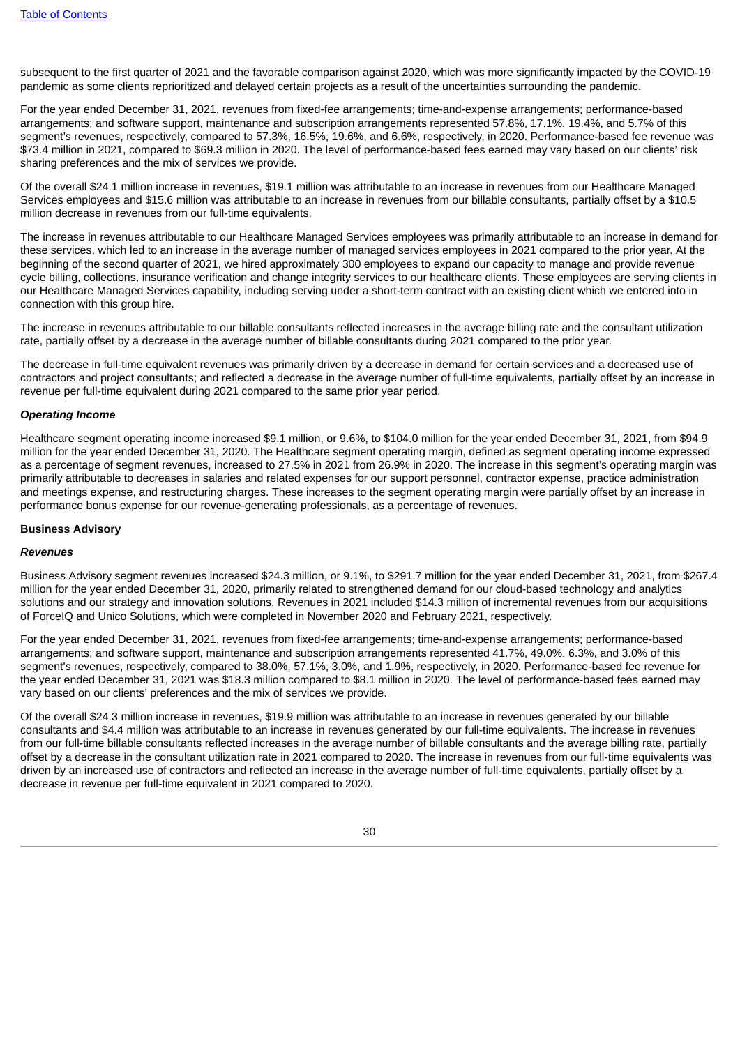subsequent to the first quarter of 2021 and the favorable comparison against 2020, which was more significantly impacted by the COVID-19 pandemic as some clients reprioritized and delayed certain projects as a result of the uncertainties surrounding the pandemic.

For the year ended December 31, 2021, revenues from fixed-fee arrangements; time-and-expense arrangements; performance-based arrangements; and software support, maintenance and subscription arrangements represented 57.8%, 17.1%, 19.4%, and 5.7% of this segment's revenues, respectively, compared to 57.3%, 16.5%, 19.6%, and 6.6%, respectively, in 2020. Performance-based fee revenue was \$73.4 million in 2021, compared to \$69.3 million in 2020. The level of performance-based fees earned may vary based on our clients' risk sharing preferences and the mix of services we provide.

Of the overall \$24.1 million increase in revenues, \$19.1 million was attributable to an increase in revenues from our Healthcare Managed Services employees and \$15.6 million was attributable to an increase in revenues from our billable consultants, partially offset by a \$10.5 million decrease in revenues from our full-time equivalents.

The increase in revenues attributable to our Healthcare Managed Services employees was primarily attributable to an increase in demand for these services, which led to an increase in the average number of managed services employees in 2021 compared to the prior year. At the beginning of the second quarter of 2021, we hired approximately 300 employees to expand our capacity to manage and provide revenue cycle billing, collections, insurance verification and change integrity services to our healthcare clients. These employees are serving clients in our Healthcare Managed Services capability, including serving under a short-term contract with an existing client which we entered into in connection with this group hire.

The increase in revenues attributable to our billable consultants reflected increases in the average billing rate and the consultant utilization rate, partially offset by a decrease in the average number of billable consultants during 2021 compared to the prior year.

The decrease in full-time equivalent revenues was primarily driven by a decrease in demand for certain services and a decreased use of contractors and project consultants; and reflected a decrease in the average number of full-time equivalents, partially offset by an increase in revenue per full-time equivalent during 2021 compared to the same prior year period.

## *Operating Income*

Healthcare segment operating income increased \$9.1 million, or 9.6%, to \$104.0 million for the year ended December 31, 2021, from \$94.9 million for the year ended December 31, 2020. The Healthcare segment operating margin, defined as segment operating income expressed as a percentage of segment revenues, increased to 27.5% in 2021 from 26.9% in 2020. The increase in this segment's operating margin was primarily attributable to decreases in salaries and related expenses for our support personnel, contractor expense, practice administration and meetings expense, and restructuring charges. These increases to the segment operating margin were partially offset by an increase in performance bonus expense for our revenue-generating professionals, as a percentage of revenues.

#### **Business Advisory**

#### *Revenues*

Business Advisory segment revenues increased \$24.3 million, or 9.1%, to \$291.7 million for the year ended December 31, 2021, from \$267.4 million for the year ended December 31, 2020, primarily related to strengthened demand for our cloud-based technology and analytics solutions and our strategy and innovation solutions. Revenues in 2021 included \$14.3 million of incremental revenues from our acquisitions of ForceIQ and Unico Solutions, which were completed in November 2020 and February 2021, respectively.

For the year ended December 31, 2021, revenues from fixed-fee arrangements; time-and-expense arrangements; performance-based arrangements; and software support, maintenance and subscription arrangements represented 41.7%, 49.0%, 6.3%, and 3.0% of this segment's revenues, respectively, compared to 38.0%, 57.1%, 3.0%, and 1.9%, respectively, in 2020. Performance-based fee revenue for the year ended December 31, 2021 was \$18.3 million compared to \$8.1 million in 2020. The level of performance-based fees earned may vary based on our clients' preferences and the mix of services we provide.

Of the overall \$24.3 million increase in revenues, \$19.9 million was attributable to an increase in revenues generated by our billable consultants and \$4.4 million was attributable to an increase in revenues generated by our full-time equivalents. The increase in revenues from our full-time billable consultants reflected increases in the average number of billable consultants and the average billing rate, partially offset by a decrease in the consultant utilization rate in 2021 compared to 2020. The increase in revenues from our full-time equivalents was driven by an increased use of contractors and reflected an increase in the average number of full-time equivalents, partially offset by a decrease in revenue per full-time equivalent in 2021 compared to 2020.

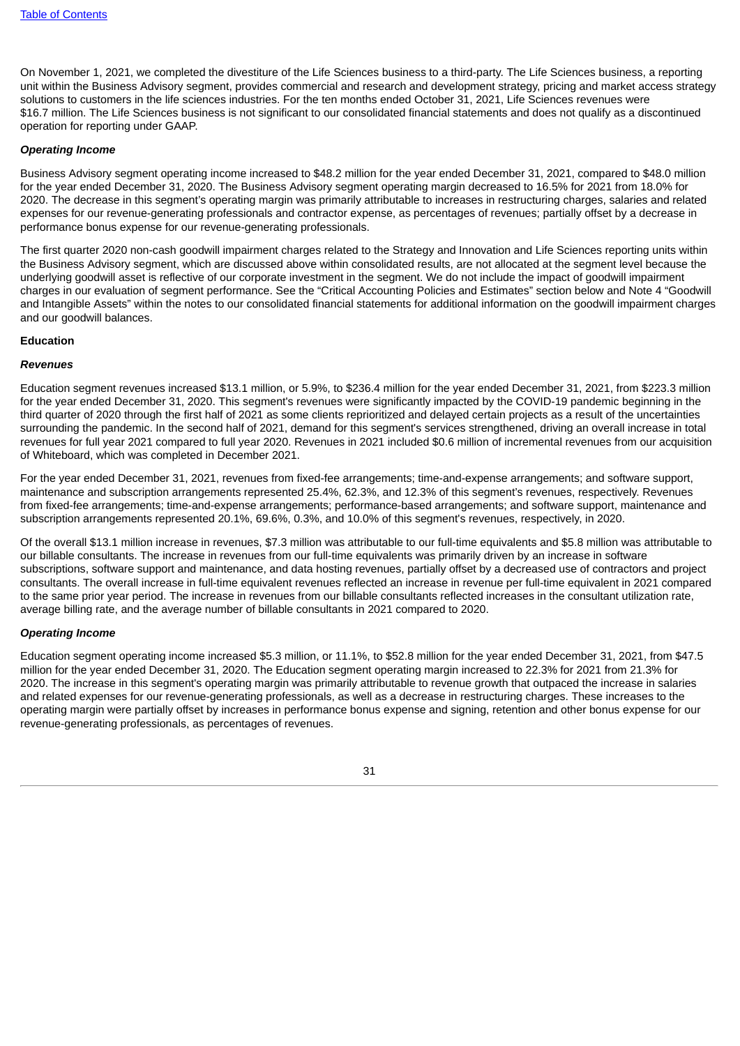On November 1, 2021, we completed the divestiture of the Life Sciences business to a third-party. The Life Sciences business, a reporting unit within the Business Advisory segment, provides commercial and research and development strategy, pricing and market access strategy solutions to customers in the life sciences industries. For the ten months ended October 31, 2021, Life Sciences revenues were \$16.7 million. The Life Sciences business is not significant to our consolidated financial statements and does not qualify as a discontinued operation for reporting under GAAP.

## *Operating Income*

Business Advisory segment operating income increased to \$48.2 million for the year ended December 31, 2021, compared to \$48.0 million for the year ended December 31, 2020. The Business Advisory segment operating margin decreased to 16.5% for 2021 from 18.0% for 2020. The decrease in this segment's operating margin was primarily attributable to increases in restructuring charges, salaries and related expenses for our revenue-generating professionals and contractor expense, as percentages of revenues; partially offset by a decrease in performance bonus expense for our revenue-generating professionals.

The first quarter 2020 non-cash goodwill impairment charges related to the Strategy and Innovation and Life Sciences reporting units within the Business Advisory segment, which are discussed above within consolidated results, are not allocated at the segment level because the underlying goodwill asset is reflective of our corporate investment in the segment. We do not include the impact of goodwill impairment charges in our evaluation of segment performance. See the "Critical Accounting Policies and Estimates" section below and Note 4 "Goodwill and Intangible Assets" within the notes to our consolidated financial statements for additional information on the goodwill impairment charges and our goodwill balances.

## **Education**

## *Revenues*

Education segment revenues increased \$13.1 million, or 5.9%, to \$236.4 million for the year ended December 31, 2021, from \$223.3 million for the year ended December 31, 2020. This segment's revenues were significantly impacted by the COVID-19 pandemic beginning in the third quarter of 2020 through the first half of 2021 as some clients reprioritized and delayed certain projects as a result of the uncertainties surrounding the pandemic. In the second half of 2021, demand for this segment's services strengthened, driving an overall increase in total revenues for full year 2021 compared to full year 2020. Revenues in 2021 included \$0.6 million of incremental revenues from our acquisition of Whiteboard, which was completed in December 2021.

For the year ended December 31, 2021, revenues from fixed-fee arrangements; time-and-expense arrangements; and software support, maintenance and subscription arrangements represented 25.4%, 62.3%, and 12.3% of this segment's revenues, respectively. Revenues from fixed-fee arrangements; time-and-expense arrangements; performance-based arrangements; and software support, maintenance and subscription arrangements represented 20.1%, 69.6%, 0.3%, and 10.0% of this segment's revenues, respectively, in 2020.

Of the overall \$13.1 million increase in revenues, \$7.3 million was attributable to our full-time equivalents and \$5.8 million was attributable to our billable consultants. The increase in revenues from our full-time equivalents was primarily driven by an increase in software subscriptions, software support and maintenance, and data hosting revenues, partially offset by a decreased use of contractors and project consultants. The overall increase in full-time equivalent revenues reflected an increase in revenue per full-time equivalent in 2021 compared to the same prior year period. The increase in revenues from our billable consultants reflected increases in the consultant utilization rate, average billing rate, and the average number of billable consultants in 2021 compared to 2020.

## *Operating Income*

Education segment operating income increased \$5.3 million, or 11.1%, to \$52.8 million for the year ended December 31, 2021, from \$47.5 million for the year ended December 31, 2020. The Education segment operating margin increased to 22.3% for 2021 from 21.3% for 2020. The increase in this segment's operating margin was primarily attributable to revenue growth that outpaced the increase in salaries and related expenses for our revenue-generating professionals, as well as a decrease in restructuring charges. These increases to the operating margin were partially offset by increases in performance bonus expense and signing, retention and other bonus expense for our revenue-generating professionals, as percentages of revenues.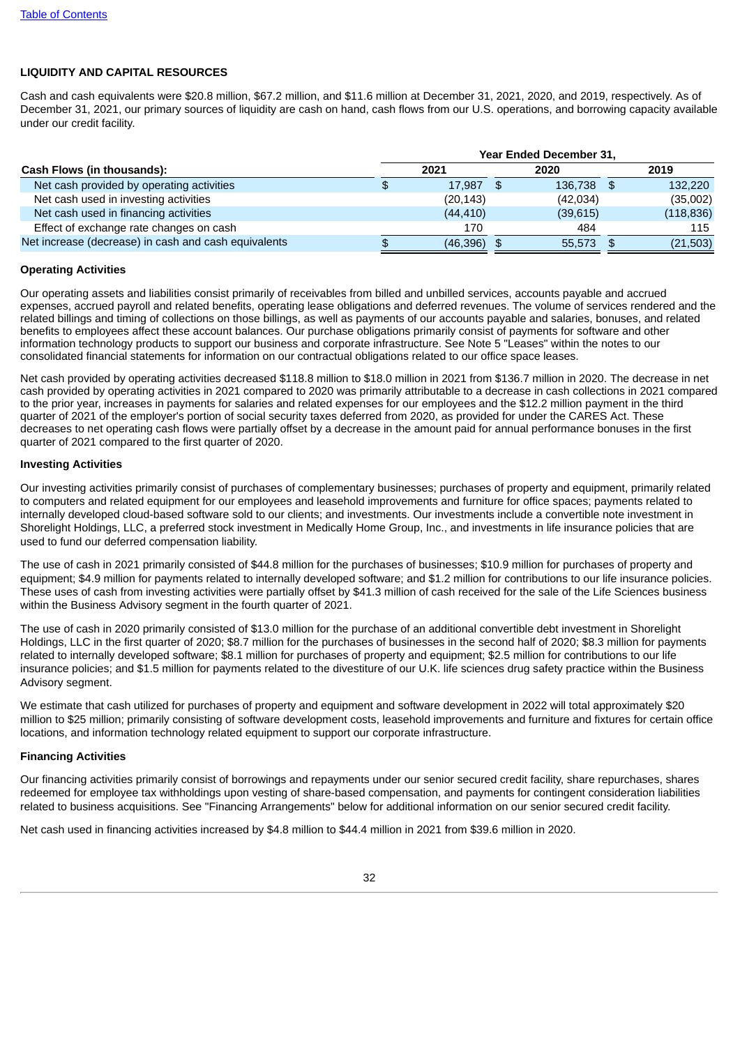# **LIQUIDITY AND CAPITAL RESOURCES**

Cash and cash equivalents were \$20.8 million, \$67.2 million, and \$11.6 million at December 31, 2021, 2020, and 2019, respectively. As of December 31, 2021, our primary sources of liquidity are cash on hand, cash flows from our U.S. operations, and borrowing capacity available under our credit facility.

|                                                      | <b>Year Ended December 31,</b> |               |          |            |  |            |  |  |  |  |
|------------------------------------------------------|--------------------------------|---------------|----------|------------|--|------------|--|--|--|--|
| Cash Flows (in thousands):                           |                                | 2021          |          | 2020       |  | 2019       |  |  |  |  |
| Net cash provided by operating activities            |                                | 17.987        | <b>S</b> | 136,738 \$ |  | 132,220    |  |  |  |  |
| Net cash used in investing activities                |                                | (20, 143)     |          | (42,034)   |  | (35,002)   |  |  |  |  |
| Net cash used in financing activities                |                                | (44, 410)     |          | (39,615)   |  | (118, 836) |  |  |  |  |
| Effect of exchange rate changes on cash              |                                | 170           |          | 484        |  | 115        |  |  |  |  |
| Net increase (decrease) in cash and cash equivalents |                                | $(46,396)$ \$ |          | 55,573 \$  |  | (21, 503)  |  |  |  |  |

## **Operating Activities**

Our operating assets and liabilities consist primarily of receivables from billed and unbilled services, accounts payable and accrued expenses, accrued payroll and related benefits, operating lease obligations and deferred revenues. The volume of services rendered and the related billings and timing of collections on those billings, as well as payments of our accounts payable and salaries, bonuses, and related benefits to employees affect these account balances. Our purchase obligations primarily consist of payments for software and other information technology products to support our business and corporate infrastructure. See Note 5 "Leases" within the notes to our consolidated financial statements for information on our contractual obligations related to our office space leases.

Net cash provided by operating activities decreased \$118.8 million to \$18.0 million in 2021 from \$136.7 million in 2020. The decrease in net cash provided by operating activities in 2021 compared to 2020 was primarily attributable to a decrease in cash collections in 2021 compared to the prior year, increases in payments for salaries and related expenses for our employees and the \$12.2 million payment in the third quarter of 2021 of the employer's portion of social security taxes deferred from 2020, as provided for under the CARES Act. These decreases to net operating cash flows were partially offset by a decrease in the amount paid for annual performance bonuses in the first quarter of 2021 compared to the first quarter of 2020.

#### **Investing Activities**

Our investing activities primarily consist of purchases of complementary businesses; purchases of property and equipment, primarily related to computers and related equipment for our employees and leasehold improvements and furniture for office spaces; payments related to internally developed cloud-based software sold to our clients; and investments. Our investments include a convertible note investment in Shorelight Holdings, LLC, a preferred stock investment in Medically Home Group, Inc., and investments in life insurance policies that are used to fund our deferred compensation liability.

The use of cash in 2021 primarily consisted of \$44.8 million for the purchases of businesses; \$10.9 million for purchases of property and equipment; \$4.9 million for payments related to internally developed software; and \$1.2 million for contributions to our life insurance policies. These uses of cash from investing activities were partially offset by \$41.3 million of cash received for the sale of the Life Sciences business within the Business Advisory segment in the fourth quarter of 2021.

The use of cash in 2020 primarily consisted of \$13.0 million for the purchase of an additional convertible debt investment in Shorelight Holdings, LLC in the first quarter of 2020; \$8.7 million for the purchases of businesses in the second half of 2020; \$8.3 million for payments related to internally developed software; \$8.1 million for purchases of property and equipment; \$2.5 million for contributions to our life insurance policies; and \$1.5 million for payments related to the divestiture of our U.K. life sciences drug safety practice within the Business Advisory segment.

We estimate that cash utilized for purchases of property and equipment and software development in 2022 will total approximately \$20 million to \$25 million; primarily consisting of software development costs, leasehold improvements and furniture and fixtures for certain office locations, and information technology related equipment to support our corporate infrastructure.

#### **Financing Activities**

Our financing activities primarily consist of borrowings and repayments under our senior secured credit facility, share repurchases, shares redeemed for employee tax withholdings upon vesting of share-based compensation, and payments for contingent consideration liabilities related to business acquisitions. See "Financing Arrangements" below for additional information on our senior secured credit facility.

Net cash used in financing activities increased by \$4.8 million to \$44.4 million in 2021 from \$39.6 million in 2020.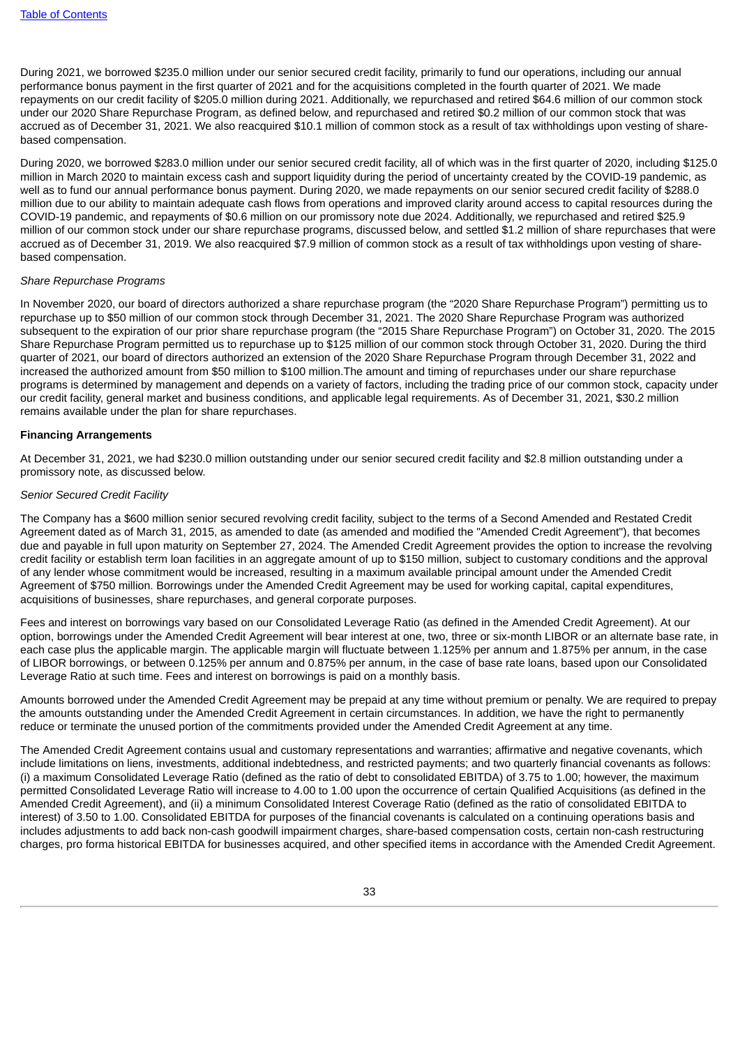During 2021, we borrowed \$235.0 million under our senior secured credit facility, primarily to fund our operations, including our annual performance bonus payment in the first quarter of 2021 and for the acquisitions completed in the fourth quarter of 2021. We made repayments on our credit facility of \$205.0 million during 2021. Additionally, we repurchased and retired \$64.6 million of our common stock under our 2020 Share Repurchase Program, as defined below, and repurchased and retired \$0.2 million of our common stock that was accrued as of December 31, 2021. We also reacquired \$10.1 million of common stock as a result of tax withholdings upon vesting of sharebased compensation.

During 2020, we borrowed \$283.0 million under our senior secured credit facility, all of which was in the first quarter of 2020, including \$125.0 million in March 2020 to maintain excess cash and support liquidity during the period of uncertainty created by the COVID-19 pandemic, as well as to fund our annual performance bonus payment. During 2020, we made repayments on our senior secured credit facility of \$288.0 million due to our ability to maintain adequate cash flows from operations and improved clarity around access to capital resources during the COVID-19 pandemic, and repayments of \$0.6 million on our promissory note due 2024. Additionally, we repurchased and retired \$25.9 million of our common stock under our share repurchase programs, discussed below, and settled \$1.2 million of share repurchases that were accrued as of December 31, 2019. We also reacquired \$7.9 million of common stock as a result of tax withholdings upon vesting of sharebased compensation.

#### *Share Repurchase Programs*

In November 2020, our board of directors authorized a share repurchase program (the "2020 Share Repurchase Program") permitting us to repurchase up to \$50 million of our common stock through December 31, 2021. The 2020 Share Repurchase Program was authorized subsequent to the expiration of our prior share repurchase program (the "2015 Share Repurchase Program") on October 31, 2020. The 2015 Share Repurchase Program permitted us to repurchase up to \$125 million of our common stock through October 31, 2020. During the third quarter of 2021, our board of directors authorized an extension of the 2020 Share Repurchase Program through December 31, 2022 and increased the authorized amount from \$50 million to \$100 million.The amount and timing of repurchases under our share repurchase programs is determined by management and depends on a variety of factors, including the trading price of our common stock, capacity under our credit facility, general market and business conditions, and applicable legal requirements. As of December 31, 2021, \$30.2 million remains available under the plan for share repurchases.

#### **Financing Arrangements**

At December 31, 2021, we had \$230.0 million outstanding under our senior secured credit facility and \$2.8 million outstanding under a promissory note, as discussed below.

# *Senior Secured Credit Facility*

The Company has a \$600 million senior secured revolving credit facility, subject to the terms of a Second Amended and Restated Credit Agreement dated as of March 31, 2015, as amended to date (as amended and modified the "Amended Credit Agreement"), that becomes due and payable in full upon maturity on September 27, 2024. The Amended Credit Agreement provides the option to increase the revolving credit facility or establish term loan facilities in an aggregate amount of up to \$150 million, subject to customary conditions and the approval of any lender whose commitment would be increased, resulting in a maximum available principal amount under the Amended Credit Agreement of \$750 million. Borrowings under the Amended Credit Agreement may be used for working capital, capital expenditures, acquisitions of businesses, share repurchases, and general corporate purposes.

Fees and interest on borrowings vary based on our Consolidated Leverage Ratio (as defined in the Amended Credit Agreement). At our option, borrowings under the Amended Credit Agreement will bear interest at one, two, three or six-month LIBOR or an alternate base rate, in each case plus the applicable margin. The applicable margin will fluctuate between 1.125% per annum and 1.875% per annum, in the case of LIBOR borrowings, or between 0.125% per annum and 0.875% per annum, in the case of base rate loans, based upon our Consolidated Leverage Ratio at such time. Fees and interest on borrowings is paid on a monthly basis.

Amounts borrowed under the Amended Credit Agreement may be prepaid at any time without premium or penalty. We are required to prepay the amounts outstanding under the Amended Credit Agreement in certain circumstances. In addition, we have the right to permanently reduce or terminate the unused portion of the commitments provided under the Amended Credit Agreement at any time.

The Amended Credit Agreement contains usual and customary representations and warranties; affirmative and negative covenants, which include limitations on liens, investments, additional indebtedness, and restricted payments; and two quarterly financial covenants as follows: (i) a maximum Consolidated Leverage Ratio (defined as the ratio of debt to consolidated EBITDA) of 3.75 to 1.00; however, the maximum permitted Consolidated Leverage Ratio will increase to 4.00 to 1.00 upon the occurrence of certain Qualified Acquisitions (as defined in the Amended Credit Agreement), and (ii) a minimum Consolidated Interest Coverage Ratio (defined as the ratio of consolidated EBITDA to interest) of 3.50 to 1.00. Consolidated EBITDA for purposes of the financial covenants is calculated on a continuing operations basis and includes adjustments to add back non-cash goodwill impairment charges, share-based compensation costs, certain non-cash restructuring charges, pro forma historical EBITDA for businesses acquired, and other specified items in accordance with the Amended Credit Agreement.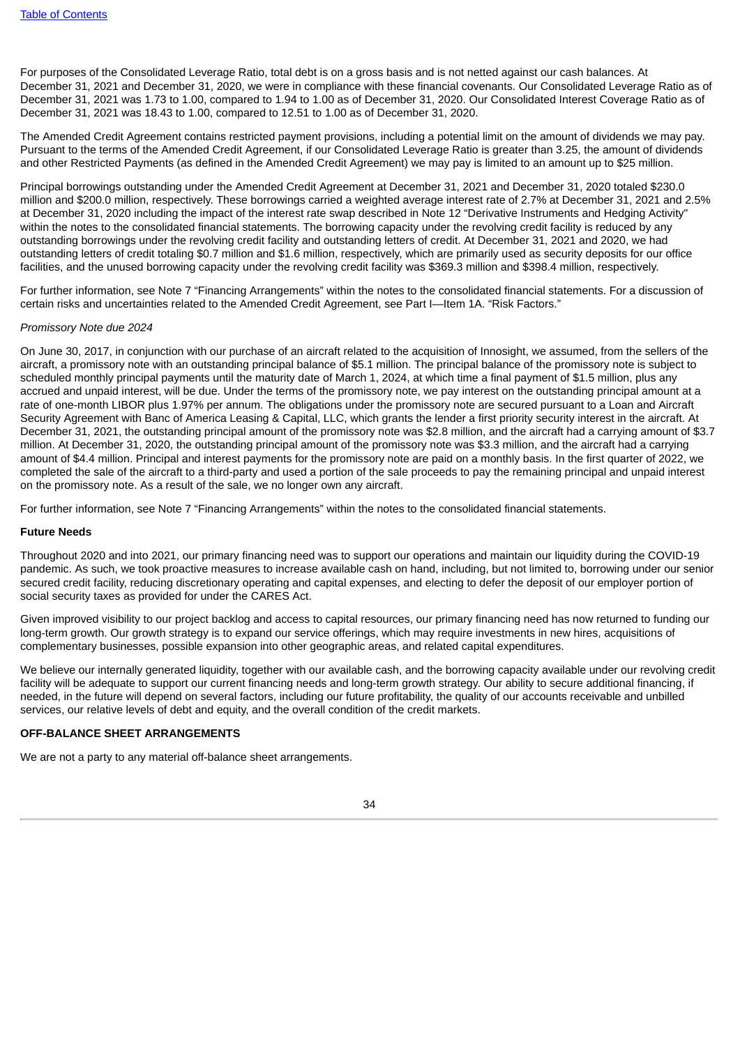For purposes of the Consolidated Leverage Ratio, total debt is on a gross basis and is not netted against our cash balances. At December 31, 2021 and December 31, 2020, we were in compliance with these financial covenants. Our Consolidated Leverage Ratio as of December 31, 2021 was 1.73 to 1.00, compared to 1.94 to 1.00 as of December 31, 2020. Our Consolidated Interest Coverage Ratio as of December 31, 2021 was 18.43 to 1.00, compared to 12.51 to 1.00 as of December 31, 2020.

The Amended Credit Agreement contains restricted payment provisions, including a potential limit on the amount of dividends we may pay. Pursuant to the terms of the Amended Credit Agreement, if our Consolidated Leverage Ratio is greater than 3.25, the amount of dividends and other Restricted Payments (as defined in the Amended Credit Agreement) we may pay is limited to an amount up to \$25 million.

Principal borrowings outstanding under the Amended Credit Agreement at December 31, 2021 and December 31, 2020 totaled \$230.0 million and \$200.0 million, respectively. These borrowings carried a weighted average interest rate of 2.7% at December 31, 2021 and 2.5% at December 31, 2020 including the impact of the interest rate swap described in Note 12 "Derivative Instruments and Hedging Activity" within the notes to the consolidated financial statements. The borrowing capacity under the revolving credit facility is reduced by any outstanding borrowings under the revolving credit facility and outstanding letters of credit. At December 31, 2021 and 2020, we had outstanding letters of credit totaling \$0.7 million and \$1.6 million, respectively, which are primarily used as security deposits for our office facilities, and the unused borrowing capacity under the revolving credit facility was \$369.3 million and \$398.4 million, respectively.

For further information, see Note 7 "Financing Arrangements" within the notes to the consolidated financial statements. For a discussion of certain risks and uncertainties related to the Amended Credit Agreement, see Part I—Item 1A. "Risk Factors."

#### *Promissory Note due 2024*

On June 30, 2017, in conjunction with our purchase of an aircraft related to the acquisition of Innosight, we assumed, from the sellers of the aircraft, a promissory note with an outstanding principal balance of \$5.1 million. The principal balance of the promissory note is subject to scheduled monthly principal payments until the maturity date of March 1, 2024, at which time a final payment of \$1.5 million, plus any accrued and unpaid interest, will be due. Under the terms of the promissory note, we pay interest on the outstanding principal amount at a rate of one-month LIBOR plus 1.97% per annum. The obligations under the promissory note are secured pursuant to a Loan and Aircraft Security Agreement with Banc of America Leasing & Capital, LLC, which grants the lender a first priority security interest in the aircraft. At December 31, 2021, the outstanding principal amount of the promissory note was \$2.8 million, and the aircraft had a carrying amount of \$3.7 million. At December 31, 2020, the outstanding principal amount of the promissory note was \$3.3 million, and the aircraft had a carrying amount of \$4.4 million. Principal and interest payments for the promissory note are paid on a monthly basis. In the first quarter of 2022, we completed the sale of the aircraft to a third-party and used a portion of the sale proceeds to pay the remaining principal and unpaid interest on the promissory note. As a result of the sale, we no longer own any aircraft.

For further information, see Note 7 "Financing Arrangements" within the notes to the consolidated financial statements.

#### **Future Needs**

Throughout 2020 and into 2021, our primary financing need was to support our operations and maintain our liquidity during the COVID-19 pandemic. As such, we took proactive measures to increase available cash on hand, including, but not limited to, borrowing under our senior secured credit facility, reducing discretionary operating and capital expenses, and electing to defer the deposit of our employer portion of social security taxes as provided for under the CARES Act.

Given improved visibility to our project backlog and access to capital resources, our primary financing need has now returned to funding our long-term growth. Our growth strategy is to expand our service offerings, which may require investments in new hires, acquisitions of complementary businesses, possible expansion into other geographic areas, and related capital expenditures.

We believe our internally generated liquidity, together with our available cash, and the borrowing capacity available under our revolving credit facility will be adequate to support our current financing needs and long-term growth strategy. Our ability to secure additional financing, if needed, in the future will depend on several factors, including our future profitability, the quality of our accounts receivable and unbilled services, our relative levels of debt and equity, and the overall condition of the credit markets.

## **OFF-BALANCE SHEET ARRANGEMENTS**

We are not a party to any material off-balance sheet arrangements.

34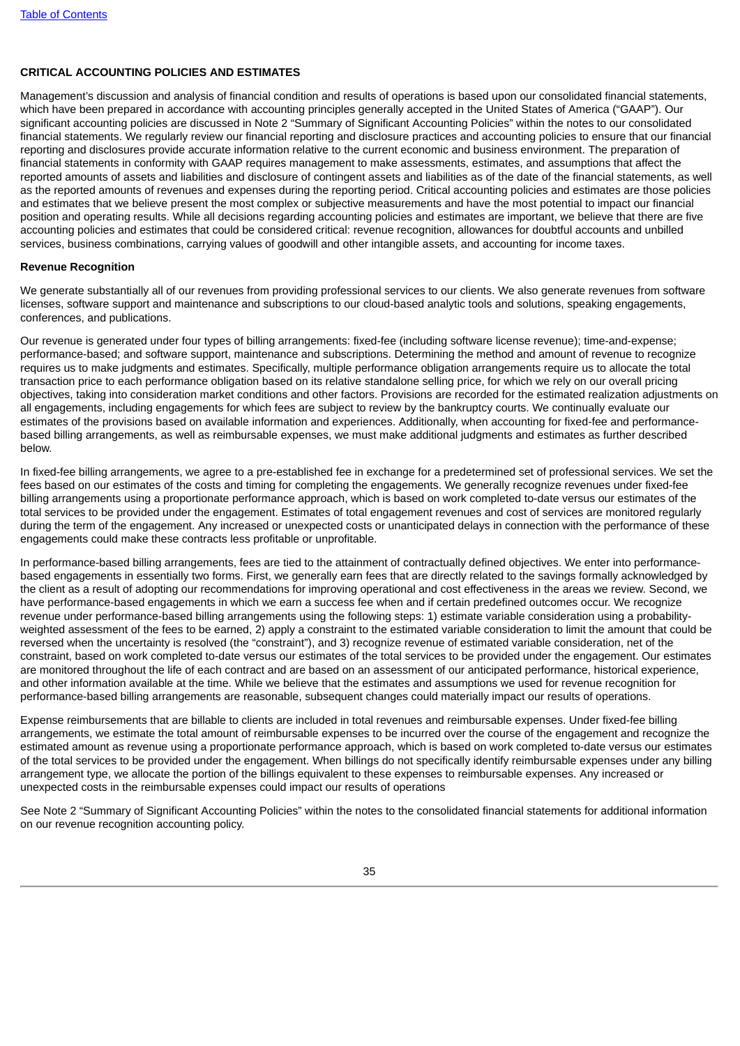# **CRITICAL ACCOUNTING POLICIES AND ESTIMATES**

Management's discussion and analysis of financial condition and results of operations is based upon our consolidated financial statements, which have been prepared in accordance with accounting principles generally accepted in the United States of America ("GAAP"). Our significant accounting policies are discussed in Note 2 "Summary of Significant Accounting Policies" within the notes to our consolidated financial statements. We regularly review our financial reporting and disclosure practices and accounting policies to ensure that our financial reporting and disclosures provide accurate information relative to the current economic and business environment. The preparation of financial statements in conformity with GAAP requires management to make assessments, estimates, and assumptions that affect the reported amounts of assets and liabilities and disclosure of contingent assets and liabilities as of the date of the financial statements, as well as the reported amounts of revenues and expenses during the reporting period. Critical accounting policies and estimates are those policies and estimates that we believe present the most complex or subjective measurements and have the most potential to impact our financial position and operating results. While all decisions regarding accounting policies and estimates are important, we believe that there are five accounting policies and estimates that could be considered critical: revenue recognition, allowances for doubtful accounts and unbilled services, business combinations, carrying values of goodwill and other intangible assets, and accounting for income taxes.

## **Revenue Recognition**

We generate substantially all of our revenues from providing professional services to our clients. We also generate revenues from software licenses, software support and maintenance and subscriptions to our cloud-based analytic tools and solutions, speaking engagements, conferences, and publications.

Our revenue is generated under four types of billing arrangements: fixed-fee (including software license revenue); time-and-expense; performance-based; and software support, maintenance and subscriptions. Determining the method and amount of revenue to recognize requires us to make judgments and estimates. Specifically, multiple performance obligation arrangements require us to allocate the total transaction price to each performance obligation based on its relative standalone selling price, for which we rely on our overall pricing objectives, taking into consideration market conditions and other factors. Provisions are recorded for the estimated realization adjustments on all engagements, including engagements for which fees are subject to review by the bankruptcy courts. We continually evaluate our estimates of the provisions based on available information and experiences. Additionally, when accounting for fixed-fee and performancebased billing arrangements, as well as reimbursable expenses, we must make additional judgments and estimates as further described below.

In fixed-fee billing arrangements, we agree to a pre-established fee in exchange for a predetermined set of professional services. We set the fees based on our estimates of the costs and timing for completing the engagements. We generally recognize revenues under fixed-fee billing arrangements using a proportionate performance approach, which is based on work completed to-date versus our estimates of the total services to be provided under the engagement. Estimates of total engagement revenues and cost of services are monitored regularly during the term of the engagement. Any increased or unexpected costs or unanticipated delays in connection with the performance of these engagements could make these contracts less profitable or unprofitable.

In performance-based billing arrangements, fees are tied to the attainment of contractually defined objectives. We enter into performancebased engagements in essentially two forms. First, we generally earn fees that are directly related to the savings formally acknowledged by the client as a result of adopting our recommendations for improving operational and cost effectiveness in the areas we review. Second, we have performance-based engagements in which we earn a success fee when and if certain predefined outcomes occur. We recognize revenue under performance-based billing arrangements using the following steps: 1) estimate variable consideration using a probabilityweighted assessment of the fees to be earned, 2) apply a constraint to the estimated variable consideration to limit the amount that could be reversed when the uncertainty is resolved (the "constraint"), and 3) recognize revenue of estimated variable consideration, net of the constraint, based on work completed to-date versus our estimates of the total services to be provided under the engagement. Our estimates are monitored throughout the life of each contract and are based on an assessment of our anticipated performance, historical experience, and other information available at the time. While we believe that the estimates and assumptions we used for revenue recognition for performance-based billing arrangements are reasonable, subsequent changes could materially impact our results of operations.

Expense reimbursements that are billable to clients are included in total revenues and reimbursable expenses. Under fixed-fee billing arrangements, we estimate the total amount of reimbursable expenses to be incurred over the course of the engagement and recognize the estimated amount as revenue using a proportionate performance approach, which is based on work completed to-date versus our estimates of the total services to be provided under the engagement. When billings do not specifically identify reimbursable expenses under any billing arrangement type, we allocate the portion of the billings equivalent to these expenses to reimbursable expenses. Any increased or unexpected costs in the reimbursable expenses could impact our results of operations

See Note 2 "Summary of Significant Accounting Policies" within the notes to the consolidated financial statements for additional information on our revenue recognition accounting policy.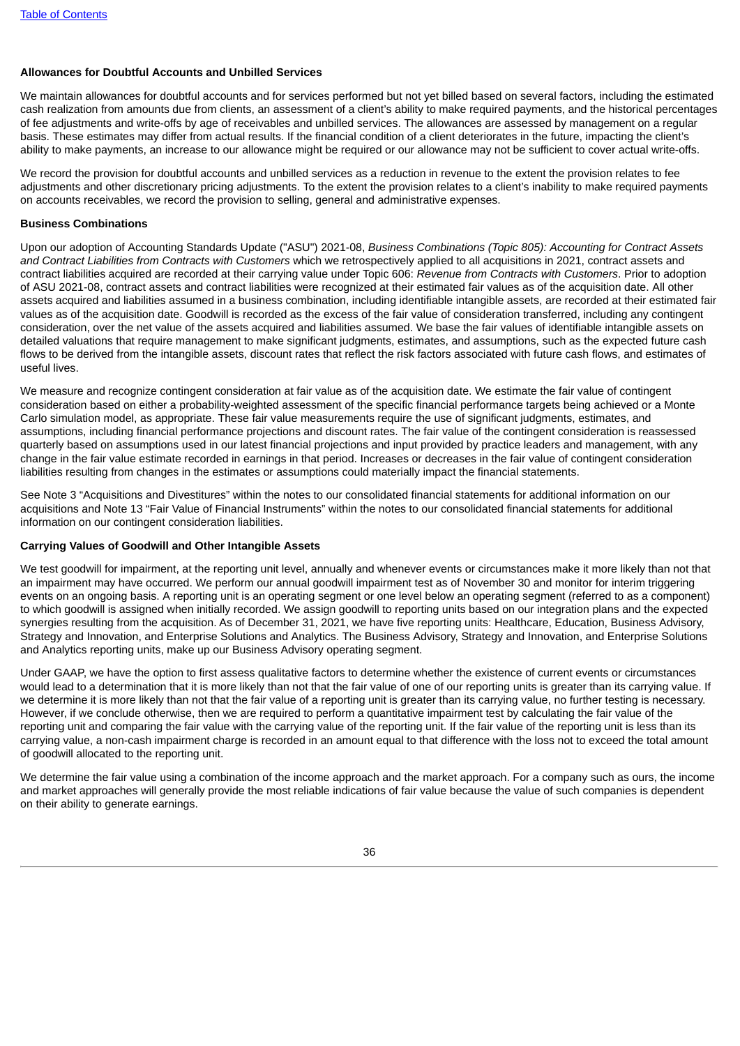# **Allowances for Doubtful Accounts and Unbilled Services**

We maintain allowances for doubtful accounts and for services performed but not yet billed based on several factors, including the estimated cash realization from amounts due from clients, an assessment of a client's ability to make required payments, and the historical percentages of fee adjustments and write-offs by age of receivables and unbilled services. The allowances are assessed by management on a regular basis. These estimates may differ from actual results. If the financial condition of a client deteriorates in the future, impacting the client's ability to make payments, an increase to our allowance might be required or our allowance may not be sufficient to cover actual write-offs.

We record the provision for doubtful accounts and unbilled services as a reduction in revenue to the extent the provision relates to fee adjustments and other discretionary pricing adjustments. To the extent the provision relates to a client's inability to make required payments on accounts receivables, we record the provision to selling, general and administrative expenses.

# **Business Combinations**

Upon our adoption of Accounting Standards Update ("ASU") 2021-08, *Business Combinations (Topic 805): Accounting for Contract Assets and Contract Liabilities from Contracts with Customers* which we retrospectively applied to all acquisitions in 2021, contract assets and contract liabilities acquired are recorded at their carrying value under Topic 606: *Revenue from Contracts with Customers*. Prior to adoption of ASU 2021-08, contract assets and contract liabilities were recognized at their estimated fair values as of the acquisition date. All other assets acquired and liabilities assumed in a business combination, including identifiable intangible assets, are recorded at their estimated fair values as of the acquisition date. Goodwill is recorded as the excess of the fair value of consideration transferred, including any contingent consideration, over the net value of the assets acquired and liabilities assumed. We base the fair values of identifiable intangible assets on detailed valuations that require management to make significant judgments, estimates, and assumptions, such as the expected future cash flows to be derived from the intangible assets, discount rates that reflect the risk factors associated with future cash flows, and estimates of useful lives.

We measure and recognize contingent consideration at fair value as of the acquisition date. We estimate the fair value of contingent consideration based on either a probability-weighted assessment of the specific financial performance targets being achieved or a Monte Carlo simulation model, as appropriate. These fair value measurements require the use of significant judgments, estimates, and assumptions, including financial performance projections and discount rates. The fair value of the contingent consideration is reassessed quarterly based on assumptions used in our latest financial projections and input provided by practice leaders and management, with any change in the fair value estimate recorded in earnings in that period. Increases or decreases in the fair value of contingent consideration liabilities resulting from changes in the estimates or assumptions could materially impact the financial statements.

See Note 3 "Acquisitions and Divestitures" within the notes to our consolidated financial statements for additional information on our acquisitions and Note 13 "Fair Value of Financial Instruments" within the notes to our consolidated financial statements for additional information on our contingent consideration liabilities.

#### **Carrying Values of Goodwill and Other Intangible Assets**

We test goodwill for impairment, at the reporting unit level, annually and whenever events or circumstances make it more likely than not that an impairment may have occurred. We perform our annual goodwill impairment test as of November 30 and monitor for interim triggering events on an ongoing basis. A reporting unit is an operating segment or one level below an operating segment (referred to as a component) to which goodwill is assigned when initially recorded. We assign goodwill to reporting units based on our integration plans and the expected synergies resulting from the acquisition. As of December 31, 2021, we have five reporting units: Healthcare, Education, Business Advisory, Strategy and Innovation, and Enterprise Solutions and Analytics. The Business Advisory, Strategy and Innovation, and Enterprise Solutions and Analytics reporting units, make up our Business Advisory operating segment.

Under GAAP, we have the option to first assess qualitative factors to determine whether the existence of current events or circumstances would lead to a determination that it is more likely than not that the fair value of one of our reporting units is greater than its carrying value. If we determine it is more likely than not that the fair value of a reporting unit is greater than its carrying value, no further testing is necessary. However, if we conclude otherwise, then we are required to perform a quantitative impairment test by calculating the fair value of the reporting unit and comparing the fair value with the carrying value of the reporting unit. If the fair value of the reporting unit is less than its carrying value, a non-cash impairment charge is recorded in an amount equal to that difference with the loss not to exceed the total amount of goodwill allocated to the reporting unit.

We determine the fair value using a combination of the income approach and the market approach. For a company such as ours, the income and market approaches will generally provide the most reliable indications of fair value because the value of such companies is dependent on their ability to generate earnings.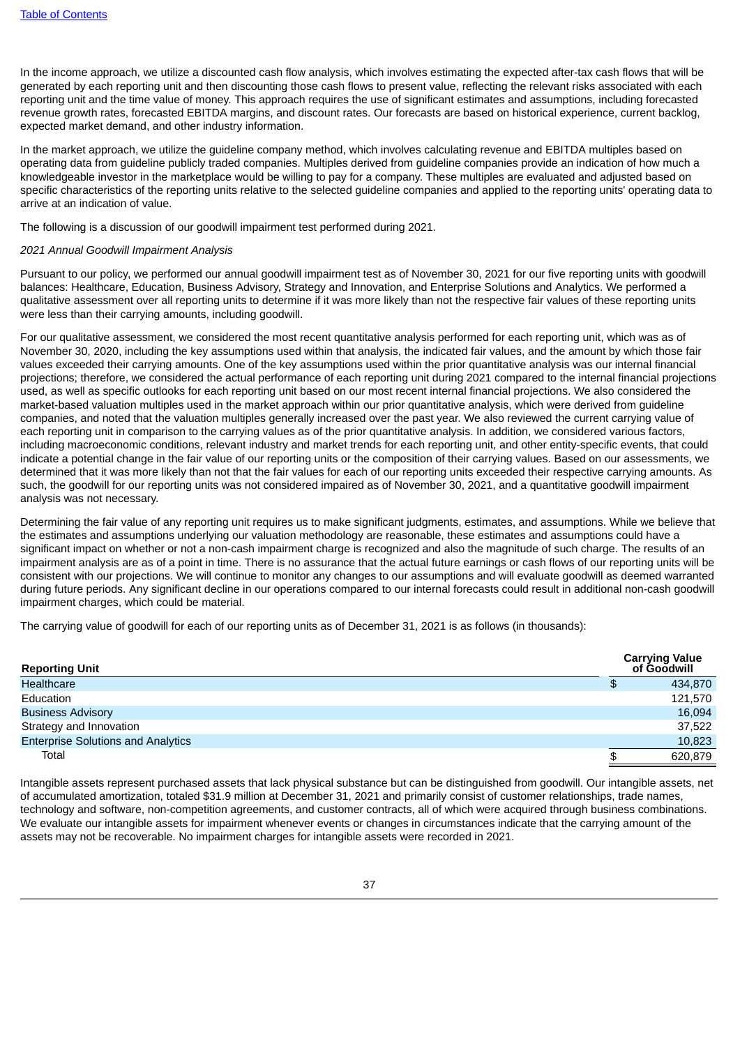In the income approach, we utilize a discounted cash flow analysis, which involves estimating the expected after-tax cash flows that will be generated by each reporting unit and then discounting those cash flows to present value, reflecting the relevant risks associated with each reporting unit and the time value of money. This approach requires the use of significant estimates and assumptions, including forecasted revenue growth rates, forecasted EBITDA margins, and discount rates. Our forecasts are based on historical experience, current backlog, expected market demand, and other industry information.

In the market approach, we utilize the guideline company method, which involves calculating revenue and EBITDA multiples based on operating data from guideline publicly traded companies. Multiples derived from guideline companies provide an indication of how much a knowledgeable investor in the marketplace would be willing to pay for a company. These multiples are evaluated and adjusted based on specific characteristics of the reporting units relative to the selected guideline companies and applied to the reporting units' operating data to arrive at an indication of value.

The following is a discussion of our goodwill impairment test performed during 2021.

#### *2021 Annual Goodwill Impairment Analysis*

Pursuant to our policy, we performed our annual goodwill impairment test as of November 30, 2021 for our five reporting units with goodwill balances: Healthcare, Education, Business Advisory, Strategy and Innovation, and Enterprise Solutions and Analytics. We performed a qualitative assessment over all reporting units to determine if it was more likely than not the respective fair values of these reporting units were less than their carrying amounts, including goodwill.

For our qualitative assessment, we considered the most recent quantitative analysis performed for each reporting unit, which was as of November 30, 2020, including the key assumptions used within that analysis, the indicated fair values, and the amount by which those fair values exceeded their carrying amounts. One of the key assumptions used within the prior quantitative analysis was our internal financial projections; therefore, we considered the actual performance of each reporting unit during 2021 compared to the internal financial projections used, as well as specific outlooks for each reporting unit based on our most recent internal financial projections. We also considered the market-based valuation multiples used in the market approach within our prior quantitative analysis, which were derived from guideline companies, and noted that the valuation multiples generally increased over the past year. We also reviewed the current carrying value of each reporting unit in comparison to the carrying values as of the prior quantitative analysis. In addition, we considered various factors, including macroeconomic conditions, relevant industry and market trends for each reporting unit, and other entity-specific events, that could indicate a potential change in the fair value of our reporting units or the composition of their carrying values. Based on our assessments, we determined that it was more likely than not that the fair values for each of our reporting units exceeded their respective carrying amounts. As such, the goodwill for our reporting units was not considered impaired as of November 30, 2021, and a quantitative goodwill impairment analysis was not necessary.

Determining the fair value of any reporting unit requires us to make significant judgments, estimates, and assumptions. While we believe that the estimates and assumptions underlying our valuation methodology are reasonable, these estimates and assumptions could have a significant impact on whether or not a non-cash impairment charge is recognized and also the magnitude of such charge. The results of an impairment analysis are as of a point in time. There is no assurance that the actual future earnings or cash flows of our reporting units will be consistent with our projections. We will continue to monitor any changes to our assumptions and will evaluate goodwill as deemed warranted during future periods. Any significant decline in our operations compared to our internal forecasts could result in additional non-cash goodwill impairment charges, which could be material.

The carrying value of goodwill for each of our reporting units as of December 31, 2021 is as follows (in thousands):

| <b>Reporting Unit</b>                     |   | <b>Carrying Value</b><br>of Goodwill |
|-------------------------------------------|---|--------------------------------------|
| Healthcare                                | Ф | 434,870                              |
| Education                                 |   | 121,570                              |
| <b>Business Advisory</b>                  |   | 16,094                               |
| Strategy and Innovation                   |   | 37,522                               |
| <b>Enterprise Solutions and Analytics</b> |   | 10,823                               |
| Total                                     |   | 620,879                              |

Intangible assets represent purchased assets that lack physical substance but can be distinguished from goodwill. Our intangible assets, net of accumulated amortization, totaled \$31.9 million at December 31, 2021 and primarily consist of customer relationships, trade names, technology and software, non-competition agreements, and customer contracts, all of which were acquired through business combinations. We evaluate our intangible assets for impairment whenever events or changes in circumstances indicate that the carrying amount of the assets may not be recoverable. No impairment charges for intangible assets were recorded in 2021.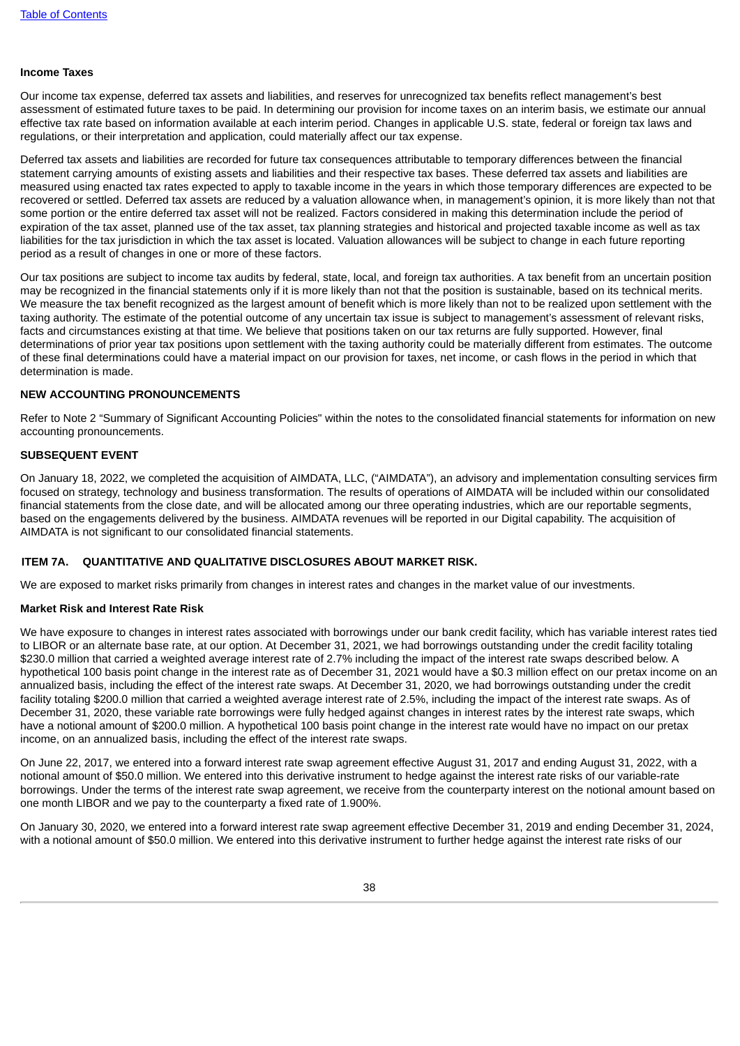#### **Income Taxes**

Our income tax expense, deferred tax assets and liabilities, and reserves for unrecognized tax benefits reflect management's best assessment of estimated future taxes to be paid. In determining our provision for income taxes on an interim basis, we estimate our annual effective tax rate based on information available at each interim period. Changes in applicable U.S. state, federal or foreign tax laws and regulations, or their interpretation and application, could materially affect our tax expense.

Deferred tax assets and liabilities are recorded for future tax consequences attributable to temporary differences between the financial statement carrying amounts of existing assets and liabilities and their respective tax bases. These deferred tax assets and liabilities are measured using enacted tax rates expected to apply to taxable income in the years in which those temporary differences are expected to be recovered or settled. Deferred tax assets are reduced by a valuation allowance when, in management's opinion, it is more likely than not that some portion or the entire deferred tax asset will not be realized. Factors considered in making this determination include the period of expiration of the tax asset, planned use of the tax asset, tax planning strategies and historical and projected taxable income as well as tax liabilities for the tax jurisdiction in which the tax asset is located. Valuation allowances will be subject to change in each future reporting period as a result of changes in one or more of these factors.

Our tax positions are subject to income tax audits by federal, state, local, and foreign tax authorities. A tax benefit from an uncertain position may be recognized in the financial statements only if it is more likely than not that the position is sustainable, based on its technical merits. We measure the tax benefit recognized as the largest amount of benefit which is more likely than not to be realized upon settlement with the taxing authority. The estimate of the potential outcome of any uncertain tax issue is subject to management's assessment of relevant risks, facts and circumstances existing at that time. We believe that positions taken on our tax returns are fully supported. However, final determinations of prior year tax positions upon settlement with the taxing authority could be materially different from estimates. The outcome of these final determinations could have a material impact on our provision for taxes, net income, or cash flows in the period in which that determination is made.

#### **NEW ACCOUNTING PRONOUNCEMENTS**

Refer to Note 2 "Summary of Significant Accounting Policies" within the notes to the consolidated financial statements for information on new accounting pronouncements.

#### **SUBSEQUENT EVENT**

On January 18, 2022, we completed the acquisition of AIMDATA, LLC, ("AIMDATA"), an advisory and implementation consulting services firm focused on strategy, technology and business transformation. The results of operations of AIMDATA will be included within our consolidated financial statements from the close date, and will be allocated among our three operating industries, which are our reportable segments, based on the engagements delivered by the business. AIMDATA revenues will be reported in our Digital capability. The acquisition of AIMDATA is not significant to our consolidated financial statements.

#### **ITEM 7A. QUANTITATIVE AND QUALITATIVE DISCLOSURES ABOUT MARKET RISK.**

We are exposed to market risks primarily from changes in interest rates and changes in the market value of our investments.

## **Market Risk and Interest Rate Risk**

We have exposure to changes in interest rates associated with borrowings under our bank credit facility, which has variable interest rates tied to LIBOR or an alternate base rate, at our option. At December 31, 2021, we had borrowings outstanding under the credit facility totaling \$230.0 million that carried a weighted average interest rate of 2.7% including the impact of the interest rate swaps described below. A hypothetical 100 basis point change in the interest rate as of December 31, 2021 would have a \$0.3 million effect on our pretax income on an annualized basis, including the effect of the interest rate swaps. At December 31, 2020, we had borrowings outstanding under the credit facility totaling \$200.0 million that carried a weighted average interest rate of 2.5%, including the impact of the interest rate swaps. As of December 31, 2020, these variable rate borrowings were fully hedged against changes in interest rates by the interest rate swaps, which have a notional amount of \$200.0 million. A hypothetical 100 basis point change in the interest rate would have no impact on our pretax income, on an annualized basis, including the effect of the interest rate swaps.

On June 22, 2017, we entered into a forward interest rate swap agreement effective August 31, 2017 and ending August 31, 2022, with a notional amount of \$50.0 million. We entered into this derivative instrument to hedge against the interest rate risks of our variable-rate borrowings. Under the terms of the interest rate swap agreement, we receive from the counterparty interest on the notional amount based on one month LIBOR and we pay to the counterparty a fixed rate of 1.900%.

On January 30, 2020, we entered into a forward interest rate swap agreement effective December 31, 2019 and ending December 31, 2024, with a notional amount of \$50.0 million. We entered into this derivative instrument to further hedge against the interest rate risks of our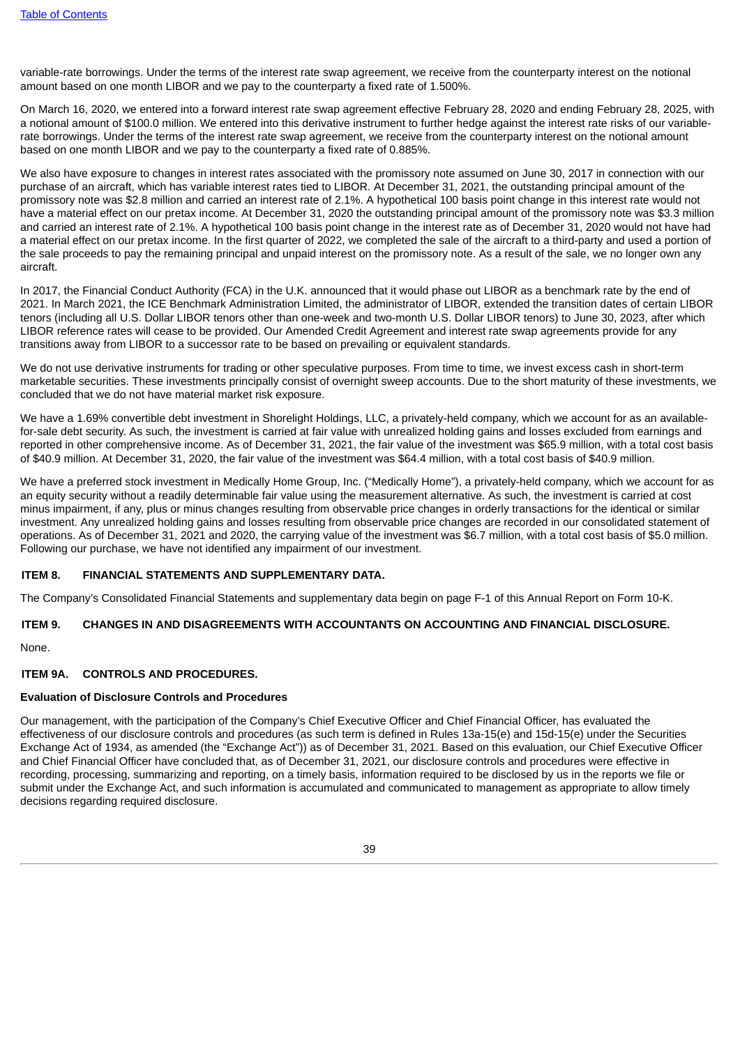variable-rate borrowings. Under the terms of the interest rate swap agreement, we receive from the counterparty interest on the notional amount based on one month LIBOR and we pay to the counterparty a fixed rate of 1.500%.

On March 16, 2020, we entered into a forward interest rate swap agreement effective February 28, 2020 and ending February 28, 2025, with a notional amount of \$100.0 million. We entered into this derivative instrument to further hedge against the interest rate risks of our variablerate borrowings. Under the terms of the interest rate swap agreement, we receive from the counterparty interest on the notional amount based on one month LIBOR and we pay to the counterparty a fixed rate of 0.885%.

We also have exposure to changes in interest rates associated with the promissory note assumed on June 30, 2017 in connection with our purchase of an aircraft, which has variable interest rates tied to LIBOR. At December 31, 2021, the outstanding principal amount of the promissory note was \$2.8 million and carried an interest rate of 2.1%. A hypothetical 100 basis point change in this interest rate would not have a material effect on our pretax income. At December 31, 2020 the outstanding principal amount of the promissory note was \$3.3 million and carried an interest rate of 2.1%. A hypothetical 100 basis point change in the interest rate as of December 31, 2020 would not have had a material effect on our pretax income. In the first quarter of 2022, we completed the sale of the aircraft to a third-party and used a portion of the sale proceeds to pay the remaining principal and unpaid interest on the promissory note. As a result of the sale, we no longer own any aircraft.

In 2017, the Financial Conduct Authority (FCA) in the U.K. announced that it would phase out LIBOR as a benchmark rate by the end of 2021. In March 2021, the ICE Benchmark Administration Limited, the administrator of LIBOR, extended the transition dates of certain LIBOR tenors (including all U.S. Dollar LIBOR tenors other than one-week and two-month U.S. Dollar LIBOR tenors) to June 30, 2023, after which LIBOR reference rates will cease to be provided. Our Amended Credit Agreement and interest rate swap agreements provide for any transitions away from LIBOR to a successor rate to be based on prevailing or equivalent standards.

We do not use derivative instruments for trading or other speculative purposes. From time to time, we invest excess cash in short-term marketable securities. These investments principally consist of overnight sweep accounts. Due to the short maturity of these investments, we concluded that we do not have material market risk exposure.

We have a 1.69% convertible debt investment in Shorelight Holdings, LLC, a privately-held company, which we account for as an availablefor-sale debt security. As such, the investment is carried at fair value with unrealized holding gains and losses excluded from earnings and reported in other comprehensive income. As of December 31, 2021, the fair value of the investment was \$65.9 million, with a total cost basis of \$40.9 million. At December 31, 2020, the fair value of the investment was \$64.4 million, with a total cost basis of \$40.9 million.

We have a preferred stock investment in Medically Home Group, Inc. ("Medically Home"), a privately-held company, which we account for as an equity security without a readily determinable fair value using the measurement alternative. As such, the investment is carried at cost minus impairment, if any, plus or minus changes resulting from observable price changes in orderly transactions for the identical or similar investment. Any unrealized holding gains and losses resulting from observable price changes are recorded in our consolidated statement of operations. As of December 31, 2021 and 2020, the carrying value of the investment was \$6.7 million, with a total cost basis of \$5.0 million. Following our purchase, we have not identified any impairment of our investment.

#### **ITEM 8. FINANCIAL STATEMENTS AND SUPPLEMENTARY DATA.**

The Company's Consolidated Financial Statements and supplementary data begin on page F-1 of this Annual Report on Form 10-K.

#### **ITEM 9. CHANGES IN AND DISAGREEMENTS WITH ACCOUNTANTS ON ACCOUNTING AND FINANCIAL DISCLOSURE.**

None.

# **ITEM 9A. CONTROLS AND PROCEDURES.**

#### **Evaluation of Disclosure Controls and Procedures**

Our management, with the participation of the Company's Chief Executive Officer and Chief Financial Officer, has evaluated the effectiveness of our disclosure controls and procedures (as such term is defined in Rules 13a-15(e) and 15d-15(e) under the Securities Exchange Act of 1934, as amended (the "Exchange Act")) as of December 31, 2021. Based on this evaluation, our Chief Executive Officer and Chief Financial Officer have concluded that, as of December 31, 2021, our disclosure controls and procedures were effective in recording, processing, summarizing and reporting, on a timely basis, information required to be disclosed by us in the reports we file or submit under the Exchange Act, and such information is accumulated and communicated to management as appropriate to allow timely decisions regarding required disclosure.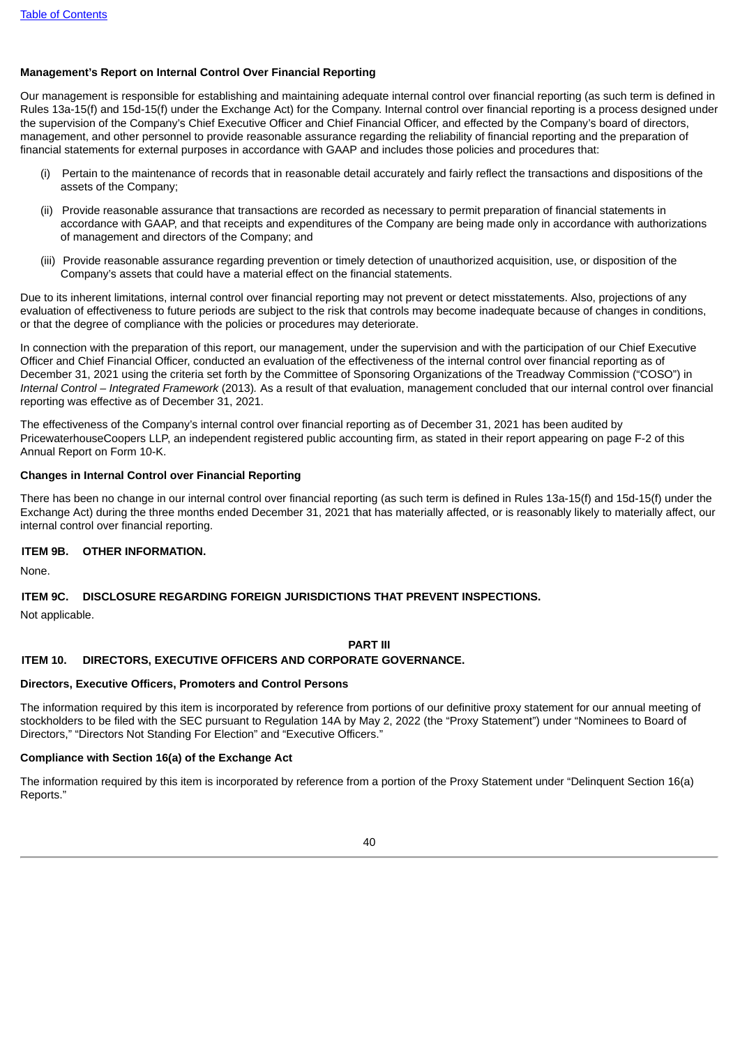# **Management's Report on Internal Control Over Financial Reporting**

Our management is responsible for establishing and maintaining adequate internal control over financial reporting (as such term is defined in Rules 13a-15(f) and 15d-15(f) under the Exchange Act) for the Company. Internal control over financial reporting is a process designed under the supervision of the Company's Chief Executive Officer and Chief Financial Officer, and effected by the Company's board of directors, management, and other personnel to provide reasonable assurance regarding the reliability of financial reporting and the preparation of financial statements for external purposes in accordance with GAAP and includes those policies and procedures that:

- (i) Pertain to the maintenance of records that in reasonable detail accurately and fairly reflect the transactions and dispositions of the assets of the Company;
- (ii) Provide reasonable assurance that transactions are recorded as necessary to permit preparation of financial statements in accordance with GAAP, and that receipts and expenditures of the Company are being made only in accordance with authorizations of management and directors of the Company; and
- (iii) Provide reasonable assurance regarding prevention or timely detection of unauthorized acquisition, use, or disposition of the Company's assets that could have a material effect on the financial statements.

Due to its inherent limitations, internal control over financial reporting may not prevent or detect misstatements. Also, projections of any evaluation of effectiveness to future periods are subject to the risk that controls may become inadequate because of changes in conditions, or that the degree of compliance with the policies or procedures may deteriorate.

In connection with the preparation of this report, our management, under the supervision and with the participation of our Chief Executive Officer and Chief Financial Officer, conducted an evaluation of the effectiveness of the internal control over financial reporting as of December 31, 2021 using the criteria set forth by the Committee of Sponsoring Organizations of the Treadway Commission ("COSO") in *Internal Control – Integrated Framework* (2013)*.* As a result of that evaluation, management concluded that our internal control over financial reporting was effective as of December 31, 2021.

The effectiveness of the Company's internal control over financial reporting as of December 31, 2021 has been audited by PricewaterhouseCoopers LLP, an independent registered public accounting firm, as stated in their report appearing on page F-2 of this Annual Report on Form 10-K.

# **Changes in Internal Control over Financial Reporting**

There has been no change in our internal control over financial reporting (as such term is defined in Rules 13a-15(f) and 15d-15(f) under the Exchange Act) during the three months ended December 31, 2021 that has materially affected, or is reasonably likely to materially affect, our internal control over financial reporting.

#### **ITEM 9B. OTHER INFORMATION.**

None.

# **ITEM 9C. DISCLOSURE REGARDING FOREIGN JURISDICTIONS THAT PREVENT INSPECTIONS.**

Not applicable.

## **PART III**

## **ITEM 10. DIRECTORS, EXECUTIVE OFFICERS AND CORPORATE GOVERNANCE.**

#### **Directors, Executive Officers, Promoters and Control Persons**

The information required by this item is incorporated by reference from portions of our definitive proxy statement for our annual meeting of stockholders to be filed with the SEC pursuant to Regulation 14A by May 2, 2022 (the "Proxy Statement") under "Nominees to Board of Directors," "Directors Not Standing For Election" and "Executive Officers."

## **Compliance with Section 16(a) of the Exchange Act**

The information required by this item is incorporated by reference from a portion of the Proxy Statement under "Delinquent Section 16(a) Reports."

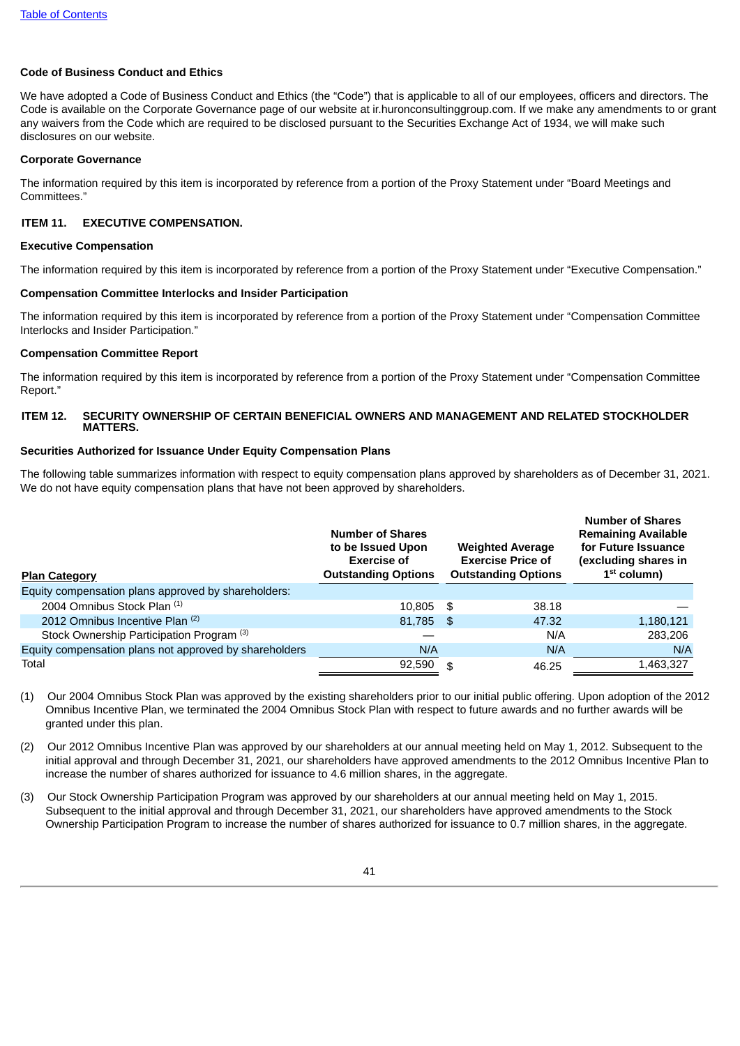## **Code of Business Conduct and Ethics**

We have adopted a Code of Business Conduct and Ethics (the "Code") that is applicable to all of our employees, officers and directors. The Code is available on the Corporate Governance page of our website at ir.huronconsultinggroup.com. If we make any amendments to or grant any waivers from the Code which are required to be disclosed pursuant to the Securities Exchange Act of 1934, we will make such disclosures on our website.

#### **Corporate Governance**

The information required by this item is incorporated by reference from a portion of the Proxy Statement under "Board Meetings and Committees."

#### **ITEM 11. EXECUTIVE COMPENSATION.**

#### **Executive Compensation**

The information required by this item is incorporated by reference from a portion of the Proxy Statement under "Executive Compensation."

## **Compensation Committee Interlocks and Insider Participation**

The information required by this item is incorporated by reference from a portion of the Proxy Statement under "Compensation Committee Interlocks and Insider Participation."

#### **Compensation Committee Report**

The information required by this item is incorporated by reference from a portion of the Proxy Statement under "Compensation Committee Report."

## **ITEM 12. SECURITY OWNERSHIP OF CERTAIN BENEFICIAL OWNERS AND MANAGEMENT AND RELATED STOCKHOLDER MATTERS.**

#### **Securities Authorized for Issuance Under Equity Compensation Plans**

The following table summarizes information with respect to equity compensation plans approved by shareholders as of December 31, 2021. We do not have equity compensation plans that have not been approved by shareholders.

| <b>Plan Category</b>                                   | <b>Number of Shares</b><br>to be Issued Upon<br><b>Exercise of</b><br><b>Outstanding Options</b> | <b>Weighted Average</b><br><b>Exercise Price of</b><br><b>Outstanding Options</b> |       | <b>Number of Shares</b><br><b>Remaining Available</b><br>for Future Issuance<br>(excluding shares in<br>$1st$ column) |
|--------------------------------------------------------|--------------------------------------------------------------------------------------------------|-----------------------------------------------------------------------------------|-------|-----------------------------------------------------------------------------------------------------------------------|
| Equity compensation plans approved by shareholders:    |                                                                                                  |                                                                                   |       |                                                                                                                       |
| 2004 Omnibus Stock Plan (1)                            | 10.805                                                                                           | -\$                                                                               | 38.18 |                                                                                                                       |
| 2012 Omnibus Incentive Plan (2)                        | 81,785                                                                                           | - \$                                                                              | 47.32 | 1,180,121                                                                                                             |
| Stock Ownership Participation Program <sup>(3)</sup>   |                                                                                                  |                                                                                   | N/A   | 283.206                                                                                                               |
| Equity compensation plans not approved by shareholders | N/A                                                                                              |                                                                                   | N/A   | N/A                                                                                                                   |
| Total                                                  | 92.590                                                                                           |                                                                                   | 46.25 | 1,463,327                                                                                                             |

(1) Our 2004 Omnibus Stock Plan was approved by the existing shareholders prior to our initial public offering. Upon adoption of the 2012 Omnibus Incentive Plan, we terminated the 2004 Omnibus Stock Plan with respect to future awards and no further awards will be granted under this plan.

- (2) Our 2012 Omnibus Incentive Plan was approved by our shareholders at our annual meeting held on May 1, 2012. Subsequent to the initial approval and through December 31, 2021, our shareholders have approved amendments to the 2012 Omnibus Incentive Plan to increase the number of shares authorized for issuance to 4.6 million shares, in the aggregate.
- (3) Our Stock Ownership Participation Program was approved by our shareholders at our annual meeting held on May 1, 2015. Subsequent to the initial approval and through December 31, 2021, our shareholders have approved amendments to the Stock Ownership Participation Program to increase the number of shares authorized for issuance to 0.7 million shares, in the aggregate.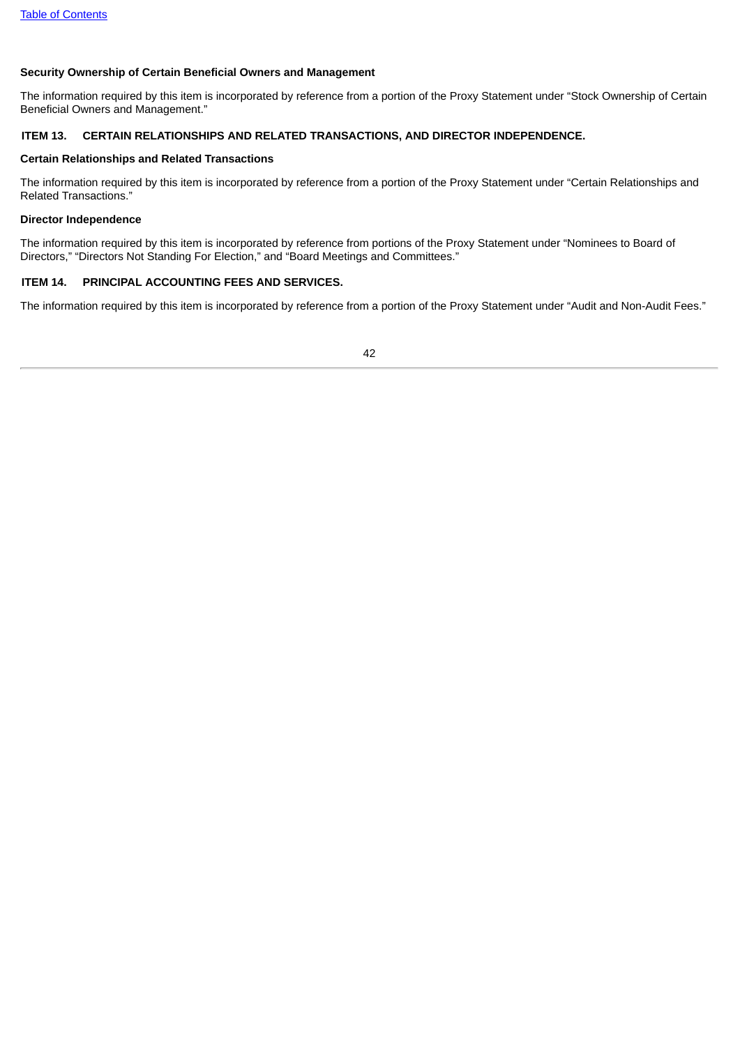#### **Security Ownership of Certain Beneficial Owners and Management**

The information required by this item is incorporated by reference from a portion of the Proxy Statement under "Stock Ownership of Certain Beneficial Owners and Management."

# **ITEM 13. CERTAIN RELATIONSHIPS AND RELATED TRANSACTIONS, AND DIRECTOR INDEPENDENCE.**

## **Certain Relationships and Related Transactions**

The information required by this item is incorporated by reference from a portion of the Proxy Statement under "Certain Relationships and Related Transactions."

#### **Director Independence**

The information required by this item is incorporated by reference from portions of the Proxy Statement under "Nominees to Board of Directors," "Directors Not Standing For Election," and "Board Meetings and Committees."

## **ITEM 14. PRINCIPAL ACCOUNTING FEES AND SERVICES.**

The information required by this item is incorporated by reference from a portion of the Proxy Statement under "Audit and Non-Audit Fees."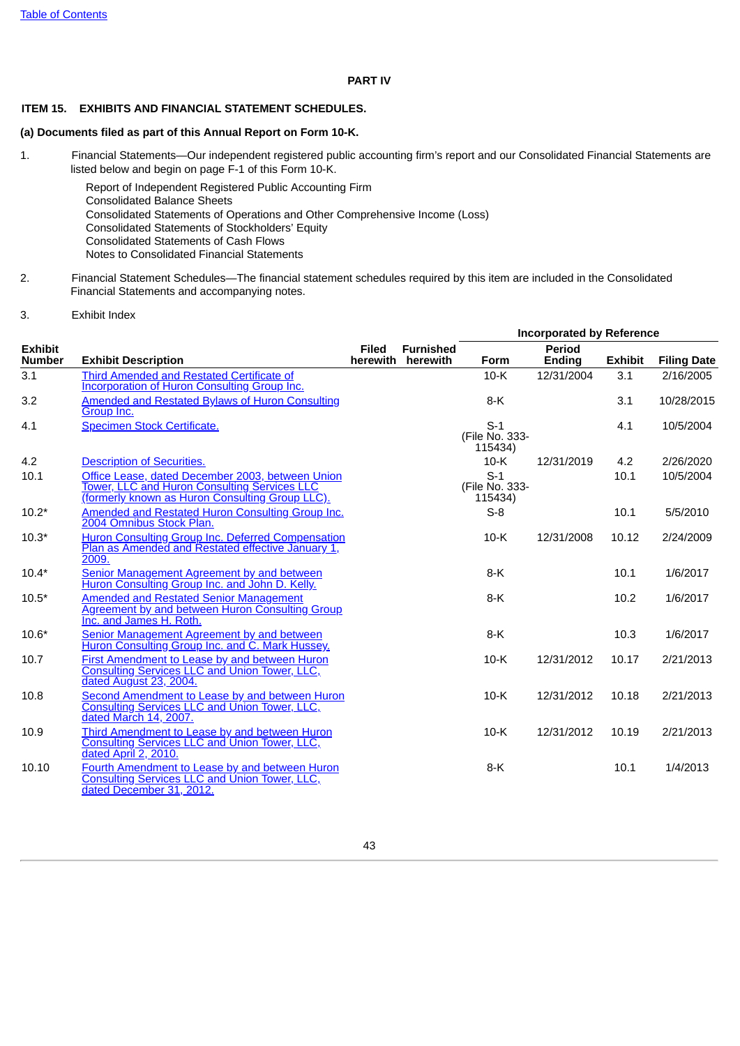## **PART IV**

## **ITEM 15. EXHIBITS AND FINANCIAL STATEMENT SCHEDULES.**

# **(a) Documents filed as part of this Annual Report on Form 10-K.**

1. Financial Statements—Our independent registered public accounting firm's report and our Consolidated Financial Statements are listed below and begin on page F-1 of this Form 10-K.

Report of Independent Registered Public Accounting Firm Consolidated Balance Sheets Consolidated Statements of Operations and Other Comprehensive Income (Loss) Consolidated Statements of Stockholders' Equity Consolidated Statements of Cash Flows Notes to Consolidated Financial Statements

2. Financial Statement Schedules—The financial statement schedules required by this item are included in the Consolidated Financial Statements and accompanying notes.

# 3. Exhibit Index

|                                 |                                                                                                                                                            |       |                                       | <b>Incorporated by Reference</b>   |                         |                |                    |
|---------------------------------|------------------------------------------------------------------------------------------------------------------------------------------------------------|-------|---------------------------------------|------------------------------------|-------------------------|----------------|--------------------|
| <b>Exhibit</b><br><b>Number</b> | <b>Exhibit Description</b>                                                                                                                                 | Filed | <b>Furnished</b><br>herewith herewith | Form                               | <b>Period</b><br>Endina | <b>Exhibit</b> | <b>Filing Date</b> |
| 3.1                             | Third Amended and Restated Certificate of<br><b>Incorporation of Huron Consulting Group Inc.</b>                                                           |       |                                       | $10-K$                             | 12/31/2004              | 3.1            | 2/16/2005          |
| 3.2                             | <b>Amended and Restated Bylaws of Huron Consulting</b><br><b>Group Inc.</b>                                                                                |       |                                       | $8-K$                              |                         | 3.1            | 10/28/2015         |
| 4.1                             | Specimen Stock Certificate.                                                                                                                                |       |                                       | $S-1$<br>(File No. 333-<br>115434) |                         | 4.1            | 10/5/2004          |
| 4.2                             | <b>Description of Securities.</b>                                                                                                                          |       |                                       | $10-K$                             | 12/31/2019              | 4.2            | 2/26/2020          |
| 10.1                            | Office Lease, dated December 2003, between Union<br><b>Tower, LLC and Huron Consulting Services LLC</b><br>(formerly known as Huron Consulting Group LLC). |       |                                       | $S-1$<br>(File No. 333-<br>115434) |                         | 10.1           | 10/5/2004          |
| $10.2*$                         | Amended and Restated Huron Consulting Group Inc.<br>2004 Omnibus Stock Plan.                                                                               |       |                                       | $S-8$                              |                         | 10.1           | 5/5/2010           |
| $10.3*$                         | Huron Consulting Group Inc. Deferred Compensation<br>Plan as Amended and Restated effective January 1,<br>2009.                                            |       |                                       | $10-K$                             | 12/31/2008              | 10.12          | 2/24/2009          |
| $10.4*$                         | Senior Management Agreement by and between<br>Huron Consulting Group Inc. and John D. Kelly.                                                               |       |                                       | $8-K$                              |                         | 10.1           | 1/6/2017           |
| $10.5*$                         | <b>Amended and Restated Senior Management</b><br><b>Agreement by and between Huron Consulting Group</b><br>Inc. and James H. Roth.                         |       |                                       | $8-K$                              |                         | 10.2           | 1/6/2017           |
| $10.6*$                         | Senior Management Agreement by and between<br>Huron Consulting Group Inc. and C. Mark Hussey.                                                              |       |                                       | $8-K$                              |                         | 10.3           | 1/6/2017           |
| 10.7                            | First Amendment to Lease by and between Huron<br>Consulting Services LLC and Union Tower, LLC,<br>dated August 23, 2004.                                   |       |                                       | $10-K$                             | 12/31/2012              | 10.17          | 2/21/2013          |
| 10.8                            | Second Amendment to Lease by and between Huron<br>Consulting Services LLC and Union Tower, LLC,<br>dated March 14, 2007.                                   |       |                                       | $10-K$                             | 12/31/2012              | 10.18          | 2/21/2013          |
| 10.9                            | Third Amendment to Lease by and between Huron<br>Consulting Services LLC and Union Tower, LLC,<br>dated April 2, 2010.                                     |       |                                       | $10-K$                             | 12/31/2012              | 10.19          | 2/21/2013          |
| 10.10                           | Fourth Amendment to Lease by and between Huron<br><b>Consulting Services LLC and Union Tower, LLC,</b><br>dated December 31, 2012.                         |       |                                       | $8-K$                              |                         | 10.1           | 1/4/2013           |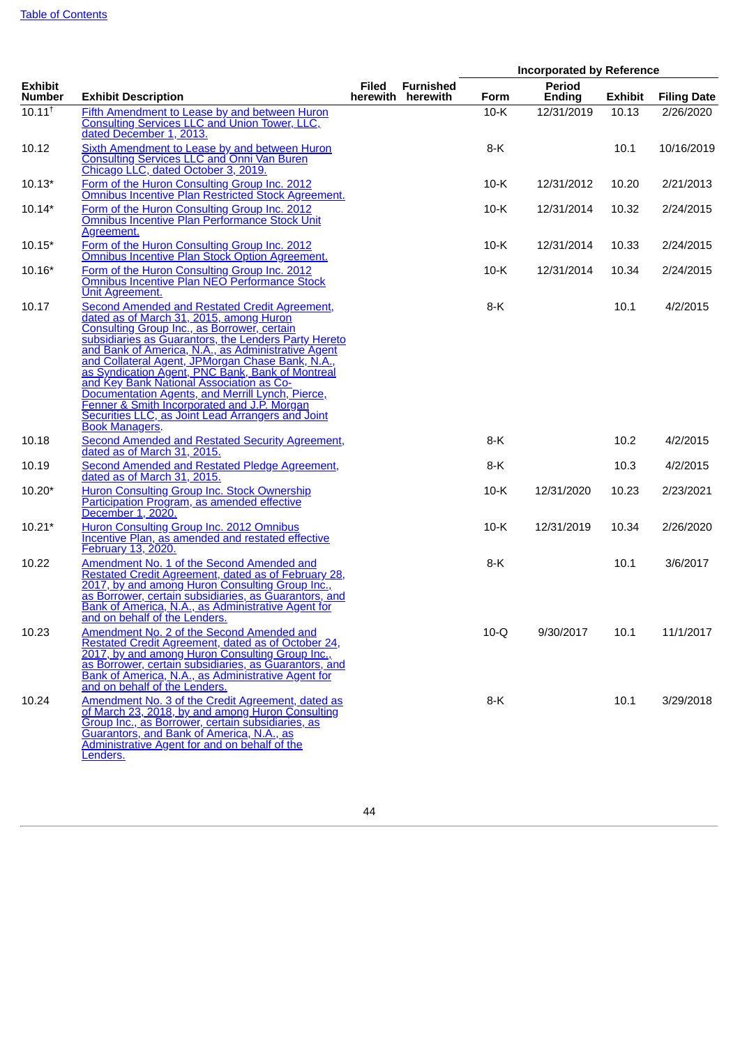|                                 |                                                                                                                                                                                                                                                                                                                                                                                                                                                                                                                                                                                                   |       |                                       |        | <b>Incorporated by Reference</b> |                |                    |
|---------------------------------|---------------------------------------------------------------------------------------------------------------------------------------------------------------------------------------------------------------------------------------------------------------------------------------------------------------------------------------------------------------------------------------------------------------------------------------------------------------------------------------------------------------------------------------------------------------------------------------------------|-------|---------------------------------------|--------|----------------------------------|----------------|--------------------|
| <b>Exhibit</b><br><b>Number</b> | <b>Exhibit Description</b>                                                                                                                                                                                                                                                                                                                                                                                                                                                                                                                                                                        | Filed | <b>Furnished</b><br>herewith herewith | Form   | <b>Period</b><br><b>Ending</b>   | <b>Exhibit</b> | <b>Filing Date</b> |
| $10.11^+$                       | Fifth Amendment to Lease by and between Huron<br><b>Consulting Services LLC and Union Tower, LLC,</b><br>dated December 1, 2013.                                                                                                                                                                                                                                                                                                                                                                                                                                                                  |       |                                       | $10-K$ | 12/31/2019                       | 10.13          | 2/26/2020          |
| 10.12                           | <b>Sixth Amendment to Lease by and between Huron</b><br><b>Consulting Services LLC and Onni Van Buren</b><br>Chicago LLC, dated October 3, 2019.                                                                                                                                                                                                                                                                                                                                                                                                                                                  |       |                                       | $8-K$  |                                  | 10.1           | 10/16/2019         |
| $10.13*$                        | Form of the Huron Consulting Group Inc. 2012<br><b>Omnibus Incentive Plan Restricted Stock Agreement.</b>                                                                                                                                                                                                                                                                                                                                                                                                                                                                                         |       |                                       | $10-K$ | 12/31/2012                       | 10.20          | 2/21/2013          |
| $10.14*$                        | Form of the Huron Consulting Group Inc. 2012<br>Omnibus Incentive Plan Performance Stock Unit<br>Agreement.                                                                                                                                                                                                                                                                                                                                                                                                                                                                                       |       |                                       | $10-K$ | 12/31/2014                       | 10.32          | 2/24/2015          |
| $10.15*$                        | Form of the Huron Consulting Group Inc. 2012<br>Omnibus Incentive Plan Stock Option Agreement.                                                                                                                                                                                                                                                                                                                                                                                                                                                                                                    |       |                                       | $10-K$ | 12/31/2014                       | 10.33          | 2/24/2015          |
| $10.16*$                        | Form of the Huron Consulting Group Inc. 2012<br>Omnibus Incentive Plan NEO Performance Stock<br><b>Unit Agreement.</b>                                                                                                                                                                                                                                                                                                                                                                                                                                                                            |       |                                       | $10-K$ | 12/31/2014                       | 10.34          | 2/24/2015          |
| 10.17                           | <b>Second Amended and Restated Credit Agreement,</b><br>dated as of March 31, 2015, among Huron<br>Consulting Group Inc., as Borrower, certain<br>subsidiaries as Guarantors, the Lenders Party Hereto<br>and Bank of America, N.A., as Administrative Agent<br>and Collateral Agent, JPMorgan Chase Bank, N.A.,<br>as Syndication Agent, PNC Bank, Bank of Montreal<br>and Key Bank National Association as Co-<br>Documentation Agents, and Merrill Lynch, Pierce,<br>Fenner & Smith Incorporated and J.P. Morgan<br>Securities LLC, as Joint Lead Arrangers and Joint<br><b>Book Managers.</b> |       |                                       | $8-K$  |                                  | 10.1           | 4/2/2015           |
| 10.18                           | Second Amended and Restated Security Agreement,<br>dated as of March 31, 2015.                                                                                                                                                                                                                                                                                                                                                                                                                                                                                                                    |       |                                       | $8-K$  |                                  | 10.2           | 4/2/2015           |
| 10.19                           | Second Amended and Restated Pledge Agreement,<br>dated as of March 31, 2015.                                                                                                                                                                                                                                                                                                                                                                                                                                                                                                                      |       |                                       | $8-K$  |                                  | 10.3           | 4/2/2015           |
| 10.20*                          | <b>Huron Consulting Group Inc. Stock Ownership</b><br><b>Participation Program, as amended effective</b><br>December 1, 2020.                                                                                                                                                                                                                                                                                                                                                                                                                                                                     |       |                                       | $10-K$ | 12/31/2020                       | 10.23          | 2/23/2021          |
| $10.21*$                        | <b>Huron Consulting Group Inc. 2012 Omnibus</b><br>Incentive Plan, as amended and restated effective<br>February 13, 2020.                                                                                                                                                                                                                                                                                                                                                                                                                                                                        |       |                                       | $10-K$ | 12/31/2019                       | 10.34          | 2/26/2020          |
| 10.22                           | Amendment No. 1 of the Second Amended and<br>Restated Credit Agreement, dated as of February 28,<br>2017, by and among Huron Consulting Group Inc.,<br>as Borrower, certain subsidiaries, as Guarantors, and<br>Bank of America, N.A., as Administrative Agent for<br>and on behalf of the Lenders.                                                                                                                                                                                                                                                                                               |       |                                       | $8-K$  |                                  | 10.1           | 3/6/2017           |
| 10.23                           | Amendment No. 2 of the Second Amended and<br>Restated Credit Agreement, dated as of October 24,<br>2017, by and among Huron Consulting Group Inc.,<br>as Borrower, certain subsidiaries, as Guarantors, and<br><b>Bank of America, N.A., as Administrative Agent for</b><br>and on behalf of the Lenders.                                                                                                                                                                                                                                                                                         |       |                                       | $10-Q$ | 9/30/2017                        | 10.1           | 11/1/2017          |
| 10.24                           | Amendment No. 3 of the Credit Agreement, dated as<br>of March 23, 2018, by and among Huron Consulting<br>Group Inc., as Borrower, certain subsidiaries, as<br>Guarantors, and Bank of America, N.A., as<br>Administrative Agent for and on behalf of the<br>Lenders.                                                                                                                                                                                                                                                                                                                              |       |                                       | $8-K$  |                                  | 10.1           | 3/29/2018          |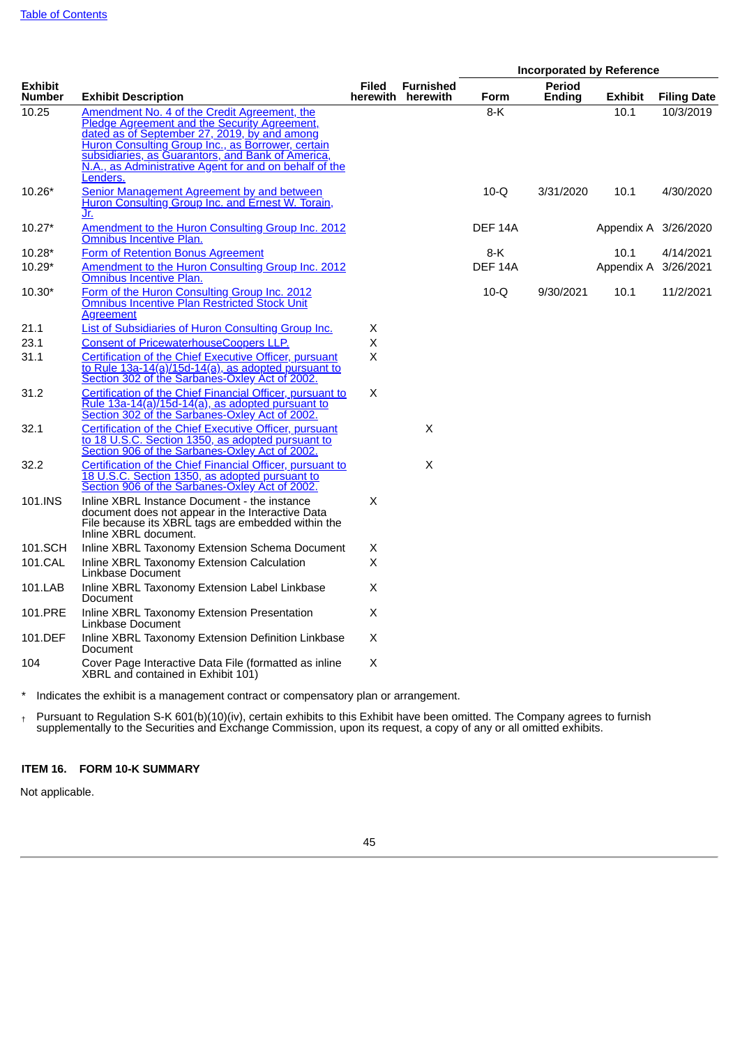|                                 |                                                                                                                                                                                                                                                                                                                              |       |                                       |                     | <b>Incorporated by Reference</b> |                      |                    |
|---------------------------------|------------------------------------------------------------------------------------------------------------------------------------------------------------------------------------------------------------------------------------------------------------------------------------------------------------------------------|-------|---------------------------------------|---------------------|----------------------------------|----------------------|--------------------|
| <b>Exhibit</b><br><b>Number</b> | <b>Exhibit Description</b>                                                                                                                                                                                                                                                                                                   | Filed | <b>Furnished</b><br>herewith herewith | Form                | <b>Period</b><br>Ending          | <b>Exhibit</b>       | <b>Filing Date</b> |
| 10.25                           | Amendment No. 4 of the Credit Agreement, the<br>Pledge Agreement and the Security Agreement,<br>dated as of September 27, 2019, by and among<br>Huron Consulting Group Inc., as Borrower, certain<br>subsidiaries, as Guarantors, and Bank of America,<br>N.A., as Administrative Agent for and on behalf of the<br>Lenders. |       |                                       | $8-K$               |                                  | 10.1                 | 10/3/2019          |
| $10.26*$                        | <b>Senior Management Agreement by and between</b><br>Huron Consulting Group Inc. and Ernest W. Torain,<br>Jr.                                                                                                                                                                                                                |       |                                       | 10-O                | 3/31/2020                        | 10.1                 | 4/30/2020          |
| $10.27*$                        | Amendment to the Huron Consulting Group Inc. 2012<br><b>Omnibus Incentive Plan.</b>                                                                                                                                                                                                                                          |       |                                       | DEF <sub>14</sub> A |                                  | Appendix A 3/26/2020 |                    |
| 10.28*                          | <b>Form of Retention Bonus Agreement</b>                                                                                                                                                                                                                                                                                     |       |                                       | $8-K$               |                                  | 10.1                 | 4/14/2021          |
| $10.29*$                        | Amendment to the Huron Consulting Group Inc. 2012<br><b>Omnibus Incentive Plan.</b>                                                                                                                                                                                                                                          |       |                                       | DEF 14A             |                                  | Appendix A 3/26/2021 |                    |
| $10.30*$                        | Form of the Huron Consulting Group Inc. 2012<br>Omnibus Incentive Plan Restricted Stock Unit<br>Agreement                                                                                                                                                                                                                    |       |                                       | $10-Q$              | 9/30/2021                        | 10.1                 | 11/2/2021          |
| 21.1                            | <b>List of Subsidiaries of Huron Consulting Group Inc.</b>                                                                                                                                                                                                                                                                   | Χ     |                                       |                     |                                  |                      |                    |
| 23.1                            | <b>Consent of PricewaterhouseCoopers LLP.</b>                                                                                                                                                                                                                                                                                | X     |                                       |                     |                                  |                      |                    |
| 31.1                            | Certification of the Chief Executive Officer, pursuant<br>to Rule $13a-14(a)/15d-14(a)$ , as adopted pursuant to<br>Section 302 of the Sarbanes-Oxley Act of 2002.                                                                                                                                                           | X     |                                       |                     |                                  |                      |                    |
| 31.2                            | Certification of the Chief Financial Officer, pursuant to<br>Rule 13a-14(a)/15d-14(a), as adopted pursuant to<br>Section 302 of the Sarbanes-Oxley Act of 2002.                                                                                                                                                              | X     |                                       |                     |                                  |                      |                    |
| 32.1                            | <b>Certification of the Chief Executive Officer, pursuant</b><br>to 18 U.S.C. Section 1350, as adopted pursuant to<br>Section 906 of the Sarbanes-Oxley Act of 2002.                                                                                                                                                         |       | Χ                                     |                     |                                  |                      |                    |
| 32.2                            | Certification of the Chief Financial Officer, pursuant to<br>18 U.S.C. Section 1350, as adopted pursuant to<br>Section 906 of the Sarbanes-Oxley Act of 2002.                                                                                                                                                                |       | X                                     |                     |                                  |                      |                    |
| 101.INS                         | Inline XBRL Instance Document - the instance<br>document does not appear in the Interactive Data<br>File because its XBRL tags are embedded within the<br>Inline XBRL document.                                                                                                                                              | Χ     |                                       |                     |                                  |                      |                    |
| 101.SCH                         | Inline XBRL Taxonomy Extension Schema Document                                                                                                                                                                                                                                                                               | X     |                                       |                     |                                  |                      |                    |
| 101.CAL                         | Inline XBRL Taxonomy Extension Calculation<br>Linkbase Document                                                                                                                                                                                                                                                              | X     |                                       |                     |                                  |                      |                    |
| 101.LAB                         | Inline XBRL Taxonomy Extension Label Linkbase<br>Document                                                                                                                                                                                                                                                                    | X     |                                       |                     |                                  |                      |                    |
| 101.PRE                         | Inline XBRL Taxonomy Extension Presentation<br>Linkbase Document                                                                                                                                                                                                                                                             | X     |                                       |                     |                                  |                      |                    |
| 101.DEF                         | Inline XBRL Taxonomy Extension Definition Linkbase<br>Document                                                                                                                                                                                                                                                               | X     |                                       |                     |                                  |                      |                    |
| 104                             | Cover Page Interactive Data File (formatted as inline<br>XBRL and contained in Exhibit 101)                                                                                                                                                                                                                                  | X     |                                       |                     |                                  |                      |                    |
| $^{\star}$                      | Indicates the exhibit is a management contract or compensatory plan or arrangement.                                                                                                                                                                                                                                          |       |                                       |                     |                                  |                      |                    |

Pursuant to Regulation S-K 601(b)(10)(iv), certain exhibits to this Exhibit have been omitted. The Company agrees to furnish supplementally to the Securities and Exchange Commission, upon its request, a copy of any or all omitted exhibits. †

# **ITEM 16. FORM 10-K SUMMARY**

Not applicable.

45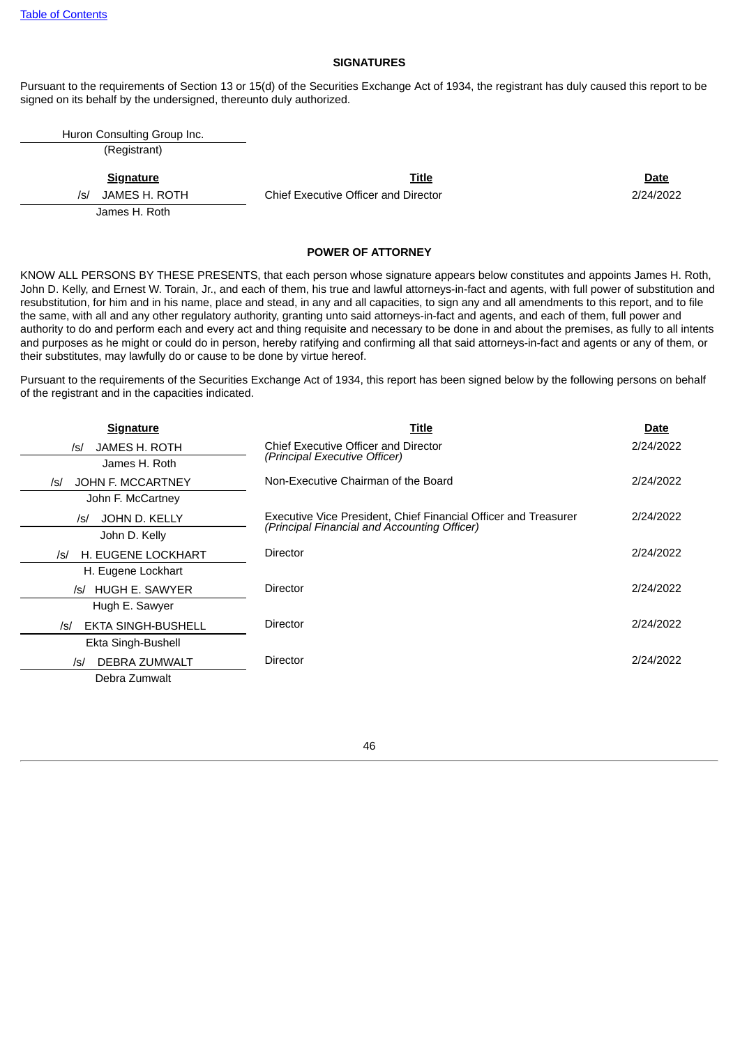#### **SIGNATURES**

Pursuant to the requirements of Section 13 or 15(d) of the Securities Exchange Act of 1934, the registrant has duly caused this report to be signed on its behalf by the undersigned, thereunto duly authorized.

Huron Consulting Group Inc.

(Registrant)

**Signature Title Date**

James H. Roth

/s/ JAMES H. ROTH Chief Executive Officer and Director 2/24/2022

# **POWER OF ATTORNEY**

KNOW ALL PERSONS BY THESE PRESENTS, that each person whose signature appears below constitutes and appoints James H. Roth, John D. Kelly, and Ernest W. Torain, Jr., and each of them, his true and lawful attorneys-in-fact and agents, with full power of substitution and resubstitution, for him and in his name, place and stead, in any and all capacities, to sign any and all amendments to this report, and to file the same, with all and any other regulatory authority, granting unto said attorneys-in-fact and agents, and each of them, full power and authority to do and perform each and every act and thing requisite and necessary to be done in and about the premises, as fully to all intents and purposes as he might or could do in person, hereby ratifying and confirming all that said attorneys-in-fact and agents or any of them, or their substitutes, may lawfully do or cause to be done by virtue hereof.

Pursuant to the requirements of the Securities Exchange Act of 1934, this report has been signed below by the following persons on behalf of the registrant and in the capacities indicated.

| <b>Signature</b>                 | <b>Title</b>                                                    | Date      |
|----------------------------------|-----------------------------------------------------------------|-----------|
| JAMES H. ROTH<br>/s/             | Chief Executive Officer and Director                            | 2/24/2022 |
| James H. Roth                    | (Principal Executive Officer)                                   |           |
| JOHN F. MCCARTNEY<br>/s/         | Non-Executive Chairman of the Board                             | 2/24/2022 |
| John F. McCartney                |                                                                 |           |
| JOHN D. KELLY<br>/s/             | Executive Vice President, Chief Financial Officer and Treasurer | 2/24/2022 |
| John D. Kelly                    | (Principal Financial and Accounting Officer)                    |           |
| H. EUGENE LOCKHART<br>/s/        | <b>Director</b>                                                 | 2/24/2022 |
| H. Eugene Lockhart               |                                                                 |           |
| /s/ HUGH E. SAWYER               | Director                                                        | 2/24/2022 |
| Hugh E. Sawyer                   |                                                                 |           |
| <b>EKTA SINGH-BUSHELL</b><br>/s/ | <b>Director</b>                                                 | 2/24/2022 |
| Ekta Singh-Bushell               |                                                                 |           |
| DEBRA ZUMWALT<br>/s/             | Director                                                        | 2/24/2022 |
| Debra Zumwalt                    |                                                                 |           |

46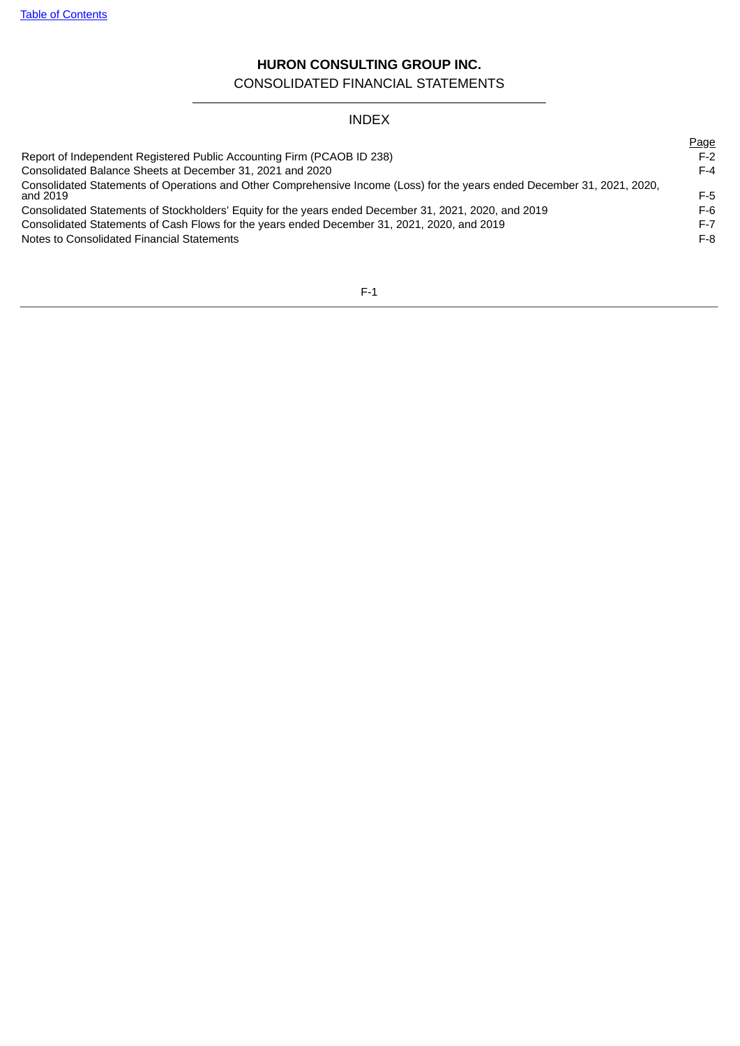# **HURON CONSULTING GROUP INC.**

CONSOLIDATED FINANCIAL STATEMENTS

# INDEX

|                                                                                                                                      | Page  |
|--------------------------------------------------------------------------------------------------------------------------------------|-------|
| Report of Independent Registered Public Accounting Firm (PCAOB ID 238)                                                               | $F-2$ |
| Consolidated Balance Sheets at December 31, 2021 and 2020                                                                            | $F-4$ |
| Consolidated Statements of Operations and Other Comprehensive Income (Loss) for the years ended December 31, 2021, 2020,<br>and 2019 | $F-5$ |
| Consolidated Statements of Stockholders' Equity for the years ended December 31, 2021, 2020, and 2019                                | $F-6$ |
| Consolidated Statements of Cash Flows for the years ended December 31, 2021, 2020, and 2019                                          | F-7   |
| Notes to Consolidated Financial Statements                                                                                           | F-8   |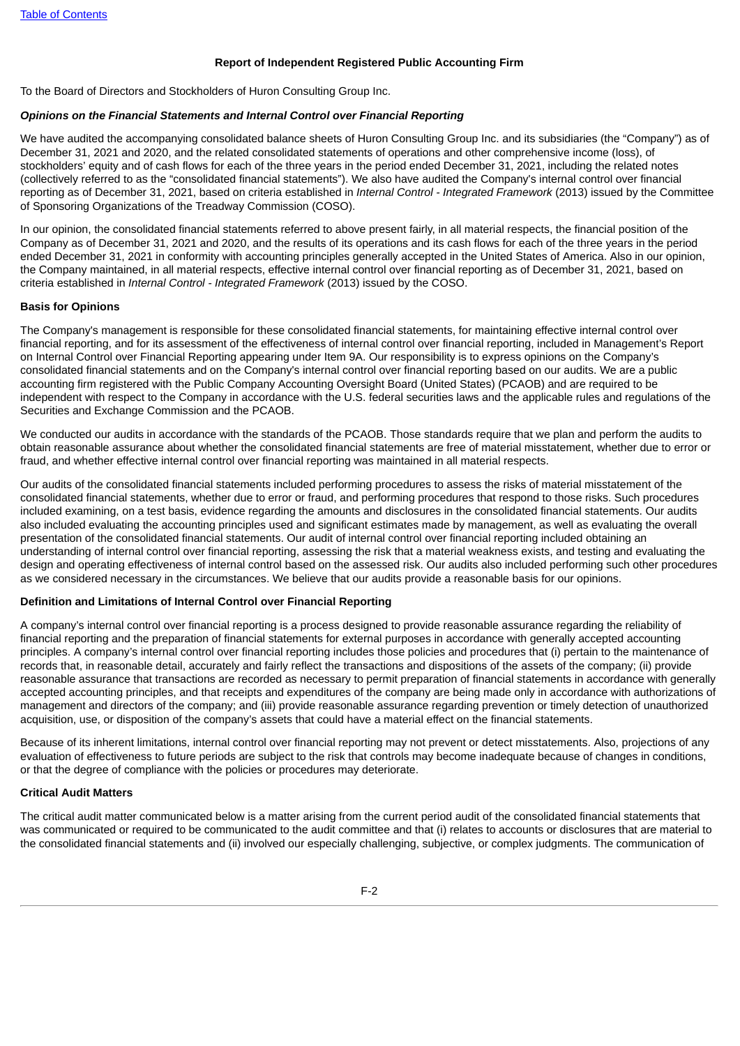### **Report of Independent Registered Public Accounting Firm**

To the Board of Directors and Stockholders of Huron Consulting Group Inc.

## *Opinions on the Financial Statements and Internal Control over Financial Reporting*

We have audited the accompanying consolidated balance sheets of Huron Consulting Group Inc. and its subsidiaries (the "Company") as of December 31, 2021 and 2020, and the related consolidated statements of operations and other comprehensive income (loss), of stockholders' equity and of cash flows for each of the three years in the period ended December 31, 2021, including the related notes (collectively referred to as the "consolidated financial statements"). We also have audited the Company's internal control over financial reporting as of December 31, 2021, based on criteria established in *Internal Control - Integrated Framework* (2013) issued by the Committee of Sponsoring Organizations of the Treadway Commission (COSO).

In our opinion, the consolidated financial statements referred to above present fairly, in all material respects, the financial position of the Company as of December 31, 2021 and 2020, and the results of its operations and its cash flows for each of the three years in the period ended December 31, 2021 in conformity with accounting principles generally accepted in the United States of America. Also in our opinion, the Company maintained, in all material respects, effective internal control over financial reporting as of December 31, 2021, based on criteria established in *Internal Control - Integrated Framework* (2013) issued by the COSO.

#### **Basis for Opinions**

The Company's management is responsible for these consolidated financial statements, for maintaining effective internal control over financial reporting, and for its assessment of the effectiveness of internal control over financial reporting, included in Management's Report on Internal Control over Financial Reporting appearing under Item 9A. Our responsibility is to express opinions on the Company's consolidated financial statements and on the Company's internal control over financial reporting based on our audits. We are a public accounting firm registered with the Public Company Accounting Oversight Board (United States) (PCAOB) and are required to be independent with respect to the Company in accordance with the U.S. federal securities laws and the applicable rules and regulations of the Securities and Exchange Commission and the PCAOB.

We conducted our audits in accordance with the standards of the PCAOB. Those standards require that we plan and perform the audits to obtain reasonable assurance about whether the consolidated financial statements are free of material misstatement, whether due to error or fraud, and whether effective internal control over financial reporting was maintained in all material respects.

Our audits of the consolidated financial statements included performing procedures to assess the risks of material misstatement of the consolidated financial statements, whether due to error or fraud, and performing procedures that respond to those risks. Such procedures included examining, on a test basis, evidence regarding the amounts and disclosures in the consolidated financial statements. Our audits also included evaluating the accounting principles used and significant estimates made by management, as well as evaluating the overall presentation of the consolidated financial statements. Our audit of internal control over financial reporting included obtaining an understanding of internal control over financial reporting, assessing the risk that a material weakness exists, and testing and evaluating the design and operating effectiveness of internal control based on the assessed risk. Our audits also included performing such other procedures as we considered necessary in the circumstances. We believe that our audits provide a reasonable basis for our opinions.

#### **Definition and Limitations of Internal Control over Financial Reporting**

A company's internal control over financial reporting is a process designed to provide reasonable assurance regarding the reliability of financial reporting and the preparation of financial statements for external purposes in accordance with generally accepted accounting principles. A company's internal control over financial reporting includes those policies and procedures that (i) pertain to the maintenance of records that, in reasonable detail, accurately and fairly reflect the transactions and dispositions of the assets of the company; (ii) provide reasonable assurance that transactions are recorded as necessary to permit preparation of financial statements in accordance with generally accepted accounting principles, and that receipts and expenditures of the company are being made only in accordance with authorizations of management and directors of the company; and (iii) provide reasonable assurance regarding prevention or timely detection of unauthorized acquisition, use, or disposition of the company's assets that could have a material effect on the financial statements.

Because of its inherent limitations, internal control over financial reporting may not prevent or detect misstatements. Also, projections of any evaluation of effectiveness to future periods are subject to the risk that controls may become inadequate because of changes in conditions, or that the degree of compliance with the policies or procedures may deteriorate.

#### **Critical Audit Matters**

The critical audit matter communicated below is a matter arising from the current period audit of the consolidated financial statements that was communicated or required to be communicated to the audit committee and that (i) relates to accounts or disclosures that are material to the consolidated financial statements and (ii) involved our especially challenging, subjective, or complex judgments. The communication of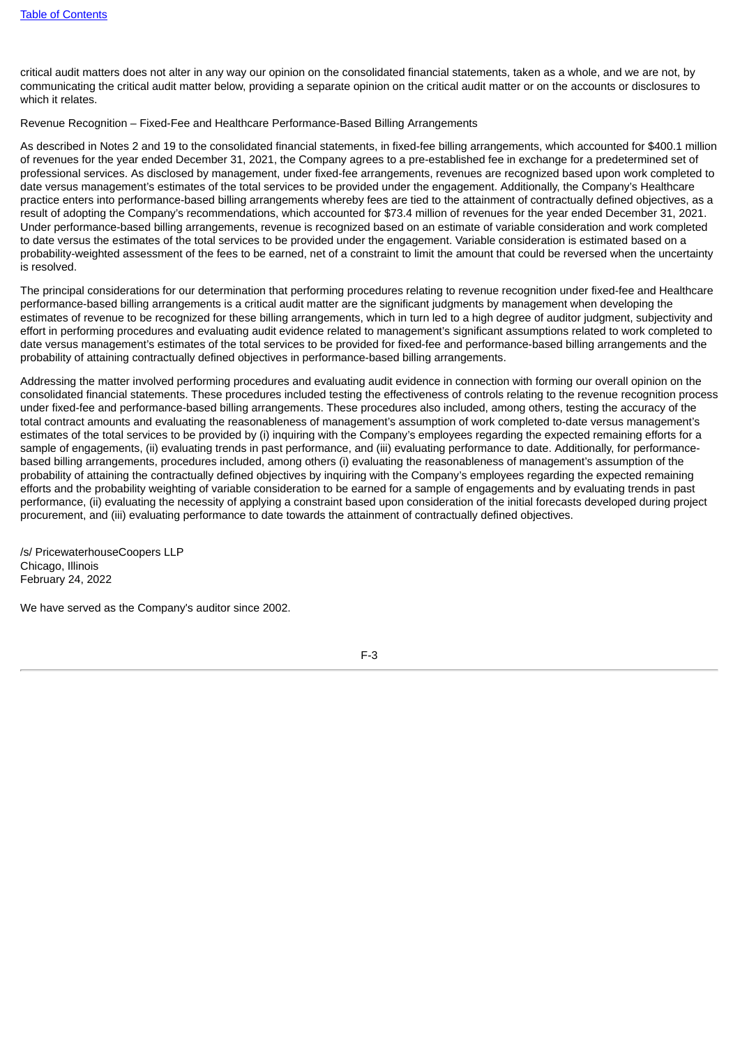critical audit matters does not alter in any way our opinion on the consolidated financial statements, taken as a whole, and we are not, by communicating the critical audit matter below, providing a separate opinion on the critical audit matter or on the accounts or disclosures to which it relates.

Revenue Recognition – Fixed-Fee and Healthcare Performance-Based Billing Arrangements

As described in Notes 2 and 19 to the consolidated financial statements, in fixed-fee billing arrangements, which accounted for \$400.1 million of revenues for the year ended December 31, 2021, the Company agrees to a pre-established fee in exchange for a predetermined set of professional services. As disclosed by management, under fixed-fee arrangements, revenues are recognized based upon work completed to date versus management's estimates of the total services to be provided under the engagement. Additionally, the Company's Healthcare practice enters into performance-based billing arrangements whereby fees are tied to the attainment of contractually defined objectives, as a result of adopting the Company's recommendations, which accounted for \$73.4 million of revenues for the year ended December 31, 2021. Under performance-based billing arrangements, revenue is recognized based on an estimate of variable consideration and work completed to date versus the estimates of the total services to be provided under the engagement. Variable consideration is estimated based on a probability-weighted assessment of the fees to be earned, net of a constraint to limit the amount that could be reversed when the uncertainty is resolved.

The principal considerations for our determination that performing procedures relating to revenue recognition under fixed-fee and Healthcare performance-based billing arrangements is a critical audit matter are the significant judgments by management when developing the estimates of revenue to be recognized for these billing arrangements, which in turn led to a high degree of auditor judgment, subjectivity and effort in performing procedures and evaluating audit evidence related to management's significant assumptions related to work completed to date versus management's estimates of the total services to be provided for fixed-fee and performance-based billing arrangements and the probability of attaining contractually defined objectives in performance-based billing arrangements.

Addressing the matter involved performing procedures and evaluating audit evidence in connection with forming our overall opinion on the consolidated financial statements. These procedures included testing the effectiveness of controls relating to the revenue recognition process under fixed-fee and performance-based billing arrangements. These procedures also included, among others, testing the accuracy of the total contract amounts and evaluating the reasonableness of management's assumption of work completed to-date versus management's estimates of the total services to be provided by (i) inquiring with the Company's employees regarding the expected remaining efforts for a sample of engagements, (ii) evaluating trends in past performance, and (iii) evaluating performance to date. Additionally, for performancebased billing arrangements, procedures included, among others (i) evaluating the reasonableness of management's assumption of the probability of attaining the contractually defined objectives by inquiring with the Company's employees regarding the expected remaining efforts and the probability weighting of variable consideration to be earned for a sample of engagements and by evaluating trends in past performance, (ii) evaluating the necessity of applying a constraint based upon consideration of the initial forecasts developed during project procurement, and (iii) evaluating performance to date towards the attainment of contractually defined objectives.

/s/ PricewaterhouseCoopers LLP Chicago, Illinois February 24, 2022

We have served as the Company's auditor since 2002.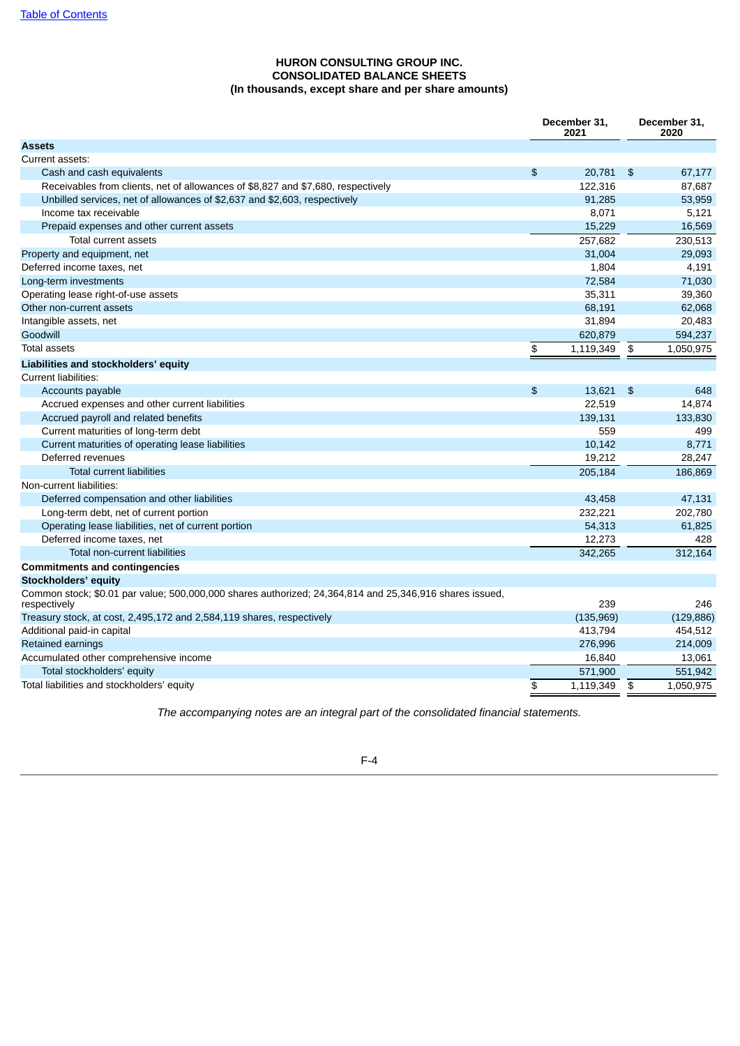# **HURON CONSULTING GROUP INC. CONSOLIDATED BALANCE SHEETS (In thousands, except share and per share amounts)**

|                                                                                                                         |               | December 31,<br>2021 | December 31,<br>2020 |            |  |
|-------------------------------------------------------------------------------------------------------------------------|---------------|----------------------|----------------------|------------|--|
| <b>Assets</b>                                                                                                           |               |                      |                      |            |  |
| Current assets:                                                                                                         |               |                      |                      |            |  |
| Cash and cash equivalents                                                                                               | $\frac{4}{5}$ | 20,781               | $\frac{3}{2}$        | 67,177     |  |
| Receivables from clients, net of allowances of \$8,827 and \$7,680, respectively                                        |               | 122,316              |                      | 87,687     |  |
| Unbilled services, net of allowances of \$2,637 and \$2,603, respectively                                               |               | 91,285               |                      | 53,959     |  |
| Income tax receivable                                                                                                   |               | 8,071                |                      | 5,121      |  |
| Prepaid expenses and other current assets                                                                               |               | 15,229               |                      | 16,569     |  |
| Total current assets                                                                                                    |               | 257,682              |                      | 230,513    |  |
| Property and equipment, net                                                                                             |               | 31,004               |                      | 29,093     |  |
| Deferred income taxes, net                                                                                              |               | 1.804                |                      | 4,191      |  |
| Long-term investments                                                                                                   |               | 72,584               |                      | 71,030     |  |
| Operating lease right-of-use assets                                                                                     |               | 35,311               |                      | 39,360     |  |
| Other non-current assets                                                                                                |               | 68,191               |                      | 62,068     |  |
| Intangible assets, net                                                                                                  |               | 31,894               |                      | 20,483     |  |
| Goodwill                                                                                                                |               | 620,879              |                      | 594,237    |  |
| <b>Total assets</b>                                                                                                     | \$            | 1,119,349            | \$                   | 1,050,975  |  |
| Liabilities and stockholders' equity                                                                                    |               |                      |                      |            |  |
| <b>Current liabilities:</b>                                                                                             |               |                      |                      |            |  |
| Accounts payable                                                                                                        | $\frac{4}{5}$ | 13,621               | $\frac{3}{2}$        | 648        |  |
| Accrued expenses and other current liabilities                                                                          |               | 22,519               |                      | 14,874     |  |
| Accrued payroll and related benefits                                                                                    |               | 139,131              |                      | 133,830    |  |
| Current maturities of long-term debt                                                                                    |               | 559                  |                      | 499        |  |
| Current maturities of operating lease liabilities                                                                       |               | 10,142               |                      | 8,771      |  |
| Deferred revenues                                                                                                       |               | 19,212               |                      | 28,247     |  |
| <b>Total current liabilities</b>                                                                                        |               | 205.184              |                      | 186,869    |  |
| Non-current liabilities:                                                                                                |               |                      |                      |            |  |
| Deferred compensation and other liabilities                                                                             |               | 43,458               |                      | 47,131     |  |
| Long-term debt, net of current portion                                                                                  |               | 232.221              |                      | 202,780    |  |
| Operating lease liabilities, net of current portion                                                                     |               | 54,313               |                      | 61,825     |  |
| Deferred income taxes, net                                                                                              |               | 12,273               |                      | 428        |  |
| Total non-current liabilities                                                                                           |               | 342,265              |                      | 312.164    |  |
| <b>Commitments and contingencies</b>                                                                                    |               |                      |                      |            |  |
| Stockholders' equity                                                                                                    |               |                      |                      |            |  |
| Common stock; \$0.01 par value; 500,000,000 shares authorized; 24,364,814 and 25,346,916 shares issued,<br>respectively |               | 239                  |                      | 246        |  |
| Treasury stock, at cost, 2,495,172 and 2,584,119 shares, respectively                                                   |               | (135, 969)           |                      | (129, 886) |  |
| Additional paid-in capital                                                                                              |               | 413.794              |                      | 454,512    |  |
| Retained earnings                                                                                                       |               | 276.996              |                      | 214,009    |  |
| Accumulated other comprehensive income                                                                                  |               | 16,840               |                      | 13,061     |  |
| Total stockholders' equity                                                                                              |               | 571,900              |                      | 551,942    |  |
| Total liabilities and stockholders' equity                                                                              | \$            | 1.119.349            | \$                   | 1.050.975  |  |

*The accompanying notes are an integral part of the consolidated financial statements.*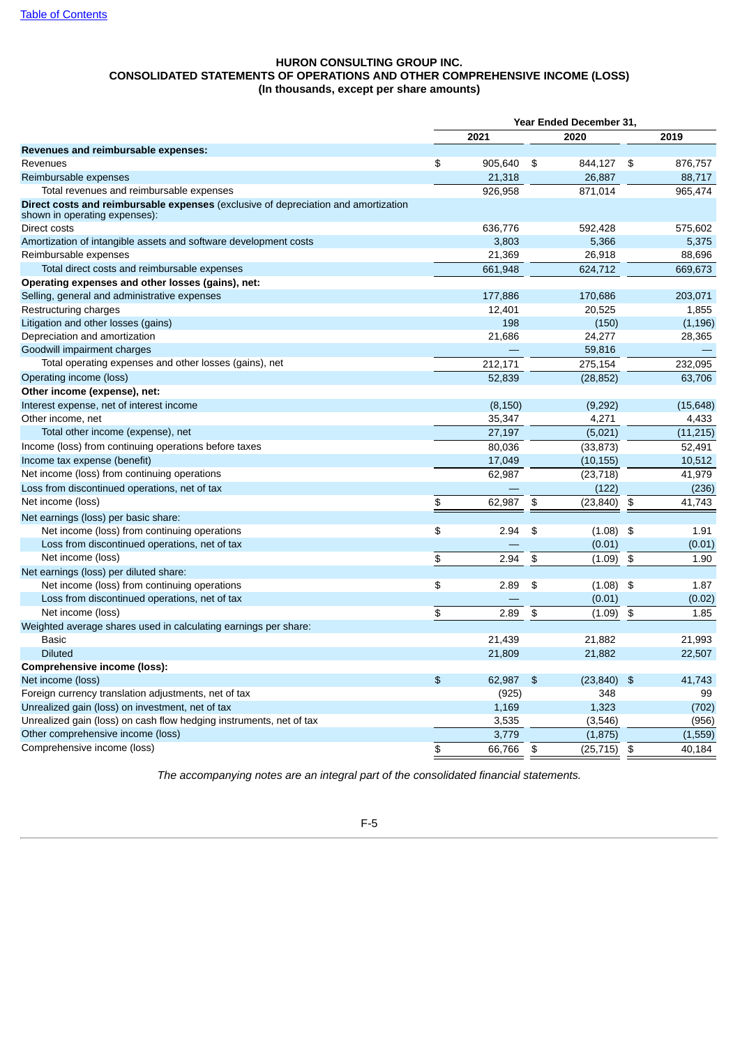# **HURON CONSULTING GROUP INC. CONSOLIDATED STATEMENTS OF OPERATIONS AND OTHER COMPREHENSIVE INCOME (LOSS) (In thousands, except per share amounts)**

|                                                                                                                            |                | 2021     |               | 2020      |    | 2019      |
|----------------------------------------------------------------------------------------------------------------------------|----------------|----------|---------------|-----------|----|-----------|
| Revenues and reimbursable expenses:                                                                                        |                |          |               |           |    |           |
| Revenues                                                                                                                   | \$             | 905,640  | \$            | 844,127   | \$ | 876,757   |
| Reimbursable expenses                                                                                                      |                | 21,318   |               | 26,887    |    | 88,717    |
| Total revenues and reimbursable expenses                                                                                   |                | 926.958  |               | 871.014   |    | 965.474   |
| <b>Direct costs and reimbursable expenses</b> (exclusive of depreciation and amortization<br>shown in operating expenses): |                |          |               |           |    |           |
| Direct costs                                                                                                               |                | 636,776  |               | 592,428   |    | 575,602   |
| Amortization of intangible assets and software development costs                                                           |                | 3,803    |               | 5,366     |    | 5,375     |
| Reimbursable expenses                                                                                                      |                | 21,369   |               | 26,918    |    | 88,696    |
| Total direct costs and reimbursable expenses                                                                               |                | 661,948  |               | 624,712   |    | 669,673   |
| Operating expenses and other losses (gains), net:                                                                          |                |          |               |           |    |           |
| Selling, general and administrative expenses                                                                               |                | 177,886  |               | 170,686   |    | 203,071   |
| Restructuring charges                                                                                                      |                | 12,401   |               | 20,525    |    | 1,855     |
| Litigation and other losses (gains)                                                                                        |                | 198      |               | (150)     |    | (1, 196)  |
| Depreciation and amortization                                                                                              |                | 21,686   |               | 24,277    |    | 28,365    |
| Goodwill impairment charges                                                                                                |                |          |               | 59,816    |    |           |
| Total operating expenses and other losses (gains), net                                                                     |                | 212,171  |               | 275,154   |    | 232,095   |
| Operating income (loss)                                                                                                    |                | 52.839   |               | (28, 852) |    | 63,706    |
| Other income (expense), net:                                                                                               |                |          |               |           |    |           |
| Interest expense, net of interest income                                                                                   |                | (8, 150) |               | (9, 292)  |    | (15, 648) |
| Other income, net                                                                                                          |                | 35,347   |               | 4,271     |    | 4,433     |
| Total other income (expense), net                                                                                          |                | 27,197   |               | (5,021)   |    | (11, 215) |
| Income (loss) from continuing operations before taxes                                                                      |                | 80,036   |               | (33, 873) |    | 52,491    |
| Income tax expense (benefit)                                                                                               |                | 17,049   |               | (10, 155) |    | 10,512    |
| Net income (loss) from continuing operations                                                                               |                | 62,987   |               | (23, 718) |    | 41,979    |
| Loss from discontinued operations, net of tax                                                                              |                |          |               | (122)     |    | (236)     |
| Net income (loss)                                                                                                          | \$             | 62,987   | $\frac{1}{2}$ | (23, 840) | \$ | 41,743    |
| Net earnings (loss) per basic share:                                                                                       |                |          |               |           |    |           |
| Net income (loss) from continuing operations                                                                               | \$             | 2.94     | \$            | (1.08)    | \$ | 1.91      |
| Loss from discontinued operations, net of tax                                                                              |                |          |               | (0.01)    |    | (0.01)    |
| Net income (loss)                                                                                                          | \$             | 2.94     | \$            | (1.09)    | \$ | 1.90      |
| Net earnings (loss) per diluted share:                                                                                     |                |          |               |           |    |           |
| Net income (loss) from continuing operations                                                                               | \$             | 2.89     | \$            | (1.08)    | \$ | 1.87      |
| Loss from discontinued operations, net of tax                                                                              |                |          |               | (0.01)    |    | (0.02)    |
| Net income (loss)                                                                                                          | \$             | 2.89     | \$            | (1.09)    | \$ | 1.85      |
| Weighted average shares used in calculating earnings per share:                                                            |                |          |               |           |    |           |
| <b>Basic</b>                                                                                                               |                | 21,439   |               | 21,882    |    | 21,993    |
| <b>Diluted</b>                                                                                                             |                | 21,809   |               | 21,882    |    | 22,507    |
| Comprehensive income (loss):                                                                                               |                |          |               |           |    |           |
| Net income (loss)                                                                                                          | $\mathfrak{D}$ | 62,987   | $\frac{1}{2}$ | (23, 840) | \$ | 41,743    |
| Foreign currency translation adjustments, net of tax                                                                       |                | (925)    |               | 348       |    | 99        |
| Unrealized gain (loss) on investment, net of tax                                                                           |                | 1,169    |               | 1,323     |    | (702)     |
| Unrealized gain (loss) on cash flow hedging instruments, net of tax                                                        |                | 3,535    |               | (3,546)   |    | (956)     |
| Other comprehensive income (loss)                                                                                          |                | 3.779    |               | (1, 875)  |    | (1, 559)  |
| Comprehensive income (loss)                                                                                                | \$             | 66,766   | \$            | (25, 715) | \$ | 40.184    |

<span id="page-52-0"></span>*The accompanying notes are an integral part of the consolidated financial statements.*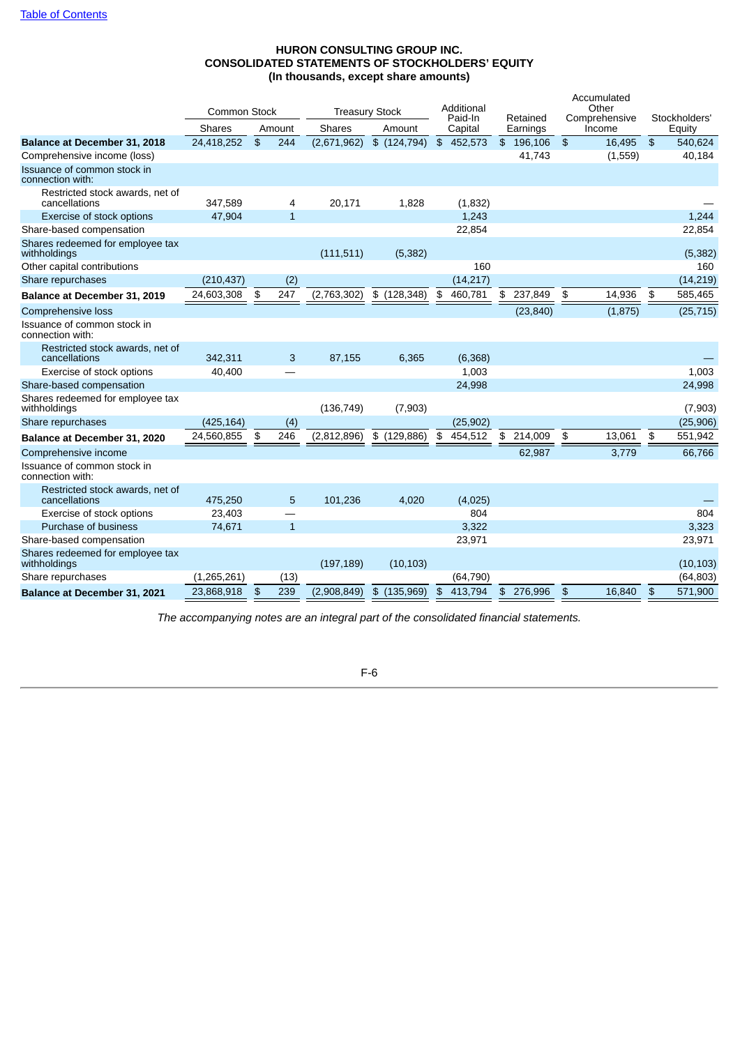# **HURON CONSULTING GROUP INC. CONSOLIDATED STATEMENTS OF STOCKHOLDERS' EQUITY (In thousands, except share amounts)**

|                                                  | <b>Common Stock</b> |                |              |               | <b>Treasury Stock</b> |    |                    | Retained      |               | Accumulated<br>Other<br>Comprehensive | Stockholders'  |           |  |
|--------------------------------------------------|---------------------|----------------|--------------|---------------|-----------------------|----|--------------------|---------------|---------------|---------------------------------------|----------------|-----------|--|
|                                                  | <b>Shares</b>       |                | Amount       | <b>Shares</b> | Amount                |    | Paid-In<br>Capital | Earnings      |               | Income                                |                | Equity    |  |
| Balance at December 31, 2018                     | 24,418,252          | $\mathfrak{P}$ | 244          | (2,671,962)   | \$(124,794)           |    | \$452,573          | \$196,106     | \$            | 16.495                                | $\mathfrak{L}$ | 540,624   |  |
| Comprehensive income (loss)                      |                     |                |              |               |                       |    |                    | 41,743        |               | (1, 559)                              |                | 40,184    |  |
| Issuance of common stock in<br>connection with:  |                     |                |              |               |                       |    |                    |               |               |                                       |                |           |  |
| Restricted stock awards, net of<br>cancellations | 347.589             |                | 4            | 20,171        | 1,828                 |    | (1,832)            |               |               |                                       |                |           |  |
| Exercise of stock options                        | 47,904              |                | $\mathbf{1}$ |               |                       |    | 1,243              |               |               |                                       |                | 1,244     |  |
| Share-based compensation                         |                     |                |              |               |                       |    | 22,854             |               |               |                                       |                | 22,854    |  |
| Shares redeemed for employee tax<br>withholdings |                     |                |              | (111, 511)    | (5, 382)              |    |                    |               |               |                                       |                | (5, 382)  |  |
| Other capital contributions                      |                     |                |              |               |                       |    | 160                |               |               |                                       |                | 160       |  |
| Share repurchases                                | (210, 437)          |                | (2)          |               |                       |    | (14, 217)          |               |               |                                       |                | (14, 219) |  |
| Balance at December 31, 2019                     | 24,603,308          | \$             | 247          | (2,763,302)   | \$(128, 348)          | \$ | 460.781            | \$<br>237.849 | \$            | 14,936                                | \$             | 585.465   |  |
| Comprehensive loss                               |                     |                |              |               |                       |    |                    | (23, 840)     |               | (1, 875)                              |                | (25, 715) |  |
| Issuance of common stock in<br>connection with:  |                     |                |              |               |                       |    |                    |               |               |                                       |                |           |  |
| Restricted stock awards, net of<br>cancellations | 342.311             |                | 3            | 87.155        | 6.365                 |    | (6, 368)           |               |               |                                       |                |           |  |
| Exercise of stock options                        | 40,400              |                |              |               |                       |    | 1,003              |               |               |                                       |                | 1,003     |  |
| Share-based compensation                         |                     |                |              |               |                       |    | 24,998             |               |               |                                       |                | 24,998    |  |
| Shares redeemed for employee tax<br>withholdings |                     |                |              | (136, 749)    | (7,903)               |    |                    |               |               |                                       |                | (7,903)   |  |
| Share repurchases                                | (425, 164)          |                | (4)          |               |                       |    | (25,902)           |               |               |                                       |                | (25,906)  |  |
| Balance at December 31, 2020                     | 24,560,855          | \$             | 246          | (2,812,896)   | \$<br>(129, 886)      | \$ | 454,512            | \$<br>214.009 | \$            | 13,061                                | \$             | 551,942   |  |
| Comprehensive income                             |                     |                |              |               |                       |    |                    | 62.987        |               | 3.779                                 |                | 66.766    |  |
| Issuance of common stock in<br>connection with:  |                     |                |              |               |                       |    |                    |               |               |                                       |                |           |  |
| Restricted stock awards, net of<br>cancellations | 475,250             |                | 5            | 101.236       | 4.020                 |    | (4,025)            |               |               |                                       |                |           |  |
| Exercise of stock options                        | 23,403              |                |              |               |                       |    | 804                |               |               |                                       |                | 804       |  |
| Purchase of business                             | 74,671              |                | $\mathbf{1}$ |               |                       |    | 3,322              |               |               |                                       |                | 3,323     |  |
| Share-based compensation                         |                     |                |              |               |                       |    | 23,971             |               |               |                                       |                | 23,971    |  |
| Shares redeemed for employee tax<br>withholdings |                     |                |              | (197, 189)    | (10, 103)             |    |                    |               |               |                                       |                | (10, 103) |  |
| Share repurchases                                | (1,265,261)         |                | (13)         |               |                       |    | (64, 790)          |               |               |                                       |                | (64, 803) |  |
| Balance at December 31, 2021                     | 23,868,918          | \$             | 239          | (2,908,849)   | (135,969)<br>\$       | \$ | 413,794            | \$<br>276,996 | $\frac{1}{2}$ | 16.840                                | $\mathfrak{F}$ | 571,900   |  |

<span id="page-53-0"></span>*The accompanying notes are an integral part of the consolidated financial statements.*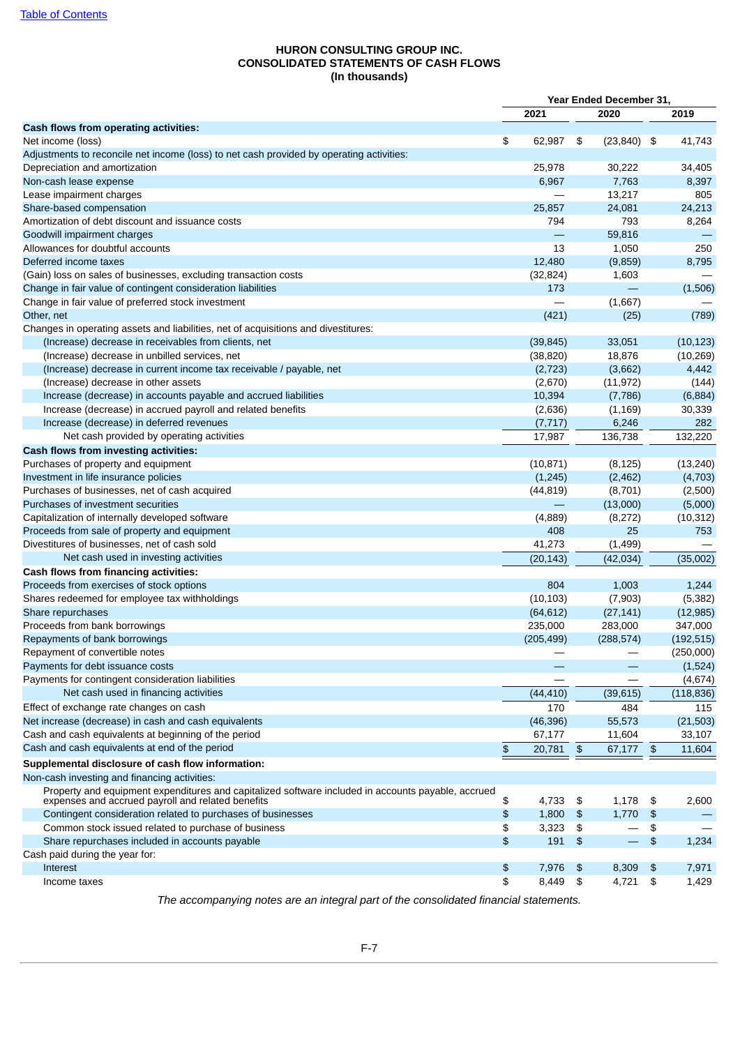# **HURON CONSULTING GROUP INC. CONSOLIDATED STATEMENTS OF CASH FLOWS (In thousands)**

|                                                                                                    | Year Ended December 31, |            |                            |                |               |            |
|----------------------------------------------------------------------------------------------------|-------------------------|------------|----------------------------|----------------|---------------|------------|
|                                                                                                    |                         | 2021       |                            | 2020           |               | 2019       |
| Cash flows from operating activities:                                                              |                         |            |                            |                |               |            |
| Net income (loss)                                                                                  | \$                      | 62,987     | \$                         | $(23, 840)$ \$ |               | 41,743     |
| Adjustments to reconcile net income (loss) to net cash provided by operating activities:           |                         |            |                            |                |               |            |
| Depreciation and amortization                                                                      |                         | 25,978     |                            | 30,222         |               | 34,405     |
| Non-cash lease expense                                                                             |                         | 6,967      |                            | 7,763          |               | 8,397      |
| Lease impairment charges                                                                           |                         |            |                            | 13,217         |               | 805        |
| Share-based compensation                                                                           |                         | 25,857     |                            | 24,081         |               | 24,213     |
| Amortization of debt discount and issuance costs                                                   |                         | 794        |                            | 793            |               | 8,264      |
| Goodwill impairment charges                                                                        |                         |            |                            | 59,816         |               |            |
| Allowances for doubtful accounts                                                                   |                         | 13         |                            | 1,050          |               | 250        |
| Deferred income taxes                                                                              |                         | 12,480     |                            | (9, 859)       |               | 8,795      |
| (Gain) loss on sales of businesses, excluding transaction costs                                    |                         | (32, 824)  |                            | 1,603          |               |            |
| Change in fair value of contingent consideration liabilities                                       |                         | 173        |                            |                |               | (1,506)    |
| Change in fair value of preferred stock investment                                                 |                         |            |                            | (1,667)        |               |            |
| Other, net                                                                                         |                         | (421)      |                            | (25)           |               | (789)      |
| Changes in operating assets and liabilities, net of acquisitions and divestitures:                 |                         |            |                            |                |               |            |
| (Increase) decrease in receivables from clients, net                                               |                         | (39, 845)  |                            | 33,051         |               | (10, 123)  |
| (Increase) decrease in unbilled services, net                                                      |                         | (38, 820)  |                            | 18,876         |               | (10, 269)  |
| (Increase) decrease in current income tax receivable / payable, net                                |                         | (2, 723)   |                            | (3,662)        |               | 4,442      |
| (Increase) decrease in other assets                                                                |                         | (2,670)    |                            | (11, 972)      |               | (144)      |
| Increase (decrease) in accounts payable and accrued liabilities                                    |                         | 10,394     |                            | (7,786)        |               | (6,884)    |
| Increase (decrease) in accrued payroll and related benefits                                        |                         | (2,636)    |                            | (1, 169)       |               | 30,339     |
| Increase (decrease) in deferred revenues                                                           |                         | (7, 717)   |                            | 6,246          |               | 282        |
| Net cash provided by operating activities                                                          |                         | 17,987     |                            | 136,738        |               | 132,220    |
| Cash flows from investing activities:                                                              |                         |            |                            |                |               |            |
| Purchases of property and equipment                                                                |                         | (10, 871)  |                            | (8, 125)       |               | (13, 240)  |
| Investment in life insurance policies                                                              |                         | (1, 245)   |                            | (2, 462)       |               | (4,703)    |
| Purchases of businesses, net of cash acquired                                                      |                         | (44, 819)  |                            | (8,701)        |               | (2,500)    |
| Purchases of investment securities                                                                 |                         |            |                            | (13,000)       |               | (5,000)    |
| Capitalization of internally developed software                                                    |                         | (4,889)    |                            | (8, 272)       |               | (10, 312)  |
| Proceeds from sale of property and equipment                                                       |                         | 408        |                            | 25             |               | 753        |
| Divestitures of businesses, net of cash sold                                                       |                         | 41,273     |                            | (1, 499)       |               |            |
| Net cash used in investing activities                                                              |                         | (20, 143)  |                            | (42, 034)      |               | (35,002)   |
| Cash flows from financing activities:                                                              |                         |            |                            |                |               |            |
| Proceeds from exercises of stock options                                                           |                         | 804        |                            | 1,003          |               | 1,244      |
| Shares redeemed for employee tax withholdings                                                      |                         | (10, 103)  |                            | (7,903)        |               | (5, 382)   |
| Share repurchases                                                                                  |                         | (64, 612)  |                            | (27, 141)      |               | (12, 985)  |
| Proceeds from bank borrowings                                                                      |                         | 235,000    |                            | 283,000        |               | 347,000    |
| Repayments of bank borrowings                                                                      |                         | (205, 499) |                            | (288, 574)     |               | (192, 515) |
| Repayment of convertible notes                                                                     |                         |            |                            | —              |               | (250,000)  |
| Payments for debt issuance costs                                                                   |                         |            |                            |                |               | (1,524)    |
| Payments for contingent consideration liabilities                                                  |                         |            |                            |                |               | (4,674)    |
| Net cash used in financing activities                                                              |                         | (44, 410)  |                            | (39, 615)      |               | (118, 836) |
| Effect of exchange rate changes on cash                                                            |                         | 170        |                            | 484            |               | 115        |
| Net increase (decrease) in cash and cash equivalents                                               |                         | (46, 396)  |                            | 55,573         |               | (21, 503)  |
| Cash and cash equivalents at beginning of the period                                               |                         | 67,177     |                            | 11,604         |               | 33,107     |
| Cash and cash equivalents at end of the period                                                     | \$                      | 20,781     | $\frac{1}{2}$              | 67,177 \$      |               | 11,604     |
| Supplemental disclosure of cash flow information:                                                  |                         |            |                            |                |               |            |
| Non-cash investing and financing activities:                                                       |                         |            |                            |                |               |            |
| Property and equipment expenditures and capitalized software included in accounts payable, accrued |                         |            |                            |                |               |            |
| expenses and accrued payroll and related benefits                                                  | \$                      | 4,733      | \$                         | 1,178          | \$            | 2,600      |
| Contingent consideration related to purchases of businesses                                        | \$                      | 1,800      | $\boldsymbol{\mathsf{\$}}$ | 1,770          | $\frac{1}{2}$ |            |
| Common stock issued related to purchase of business                                                | \$                      | 3,323      | \$                         |                | \$            |            |
| Share repurchases included in accounts payable                                                     | \$                      | 191        | $\frac{1}{2}$              |                | \$            | 1,234      |
| Cash paid during the year for:                                                                     |                         |            |                            |                |               |            |
| <b>Interest</b>                                                                                    | \$                      | 7,976      | \$                         | 8,309          | \$            | 7,971      |
| Income taxes                                                                                       | \$                      | 8,449      | \$                         | 4,721          | \$            | 1,429      |

<span id="page-54-0"></span>*The accompanying notes are an integral part of the consolidated financial statements.*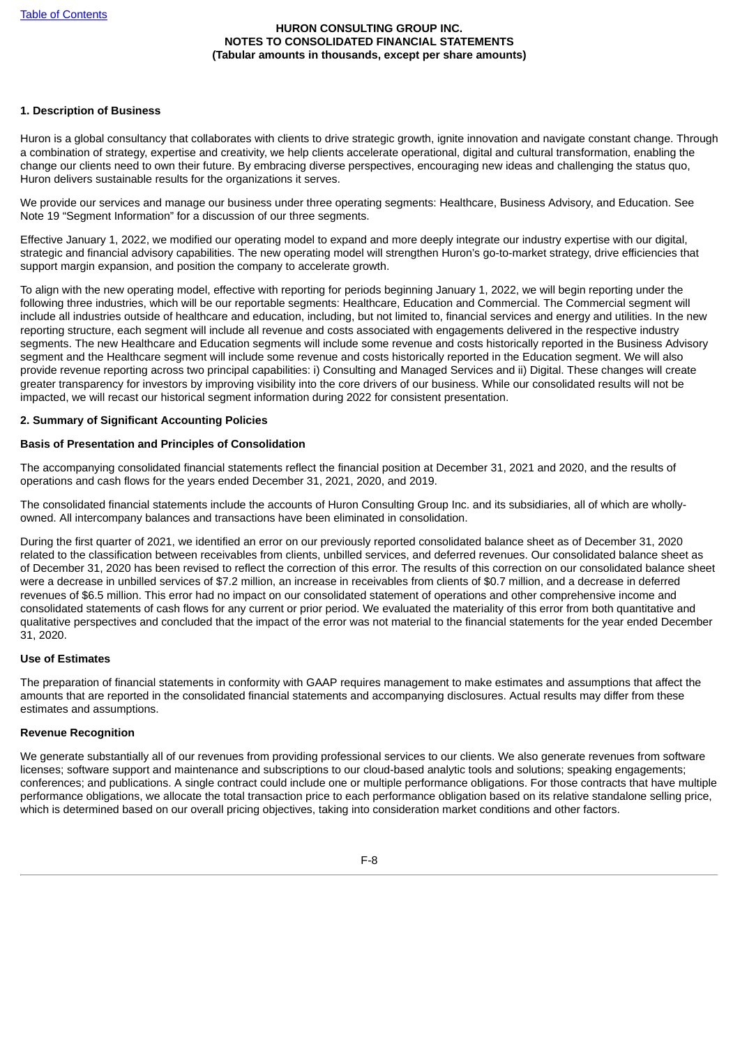#### **1. Description of Business**

Huron is a global consultancy that collaborates with clients to drive strategic growth, ignite innovation and navigate constant change. Through a combination of strategy, expertise and creativity, we help clients accelerate operational, digital and cultural transformation, enabling the change our clients need to own their future. By embracing diverse perspectives, encouraging new ideas and challenging the status quo, Huron delivers sustainable results for the organizations it serves.

We provide our services and manage our business under three operating segments: Healthcare, Business Advisory, and Education. See Note 19 "Segment Information" for a discussion of our three segments.

Effective January 1, 2022, we modified our operating model to expand and more deeply integrate our industry expertise with our digital, strategic and financial advisory capabilities. The new operating model will strengthen Huron's go-to-market strategy, drive efficiencies that support margin expansion, and position the company to accelerate growth.

To align with the new operating model, effective with reporting for periods beginning January 1, 2022, we will begin reporting under the following three industries, which will be our reportable segments: Healthcare, Education and Commercial. The Commercial segment will include all industries outside of healthcare and education, including, but not limited to, financial services and energy and utilities. In the new reporting structure, each segment will include all revenue and costs associated with engagements delivered in the respective industry segments. The new Healthcare and Education segments will include some revenue and costs historically reported in the Business Advisory segment and the Healthcare segment will include some revenue and costs historically reported in the Education segment. We will also provide revenue reporting across two principal capabilities: i) Consulting and Managed Services and ii) Digital. These changes will create greater transparency for investors by improving visibility into the core drivers of our business. While our consolidated results will not be impacted, we will recast our historical segment information during 2022 for consistent presentation.

#### **2. Summary of Significant Accounting Policies**

### **Basis of Presentation and Principles of Consolidation**

The accompanying consolidated financial statements reflect the financial position at December 31, 2021 and 2020, and the results of operations and cash flows for the years ended December 31, 2021, 2020, and 2019.

The consolidated financial statements include the accounts of Huron Consulting Group Inc. and its subsidiaries, all of which are whollyowned. All intercompany balances and transactions have been eliminated in consolidation.

During the first quarter of 2021, we identified an error on our previously reported consolidated balance sheet as of December 31, 2020 related to the classification between receivables from clients, unbilled services, and deferred revenues. Our consolidated balance sheet as of December 31, 2020 has been revised to reflect the correction of this error. The results of this correction on our consolidated balance sheet were a decrease in unbilled services of \$7.2 million, an increase in receivables from clients of \$0.7 million, and a decrease in deferred revenues of \$6.5 million. This error had no impact on our consolidated statement of operations and other comprehensive income and consolidated statements of cash flows for any current or prior period. We evaluated the materiality of this error from both quantitative and qualitative perspectives and concluded that the impact of the error was not material to the financial statements for the year ended December 31, 2020.

# **Use of Estimates**

The preparation of financial statements in conformity with GAAP requires management to make estimates and assumptions that affect the amounts that are reported in the consolidated financial statements and accompanying disclosures. Actual results may differ from these estimates and assumptions.

## **Revenue Recognition**

We generate substantially all of our revenues from providing professional services to our clients. We also generate revenues from software licenses; software support and maintenance and subscriptions to our cloud-based analytic tools and solutions; speaking engagements; conferences; and publications. A single contract could include one or multiple performance obligations. For those contracts that have multiple performance obligations, we allocate the total transaction price to each performance obligation based on its relative standalone selling price, which is determined based on our overall pricing objectives, taking into consideration market conditions and other factors.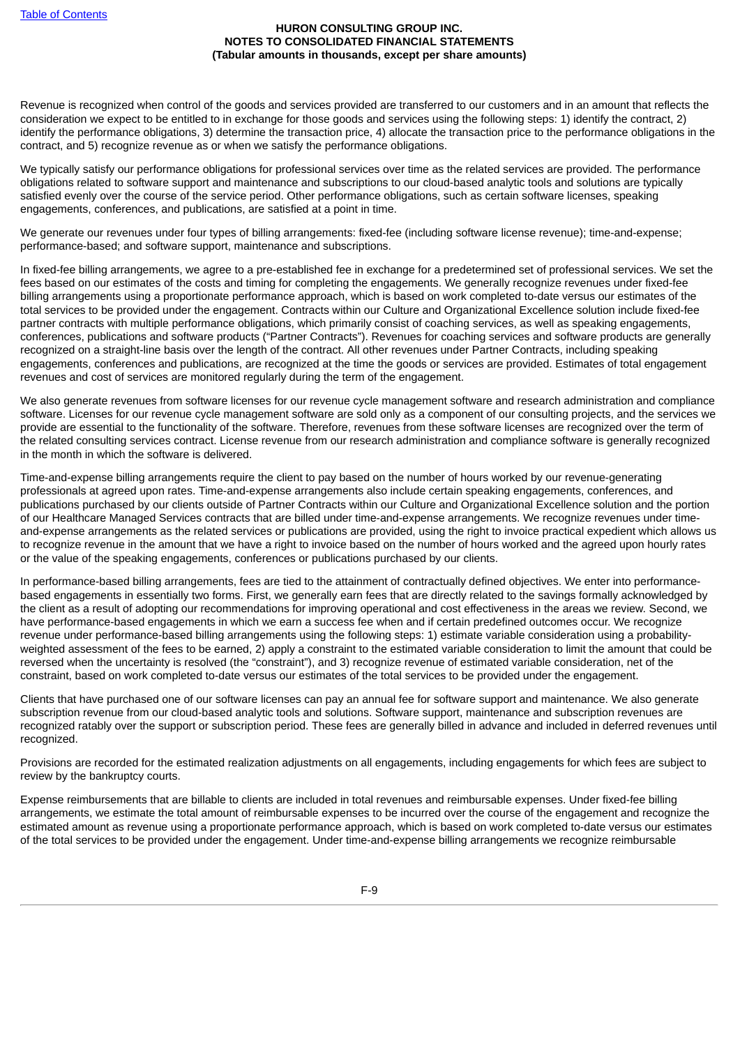Revenue is recognized when control of the goods and services provided are transferred to our customers and in an amount that reflects the consideration we expect to be entitled to in exchange for those goods and services using the following steps: 1) identify the contract, 2) identify the performance obligations, 3) determine the transaction price, 4) allocate the transaction price to the performance obligations in the contract, and 5) recognize revenue as or when we satisfy the performance obligations.

We typically satisfy our performance obligations for professional services over time as the related services are provided. The performance obligations related to software support and maintenance and subscriptions to our cloud-based analytic tools and solutions are typically satisfied evenly over the course of the service period. Other performance obligations, such as certain software licenses, speaking engagements, conferences, and publications, are satisfied at a point in time.

We generate our revenues under four types of billing arrangements: fixed-fee (including software license revenue); time-and-expense; performance-based; and software support, maintenance and subscriptions.

In fixed-fee billing arrangements, we agree to a pre-established fee in exchange for a predetermined set of professional services. We set the fees based on our estimates of the costs and timing for completing the engagements. We generally recognize revenues under fixed-fee billing arrangements using a proportionate performance approach, which is based on work completed to-date versus our estimates of the total services to be provided under the engagement. Contracts within our Culture and Organizational Excellence solution include fixed-fee partner contracts with multiple performance obligations, which primarily consist of coaching services, as well as speaking engagements, conferences, publications and software products ("Partner Contracts"). Revenues for coaching services and software products are generally recognized on a straight-line basis over the length of the contract. All other revenues under Partner Contracts, including speaking engagements, conferences and publications, are recognized at the time the goods or services are provided. Estimates of total engagement revenues and cost of services are monitored regularly during the term of the engagement.

We also generate revenues from software licenses for our revenue cycle management software and research administration and compliance software. Licenses for our revenue cycle management software are sold only as a component of our consulting projects, and the services we provide are essential to the functionality of the software. Therefore, revenues from these software licenses are recognized over the term of the related consulting services contract. License revenue from our research administration and compliance software is generally recognized in the month in which the software is delivered.

Time-and-expense billing arrangements require the client to pay based on the number of hours worked by our revenue-generating professionals at agreed upon rates. Time-and-expense arrangements also include certain speaking engagements, conferences, and publications purchased by our clients outside of Partner Contracts within our Culture and Organizational Excellence solution and the portion of our Healthcare Managed Services contracts that are billed under time-and-expense arrangements. We recognize revenues under timeand-expense arrangements as the related services or publications are provided, using the right to invoice practical expedient which allows us to recognize revenue in the amount that we have a right to invoice based on the number of hours worked and the agreed upon hourly rates or the value of the speaking engagements, conferences or publications purchased by our clients.

In performance-based billing arrangements, fees are tied to the attainment of contractually defined objectives. We enter into performancebased engagements in essentially two forms. First, we generally earn fees that are directly related to the savings formally acknowledged by the client as a result of adopting our recommendations for improving operational and cost effectiveness in the areas we review. Second, we have performance-based engagements in which we earn a success fee when and if certain predefined outcomes occur. We recognize revenue under performance-based billing arrangements using the following steps: 1) estimate variable consideration using a probabilityweighted assessment of the fees to be earned, 2) apply a constraint to the estimated variable consideration to limit the amount that could be reversed when the uncertainty is resolved (the "constraint"), and 3) recognize revenue of estimated variable consideration, net of the constraint, based on work completed to-date versus our estimates of the total services to be provided under the engagement.

Clients that have purchased one of our software licenses can pay an annual fee for software support and maintenance. We also generate subscription revenue from our cloud-based analytic tools and solutions. Software support, maintenance and subscription revenues are recognized ratably over the support or subscription period. These fees are generally billed in advance and included in deferred revenues until recognized.

Provisions are recorded for the estimated realization adjustments on all engagements, including engagements for which fees are subject to review by the bankruptcy courts.

Expense reimbursements that are billable to clients are included in total revenues and reimbursable expenses. Under fixed-fee billing arrangements, we estimate the total amount of reimbursable expenses to be incurred over the course of the engagement and recognize the estimated amount as revenue using a proportionate performance approach, which is based on work completed to-date versus our estimates of the total services to be provided under the engagement. Under time-and-expense billing arrangements we recognize reimbursable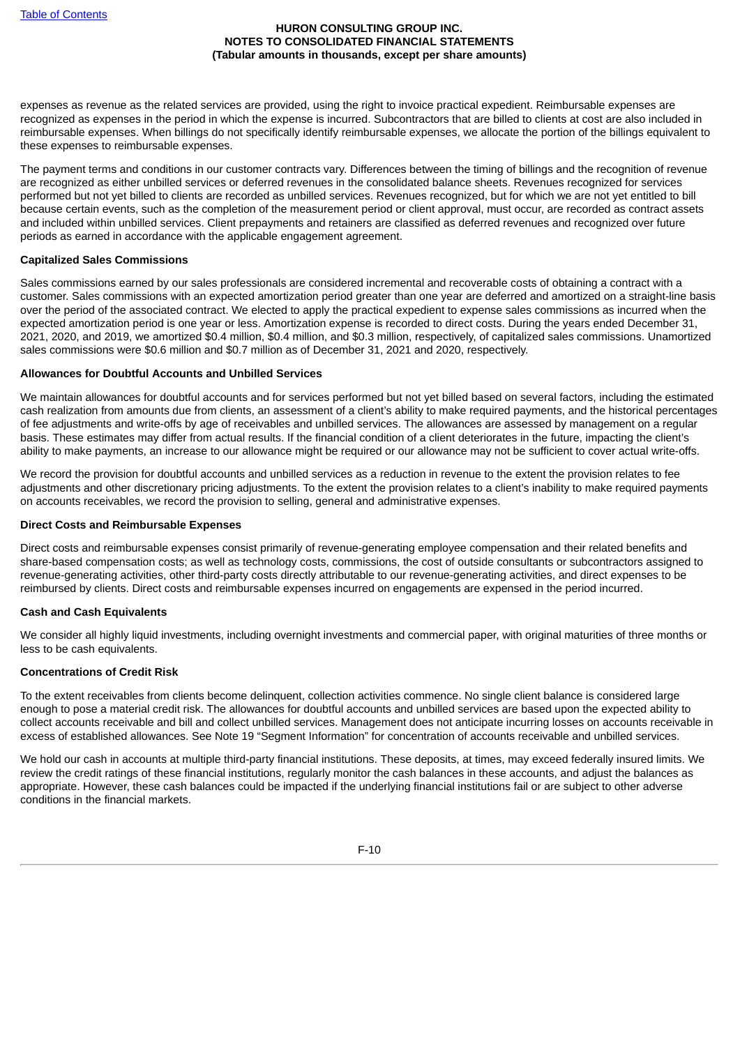expenses as revenue as the related services are provided, using the right to invoice practical expedient. Reimbursable expenses are recognized as expenses in the period in which the expense is incurred. Subcontractors that are billed to clients at cost are also included in reimbursable expenses. When billings do not specifically identify reimbursable expenses, we allocate the portion of the billings equivalent to these expenses to reimbursable expenses.

The payment terms and conditions in our customer contracts vary. Differences between the timing of billings and the recognition of revenue are recognized as either unbilled services or deferred revenues in the consolidated balance sheets. Revenues recognized for services performed but not yet billed to clients are recorded as unbilled services. Revenues recognized, but for which we are not yet entitled to bill because certain events, such as the completion of the measurement period or client approval, must occur, are recorded as contract assets and included within unbilled services. Client prepayments and retainers are classified as deferred revenues and recognized over future periods as earned in accordance with the applicable engagement agreement.

#### **Capitalized Sales Commissions**

Sales commissions earned by our sales professionals are considered incremental and recoverable costs of obtaining a contract with a customer. Sales commissions with an expected amortization period greater than one year are deferred and amortized on a straight-line basis over the period of the associated contract. We elected to apply the practical expedient to expense sales commissions as incurred when the expected amortization period is one year or less. Amortization expense is recorded to direct costs. During the years ended December 31, 2021, 2020, and 2019, we amortized \$0.4 million, \$0.4 million, and \$0.3 million, respectively, of capitalized sales commissions. Unamortized sales commissions were \$0.6 million and \$0.7 million as of December 31, 2021 and 2020, respectively.

## **Allowances for Doubtful Accounts and Unbilled Services**

We maintain allowances for doubtful accounts and for services performed but not yet billed based on several factors, including the estimated cash realization from amounts due from clients, an assessment of a client's ability to make required payments, and the historical percentages of fee adjustments and write-offs by age of receivables and unbilled services. The allowances are assessed by management on a regular basis. These estimates may differ from actual results. If the financial condition of a client deteriorates in the future, impacting the client's ability to make payments, an increase to our allowance might be required or our allowance may not be sufficient to cover actual write-offs.

We record the provision for doubtful accounts and unbilled services as a reduction in revenue to the extent the provision relates to fee adjustments and other discretionary pricing adjustments. To the extent the provision relates to a client's inability to make required payments on accounts receivables, we record the provision to selling, general and administrative expenses.

## **Direct Costs and Reimbursable Expenses**

Direct costs and reimbursable expenses consist primarily of revenue-generating employee compensation and their related benefits and share-based compensation costs; as well as technology costs, commissions, the cost of outside consultants or subcontractors assigned to revenue-generating activities, other third-party costs directly attributable to our revenue-generating activities, and direct expenses to be reimbursed by clients. Direct costs and reimbursable expenses incurred on engagements are expensed in the period incurred.

#### **Cash and Cash Equivalents**

We consider all highly liquid investments, including overnight investments and commercial paper, with original maturities of three months or less to be cash equivalents.

#### **Concentrations of Credit Risk**

To the extent receivables from clients become delinquent, collection activities commence. No single client balance is considered large enough to pose a material credit risk. The allowances for doubtful accounts and unbilled services are based upon the expected ability to collect accounts receivable and bill and collect unbilled services. Management does not anticipate incurring losses on accounts receivable in excess of established allowances. See Note 19 "Segment Information" for concentration of accounts receivable and unbilled services.

We hold our cash in accounts at multiple third-party financial institutions. These deposits, at times, may exceed federally insured limits. We review the credit ratings of these financial institutions, regularly monitor the cash balances in these accounts, and adjust the balances as appropriate. However, these cash balances could be impacted if the underlying financial institutions fail or are subject to other adverse conditions in the financial markets.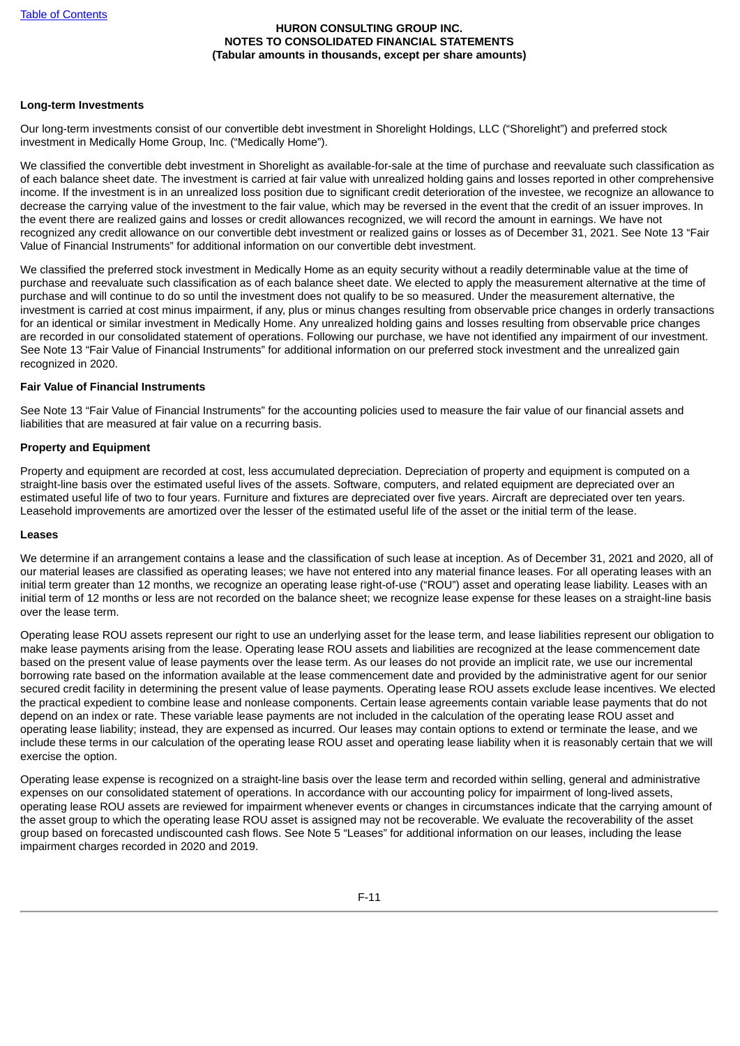#### **Long-term Investments**

Our long-term investments consist of our convertible debt investment in Shorelight Holdings, LLC ("Shorelight") and preferred stock investment in Medically Home Group, Inc. ("Medically Home").

We classified the convertible debt investment in Shorelight as available-for-sale at the time of purchase and reevaluate such classification as of each balance sheet date. The investment is carried at fair value with unrealized holding gains and losses reported in other comprehensive income. If the investment is in an unrealized loss position due to significant credit deterioration of the investee, we recognize an allowance to decrease the carrying value of the investment to the fair value, which may be reversed in the event that the credit of an issuer improves. In the event there are realized gains and losses or credit allowances recognized, we will record the amount in earnings. We have not recognized any credit allowance on our convertible debt investment or realized gains or losses as of December 31, 2021. See Note 13 "Fair Value of Financial Instruments" for additional information on our convertible debt investment.

We classified the preferred stock investment in Medically Home as an equity security without a readily determinable value at the time of purchase and reevaluate such classification as of each balance sheet date. We elected to apply the measurement alternative at the time of purchase and will continue to do so until the investment does not qualify to be so measured. Under the measurement alternative, the investment is carried at cost minus impairment, if any, plus or minus changes resulting from observable price changes in orderly transactions for an identical or similar investment in Medically Home. Any unrealized holding gains and losses resulting from observable price changes are recorded in our consolidated statement of operations. Following our purchase, we have not identified any impairment of our investment. See Note 13 "Fair Value of Financial Instruments" for additional information on our preferred stock investment and the unrealized gain recognized in 2020.

#### **Fair Value of Financial Instruments**

See Note 13 "Fair Value of Financial Instruments" for the accounting policies used to measure the fair value of our financial assets and liabilities that are measured at fair value on a recurring basis.

#### **Property and Equipment**

Property and equipment are recorded at cost, less accumulated depreciation. Depreciation of property and equipment is computed on a straight-line basis over the estimated useful lives of the assets. Software, computers, and related equipment are depreciated over an estimated useful life of two to four years. Furniture and fixtures are depreciated over five years. Aircraft are depreciated over ten years. Leasehold improvements are amortized over the lesser of the estimated useful life of the asset or the initial term of the lease.

#### **Leases**

We determine if an arrangement contains a lease and the classification of such lease at inception. As of December 31, 2021 and 2020, all of our material leases are classified as operating leases; we have not entered into any material finance leases. For all operating leases with an initial term greater than 12 months, we recognize an operating lease right-of-use ("ROU") asset and operating lease liability. Leases with an initial term of 12 months or less are not recorded on the balance sheet; we recognize lease expense for these leases on a straight-line basis over the lease term.

Operating lease ROU assets represent our right to use an underlying asset for the lease term, and lease liabilities represent our obligation to make lease payments arising from the lease. Operating lease ROU assets and liabilities are recognized at the lease commencement date based on the present value of lease payments over the lease term. As our leases do not provide an implicit rate, we use our incremental borrowing rate based on the information available at the lease commencement date and provided by the administrative agent for our senior secured credit facility in determining the present value of lease payments. Operating lease ROU assets exclude lease incentives. We elected the practical expedient to combine lease and nonlease components. Certain lease agreements contain variable lease payments that do not depend on an index or rate. These variable lease payments are not included in the calculation of the operating lease ROU asset and operating lease liability; instead, they are expensed as incurred. Our leases may contain options to extend or terminate the lease, and we include these terms in our calculation of the operating lease ROU asset and operating lease liability when it is reasonably certain that we will exercise the option.

Operating lease expense is recognized on a straight-line basis over the lease term and recorded within selling, general and administrative expenses on our consolidated statement of operations. In accordance with our accounting policy for impairment of long-lived assets, operating lease ROU assets are reviewed for impairment whenever events or changes in circumstances indicate that the carrying amount of the asset group to which the operating lease ROU asset is assigned may not be recoverable. We evaluate the recoverability of the asset group based on forecasted undiscounted cash flows. See Note 5 "Leases" for additional information on our leases, including the lease impairment charges recorded in 2020 and 2019.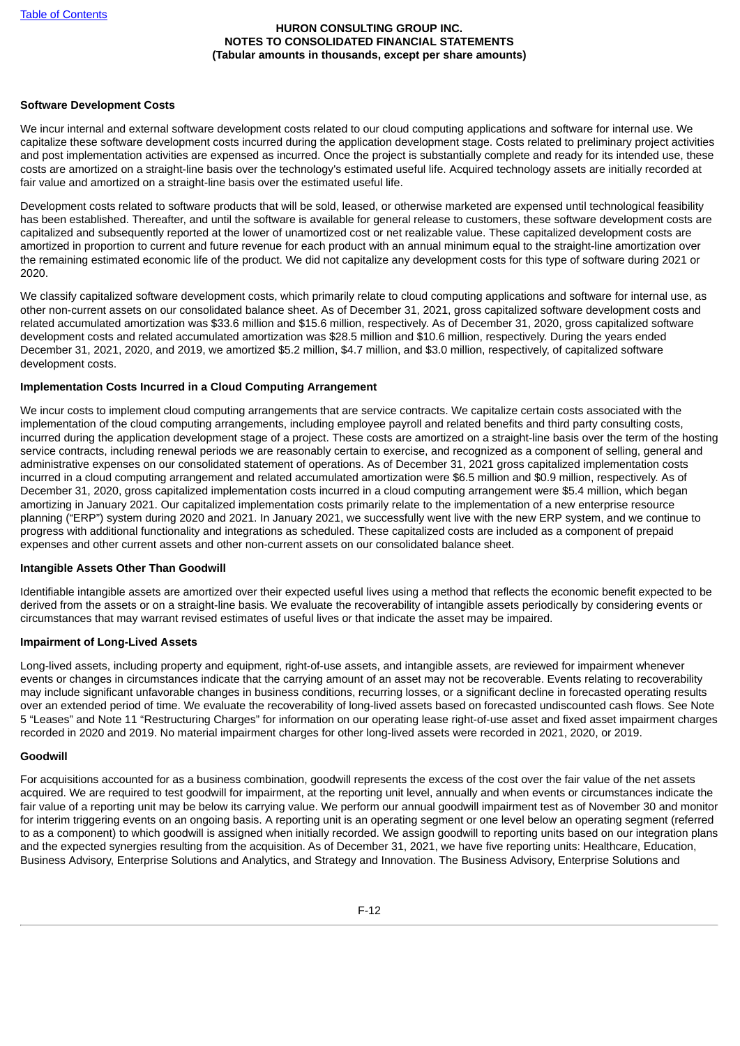## **Software Development Costs**

We incur internal and external software development costs related to our cloud computing applications and software for internal use. We capitalize these software development costs incurred during the application development stage. Costs related to preliminary project activities and post implementation activities are expensed as incurred. Once the project is substantially complete and ready for its intended use, these costs are amortized on a straight-line basis over the technology's estimated useful life. Acquired technology assets are initially recorded at fair value and amortized on a straight-line basis over the estimated useful life.

Development costs related to software products that will be sold, leased, or otherwise marketed are expensed until technological feasibility has been established. Thereafter, and until the software is available for general release to customers, these software development costs are capitalized and subsequently reported at the lower of unamortized cost or net realizable value. These capitalized development costs are amortized in proportion to current and future revenue for each product with an annual minimum equal to the straight-line amortization over the remaining estimated economic life of the product. We did not capitalize any development costs for this type of software during 2021 or 2020.

We classify capitalized software development costs, which primarily relate to cloud computing applications and software for internal use, as other non-current assets on our consolidated balance sheet. As of December 31, 2021, gross capitalized software development costs and related accumulated amortization was \$33.6 million and \$15.6 million, respectively. As of December 31, 2020, gross capitalized software development costs and related accumulated amortization was \$28.5 million and \$10.6 million, respectively. During the years ended December 31, 2021, 2020, and 2019, we amortized \$5.2 million, \$4.7 million, and \$3.0 million, respectively, of capitalized software development costs.

## **Implementation Costs Incurred in a Cloud Computing Arrangement**

We incur costs to implement cloud computing arrangements that are service contracts. We capitalize certain costs associated with the implementation of the cloud computing arrangements, including employee payroll and related benefits and third party consulting costs, incurred during the application development stage of a project. These costs are amortized on a straight-line basis over the term of the hosting service contracts, including renewal periods we are reasonably certain to exercise, and recognized as a component of selling, general and administrative expenses on our consolidated statement of operations. As of December 31, 2021 gross capitalized implementation costs incurred in a cloud computing arrangement and related accumulated amortization were \$6.5 million and \$0.9 million, respectively. As of December 31, 2020, gross capitalized implementation costs incurred in a cloud computing arrangement were \$5.4 million, which began amortizing in January 2021. Our capitalized implementation costs primarily relate to the implementation of a new enterprise resource planning ("ERP") system during 2020 and 2021. In January 2021, we successfully went live with the new ERP system, and we continue to progress with additional functionality and integrations as scheduled. These capitalized costs are included as a component of prepaid expenses and other current assets and other non-current assets on our consolidated balance sheet.

#### **Intangible Assets Other Than Goodwill**

Identifiable intangible assets are amortized over their expected useful lives using a method that reflects the economic benefit expected to be derived from the assets or on a straight-line basis. We evaluate the recoverability of intangible assets periodically by considering events or circumstances that may warrant revised estimates of useful lives or that indicate the asset may be impaired.

# **Impairment of Long-Lived Assets**

Long-lived assets, including property and equipment, right-of-use assets, and intangible assets, are reviewed for impairment whenever events or changes in circumstances indicate that the carrying amount of an asset may not be recoverable. Events relating to recoverability may include significant unfavorable changes in business conditions, recurring losses, or a significant decline in forecasted operating results over an extended period of time. We evaluate the recoverability of long-lived assets based on forecasted undiscounted cash flows. See Note 5 "Leases" and Note 11 "Restructuring Charges" for information on our operating lease right-of-use asset and fixed asset impairment charges recorded in 2020 and 2019. No material impairment charges for other long-lived assets were recorded in 2021, 2020, or 2019.

#### **Goodwill**

For acquisitions accounted for as a business combination, goodwill represents the excess of the cost over the fair value of the net assets acquired. We are required to test goodwill for impairment, at the reporting unit level, annually and when events or circumstances indicate the fair value of a reporting unit may be below its carrying value. We perform our annual goodwill impairment test as of November 30 and monitor for interim triggering events on an ongoing basis. A reporting unit is an operating segment or one level below an operating segment (referred to as a component) to which goodwill is assigned when initially recorded. We assign goodwill to reporting units based on our integration plans and the expected synergies resulting from the acquisition. As of December 31, 2021, we have five reporting units: Healthcare, Education, Business Advisory, Enterprise Solutions and Analytics, and Strategy and Innovation. The Business Advisory, Enterprise Solutions and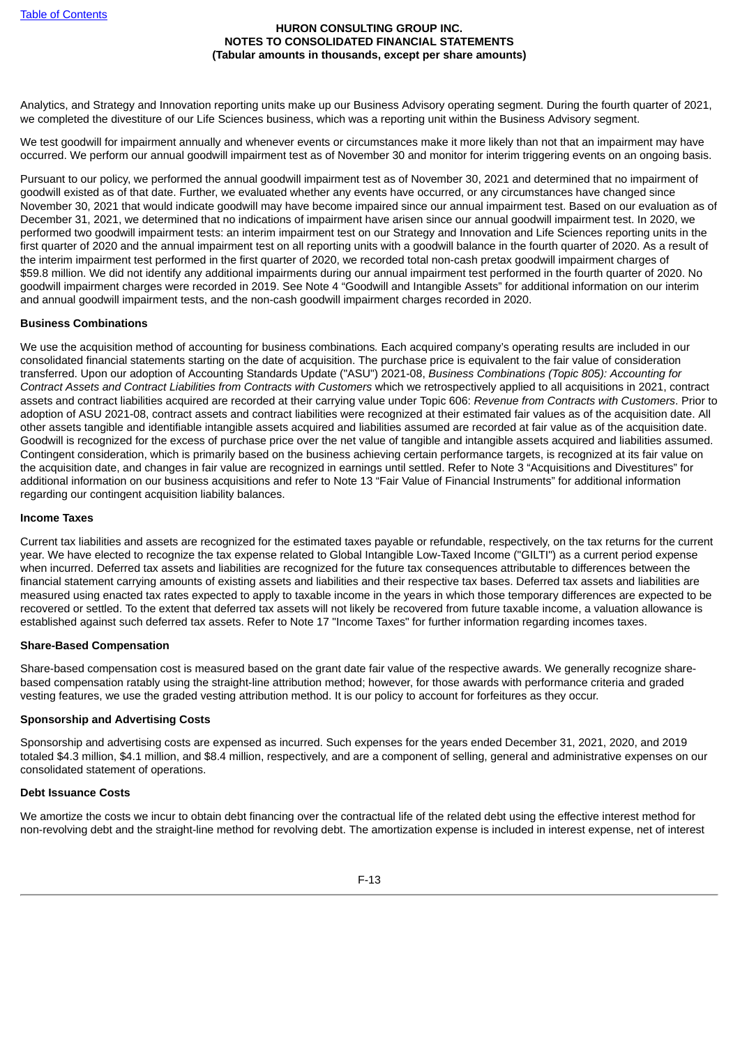Analytics, and Strategy and Innovation reporting units make up our Business Advisory operating segment. During the fourth quarter of 2021, we completed the divestiture of our Life Sciences business, which was a reporting unit within the Business Advisory segment.

We test goodwill for impairment annually and whenever events or circumstances make it more likely than not that an impairment may have occurred. We perform our annual goodwill impairment test as of November 30 and monitor for interim triggering events on an ongoing basis.

Pursuant to our policy, we performed the annual goodwill impairment test as of November 30, 2021 and determined that no impairment of goodwill existed as of that date. Further, we evaluated whether any events have occurred, or any circumstances have changed since November 30, 2021 that would indicate goodwill may have become impaired since our annual impairment test. Based on our evaluation as of December 31, 2021, we determined that no indications of impairment have arisen since our annual goodwill impairment test. In 2020, we performed two goodwill impairment tests: an interim impairment test on our Strategy and Innovation and Life Sciences reporting units in the first quarter of 2020 and the annual impairment test on all reporting units with a goodwill balance in the fourth quarter of 2020. As a result of the interim impairment test performed in the first quarter of 2020, we recorded total non-cash pretax goodwill impairment charges of \$59.8 million. We did not identify any additional impairments during our annual impairment test performed in the fourth quarter of 2020. No goodwill impairment charges were recorded in 2019. See Note 4 "Goodwill and Intangible Assets" for additional information on our interim and annual goodwill impairment tests, and the non-cash goodwill impairment charges recorded in 2020.

#### **Business Combinations**

We use the acquisition method of accounting for business combinations*.* Each acquired company's operating results are included in our consolidated financial statements starting on the date of acquisition. The purchase price is equivalent to the fair value of consideration transferred. Upon our adoption of Accounting Standards Update ("ASU") 2021-08, *Business Combinations (Topic 805): Accounting for Contract Assets and Contract Liabilities from Contracts with Customers* which we retrospectively applied to all acquisitions in 2021, contract assets and contract liabilities acquired are recorded at their carrying value under Topic 606: *Revenue from Contracts with Customers*. Prior to adoption of ASU 2021-08, contract assets and contract liabilities were recognized at their estimated fair values as of the acquisition date. All other assets tangible and identifiable intangible assets acquired and liabilities assumed are recorded at fair value as of the acquisition date. Goodwill is recognized for the excess of purchase price over the net value of tangible and intangible assets acquired and liabilities assumed. Contingent consideration, which is primarily based on the business achieving certain performance targets, is recognized at its fair value on the acquisition date, and changes in fair value are recognized in earnings until settled. Refer to Note 3 "Acquisitions and Divestitures" for additional information on our business acquisitions and refer to Note 13 "Fair Value of Financial Instruments" for additional information regarding our contingent acquisition liability balances.

#### **Income Taxes**

Current tax liabilities and assets are recognized for the estimated taxes payable or refundable, respectively, on the tax returns for the current year. We have elected to recognize the tax expense related to Global Intangible Low-Taxed Income ("GILTI") as a current period expense when incurred. Deferred tax assets and liabilities are recognized for the future tax consequences attributable to differences between the financial statement carrying amounts of existing assets and liabilities and their respective tax bases. Deferred tax assets and liabilities are measured using enacted tax rates expected to apply to taxable income in the years in which those temporary differences are expected to be recovered or settled. To the extent that deferred tax assets will not likely be recovered from future taxable income, a valuation allowance is established against such deferred tax assets. Refer to Note 17 "Income Taxes" for further information regarding incomes taxes.

#### **Share-Based Compensation**

Share-based compensation cost is measured based on the grant date fair value of the respective awards. We generally recognize sharebased compensation ratably using the straight-line attribution method; however, for those awards with performance criteria and graded vesting features, we use the graded vesting attribution method. It is our policy to account for forfeitures as they occur.

#### **Sponsorship and Advertising Costs**

Sponsorship and advertising costs are expensed as incurred. Such expenses for the years ended December 31, 2021, 2020, and 2019 totaled \$4.3 million, \$4.1 million, and \$8.4 million, respectively, and are a component of selling, general and administrative expenses on our consolidated statement of operations.

#### **Debt Issuance Costs**

We amortize the costs we incur to obtain debt financing over the contractual life of the related debt using the effective interest method for non-revolving debt and the straight-line method for revolving debt. The amortization expense is included in interest expense, net of interest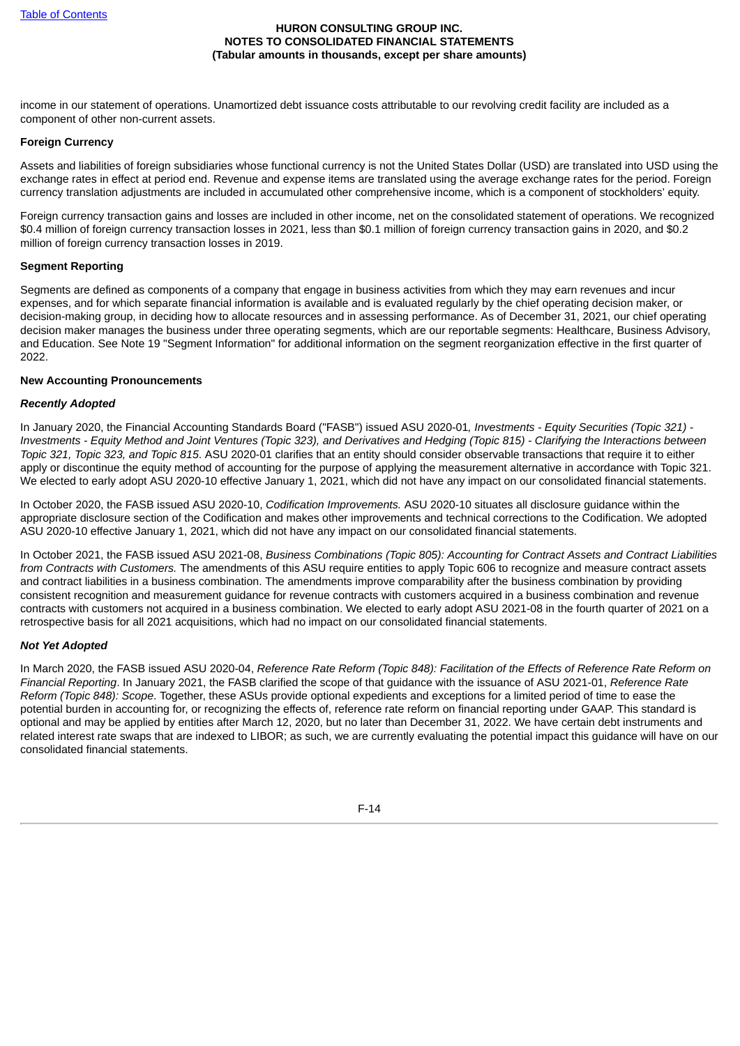income in our statement of operations. Unamortized debt issuance costs attributable to our revolving credit facility are included as a component of other non-current assets.

## **Foreign Currency**

Assets and liabilities of foreign subsidiaries whose functional currency is not the United States Dollar (USD) are translated into USD using the exchange rates in effect at period end. Revenue and expense items are translated using the average exchange rates for the period. Foreign currency translation adjustments are included in accumulated other comprehensive income, which is a component of stockholders' equity.

Foreign currency transaction gains and losses are included in other income, net on the consolidated statement of operations. We recognized \$0.4 million of foreign currency transaction losses in 2021, less than \$0.1 million of foreign currency transaction gains in 2020, and \$0.2 million of foreign currency transaction losses in 2019.

# **Segment Reporting**

Segments are defined as components of a company that engage in business activities from which they may earn revenues and incur expenses, and for which separate financial information is available and is evaluated regularly by the chief operating decision maker, or decision-making group, in deciding how to allocate resources and in assessing performance. As of December 31, 2021, our chief operating decision maker manages the business under three operating segments, which are our reportable segments: Healthcare, Business Advisory, and Education. See Note 19 "Segment Information" for additional information on the segment reorganization effective in the first quarter of 2022.

#### **New Accounting Pronouncements**

## *Recently Adopted*

In January 2020, the Financial Accounting Standards Board ("FASB") issued ASU 2020-01*, Investments - Equity Securities (Topic 321) -* Investments - Equity Method and Joint Ventures (Topic 323), and Derivatives and Hedging (Topic 815) - Clarifying the Interactions between *Topic 321, Topic 323, and Topic 815*. ASU 2020-01 clarifies that an entity should consider observable transactions that require it to either apply or discontinue the equity method of accounting for the purpose of applying the measurement alternative in accordance with Topic 321. We elected to early adopt ASU 2020-10 effective January 1, 2021, which did not have any impact on our consolidated financial statements.

In October 2020, the FASB issued ASU 2020-10, *Codification Improvements.* ASU 2020-10 situates all disclosure guidance within the appropriate disclosure section of the Codification and makes other improvements and technical corrections to the Codification. We adopted ASU 2020-10 effective January 1, 2021, which did not have any impact on our consolidated financial statements.

In October 2021, the FASB issued ASU 2021-08, *Business Combinations (Topic 805): Accounting for Contract Assets and Contract Liabilities from Contracts with Customers.* The amendments of this ASU require entities to apply Topic 606 to recognize and measure contract assets and contract liabilities in a business combination. The amendments improve comparability after the business combination by providing consistent recognition and measurement guidance for revenue contracts with customers acquired in a business combination and revenue contracts with customers not acquired in a business combination. We elected to early adopt ASU 2021-08 in the fourth quarter of 2021 on a retrospective basis for all 2021 acquisitions, which had no impact on our consolidated financial statements.

#### *Not Yet Adopted*

In March 2020, the FASB issued ASU 2020-04, Reference Rate Reform (Topic 848): Facilitation of the Effects of Reference Rate Reform on *Financial Reporting*. In January 2021, the FASB clarified the scope of that guidance with the issuance of ASU 2021-01, *Reference Rate Reform (Topic 848): Scope*. Together, these ASUs provide optional expedients and exceptions for a limited period of time to ease the potential burden in accounting for, or recognizing the effects of, reference rate reform on financial reporting under GAAP. This standard is optional and may be applied by entities after March 12, 2020, but no later than December 31, 2022. We have certain debt instruments and related interest rate swaps that are indexed to LIBOR; as such, we are currently evaluating the potential impact this guidance will have on our consolidated financial statements.

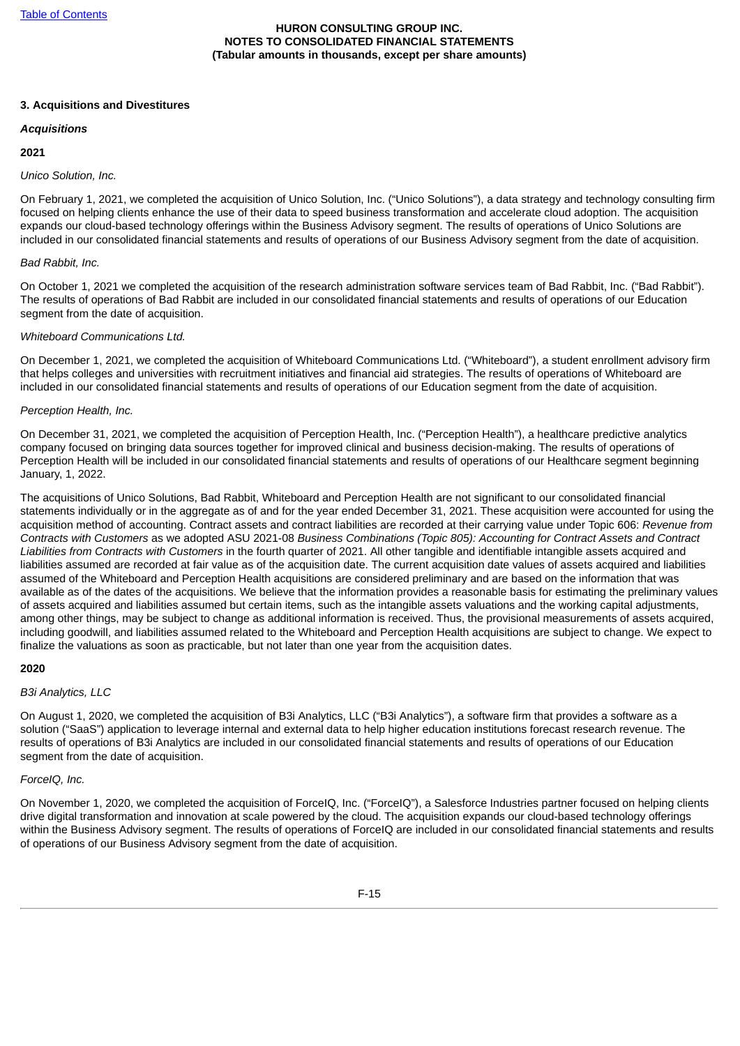## **3. Acquisitions and Divestitures**

## *Acquisitions*

# **2021**

## *Unico Solution, Inc.*

On February 1, 2021, we completed the acquisition of Unico Solution, Inc. ("Unico Solutions"), a data strategy and technology consulting firm focused on helping clients enhance the use of their data to speed business transformation and accelerate cloud adoption. The acquisition expands our cloud-based technology offerings within the Business Advisory segment. The results of operations of Unico Solutions are included in our consolidated financial statements and results of operations of our Business Advisory segment from the date of acquisition.

#### *Bad Rabbit, Inc.*

On October 1, 2021 we completed the acquisition of the research administration software services team of Bad Rabbit, Inc. ("Bad Rabbit"). The results of operations of Bad Rabbit are included in our consolidated financial statements and results of operations of our Education segment from the date of acquisition.

## *Whiteboard Communications Ltd.*

On December 1, 2021, we completed the acquisition of Whiteboard Communications Ltd. ("Whiteboard"), a student enrollment advisory firm that helps colleges and universities with recruitment initiatives and financial aid strategies. The results of operations of Whiteboard are included in our consolidated financial statements and results of operations of our Education segment from the date of acquisition.

#### *Perception Health, Inc.*

On December 31, 2021, we completed the acquisition of Perception Health, Inc. ("Perception Health"), a healthcare predictive analytics company focused on bringing data sources together for improved clinical and business decision-making. The results of operations of Perception Health will be included in our consolidated financial statements and results of operations of our Healthcare segment beginning January, 1, 2022.

The acquisitions of Unico Solutions, Bad Rabbit, Whiteboard and Perception Health are not significant to our consolidated financial statements individually or in the aggregate as of and for the year ended December 31, 2021. These acquisition were accounted for using the acquisition method of accounting. Contract assets and contract liabilities are recorded at their carrying value under Topic 606: *Revenue from Contracts with Customers* as we adopted ASU 2021-08 *Business Combinations (Topic 805): Accounting for Contract Assets and Contract Liabilities from Contracts with Customers* in the fourth quarter of 2021. All other tangible and identifiable intangible assets acquired and liabilities assumed are recorded at fair value as of the acquisition date. The current acquisition date values of assets acquired and liabilities assumed of the Whiteboard and Perception Health acquisitions are considered preliminary and are based on the information that was available as of the dates of the acquisitions. We believe that the information provides a reasonable basis for estimating the preliminary values of assets acquired and liabilities assumed but certain items, such as the intangible assets valuations and the working capital adjustments, among other things, may be subject to change as additional information is received. Thus, the provisional measurements of assets acquired, including goodwill, and liabilities assumed related to the Whiteboard and Perception Health acquisitions are subject to change. We expect to finalize the valuations as soon as practicable, but not later than one year from the acquisition dates.

#### **2020**

#### *B3i Analytics, LLC*

On August 1, 2020, we completed the acquisition of B3i Analytics, LLC ("B3i Analytics"), a software firm that provides a software as a solution ("SaaS") application to leverage internal and external data to help higher education institutions forecast research revenue. The results of operations of B3i Analytics are included in our consolidated financial statements and results of operations of our Education segment from the date of acquisition.

## *ForceIQ, Inc.*

On November 1, 2020, we completed the acquisition of ForceIQ, Inc. ("ForceIQ"), a Salesforce Industries partner focused on helping clients drive digital transformation and innovation at scale powered by the cloud. The acquisition expands our cloud-based technology offerings within the Business Advisory segment. The results of operations of ForceIQ are included in our consolidated financial statements and results of operations of our Business Advisory segment from the date of acquisition.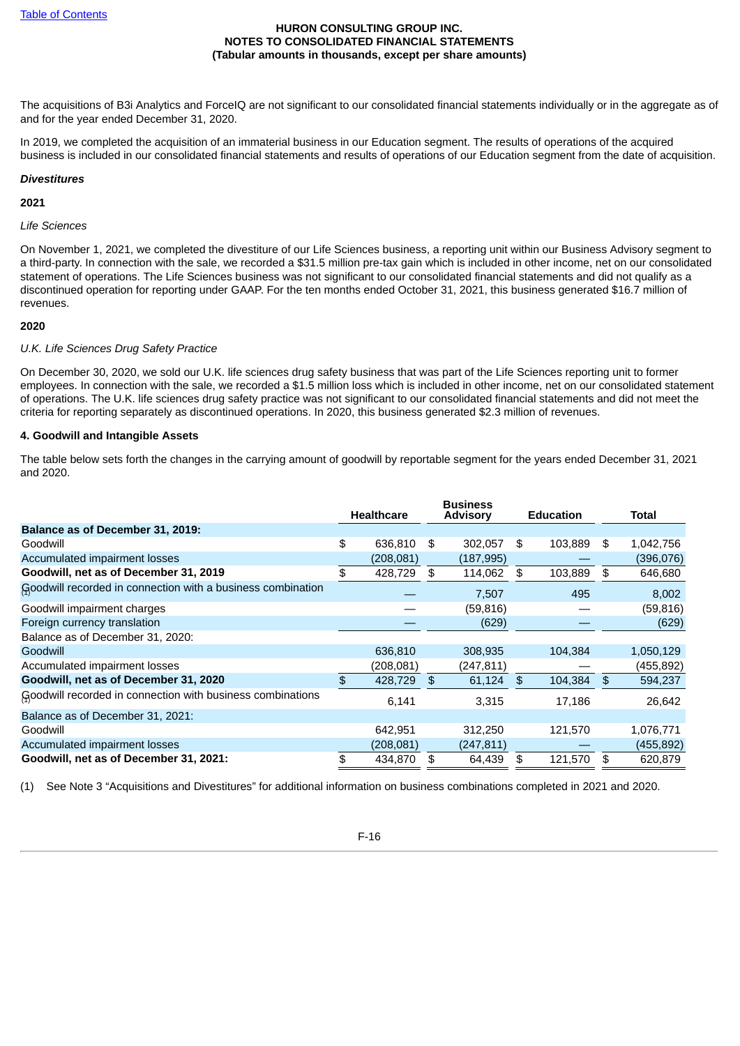The acquisitions of B3i Analytics and ForceIQ are not significant to our consolidated financial statements individually or in the aggregate as of and for the year ended December 31, 2020.

In 2019, we completed the acquisition of an immaterial business in our Education segment. The results of operations of the acquired business is included in our consolidated financial statements and results of operations of our Education segment from the date of acquisition.

#### *Divestitures*

## **2021**

## *Life Sciences*

On November 1, 2021, we completed the divestiture of our Life Sciences business, a reporting unit within our Business Advisory segment to a third-party. In connection with the sale, we recorded a \$31.5 million pre-tax gain which is included in other income, net on our consolidated statement of operations. The Life Sciences business was not significant to our consolidated financial statements and did not qualify as a discontinued operation for reporting under GAAP. For the ten months ended October 31, 2021, this business generated \$16.7 million of revenues.

# **2020**

## *U.K. Life Sciences Drug Safety Practice*

On December 30, 2020, we sold our U.K. life sciences drug safety business that was part of the Life Sciences reporting unit to former employees. In connection with the sale, we recorded a \$1.5 million loss which is included in other income, net on our consolidated statement of operations. The U.K. life sciences drug safety practice was not significant to our consolidated financial statements and did not meet the criteria for reporting separately as discontinued operations. In 2020, this business generated \$2.3 million of revenues.

## **4. Goodwill and Intangible Assets**

The table below sets forth the changes in the carrying amount of goodwill by reportable segment for the years ended December 31, 2021 and 2020.

|                                                             | <b>Healthcare</b> | <b>Business</b><br><b>Advisory</b> |                | <b>Education</b> |                | Total      |
|-------------------------------------------------------------|-------------------|------------------------------------|----------------|------------------|----------------|------------|
| Balance as of December 31, 2019:                            |                   |                                    |                |                  |                |            |
| Goodwill                                                    | \$<br>636.810     | \$<br>302,057                      | \$             | 103,889          | \$             | 1,042,756  |
| Accumulated impairment losses                               | (208, 081)        | (187, 995)                         |                |                  |                | (396, 076) |
| Goodwill, net as of December 31, 2019                       | \$<br>428,729     | \$<br>114,062                      | \$             | 103,889          | \$             | 646,680    |
| Goodwill recorded in connection with a business combination |                   | 7,507                              |                | 495              |                | 8,002      |
| Goodwill impairment charges                                 |                   | (59, 816)                          |                |                  |                | (59, 816)  |
| Foreign currency translation                                |                   | (629)                              |                |                  |                | (629)      |
| Balance as of December 31, 2020:                            |                   |                                    |                |                  |                |            |
| Goodwill                                                    | 636,810           | 308,935                            |                | 104,384          |                | 1,050,129  |
| Accumulated impairment losses                               | (208,081)         | (247, 811)                         |                |                  |                | (455, 892) |
| Goodwill, net as of December 31, 2020                       | \$<br>428,729     | \$<br>61,124                       | $\mathfrak{L}$ | 104,384          | $\mathfrak{F}$ | 594,237    |
| Goodwill recorded in connection with business combinations  | 6,141             | 3,315                              |                | 17,186           |                | 26,642     |
| Balance as of December 31, 2021:                            |                   |                                    |                |                  |                |            |
| Goodwill                                                    | 642,951           | 312,250                            |                | 121,570          |                | 1,076,771  |
| Accumulated impairment losses                               | (208,081)         | (247, 811)                         |                |                  |                | (455, 892) |
| Goodwill, net as of December 31, 2021:                      | \$<br>434.870     | \$<br>64,439                       | \$             | 121,570          | \$             | 620.879    |

(1) See Note 3 "Acquisitions and Divestitures" for additional information on business combinations completed in 2021 and 2020.

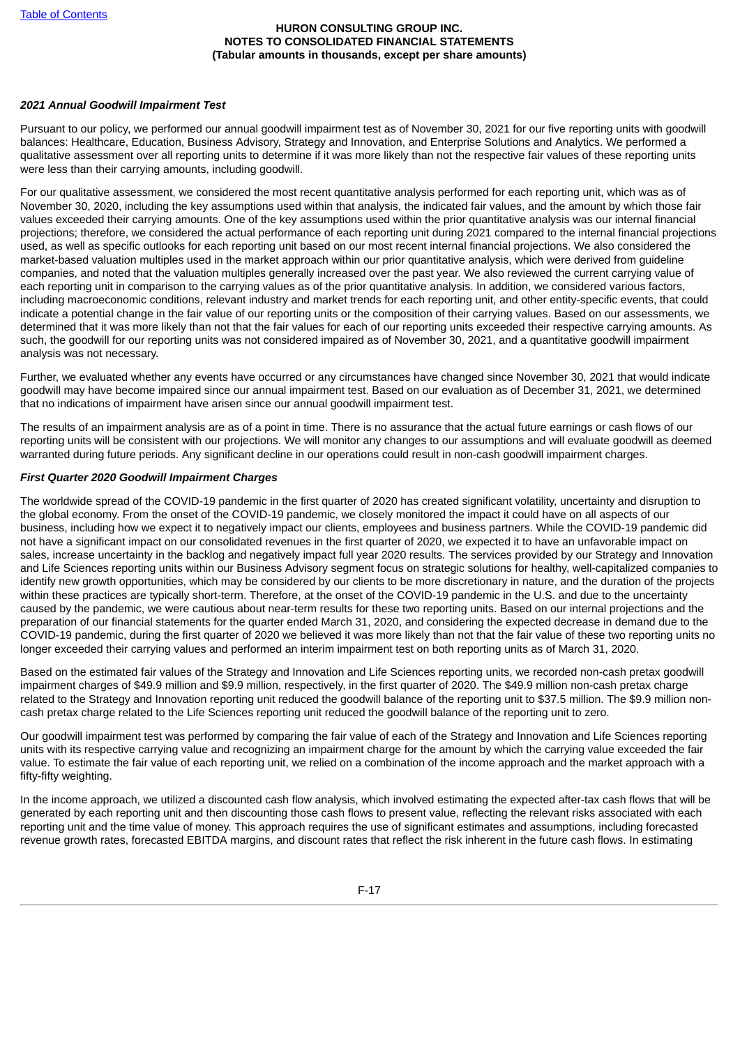## *2021 Annual Goodwill Impairment Test*

Pursuant to our policy, we performed our annual goodwill impairment test as of November 30, 2021 for our five reporting units with goodwill balances: Healthcare, Education, Business Advisory, Strategy and Innovation, and Enterprise Solutions and Analytics. We performed a qualitative assessment over all reporting units to determine if it was more likely than not the respective fair values of these reporting units were less than their carrying amounts, including goodwill.

For our qualitative assessment, we considered the most recent quantitative analysis performed for each reporting unit, which was as of November 30, 2020, including the key assumptions used within that analysis, the indicated fair values, and the amount by which those fair values exceeded their carrying amounts. One of the key assumptions used within the prior quantitative analysis was our internal financial projections; therefore, we considered the actual performance of each reporting unit during 2021 compared to the internal financial projections used, as well as specific outlooks for each reporting unit based on our most recent internal financial projections. We also considered the market-based valuation multiples used in the market approach within our prior quantitative analysis, which were derived from guideline companies, and noted that the valuation multiples generally increased over the past year. We also reviewed the current carrying value of each reporting unit in comparison to the carrying values as of the prior quantitative analysis. In addition, we considered various factors, including macroeconomic conditions, relevant industry and market trends for each reporting unit, and other entity-specific events, that could indicate a potential change in the fair value of our reporting units or the composition of their carrying values. Based on our assessments, we determined that it was more likely than not that the fair values for each of our reporting units exceeded their respective carrying amounts. As such, the goodwill for our reporting units was not considered impaired as of November 30, 2021, and a quantitative goodwill impairment analysis was not necessary.

Further, we evaluated whether any events have occurred or any circumstances have changed since November 30, 2021 that would indicate goodwill may have become impaired since our annual impairment test. Based on our evaluation as of December 31, 2021, we determined that no indications of impairment have arisen since our annual goodwill impairment test.

The results of an impairment analysis are as of a point in time. There is no assurance that the actual future earnings or cash flows of our reporting units will be consistent with our projections. We will monitor any changes to our assumptions and will evaluate goodwill as deemed warranted during future periods. Any significant decline in our operations could result in non-cash goodwill impairment charges.

#### *First Quarter 2020 Goodwill Impairment Charges*

The worldwide spread of the COVID-19 pandemic in the first quarter of 2020 has created significant volatility, uncertainty and disruption to the global economy. From the onset of the COVID-19 pandemic, we closely monitored the impact it could have on all aspects of our business, including how we expect it to negatively impact our clients, employees and business partners. While the COVID-19 pandemic did not have a significant impact on our consolidated revenues in the first quarter of 2020, we expected it to have an unfavorable impact on sales, increase uncertainty in the backlog and negatively impact full year 2020 results. The services provided by our Strategy and Innovation and Life Sciences reporting units within our Business Advisory segment focus on strategic solutions for healthy, well-capitalized companies to identify new growth opportunities, which may be considered by our clients to be more discretionary in nature, and the duration of the projects within these practices are typically short-term. Therefore, at the onset of the COVID-19 pandemic in the U.S. and due to the uncertainty caused by the pandemic, we were cautious about near-term results for these two reporting units. Based on our internal projections and the preparation of our financial statements for the quarter ended March 31, 2020, and considering the expected decrease in demand due to the COVID-19 pandemic, during the first quarter of 2020 we believed it was more likely than not that the fair value of these two reporting units no longer exceeded their carrying values and performed an interim impairment test on both reporting units as of March 31, 2020.

Based on the estimated fair values of the Strategy and Innovation and Life Sciences reporting units, we recorded non-cash pretax goodwill impairment charges of \$49.9 million and \$9.9 million, respectively, in the first quarter of 2020. The \$49.9 million non-cash pretax charge related to the Strategy and Innovation reporting unit reduced the goodwill balance of the reporting unit to \$37.5 million. The \$9.9 million noncash pretax charge related to the Life Sciences reporting unit reduced the goodwill balance of the reporting unit to zero.

Our goodwill impairment test was performed by comparing the fair value of each of the Strategy and Innovation and Life Sciences reporting units with its respective carrying value and recognizing an impairment charge for the amount by which the carrying value exceeded the fair value. To estimate the fair value of each reporting unit, we relied on a combination of the income approach and the market approach with a fifty-fifty weighting.

In the income approach, we utilized a discounted cash flow analysis, which involved estimating the expected after-tax cash flows that will be generated by each reporting unit and then discounting those cash flows to present value, reflecting the relevant risks associated with each reporting unit and the time value of money. This approach requires the use of significant estimates and assumptions, including forecasted revenue growth rates, forecasted EBITDA margins, and discount rates that reflect the risk inherent in the future cash flows. In estimating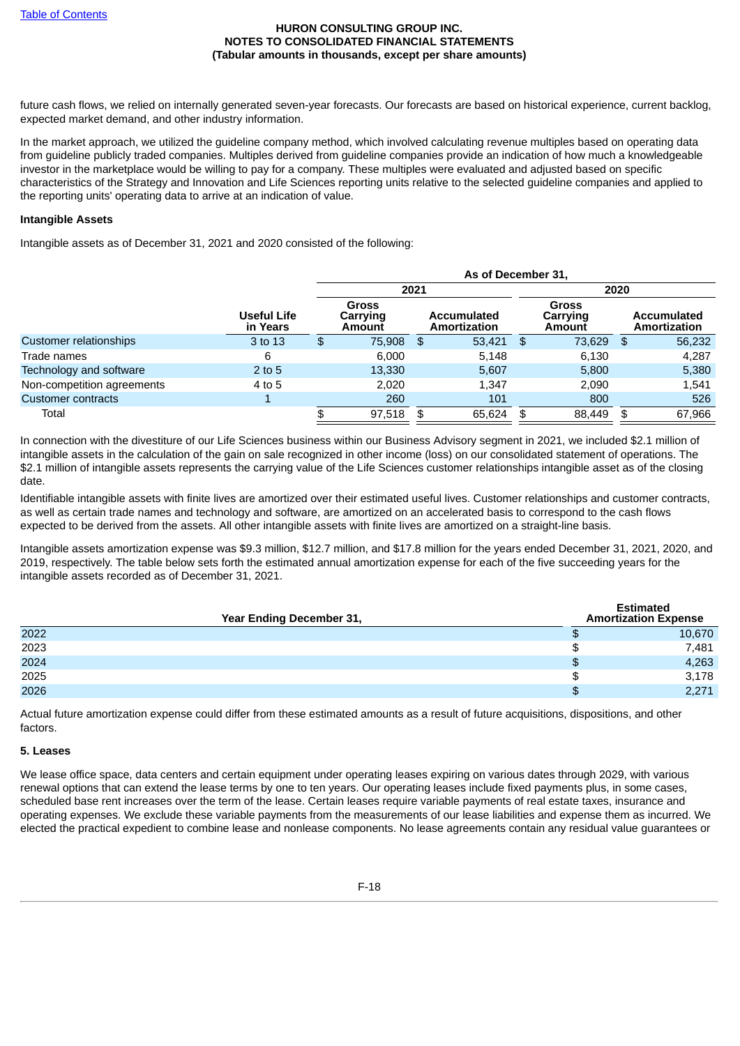future cash flows, we relied on internally generated seven-year forecasts. Our forecasts are based on historical experience, current backlog, expected market demand, and other industry information.

In the market approach, we utilized the guideline company method, which involved calculating revenue multiples based on operating data from guideline publicly traded companies. Multiples derived from guideline companies provide an indication of how much a knowledgeable investor in the marketplace would be willing to pay for a company. These multiples were evaluated and adjusted based on specific characteristics of the Strategy and Innovation and Life Sciences reporting units relative to the selected guideline companies and applied to the reporting units' operating data to arrive at an indication of value.

#### **Intangible Assets**

Intangible assets as of December 31, 2021 and 2020 consisted of the following:

|                            |                         | As of December 31, |                                    |    |                                    |    |                                           |    |                                    |  |
|----------------------------|-------------------------|--------------------|------------------------------------|----|------------------------------------|----|-------------------------------------------|----|------------------------------------|--|
|                            |                         |                    | 2021                               |    |                                    |    | 2020                                      |    |                                    |  |
|                            | Useful Life<br>in Years |                    | <b>Gross</b><br>Carrying<br>Amount |    | <b>Accumulated</b><br>Amortization |    | <b>Gross</b><br>Carrying<br><b>Amount</b> |    | <b>Accumulated</b><br>Amortization |  |
| Customer relationships     | 3 to 13                 | \$                 | 75,908                             | \$ | 53,421 \$                          |    | 73,629                                    | \$ | 56,232                             |  |
| Trade names                | 6                       |                    | 6,000                              |    | 5,148                              |    | 6,130                                     |    | 4,287                              |  |
| Technology and software    | $2$ to 5                |                    | 13,330                             |    | 5.607                              |    | 5,800                                     |    | 5,380                              |  |
| Non-competition agreements | 4 to 5                  |                    | 2,020                              |    | 1,347                              |    | 2,090                                     |    | 1,541                              |  |
| Customer contracts         |                         |                    | 260                                |    | 101                                |    | 800                                       |    | 526                                |  |
| Total                      |                         | \$                 | 97,518                             | \$ | 65.624                             | \$ | 88,449                                    | \$ | 67.966                             |  |

In connection with the divestiture of our Life Sciences business within our Business Advisory segment in 2021, we included \$2.1 million of intangible assets in the calculation of the gain on sale recognized in other income (loss) on our consolidated statement of operations. The \$2.1 million of intangible assets represents the carrying value of the Life Sciences customer relationships intangible asset as of the closing date.

Identifiable intangible assets with finite lives are amortized over their estimated useful lives. Customer relationships and customer contracts, as well as certain trade names and technology and software, are amortized on an accelerated basis to correspond to the cash flows expected to be derived from the assets. All other intangible assets with finite lives are amortized on a straight-line basis.

Intangible assets amortization expense was \$9.3 million, \$12.7 million, and \$17.8 million for the years ended December 31, 2021, 2020, and 2019, respectively. The table below sets forth the estimated annual amortization expense for each of the five succeeding years for the intangible assets recorded as of December 31, 2021.

| Year Ending December 31, | <b>Estimated</b><br><b>Amortization Expense</b> |
|--------------------------|-------------------------------------------------|
| 2022                     | \$<br>10,670                                    |
| 2023                     | \$<br>7,481                                     |
| 2024                     | \$<br>4,263                                     |
| 2025                     | \$<br>3,178                                     |
| 2026                     | \$<br>2,271                                     |

Actual future amortization expense could differ from these estimated amounts as a result of future acquisitions, dispositions, and other factors.

#### **5. Leases**

We lease office space, data centers and certain equipment under operating leases expiring on various dates through 2029, with various renewal options that can extend the lease terms by one to ten years. Our operating leases include fixed payments plus, in some cases, scheduled base rent increases over the term of the lease. Certain leases require variable payments of real estate taxes, insurance and operating expenses. We exclude these variable payments from the measurements of our lease liabilities and expense them as incurred. We elected the practical expedient to combine lease and nonlease components. No lease agreements contain any residual value guarantees or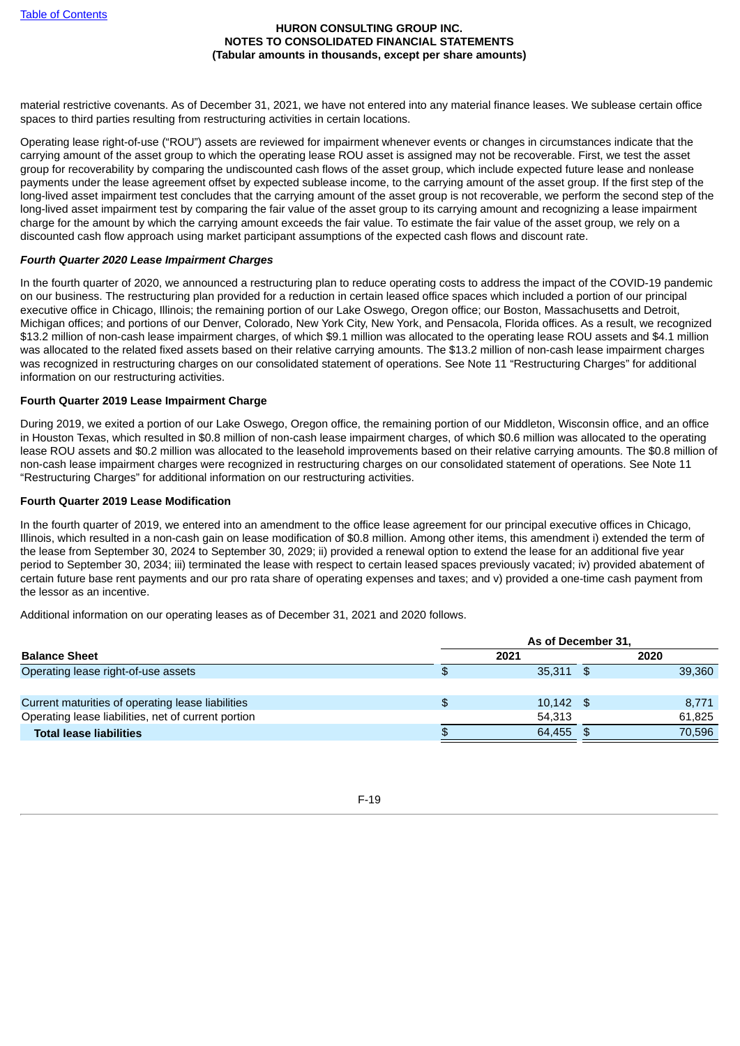material restrictive covenants. As of December 31, 2021, we have not entered into any material finance leases. We sublease certain office spaces to third parties resulting from restructuring activities in certain locations.

Operating lease right-of-use ("ROU") assets are reviewed for impairment whenever events or changes in circumstances indicate that the carrying amount of the asset group to which the operating lease ROU asset is assigned may not be recoverable. First, we test the asset group for recoverability by comparing the undiscounted cash flows of the asset group, which include expected future lease and nonlease payments under the lease agreement offset by expected sublease income, to the carrying amount of the asset group. If the first step of the long-lived asset impairment test concludes that the carrying amount of the asset group is not recoverable, we perform the second step of the long-lived asset impairment test by comparing the fair value of the asset group to its carrying amount and recognizing a lease impairment charge for the amount by which the carrying amount exceeds the fair value. To estimate the fair value of the asset group, we rely on a discounted cash flow approach using market participant assumptions of the expected cash flows and discount rate.

## *Fourth Quarter 2020 Lease Impairment Charges*

In the fourth quarter of 2020, we announced a restructuring plan to reduce operating costs to address the impact of the COVID-19 pandemic on our business. The restructuring plan provided for a reduction in certain leased office spaces which included a portion of our principal executive office in Chicago, Illinois; the remaining portion of our Lake Oswego, Oregon office; our Boston, Massachusetts and Detroit, Michigan offices; and portions of our Denver, Colorado, New York City, New York, and Pensacola, Florida offices. As a result, we recognized \$13.2 million of non-cash lease impairment charges, of which \$9.1 million was allocated to the operating lease ROU assets and \$4.1 million was allocated to the related fixed assets based on their relative carrying amounts. The \$13.2 million of non-cash lease impairment charges was recognized in restructuring charges on our consolidated statement of operations. See Note 11 "Restructuring Charges" for additional information on our restructuring activities.

## **Fourth Quarter 2019 Lease Impairment Charge**

During 2019, we exited a portion of our Lake Oswego, Oregon office, the remaining portion of our Middleton, Wisconsin office, and an office in Houston Texas, which resulted in \$0.8 million of non-cash lease impairment charges, of which \$0.6 million was allocated to the operating lease ROU assets and \$0.2 million was allocated to the leasehold improvements based on their relative carrying amounts. The \$0.8 million of non-cash lease impairment charges were recognized in restructuring charges on our consolidated statement of operations. See Note 11 "Restructuring Charges" for additional information on our restructuring activities.

#### **Fourth Quarter 2019 Lease Modification**

In the fourth quarter of 2019, we entered into an amendment to the office lease agreement for our principal executive offices in Chicago, Illinois, which resulted in a non-cash gain on lease modification of \$0.8 million. Among other items, this amendment i) extended the term of the lease from September 30, 2024 to September 30, 2029; ii) provided a renewal option to extend the lease for an additional five year period to September 30, 2034; iii) terminated the lease with respect to certain leased spaces previously vacated; iv) provided abatement of certain future base rent payments and our pro rata share of operating expenses and taxes; and v) provided a one-time cash payment from the lessor as an incentive.

Additional information on our operating leases as of December 31, 2021 and 2020 follows.

|                                                     | As of December 31, |             |  |        |  |  |  |  |  |
|-----------------------------------------------------|--------------------|-------------|--|--------|--|--|--|--|--|
| <b>Balance Sheet</b>                                |                    | 2021        |  |        |  |  |  |  |  |
| Operating lease right-of-use assets                 |                    | $35,311$ \$ |  | 39,360 |  |  |  |  |  |
|                                                     |                    |             |  |        |  |  |  |  |  |
| Current maturities of operating lease liabilities   | \$                 | $10,142$ \$ |  | 8.771  |  |  |  |  |  |
| Operating lease liabilities, net of current portion |                    | 54.313      |  | 61.825 |  |  |  |  |  |
| <b>Total lease liabilities</b>                      |                    | 64,455 \$   |  | 70.596 |  |  |  |  |  |

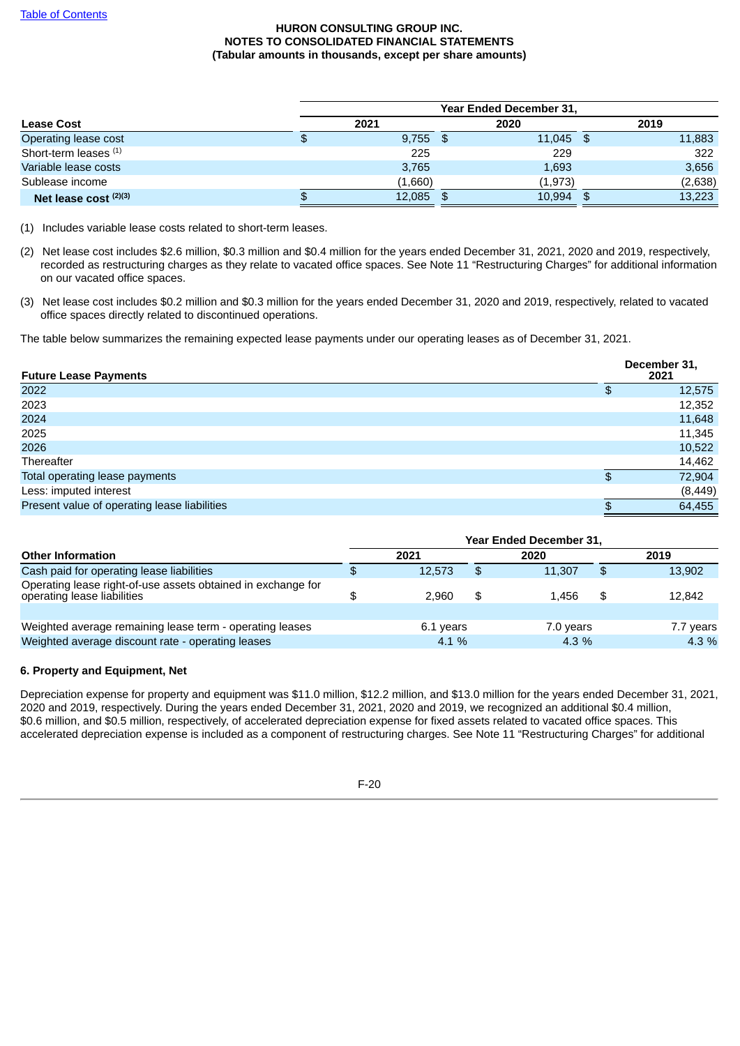|                         | <b>Year Ended December 31,</b> |              |     |             |  |         |  |  |  |  |
|-------------------------|--------------------------------|--------------|-----|-------------|--|---------|--|--|--|--|
| <b>Lease Cost</b>       |                                | 2021         |     | 2020        |  | 2019    |  |  |  |  |
| Operating lease cost    |                                | 9,755<br>-\$ |     | $11,045$ \$ |  | 11,883  |  |  |  |  |
| Short-term leases (1)   |                                | 225          |     | 229         |  | 322     |  |  |  |  |
| Variable lease costs    |                                | 3,765        |     | 1,693       |  | 3,656   |  |  |  |  |
| Sublease income         |                                | (1,660)      |     | (1, 973)    |  | (2,638) |  |  |  |  |
| Net lease cost $(2)(3)$ |                                | 12,085       | \$. | 10,994      |  | 13,223  |  |  |  |  |

(1) Includes variable lease costs related to short-term leases.

- (2) Net lease cost includes \$2.6 million, \$0.3 million and \$0.4 million for the years ended December 31, 2021, 2020 and 2019, respectively, recorded as restructuring charges as they relate to vacated office spaces. See Note 11 "Restructuring Charges" for additional information on our vacated office spaces.
- (3) Net lease cost includes \$0.2 million and \$0.3 million for the years ended December 31, 2020 and 2019, respectively, related to vacated office spaces directly related to discontinued operations.

The table below summarizes the remaining expected lease payments under our operating leases as of December 31, 2021.

| <b>Future Lease Payments</b>                 |    | December 31,<br>2021 |
|----------------------------------------------|----|----------------------|
| 2022                                         | Ф  | 12,575               |
| 2023                                         |    | 12,352               |
| 2024                                         |    | 11,648               |
| 2025                                         |    | 11,345               |
| 2026                                         |    | 10,522               |
| Thereafter                                   |    | 14,462               |
| Total operating lease payments               | \$ | 72,904               |
| Less: imputed interest                       |    | (8, 449)             |
| Present value of operating lease liabilities | \$ | 64,455               |

|                                                                                             | <b>Year Ended December 31.</b> |           |     |           |    |           |  |  |  |  |  |
|---------------------------------------------------------------------------------------------|--------------------------------|-----------|-----|-----------|----|-----------|--|--|--|--|--|
| <b>Other Information</b>                                                                    |                                | 2021      |     | 2020      |    | 2019      |  |  |  |  |  |
| Cash paid for operating lease liabilities                                                   |                                | 12.573    | \$. | 11.307    | \$ | 13,902    |  |  |  |  |  |
| Operating lease right-of-use assets obtained in exchange for<br>operating lease liabilities |                                | 2.960     | \$  | 1.456     | \$ | 12.842    |  |  |  |  |  |
|                                                                                             |                                |           |     |           |    |           |  |  |  |  |  |
| Weighted average remaining lease term - operating leases                                    |                                | 6.1 years |     | 7.0 years |    | 7.7 years |  |  |  |  |  |
| Weighted average discount rate - operating leases                                           |                                | 4.1 %     |     | $4.3\%$   |    | 4.3 %     |  |  |  |  |  |

#### **6. Property and Equipment, Net**

Depreciation expense for property and equipment was \$11.0 million, \$12.2 million, and \$13.0 million for the years ended December 31, 2021, 2020 and 2019, respectively. During the years ended December 31, 2021, 2020 and 2019, we recognized an additional \$0.4 million, \$0.6 million, and \$0.5 million, respectively, of accelerated depreciation expense for fixed assets related to vacated office spaces. This accelerated depreciation expense is included as a component of restructuring charges. See Note 11 "Restructuring Charges" for additional

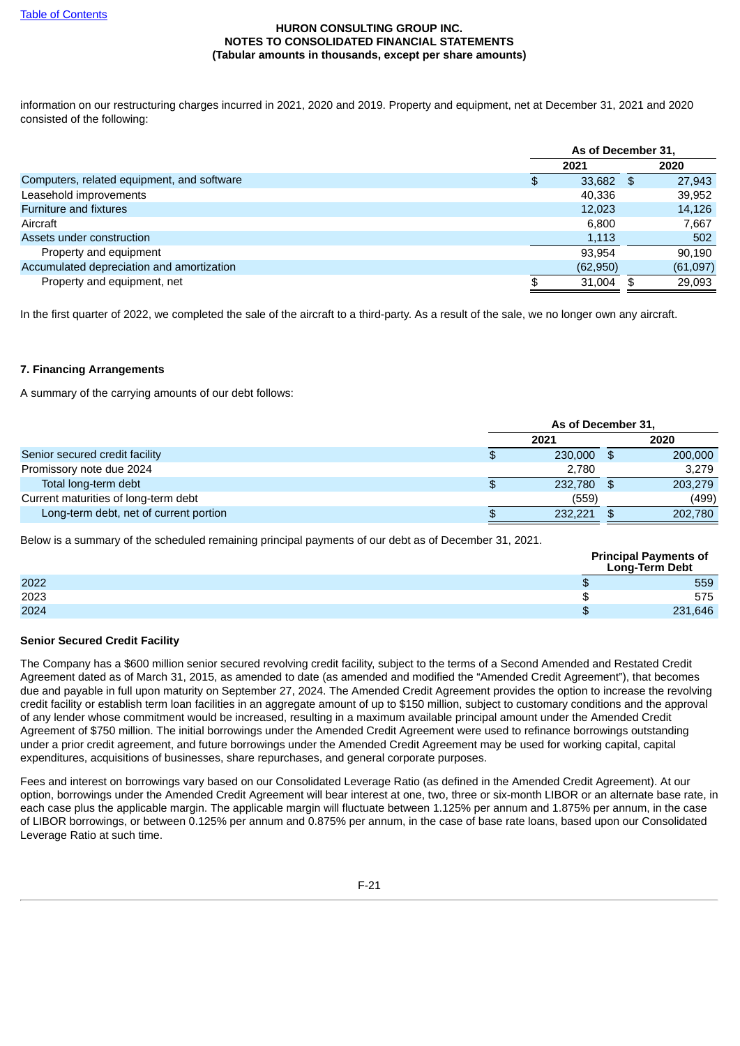information on our restructuring charges incurred in 2021, 2020 and 2019. Property and equipment, net at December 31, 2021 and 2020 consisted of the following:

| As of December 31, |          |  |             |  |
|--------------------|----------|--|-------------|--|
|                    | 2021     |  | 2020        |  |
|                    |          |  | 27,943      |  |
|                    | 40,336   |  | 39,952      |  |
|                    | 12.023   |  | 14.126      |  |
|                    | 6.800    |  | 7.667       |  |
|                    | 1,113    |  | 502         |  |
|                    | 93.954   |  | 90.190      |  |
|                    | (62,950) |  | (61,097)    |  |
|                    | 31,004   |  | 29,093      |  |
|                    |          |  | $33.682$ \$ |  |

In the first quarter of 2022, we completed the sale of the aircraft to a third-party. As a result of the sale, we no longer own any aircraft.

#### **7. Financing Arrangements**

A summary of the carrying amounts of our debt follows:

|                                        | As of December 31, |     |         |  |  |
|----------------------------------------|--------------------|-----|---------|--|--|
|                                        | 2021               |     | 2020    |  |  |
| Senior secured credit facility         | \$<br>230,000      | \$. | 200,000 |  |  |
| Promissory note due 2024               | 2.780              |     | 3,279   |  |  |
| Total long-term debt                   | \$<br>232,780      | \$. | 203,279 |  |  |
| Current maturities of long-term debt   | (559)              |     | (499)   |  |  |
| Long-term debt, net of current portion | 232,221            |     | 202,780 |  |  |

Below is a summary of the scheduled remaining principal payments of our debt as of December 31, 2021.

|      | <b>Principal Payments of<br/>Long-Term Debt</b> |
|------|-------------------------------------------------|
| 2022 | 559                                             |
| 2023 | 575                                             |
| 2024 | 231,646                                         |

# **Senior Secured Credit Facility**

The Company has a \$600 million senior secured revolving credit facility, subject to the terms of a Second Amended and Restated Credit Agreement dated as of March 31, 2015, as amended to date (as amended and modified the "Amended Credit Agreement"), that becomes due and payable in full upon maturity on September 27, 2024. The Amended Credit Agreement provides the option to increase the revolving credit facility or establish term loan facilities in an aggregate amount of up to \$150 million, subject to customary conditions and the approval of any lender whose commitment would be increased, resulting in a maximum available principal amount under the Amended Credit Agreement of \$750 million. The initial borrowings under the Amended Credit Agreement were used to refinance borrowings outstanding under a prior credit agreement, and future borrowings under the Amended Credit Agreement may be used for working capital, capital expenditures, acquisitions of businesses, share repurchases, and general corporate purposes.

Fees and interest on borrowings vary based on our Consolidated Leverage Ratio (as defined in the Amended Credit Agreement). At our option, borrowings under the Amended Credit Agreement will bear interest at one, two, three or six-month LIBOR or an alternate base rate, in each case plus the applicable margin. The applicable margin will fluctuate between 1.125% per annum and 1.875% per annum, in the case of LIBOR borrowings, or between 0.125% per annum and 0.875% per annum, in the case of base rate loans, based upon our Consolidated Leverage Ratio at such time.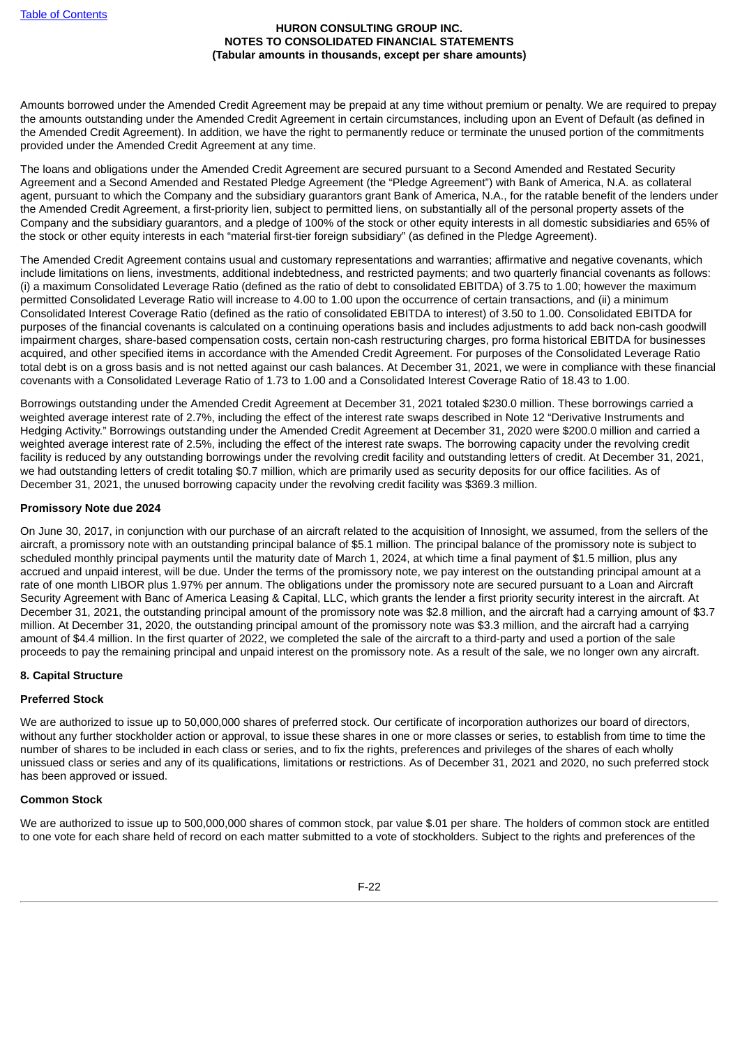Amounts borrowed under the Amended Credit Agreement may be prepaid at any time without premium or penalty. We are required to prepay the amounts outstanding under the Amended Credit Agreement in certain circumstances, including upon an Event of Default (as defined in the Amended Credit Agreement). In addition, we have the right to permanently reduce or terminate the unused portion of the commitments provided under the Amended Credit Agreement at any time.

The loans and obligations under the Amended Credit Agreement are secured pursuant to a Second Amended and Restated Security Agreement and a Second Amended and Restated Pledge Agreement (the "Pledge Agreement") with Bank of America, N.A. as collateral agent, pursuant to which the Company and the subsidiary guarantors grant Bank of America, N.A., for the ratable benefit of the lenders under the Amended Credit Agreement, a first-priority lien, subject to permitted liens, on substantially all of the personal property assets of the Company and the subsidiary guarantors, and a pledge of 100% of the stock or other equity interests in all domestic subsidiaries and 65% of the stock or other equity interests in each "material first-tier foreign subsidiary" (as defined in the Pledge Agreement).

The Amended Credit Agreement contains usual and customary representations and warranties; affirmative and negative covenants, which include limitations on liens, investments, additional indebtedness, and restricted payments; and two quarterly financial covenants as follows: (i) a maximum Consolidated Leverage Ratio (defined as the ratio of debt to consolidated EBITDA) of 3.75 to 1.00; however the maximum permitted Consolidated Leverage Ratio will increase to 4.00 to 1.00 upon the occurrence of certain transactions, and (ii) a minimum Consolidated Interest Coverage Ratio (defined as the ratio of consolidated EBITDA to interest) of 3.50 to 1.00. Consolidated EBITDA for purposes of the financial covenants is calculated on a continuing operations basis and includes adjustments to add back non-cash goodwill impairment charges, share-based compensation costs, certain non-cash restructuring charges, pro forma historical EBITDA for businesses acquired, and other specified items in accordance with the Amended Credit Agreement. For purposes of the Consolidated Leverage Ratio total debt is on a gross basis and is not netted against our cash balances. At December 31, 2021, we were in compliance with these financial covenants with a Consolidated Leverage Ratio of 1.73 to 1.00 and a Consolidated Interest Coverage Ratio of 18.43 to 1.00.

Borrowings outstanding under the Amended Credit Agreement at December 31, 2021 totaled \$230.0 million. These borrowings carried a weighted average interest rate of 2.7%, including the effect of the interest rate swaps described in Note 12 "Derivative Instruments and Hedging Activity." Borrowings outstanding under the Amended Credit Agreement at December 31, 2020 were \$200.0 million and carried a weighted average interest rate of 2.5%, including the effect of the interest rate swaps. The borrowing capacity under the revolving credit facility is reduced by any outstanding borrowings under the revolving credit facility and outstanding letters of credit. At December 31, 2021, we had outstanding letters of credit totaling \$0.7 million, which are primarily used as security deposits for our office facilities. As of December 31, 2021, the unused borrowing capacity under the revolving credit facility was \$369.3 million.

## **Promissory Note due 2024**

On June 30, 2017, in conjunction with our purchase of an aircraft related to the acquisition of Innosight, we assumed, from the sellers of the aircraft, a promissory note with an outstanding principal balance of \$5.1 million. The principal balance of the promissory note is subject to scheduled monthly principal payments until the maturity date of March 1, 2024, at which time a final payment of \$1.5 million, plus any accrued and unpaid interest, will be due. Under the terms of the promissory note, we pay interest on the outstanding principal amount at a rate of one month LIBOR plus 1.97% per annum. The obligations under the promissory note are secured pursuant to a Loan and Aircraft Security Agreement with Banc of America Leasing & Capital, LLC, which grants the lender a first priority security interest in the aircraft. At December 31, 2021, the outstanding principal amount of the promissory note was \$2.8 million, and the aircraft had a carrying amount of \$3.7 million. At December 31, 2020, the outstanding principal amount of the promissory note was \$3.3 million, and the aircraft had a carrying amount of \$4.4 million. In the first quarter of 2022, we completed the sale of the aircraft to a third-party and used a portion of the sale proceeds to pay the remaining principal and unpaid interest on the promissory note. As a result of the sale, we no longer own any aircraft.

# **8. Capital Structure**

# **Preferred Stock**

We are authorized to issue up to 50,000,000 shares of preferred stock. Our certificate of incorporation authorizes our board of directors, without any further stockholder action or approval, to issue these shares in one or more classes or series, to establish from time to time the number of shares to be included in each class or series, and to fix the rights, preferences and privileges of the shares of each wholly unissued class or series and any of its qualifications, limitations or restrictions. As of December 31, 2021 and 2020, no such preferred stock has been approved or issued.

#### **Common Stock**

We are authorized to issue up to 500,000,000 shares of common stock, par value \$.01 per share. The holders of common stock are entitled to one vote for each share held of record on each matter submitted to a vote of stockholders. Subject to the rights and preferences of the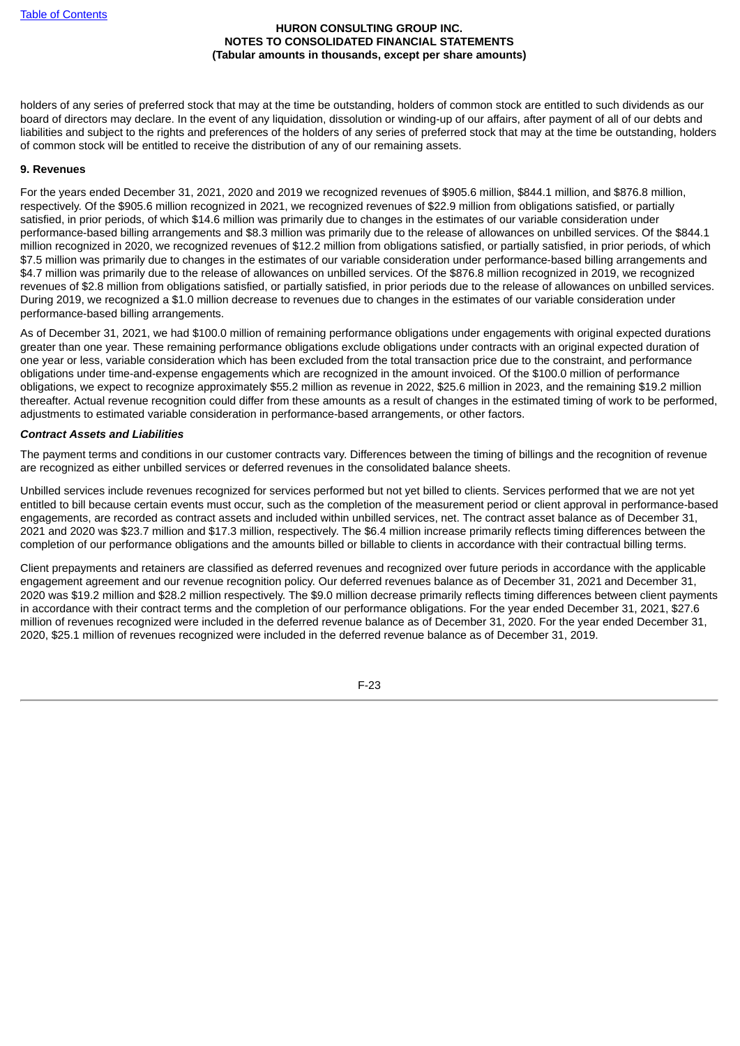holders of any series of preferred stock that may at the time be outstanding, holders of common stock are entitled to such dividends as our board of directors may declare. In the event of any liquidation, dissolution or winding-up of our affairs, after payment of all of our debts and liabilities and subject to the rights and preferences of the holders of any series of preferred stock that may at the time be outstanding, holders of common stock will be entitled to receive the distribution of any of our remaining assets.

## **9. Revenues**

For the years ended December 31, 2021, 2020 and 2019 we recognized revenues of \$905.6 million, \$844.1 million, and \$876.8 million, respectively. Of the \$905.6 million recognized in 2021, we recognized revenues of \$22.9 million from obligations satisfied, or partially satisfied, in prior periods, of which \$14.6 million was primarily due to changes in the estimates of our variable consideration under performance-based billing arrangements and \$8.3 million was primarily due to the release of allowances on unbilled services. Of the \$844.1 million recognized in 2020, we recognized revenues of \$12.2 million from obligations satisfied, or partially satisfied, in prior periods, of which \$7.5 million was primarily due to changes in the estimates of our variable consideration under performance-based billing arrangements and \$4.7 million was primarily due to the release of allowances on unbilled services. Of the \$876.8 million recognized in 2019, we recognized revenues of \$2.8 million from obligations satisfied, or partially satisfied, in prior periods due to the release of allowances on unbilled services. During 2019, we recognized a \$1.0 million decrease to revenues due to changes in the estimates of our variable consideration under performance-based billing arrangements.

As of December 31, 2021, we had \$100.0 million of remaining performance obligations under engagements with original expected durations greater than one year. These remaining performance obligations exclude obligations under contracts with an original expected duration of one year or less, variable consideration which has been excluded from the total transaction price due to the constraint, and performance obligations under time-and-expense engagements which are recognized in the amount invoiced. Of the \$100.0 million of performance obligations, we expect to recognize approximately \$55.2 million as revenue in 2022, \$25.6 million in 2023, and the remaining \$19.2 million thereafter. Actual revenue recognition could differ from these amounts as a result of changes in the estimated timing of work to be performed, adjustments to estimated variable consideration in performance-based arrangements, or other factors.

## *Contract Assets and Liabilities*

The payment terms and conditions in our customer contracts vary. Differences between the timing of billings and the recognition of revenue are recognized as either unbilled services or deferred revenues in the consolidated balance sheets.

Unbilled services include revenues recognized for services performed but not yet billed to clients. Services performed that we are not yet entitled to bill because certain events must occur, such as the completion of the measurement period or client approval in performance-based engagements, are recorded as contract assets and included within unbilled services, net. The contract asset balance as of December 31, 2021 and 2020 was \$23.7 million and \$17.3 million, respectively. The \$6.4 million increase primarily reflects timing differences between the completion of our performance obligations and the amounts billed or billable to clients in accordance with their contractual billing terms.

Client prepayments and retainers are classified as deferred revenues and recognized over future periods in accordance with the applicable engagement agreement and our revenue recognition policy. Our deferred revenues balance as of December 31, 2021 and December 31, 2020 was \$19.2 million and \$28.2 million respectively. The \$9.0 million decrease primarily reflects timing differences between client payments in accordance with their contract terms and the completion of our performance obligations. For the year ended December 31, 2021, \$27.6 million of revenues recognized were included in the deferred revenue balance as of December 31, 2020. For the year ended December 31, 2020, \$25.1 million of revenues recognized were included in the deferred revenue balance as of December 31, 2019.

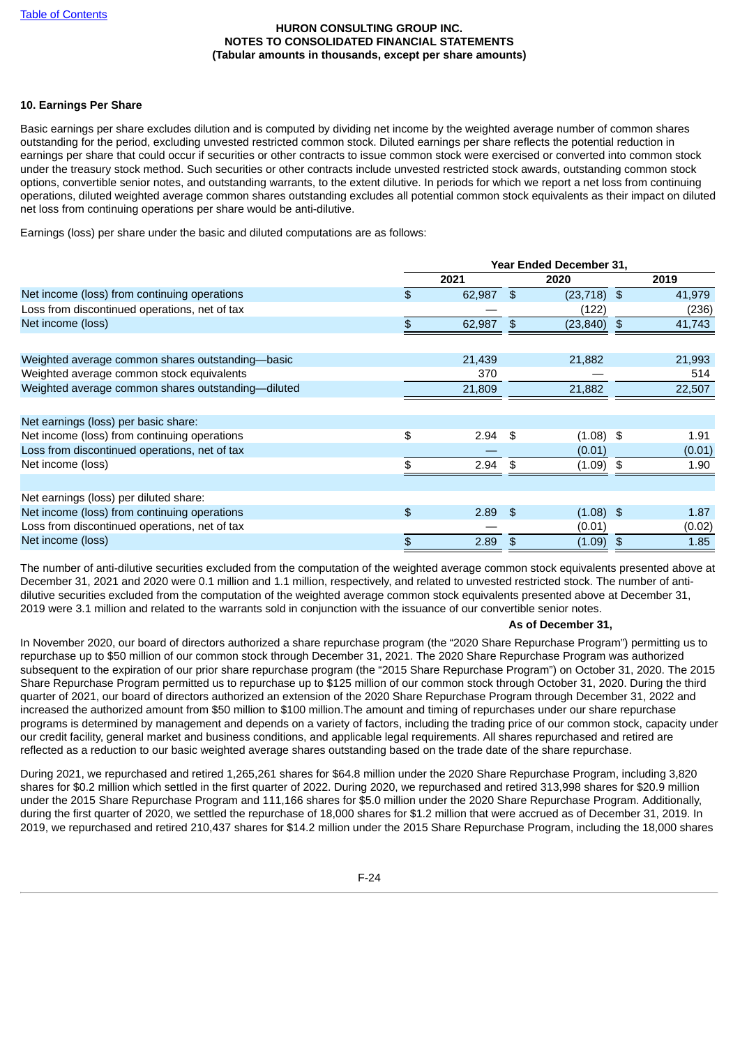## **10. Earnings Per Share**

Basic earnings per share excludes dilution and is computed by dividing net income by the weighted average number of common shares outstanding for the period, excluding unvested restricted common stock. Diluted earnings per share reflects the potential reduction in earnings per share that could occur if securities or other contracts to issue common stock were exercised or converted into common stock under the treasury stock method. Such securities or other contracts include unvested restricted stock awards, outstanding common stock options, convertible senior notes, and outstanding warrants, to the extent dilutive. In periods for which we report a net loss from continuing operations, diluted weighted average common shares outstanding excludes all potential common stock equivalents as their impact on diluted net loss from continuing operations per share would be anti-dilutive.

Earnings (loss) per share under the basic and diluted computations are as follows:

|                                                    | <b>Year Ended December 31,</b> |           |     |                |    |        |  |
|----------------------------------------------------|--------------------------------|-----------|-----|----------------|----|--------|--|
|                                                    |                                | 2021      |     | 2020           |    | 2019   |  |
| Net income (loss) from continuing operations       | \$                             | 62,987    | -\$ | $(23,718)$ \$  |    | 41,979 |  |
| Loss from discontinued operations, net of tax      |                                |           |     | (122)          |    | (236)  |  |
| Net income (loss)                                  | \$.                            | 62,987    |     | $(23, 840)$ \$ |    | 41,743 |  |
|                                                    |                                |           |     |                |    |        |  |
| Weighted average common shares outstanding-basic   |                                | 21,439    |     | 21,882         |    | 21,993 |  |
| Weighted average common stock equivalents          |                                | 370       |     |                |    | 514    |  |
| Weighted average common shares outstanding-diluted |                                | 21,809    |     | 21,882         |    | 22,507 |  |
|                                                    |                                |           |     |                |    |        |  |
| Net earnings (loss) per basic share:               |                                |           |     |                |    |        |  |
| Net income (loss) from continuing operations       | \$                             | 2.94      | -\$ | $(1.08)$ \$    |    | 1.91   |  |
| Loss from discontinued operations, net of tax      |                                |           |     | (0.01)         |    | (0.01) |  |
| Net income (loss)                                  |                                | 2.94      |     | (1.09)         | \$ | 1.90   |  |
|                                                    |                                |           |     |                |    |        |  |
| Net earnings (loss) per diluted share:             |                                |           |     |                |    |        |  |
| Net income (loss) from continuing operations       | \$                             | $2.89$ \$ |     | $(1.08)$ \$    |    | 1.87   |  |
| Loss from discontinued operations, net of tax      |                                |           |     | (0.01)         |    | (0.02) |  |
| Net income (loss)                                  | \$                             | 2.89      |     | (1.09)         | \$ | 1.85   |  |

The number of anti-dilutive securities excluded from the computation of the weighted average common stock equivalents presented above at December 31, 2021 and 2020 were 0.1 million and 1.1 million, respectively, and related to unvested restricted stock. The number of antidilutive securities excluded from the computation of the weighted average common stock equivalents presented above at December 31, 2019 were 3.1 million and related to the warrants sold in conjunction with the issuance of our convertible senior notes.

#### **As of December 31,**

In November 2020, our board of directors authorized a share repurchase program (the "2020 Share Repurchase Program") permitting us to repurchase up to \$50 million of our common stock through December 31, 2021. The 2020 Share Repurchase Program was authorized subsequent to the expiration of our prior share repurchase program (the "2015 Share Repurchase Program") on October 31, 2020. The 2015 Share Repurchase Program permitted us to repurchase up to \$125 million of our common stock through October 31, 2020. During the third quarter of 2021, our board of directors authorized an extension of the 2020 Share Repurchase Program through December 31, 2022 and increased the authorized amount from \$50 million to \$100 million.The amount and timing of repurchases under our share repurchase programs is determined by management and depends on a variety of factors, including the trading price of our common stock, capacity under our credit facility, general market and business conditions, and applicable legal requirements. All shares repurchased and retired are reflected as a reduction to our basic weighted average shares outstanding based on the trade date of the share repurchase.

During 2021, we repurchased and retired 1,265,261 shares for \$64.8 million under the 2020 Share Repurchase Program, including 3,820 shares for \$0.2 million which settled in the first quarter of 2022. During 2020, we repurchased and retired 313,998 shares for \$20.9 million under the 2015 Share Repurchase Program and 111,166 shares for \$5.0 million under the 2020 Share Repurchase Program. Additionally, during the first quarter of 2020, we settled the repurchase of 18,000 shares for \$1.2 million that were accrued as of December 31, 2019. In 2019, we repurchased and retired 210,437 shares for \$14.2 million under the 2015 Share Repurchase Program, including the 18,000 shares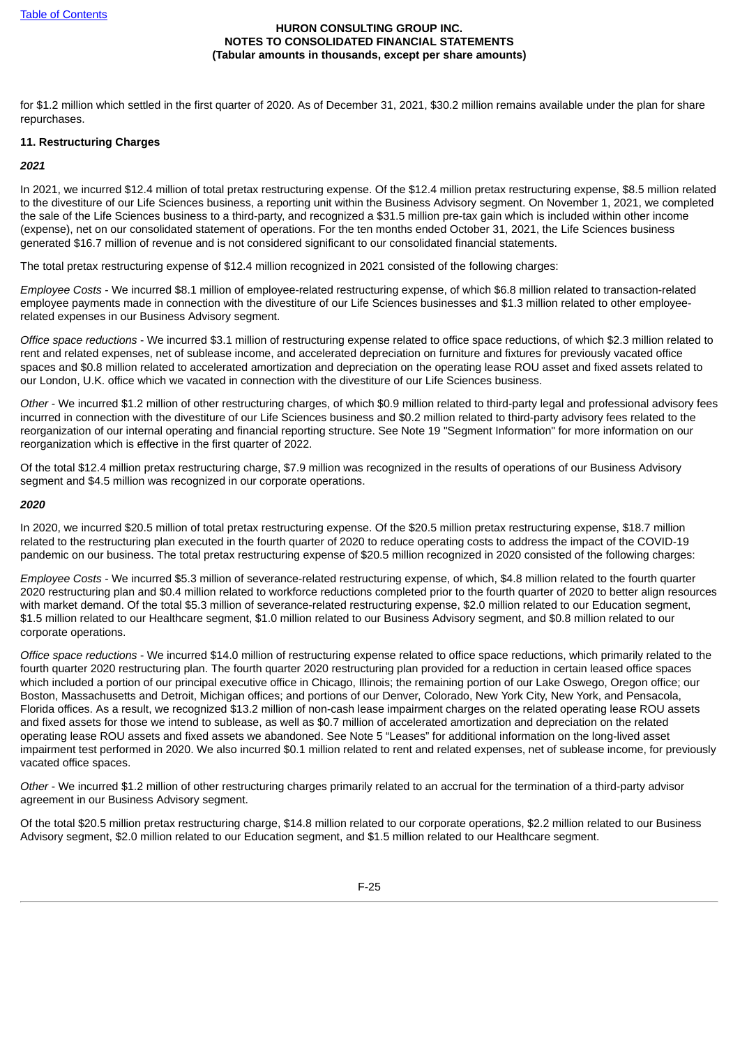for \$1.2 million which settled in the first quarter of 2020. As of December 31, 2021, \$30.2 million remains available under the plan for share repurchases.

# **11. Restructuring Charges**

# *2021*

In 2021, we incurred \$12.4 million of total pretax restructuring expense. Of the \$12.4 million pretax restructuring expense, \$8.5 million related to the divestiture of our Life Sciences business, a reporting unit within the Business Advisory segment. On November 1, 2021, we completed the sale of the Life Sciences business to a third-party, and recognized a \$31.5 million pre-tax gain which is included within other income (expense), net on our consolidated statement of operations. For the ten months ended October 31, 2021, the Life Sciences business generated \$16.7 million of revenue and is not considered significant to our consolidated financial statements.

The total pretax restructuring expense of \$12.4 million recognized in 2021 consisted of the following charges:

*Employee Costs* - We incurred \$8.1 million of employee-related restructuring expense, of which \$6.8 million related to transaction-related employee payments made in connection with the divestiture of our Life Sciences businesses and \$1.3 million related to other employeerelated expenses in our Business Advisory segment.

*Office space reductions* - We incurred \$3.1 million of restructuring expense related to office space reductions, of which \$2.3 million related to rent and related expenses, net of sublease income, and accelerated depreciation on furniture and fixtures for previously vacated office spaces and \$0.8 million related to accelerated amortization and depreciation on the operating lease ROU asset and fixed assets related to our London, U.K. office which we vacated in connection with the divestiture of our Life Sciences business.

*Other* - We incurred \$1.2 million of other restructuring charges, of which \$0.9 million related to third-party legal and professional advisory fees incurred in connection with the divestiture of our Life Sciences business and \$0.2 million related to third-party advisory fees related to the reorganization of our internal operating and financial reporting structure. See Note 19 "Segment Information" for more information on our reorganization which is effective in the first quarter of 2022.

Of the total \$12.4 million pretax restructuring charge, \$7.9 million was recognized in the results of operations of our Business Advisory segment and \$4.5 million was recognized in our corporate operations.

# *2020*

In 2020, we incurred \$20.5 million of total pretax restructuring expense. Of the \$20.5 million pretax restructuring expense, \$18.7 million related to the restructuring plan executed in the fourth quarter of 2020 to reduce operating costs to address the impact of the COVID-19 pandemic on our business. The total pretax restructuring expense of \$20.5 million recognized in 2020 consisted of the following charges:

*Employee Costs* - We incurred \$5.3 million of severance-related restructuring expense, of which, \$4.8 million related to the fourth quarter 2020 restructuring plan and \$0.4 million related to workforce reductions completed prior to the fourth quarter of 2020 to better align resources with market demand. Of the total \$5.3 million of severance-related restructuring expense, \$2.0 million related to our Education segment, \$1.5 million related to our Healthcare segment, \$1.0 million related to our Business Advisory segment, and \$0.8 million related to our corporate operations.

*Office space reductions* - We incurred \$14.0 million of restructuring expense related to office space reductions, which primarily related to the fourth quarter 2020 restructuring plan. The fourth quarter 2020 restructuring plan provided for a reduction in certain leased office spaces which included a portion of our principal executive office in Chicago, Illinois; the remaining portion of our Lake Oswego, Oregon office; our Boston, Massachusetts and Detroit, Michigan offices; and portions of our Denver, Colorado, New York City, New York, and Pensacola, Florida offices. As a result, we recognized \$13.2 million of non-cash lease impairment charges on the related operating lease ROU assets and fixed assets for those we intend to sublease, as well as \$0.7 million of accelerated amortization and depreciation on the related operating lease ROU assets and fixed assets we abandoned. See Note 5 "Leases" for additional information on the long-lived asset impairment test performed in 2020. We also incurred \$0.1 million related to rent and related expenses, net of sublease income, for previously vacated office spaces.

*Other* - We incurred \$1.2 million of other restructuring charges primarily related to an accrual for the termination of a third-party advisor agreement in our Business Advisory segment.

Of the total \$20.5 million pretax restructuring charge, \$14.8 million related to our corporate operations, \$2.2 million related to our Business Advisory segment, \$2.0 million related to our Education segment, and \$1.5 million related to our Healthcare segment.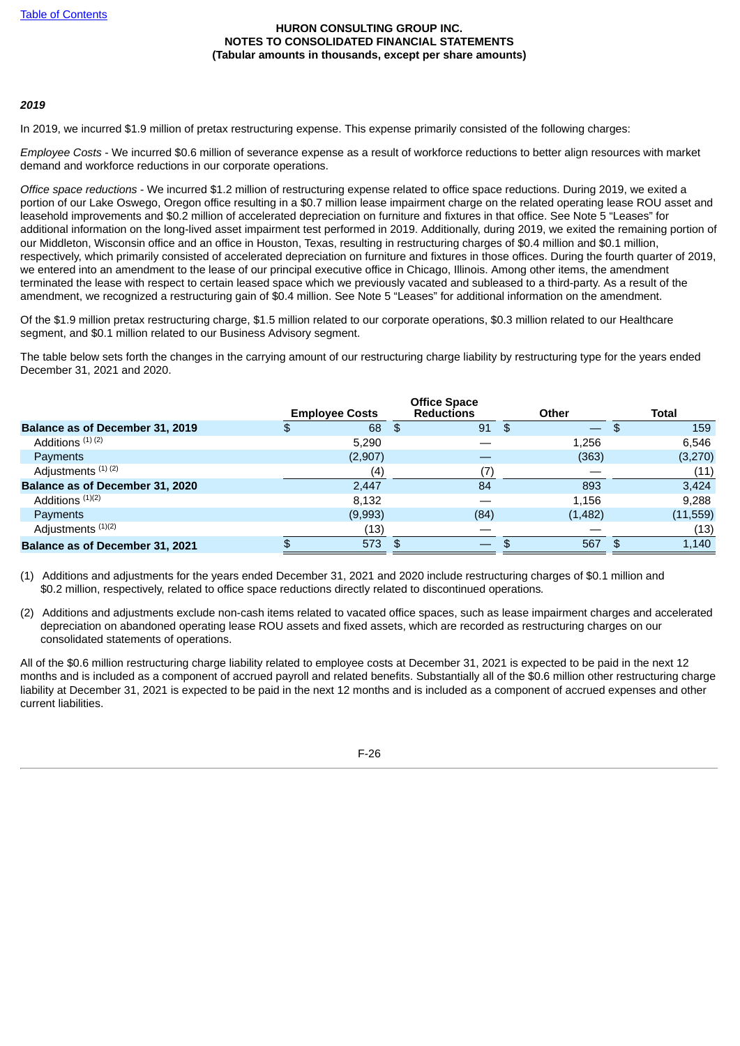# *2019*

In 2019, we incurred \$1.9 million of pretax restructuring expense. This expense primarily consisted of the following charges:

*Employee Costs* - We incurred \$0.6 million of severance expense as a result of workforce reductions to better align resources with market demand and workforce reductions in our corporate operations.

*Office space reductions* - We incurred \$1.2 million of restructuring expense related to office space reductions. During 2019, we exited a portion of our Lake Oswego, Oregon office resulting in a \$0.7 million lease impairment charge on the related operating lease ROU asset and leasehold improvements and \$0.2 million of accelerated depreciation on furniture and fixtures in that office. See Note 5 "Leases" for additional information on the long-lived asset impairment test performed in 2019. Additionally, during 2019, we exited the remaining portion of our Middleton, Wisconsin office and an office in Houston, Texas, resulting in restructuring charges of \$0.4 million and \$0.1 million, respectively, which primarily consisted of accelerated depreciation on furniture and fixtures in those offices. During the fourth quarter of 2019, we entered into an amendment to the lease of our principal executive office in Chicago, Illinois. Among other items, the amendment terminated the lease with respect to certain leased space which we previously vacated and subleased to a third-party. As a result of the amendment, we recognized a restructuring gain of \$0.4 million. See Note 5 "Leases" for additional information on the amendment.

Of the \$1.9 million pretax restructuring charge, \$1.5 million related to our corporate operations, \$0.3 million related to our Healthcare segment, and \$0.1 million related to our Business Advisory segment.

The table below sets forth the changes in the carrying amount of our restructuring charge liability by restructuring type for the years ended December 31, 2021 and 2020.

|                                 | <b>Employee Costs</b> | <b>Office Space</b><br><b>Reductions</b> | Other                          | <b>Total</b> |
|---------------------------------|-----------------------|------------------------------------------|--------------------------------|--------------|
| Balance as of December 31, 2019 | 68<br>\$.             | 91<br>\$                                 | \$<br>$\overline{\phantom{0}}$ | 159<br>\$    |
| Additions (1) (2)               | 5.290                 |                                          | 1,256                          | 6,546        |
| <b>Payments</b>                 | (2,907)               |                                          | (363)                          | (3,270)      |
| Adjustments <sup>(1)(2)</sup>   | (4)                   |                                          |                                | (11)         |
| Balance as of December 31, 2020 | 2,447                 | 84                                       | 893                            | 3,424        |
| Additions (1)(2)                | 8,132                 |                                          | 1,156                          | 9,288        |
| <b>Payments</b>                 | (9,993)               | (84)                                     | (1, 482)                       | (11, 559)    |
| Adjustments <sup>(1)(2)</sup>   | (13)                  |                                          |                                | (13)         |
| Balance as of December 31, 2021 | 573                   | \$                                       | 567                            | 1,140        |

(1) Additions and adjustments for the years ended December 31, 2021 and 2020 include restructuring charges of \$0.1 million and \$0.2 million, respectively, related to office space reductions directly related to discontinued operations*.*

(2) Additions and adjustments exclude non-cash items related to vacated office spaces, such as lease impairment charges and accelerated depreciation on abandoned operating lease ROU assets and fixed assets, which are recorded as restructuring charges on our consolidated statements of operations.

All of the \$0.6 million restructuring charge liability related to employee costs at December 31, 2021 is expected to be paid in the next 12 months and is included as a component of accrued payroll and related benefits. Substantially all of the \$0.6 million other restructuring charge liability at December 31, 2021 is expected to be paid in the next 12 months and is included as a component of accrued expenses and other current liabilities.

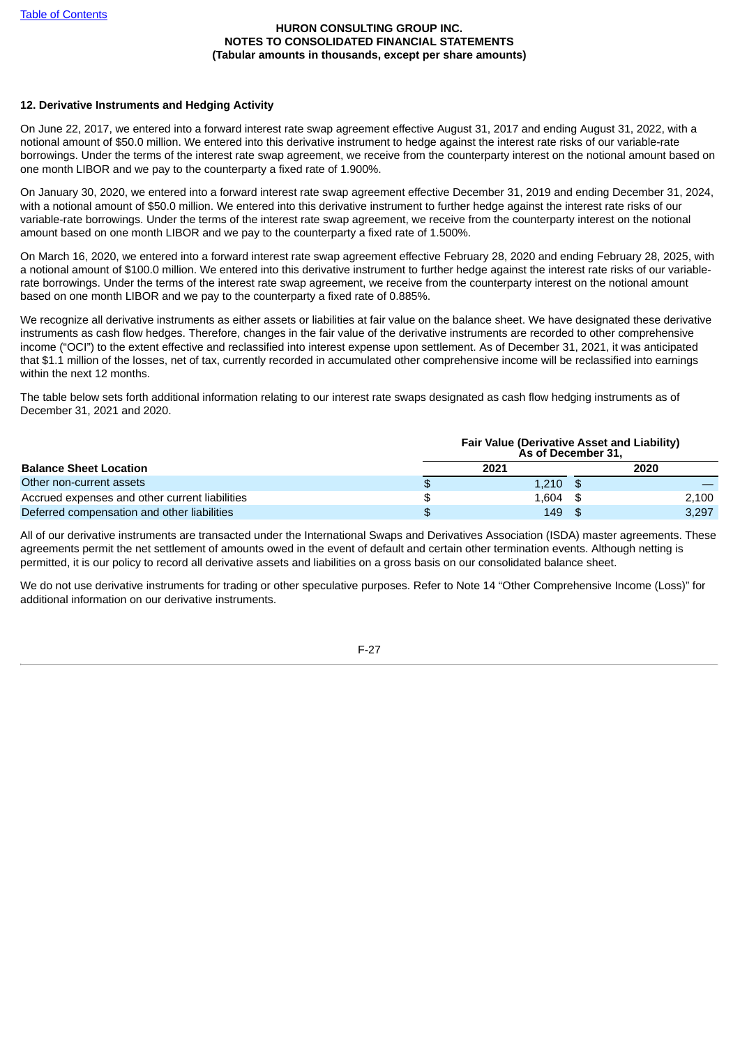## **12. Derivative Instruments and Hedging Activity**

On June 22, 2017, we entered into a forward interest rate swap agreement effective August 31, 2017 and ending August 31, 2022, with a notional amount of \$50.0 million. We entered into this derivative instrument to hedge against the interest rate risks of our variable-rate borrowings. Under the terms of the interest rate swap agreement, we receive from the counterparty interest on the notional amount based on one month LIBOR and we pay to the counterparty a fixed rate of 1.900%.

On January 30, 2020, we entered into a forward interest rate swap agreement effective December 31, 2019 and ending December 31, 2024, with a notional amount of \$50.0 million. We entered into this derivative instrument to further hedge against the interest rate risks of our variable-rate borrowings. Under the terms of the interest rate swap agreement, we receive from the counterparty interest on the notional amount based on one month LIBOR and we pay to the counterparty a fixed rate of 1.500%.

On March 16, 2020, we entered into a forward interest rate swap agreement effective February 28, 2020 and ending February 28, 2025, with a notional amount of \$100.0 million. We entered into this derivative instrument to further hedge against the interest rate risks of our variablerate borrowings. Under the terms of the interest rate swap agreement, we receive from the counterparty interest on the notional amount based on one month LIBOR and we pay to the counterparty a fixed rate of 0.885%.

We recognize all derivative instruments as either assets or liabilities at fair value on the balance sheet. We have designated these derivative instruments as cash flow hedges. Therefore, changes in the fair value of the derivative instruments are recorded to other comprehensive income ("OCI") to the extent effective and reclassified into interest expense upon settlement. As of December 31, 2021, it was anticipated that \$1.1 million of the losses, net of tax, currently recorded in accumulated other comprehensive income will be reclassified into earnings within the next 12 months.

The table below sets forth additional information relating to our interest rate swaps designated as cash flow hedging instruments as of December 31, 2021 and 2020.

|                                                | Fair Value (Derivative Asset and Liability)<br>As of December 31. |          |       |  |
|------------------------------------------------|-------------------------------------------------------------------|----------|-------|--|
| <b>Balance Sheet Location</b>                  | 2021                                                              |          | 2020  |  |
| Other non-current assets                       | $1.210$ \$                                                        |          |       |  |
| Accrued expenses and other current liabilities | $1.604$ \$                                                        |          | 2.100 |  |
| Deferred compensation and other liabilities    | 149                                                               | <b>S</b> | 3.297 |  |

All of our derivative instruments are transacted under the International Swaps and Derivatives Association (ISDA) master agreements. These agreements permit the net settlement of amounts owed in the event of default and certain other termination events. Although netting is permitted, it is our policy to record all derivative assets and liabilities on a gross basis on our consolidated balance sheet.

We do not use derivative instruments for trading or other speculative purposes. Refer to Note 14 "Other Comprehensive Income (Loss)" for additional information on our derivative instruments.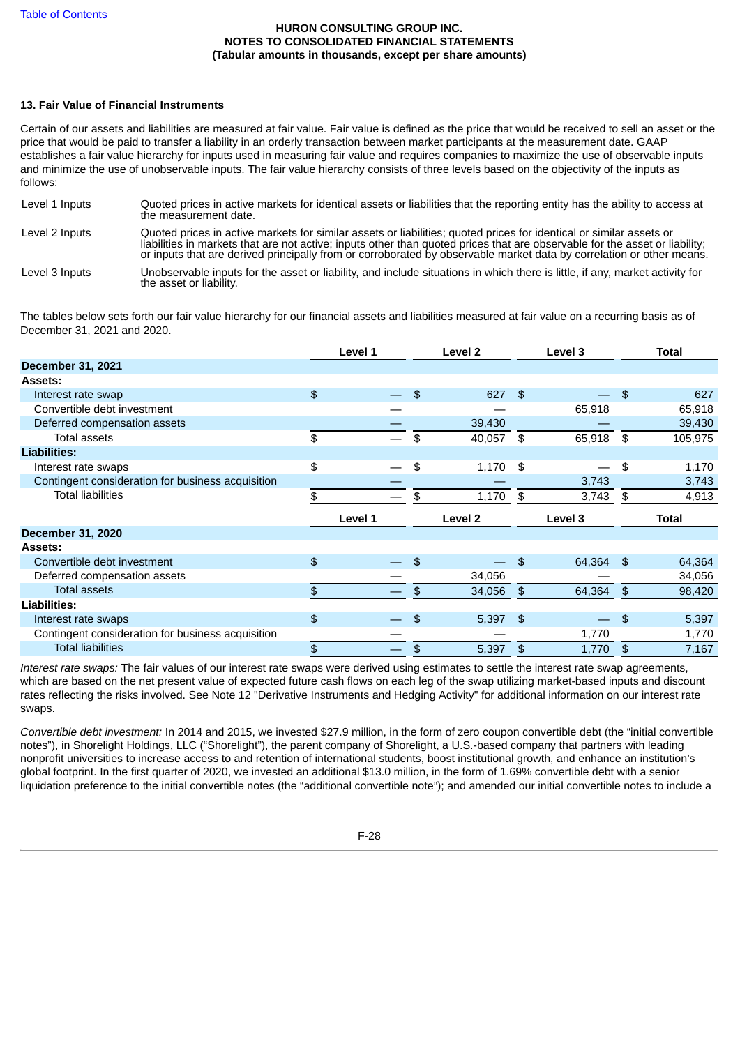# **13. Fair Value of Financial Instruments**

Certain of our assets and liabilities are measured at fair value. Fair value is defined as the price that would be received to sell an asset or the price that would be paid to transfer a liability in an orderly transaction between market participants at the measurement date. GAAP establishes a fair value hierarchy for inputs used in measuring fair value and requires companies to maximize the use of observable inputs and minimize the use of unobservable inputs. The fair value hierarchy consists of three levels based on the objectivity of the inputs as follows:

| Level 1 Inputs | Quoted prices in active markets for identical assets or liabilities that the reporting entity has the ability to access at<br>the measurement date.                                                                                                                                                                                                                        |
|----------------|----------------------------------------------------------------------------------------------------------------------------------------------------------------------------------------------------------------------------------------------------------------------------------------------------------------------------------------------------------------------------|
| Level 2 Inputs | Quoted prices in active markets for similar assets or liabilities; quoted prices for identical or similar assets or<br>liabilities in markets that are not active; inputs other than quoted prices that are observable for the asset or liability;<br>or inputs that are derived principally from or corroborated by observable market data by correlation or other means. |
| Level 3 Inputs | Unobservable inputs for the asset or liability, and include situations in which there is little, if any, market activity for<br>the asset or liability.                                                                                                                                                                                                                    |

The tables below sets forth our fair value hierarchy for our financial assets and liabilities measured at fair value on a recurring basis as of December 31, 2021 and 2020.

|                                                   |                | Level 1 | Level 2            |                    | Level 3   |                | Total   |
|---------------------------------------------------|----------------|---------|--------------------|--------------------|-----------|----------------|---------|
| <b>December 31, 2021</b>                          |                |         |                    |                    |           |                |         |
| Assets:                                           |                |         |                    |                    |           |                |         |
| Interest rate swap                                | \$             |         | \$<br>627          | \$                 |           | \$             | 627     |
| Convertible debt investment                       |                |         |                    |                    | 65,918    |                | 65,918  |
| Deferred compensation assets                      |                |         | 39,430             |                    |           |                | 39,430  |
| <b>Total assets</b>                               | \$             |         | \$<br>40,057       | \$                 | 65,918    | \$             | 105,975 |
| <b>Liabilities:</b>                               |                |         |                    |                    |           |                |         |
| Interest rate swaps                               | \$             |         | \$<br>1,170        | \$                 |           | \$             | 1,170   |
| Contingent consideration for business acquisition |                |         |                    |                    | 3,743     |                | 3,743   |
| <b>Total liabilities</b>                          | \$             |         | \$<br>1,170        | \$                 | 3,743     | \$             | 4,913   |
|                                                   |                | Level 1 | Level <sub>2</sub> |                    | Level 3   |                | Total   |
| <b>December 31, 2020</b>                          |                |         |                    |                    |           |                |         |
| Assets:                                           |                |         |                    |                    |           |                |         |
|                                                   |                |         |                    |                    |           |                |         |
| Convertible debt investment                       | \$             |         | \$                 | \$                 | 64,364 \$ |                | 64,364  |
| Deferred compensation assets                      |                |         | 34,056             |                    |           |                | 34,056  |
| <b>Total assets</b>                               | \$             |         | \$<br>34,056       | \$                 | 64,364    | $\mathfrak{F}$ | 98,420  |
| Liabilities:                                      |                |         |                    |                    |           |                |         |
| Interest rate swaps                               | $\mathfrak{D}$ |         | \$<br>$5,397$ \$   |                    |           | $\mathfrak{F}$ | 5,397   |
| Contingent consideration for business acquisition |                |         |                    |                    | 1,770     |                | 1,770   |
| <b>Total liabilities</b>                          | \$             |         | \$<br>5,397        | $\mathbf{\hat{z}}$ | 1,770     | \$             | 7,167   |

*Interest rate swaps:* The fair values of our interest rate swaps were derived using estimates to settle the interest rate swap agreements, which are based on the net present value of expected future cash flows on each leg of the swap utilizing market-based inputs and discount rates reflecting the risks involved. See Note 12 "Derivative Instruments and Hedging Activity" for additional information on our interest rate swaps.

*Convertible debt investment:* In 2014 and 2015, we invested \$27.9 million, in the form of zero coupon convertible debt (the "initial convertible notes"), in Shorelight Holdings, LLC ("Shorelight"), the parent company of Shorelight, a U.S.-based company that partners with leading nonprofit universities to increase access to and retention of international students, boost institutional growth, and enhance an institution's global footprint. In the first quarter of 2020, we invested an additional \$13.0 million, in the form of 1.69% convertible debt with a senior liquidation preference to the initial convertible notes (the "additional convertible note"); and amended our initial convertible notes to include a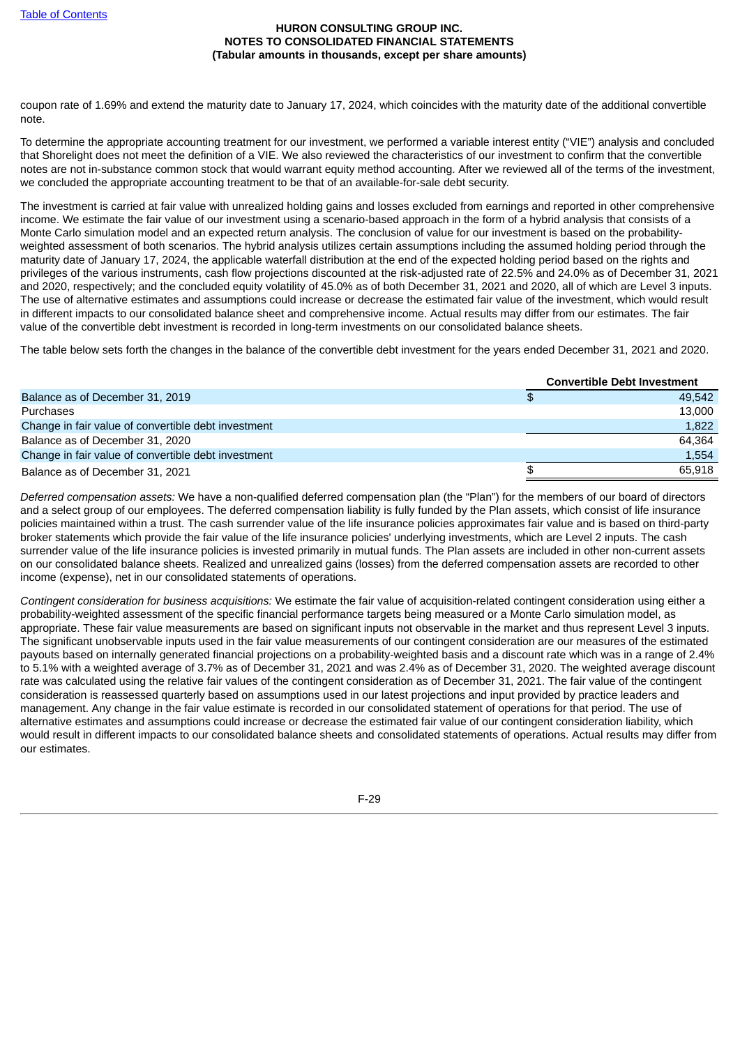coupon rate of 1.69% and extend the maturity date to January 17, 2024, which coincides with the maturity date of the additional convertible note.

To determine the appropriate accounting treatment for our investment, we performed a variable interest entity ("VIE") analysis and concluded that Shorelight does not meet the definition of a VIE. We also reviewed the characteristics of our investment to confirm that the convertible notes are not in-substance common stock that would warrant equity method accounting. After we reviewed all of the terms of the investment, we concluded the appropriate accounting treatment to be that of an available-for-sale debt security.

The investment is carried at fair value with unrealized holding gains and losses excluded from earnings and reported in other comprehensive income. We estimate the fair value of our investment using a scenario-based approach in the form of a hybrid analysis that consists of a Monte Carlo simulation model and an expected return analysis. The conclusion of value for our investment is based on the probabilityweighted assessment of both scenarios. The hybrid analysis utilizes certain assumptions including the assumed holding period through the maturity date of January 17, 2024, the applicable waterfall distribution at the end of the expected holding period based on the rights and privileges of the various instruments, cash flow projections discounted at the risk-adjusted rate of 22.5% and 24.0% as of December 31, 2021 and 2020, respectively; and the concluded equity volatility of 45.0% as of both December 31, 2021 and 2020, all of which are Level 3 inputs. The use of alternative estimates and assumptions could increase or decrease the estimated fair value of the investment, which would result in different impacts to our consolidated balance sheet and comprehensive income. Actual results may differ from our estimates. The fair value of the convertible debt investment is recorded in long-term investments on our consolidated balance sheets.

The table below sets forth the changes in the balance of the convertible debt investment for the years ended December 31, 2021 and 2020.

|                                                     | <b>Convertible Debt Investment</b> |
|-----------------------------------------------------|------------------------------------|
| Balance as of December 31, 2019                     | 49.542                             |
| Purchases                                           | 13,000                             |
| Change in fair value of convertible debt investment | 1,822                              |
| Balance as of December 31, 2020                     | 64.364                             |
| Change in fair value of convertible debt investment | 1,554                              |
| Balance as of December 31, 2021                     | 65.918                             |

*Deferred compensation assets:* We have a non-qualified deferred compensation plan (the "Plan") for the members of our board of directors and a select group of our employees. The deferred compensation liability is fully funded by the Plan assets, which consist of life insurance policies maintained within a trust. The cash surrender value of the life insurance policies approximates fair value and is based on third-party broker statements which provide the fair value of the life insurance policies' underlying investments, which are Level 2 inputs. The cash surrender value of the life insurance policies is invested primarily in mutual funds. The Plan assets are included in other non-current assets on our consolidated balance sheets. Realized and unrealized gains (losses) from the deferred compensation assets are recorded to other income (expense), net in our consolidated statements of operations.

*Contingent consideration for business acquisitions:* We estimate the fair value of acquisition-related contingent consideration using either a probability-weighted assessment of the specific financial performance targets being measured or a Monte Carlo simulation model, as appropriate. These fair value measurements are based on significant inputs not observable in the market and thus represent Level 3 inputs. The significant unobservable inputs used in the fair value measurements of our contingent consideration are our measures of the estimated payouts based on internally generated financial projections on a probability-weighted basis and a discount rate which was in a range of 2.4% to 5.1% with a weighted average of 3.7% as of December 31, 2021 and was 2.4% as of December 31, 2020. The weighted average discount rate was calculated using the relative fair values of the contingent consideration as of December 31, 2021. The fair value of the contingent consideration is reassessed quarterly based on assumptions used in our latest projections and input provided by practice leaders and management. Any change in the fair value estimate is recorded in our consolidated statement of operations for that period. The use of alternative estimates and assumptions could increase or decrease the estimated fair value of our contingent consideration liability, which would result in different impacts to our consolidated balance sheets and consolidated statements of operations. Actual results may differ from our estimates.

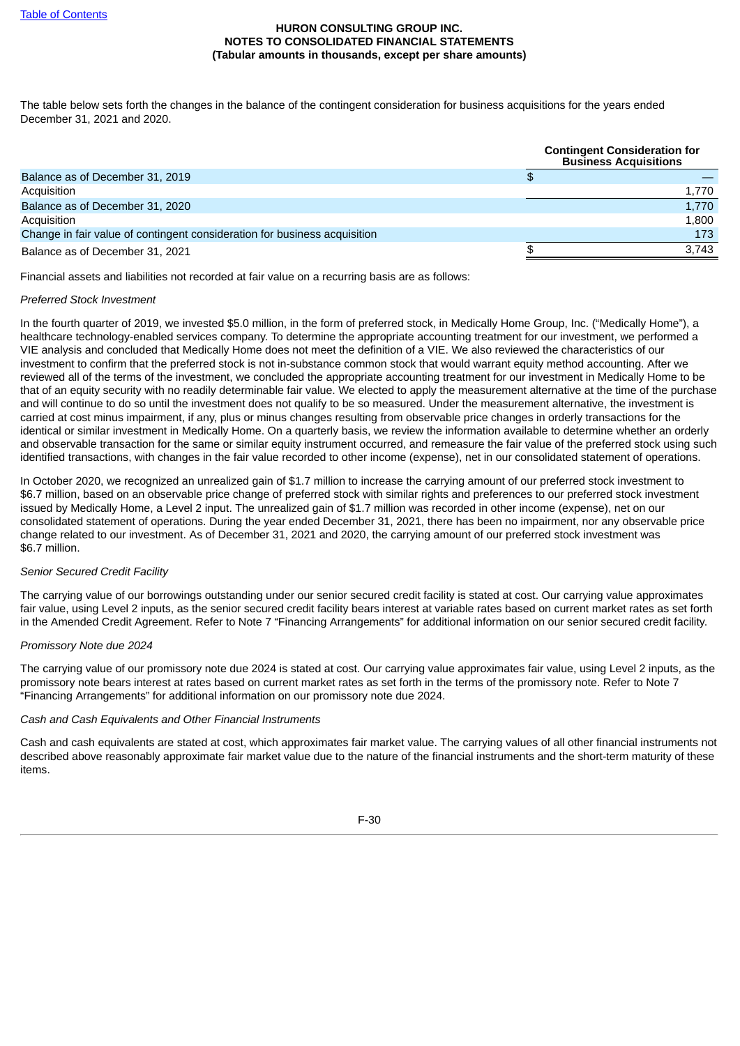The table below sets forth the changes in the balance of the contingent consideration for business acquisitions for the years ended December 31, 2021 and 2020.

|                                                                           |    | <b>Contingent Consideration for</b><br><b>Business Acquisitions</b> |
|---------------------------------------------------------------------------|----|---------------------------------------------------------------------|
| Balance as of December 31, 2019                                           | ۰D |                                                                     |
| Acquisition                                                               |    | 1,770                                                               |
| Balance as of December 31, 2020                                           |    | 1,770                                                               |
| Acquisition                                                               |    | 1,800                                                               |
| Change in fair value of contingent consideration for business acquisition |    | 173                                                                 |
| Balance as of December 31, 2021                                           |    | 3.743                                                               |

Financial assets and liabilities not recorded at fair value on a recurring basis are as follows:

## *Preferred Stock Investment*

In the fourth quarter of 2019, we invested \$5.0 million, in the form of preferred stock, in Medically Home Group, Inc. ("Medically Home"), a healthcare technology-enabled services company. To determine the appropriate accounting treatment for our investment, we performed a VIE analysis and concluded that Medically Home does not meet the definition of a VIE. We also reviewed the characteristics of our investment to confirm that the preferred stock is not in-substance common stock that would warrant equity method accounting. After we reviewed all of the terms of the investment, we concluded the appropriate accounting treatment for our investment in Medically Home to be that of an equity security with no readily determinable fair value. We elected to apply the measurement alternative at the time of the purchase and will continue to do so until the investment does not qualify to be so measured. Under the measurement alternative, the investment is carried at cost minus impairment, if any, plus or minus changes resulting from observable price changes in orderly transactions for the identical or similar investment in Medically Home. On a quarterly basis, we review the information available to determine whether an orderly and observable transaction for the same or similar equity instrument occurred, and remeasure the fair value of the preferred stock using such identified transactions, with changes in the fair value recorded to other income (expense), net in our consolidated statement of operations.

In October 2020, we recognized an unrealized gain of \$1.7 million to increase the carrying amount of our preferred stock investment to \$6.7 million, based on an observable price change of preferred stock with similar rights and preferences to our preferred stock investment issued by Medically Home, a Level 2 input. The unrealized gain of \$1.7 million was recorded in other income (expense), net on our consolidated statement of operations. During the year ended December 31, 2021, there has been no impairment, nor any observable price change related to our investment. As of December 31, 2021 and 2020, the carrying amount of our preferred stock investment was \$6.7 million.

## *Senior Secured Credit Facility*

The carrying value of our borrowings outstanding under our senior secured credit facility is stated at cost. Our carrying value approximates fair value, using Level 2 inputs, as the senior secured credit facility bears interest at variable rates based on current market rates as set forth in the Amended Credit Agreement. Refer to Note 7 "Financing Arrangements" for additional information on our senior secured credit facility.

# *Promissory Note due 2024*

The carrying value of our promissory note due 2024 is stated at cost. Our carrying value approximates fair value, using Level 2 inputs, as the promissory note bears interest at rates based on current market rates as set forth in the terms of the promissory note. Refer to Note 7 "Financing Arrangements" for additional information on our promissory note due 2024.

# *Cash and Cash Equivalents and Other Financial Instruments*

Cash and cash equivalents are stated at cost, which approximates fair market value. The carrying values of all other financial instruments not described above reasonably approximate fair market value due to the nature of the financial instruments and the short-term maturity of these items.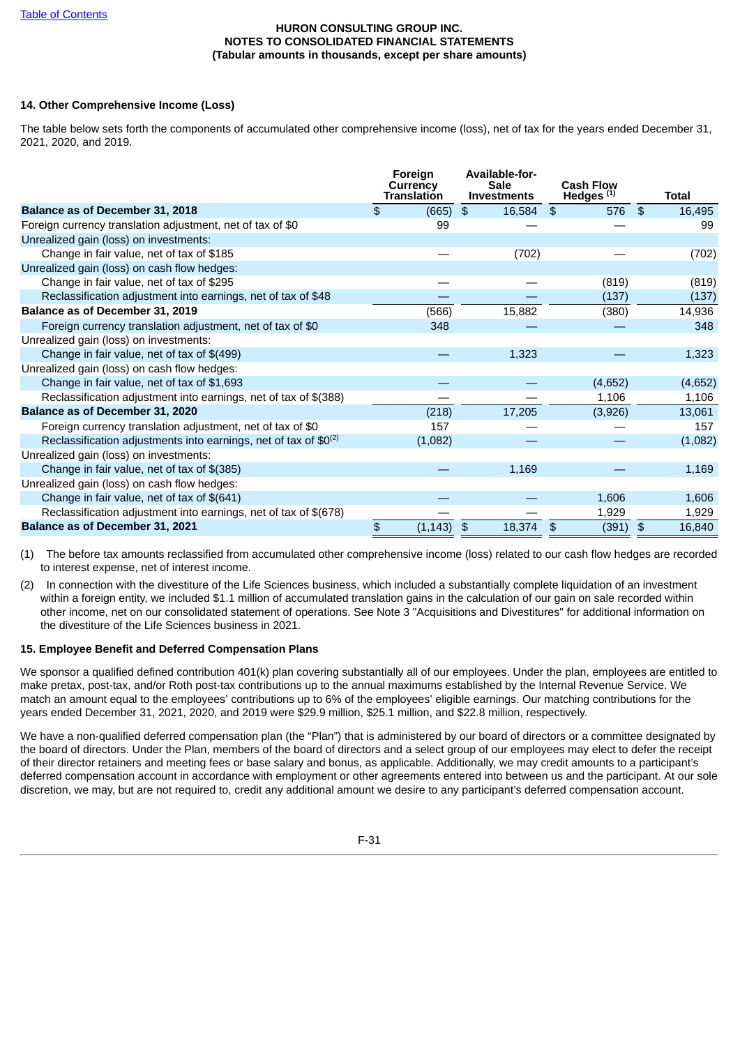# **14. Other Comprehensive Income (Loss)**

The table below sets forth the components of accumulated other comprehensive income (loss), net of tax for the years ended December 31, 2021, 2020, and 2019.

|                                                                       | Foreign<br>Currency<br><b>Translation</b> | Available-for-<br><b>Sale</b><br><b>Investments</b> | <b>Cash Flow</b><br>Hedges $(1)$ |                    | <b>Total</b> |
|-----------------------------------------------------------------------|-------------------------------------------|-----------------------------------------------------|----------------------------------|--------------------|--------------|
| Balance as of December 31, 2018                                       | \$<br>(665)                               | \$<br>16,584 \$                                     | 576 \$                           |                    | 16,495       |
| Foreign currency translation adjustment, net of tax of \$0            | 99                                        |                                                     |                                  |                    | 99           |
| Unrealized gain (loss) on investments:                                |                                           |                                                     |                                  |                    |              |
| Change in fair value, net of tax of \$185                             |                                           | (702)                                               |                                  |                    | (702)        |
| Unrealized gain (loss) on cash flow hedges:                           |                                           |                                                     |                                  |                    |              |
| Change in fair value, net of tax of \$295                             |                                           |                                                     | (819)                            |                    | (819)        |
| Reclassification adjustment into earnings, net of tax of \$48         |                                           |                                                     | (137)                            |                    | (137)        |
| Balance as of December 31, 2019                                       | (566)                                     | 15,882                                              | (380)                            |                    | 14,936       |
| Foreign currency translation adjustment, net of tax of \$0            | 348                                       |                                                     |                                  |                    | 348          |
| Unrealized gain (loss) on investments:                                |                                           |                                                     |                                  |                    |              |
| Change in fair value, net of tax of \$(499)                           |                                           | 1,323                                               |                                  |                    | 1,323        |
| Unrealized gain (loss) on cash flow hedges:                           |                                           |                                                     |                                  |                    |              |
| Change in fair value, net of tax of \$1,693                           |                                           |                                                     | (4,652)                          |                    | (4,652)      |
| Reclassification adjustment into earnings, net of tax of \$(388)      |                                           |                                                     | 1,106                            |                    | 1,106        |
| Balance as of December 31, 2020                                       | (218)                                     | 17,205                                              | (3,926)                          |                    | 13,061       |
| Foreign currency translation adjustment, net of tax of \$0            | 157                                       |                                                     |                                  |                    | 157          |
| Reclassification adjustments into earnings, net of tax of $$0^{(2)}$$ | (1,082)                                   |                                                     |                                  |                    | (1,082)      |
| Unrealized gain (loss) on investments:                                |                                           |                                                     |                                  |                    |              |
| Change in fair value, net of tax of \$(385)                           |                                           | 1,169                                               |                                  |                    | 1,169        |
| Unrealized gain (loss) on cash flow hedges:                           |                                           |                                                     |                                  |                    |              |
| Change in fair value, net of tax of $$(641)$                          |                                           |                                                     | 1,606                            |                    | 1,606        |
| Reclassification adjustment into earnings, net of tax of \$(678)      |                                           |                                                     | 1,929                            |                    | 1,929        |
| Balance as of December 31, 2021                                       | \$<br>$(1,143)$ \$                        | 18,374                                              | (391)<br>\$                      | $\mathbf{\hat{f}}$ | 16,840       |

(1) The before tax amounts reclassified from accumulated other comprehensive income (loss) related to our cash flow hedges are recorded to interest expense, net of interest income.

(2) In connection with the divestiture of the Life Sciences business, which included a substantially complete liquidation of an investment within a foreign entity, we included \$1.1 million of accumulated translation gains in the calculation of our gain on sale recorded within other income, net on our consolidated statement of operations. See Note 3 "Acquisitions and Divestitures" for additional information on the divestiture of the Life Sciences business in 2021.

# **15. Employee Benefit and Deferred Compensation Plans**

We sponsor a qualified defined contribution 401(k) plan covering substantially all of our employees. Under the plan, employees are entitled to make pretax, post-tax, and/or Roth post-tax contributions up to the annual maximums established by the Internal Revenue Service. We match an amount equal to the employees' contributions up to 6% of the employees' eligible earnings. Our matching contributions for the years ended December 31, 2021, 2020, and 2019 were \$29.9 million, \$25.1 million, and \$22.8 million, respectively.

We have a non-qualified deferred compensation plan (the "Plan") that is administered by our board of directors or a committee designated by the board of directors. Under the Plan, members of the board of directors and a select group of our employees may elect to defer the receipt of their director retainers and meeting fees or base salary and bonus, as applicable. Additionally, we may credit amounts to a participant's deferred compensation account in accordance with employment or other agreements entered into between us and the participant. At our sole discretion, we may, but are not required to, credit any additional amount we desire to any participant's deferred compensation account.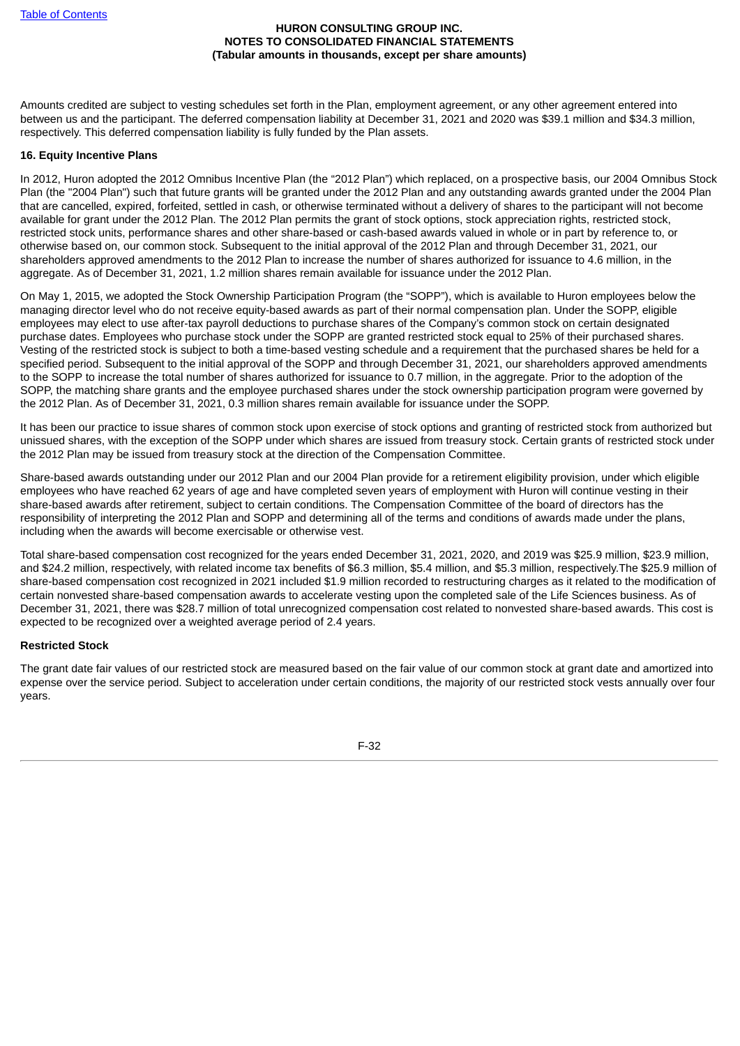Amounts credited are subject to vesting schedules set forth in the Plan, employment agreement, or any other agreement entered into between us and the participant. The deferred compensation liability at December 31, 2021 and 2020 was \$39.1 million and \$34.3 million, respectively. This deferred compensation liability is fully funded by the Plan assets.

## **16. Equity Incentive Plans**

In 2012, Huron adopted the 2012 Omnibus Incentive Plan (the "2012 Plan") which replaced, on a prospective basis, our 2004 Omnibus Stock Plan (the "2004 Plan") such that future grants will be granted under the 2012 Plan and any outstanding awards granted under the 2004 Plan that are cancelled, expired, forfeited, settled in cash, or otherwise terminated without a delivery of shares to the participant will not become available for grant under the 2012 Plan. The 2012 Plan permits the grant of stock options, stock appreciation rights, restricted stock, restricted stock units, performance shares and other share-based or cash-based awards valued in whole or in part by reference to, or otherwise based on, our common stock. Subsequent to the initial approval of the 2012 Plan and through December 31, 2021, our shareholders approved amendments to the 2012 Plan to increase the number of shares authorized for issuance to 4.6 million, in the aggregate. As of December 31, 2021, 1.2 million shares remain available for issuance under the 2012 Plan.

On May 1, 2015, we adopted the Stock Ownership Participation Program (the "SOPP"), which is available to Huron employees below the managing director level who do not receive equity-based awards as part of their normal compensation plan. Under the SOPP, eligible employees may elect to use after-tax payroll deductions to purchase shares of the Company's common stock on certain designated purchase dates. Employees who purchase stock under the SOPP are granted restricted stock equal to 25% of their purchased shares. Vesting of the restricted stock is subject to both a time-based vesting schedule and a requirement that the purchased shares be held for a specified period. Subsequent to the initial approval of the SOPP and through December 31, 2021, our shareholders approved amendments to the SOPP to increase the total number of shares authorized for issuance to 0.7 million, in the aggregate. Prior to the adoption of the SOPP, the matching share grants and the employee purchased shares under the stock ownership participation program were governed by the 2012 Plan. As of December 31, 2021, 0.3 million shares remain available for issuance under the SOPP.

It has been our practice to issue shares of common stock upon exercise of stock options and granting of restricted stock from authorized but unissued shares, with the exception of the SOPP under which shares are issued from treasury stock. Certain grants of restricted stock under the 2012 Plan may be issued from treasury stock at the direction of the Compensation Committee.

Share-based awards outstanding under our 2012 Plan and our 2004 Plan provide for a retirement eligibility provision, under which eligible employees who have reached 62 years of age and have completed seven years of employment with Huron will continue vesting in their share-based awards after retirement, subject to certain conditions. The Compensation Committee of the board of directors has the responsibility of interpreting the 2012 Plan and SOPP and determining all of the terms and conditions of awards made under the plans, including when the awards will become exercisable or otherwise vest.

Total share-based compensation cost recognized for the years ended December 31, 2021, 2020, and 2019 was \$25.9 million, \$23.9 million, and \$24.2 million, respectively, with related income tax benefits of \$6.3 million, \$5.4 million, and \$5.3 million, respectively. The \$25.9 million of share-based compensation cost recognized in 2021 included \$1.9 million recorded to restructuring charges as it related to the modification of certain nonvested share-based compensation awards to accelerate vesting upon the completed sale of the Life Sciences business. As of December 31, 2021, there was \$28.7 million of total unrecognized compensation cost related to nonvested share-based awards. This cost is expected to be recognized over a weighted average period of 2.4 years.

# **Restricted Stock**

The grant date fair values of our restricted stock are measured based on the fair value of our common stock at grant date and amortized into expense over the service period. Subject to acceleration under certain conditions, the majority of our restricted stock vests annually over four years.

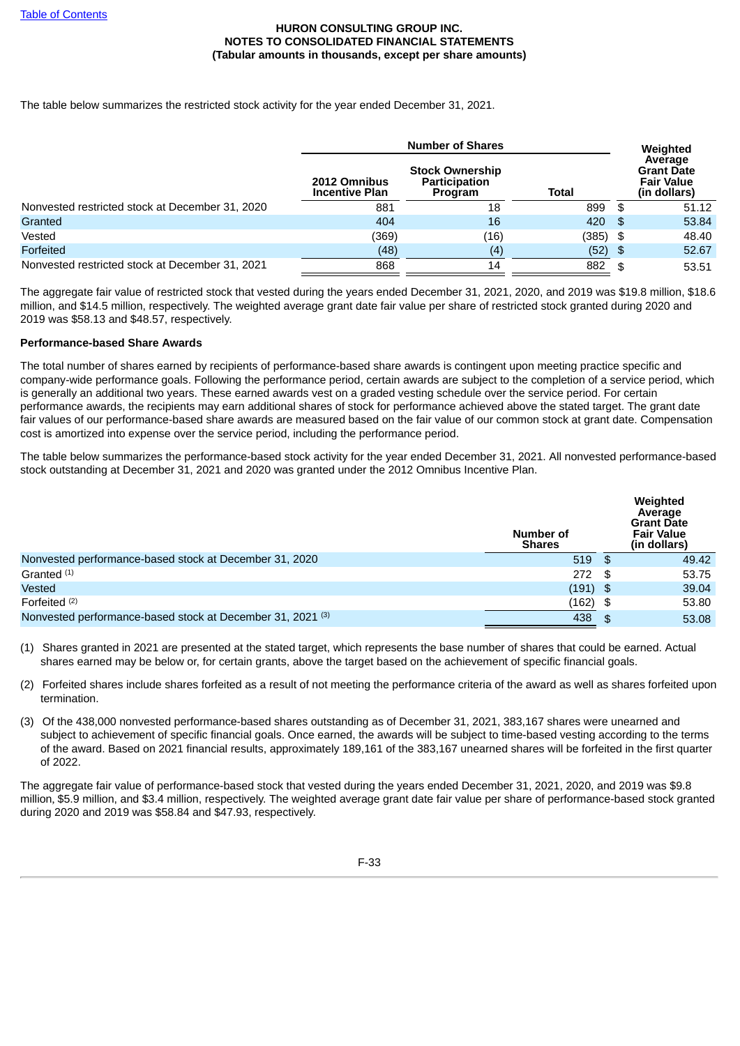The table below summarizes the restricted stock activity for the year ended December 31, 2021.

|                                                 |                                       |                                                    | Weighted     |      |                                                                   |
|-------------------------------------------------|---------------------------------------|----------------------------------------------------|--------------|------|-------------------------------------------------------------------|
|                                                 | 2012 Omnibus<br><b>Incentive Plan</b> | <b>Stock Ownership</b><br>Participation<br>Program | <b>Total</b> |      | Average<br><b>Grant Date</b><br><b>Fair Value</b><br>(in dollars) |
| Nonvested restricted stock at December 31, 2020 | 881                                   | 18                                                 | 899          | \$   | 51.12                                                             |
| Granted                                         | 404                                   | 16                                                 | 420          | -\$  | 53.84                                                             |
| Vested                                          | (369)                                 | (16)                                               | (385)        | - \$ | 48.40                                                             |
| Forfeited                                       | (48)                                  | $\left( 4\right)$                                  | (52)         | -\$  | 52.67                                                             |
| Nonvested restricted stock at December 31, 2021 | 868                                   | 14                                                 | 882          | \$   | 53.51                                                             |

The aggregate fair value of restricted stock that vested during the years ended December 31, 2021, 2020, and 2019 was \$19.8 million, \$18.6 million, and \$14.5 million, respectively. The weighted average grant date fair value per share of restricted stock granted during 2020 and 2019 was \$58.13 and \$48.57, respectively.

## **Performance-based Share Awards**

The total number of shares earned by recipients of performance-based share awards is contingent upon meeting practice specific and company-wide performance goals. Following the performance period, certain awards are subject to the completion of a service period, which is generally an additional two years. These earned awards vest on a graded vesting schedule over the service period. For certain performance awards, the recipients may earn additional shares of stock for performance achieved above the stated target. The grant date fair values of our performance-based share awards are measured based on the fair value of our common stock at grant date. Compensation cost is amortized into expense over the service period, including the performance period.

The table below summarizes the performance-based stock activity for the year ended December 31, 2021. All nonvested performance-based stock outstanding at December 31, 2021 and 2020 was granted under the 2012 Omnibus Incentive Plan.

|                                                            | Number of<br><b>Shares</b> |      | Weighted<br>Average<br><b>Grant Date</b><br><b>Fair Value</b><br>(in dollars) |
|------------------------------------------------------------|----------------------------|------|-------------------------------------------------------------------------------|
| Nonvested performance-based stock at December 31, 2020     | 519                        | - \$ | 49.42                                                                         |
| Granted <sup>(1)</sup>                                     | 272                        | - \$ | 53.75                                                                         |
| Vested                                                     | $(191)$ \$                 |      | 39.04                                                                         |
| Forfeited $(2)$                                            | (162)                      | - \$ | 53.80                                                                         |
| Nonvested performance-based stock at December 31, 2021 (3) | 438                        | \$.  | 53.08                                                                         |

- (1) Shares granted in 2021 are presented at the stated target, which represents the base number of shares that could be earned. Actual shares earned may be below or, for certain grants, above the target based on the achievement of specific financial goals.
- (2) Forfeited shares include shares forfeited as a result of not meeting the performance criteria of the award as well as shares forfeited upon termination.
- (3) Of the 438,000 nonvested performance-based shares outstanding as of December 31, 2021, 383,167 shares were unearned and subject to achievement of specific financial goals. Once earned, the awards will be subject to time-based vesting according to the terms of the award. Based on 2021 financial results, approximately 189,161 of the 383,167 unearned shares will be forfeited in the first quarter of 2022.

The aggregate fair value of performance-based stock that vested during the years ended December 31, 2021, 2020, and 2019 was \$9.8 million, \$5.9 million, and \$3.4 million, respectively. The weighted average grant date fair value per share of performance-based stock granted during 2020 and 2019 was \$58.84 and \$47.93, respectively.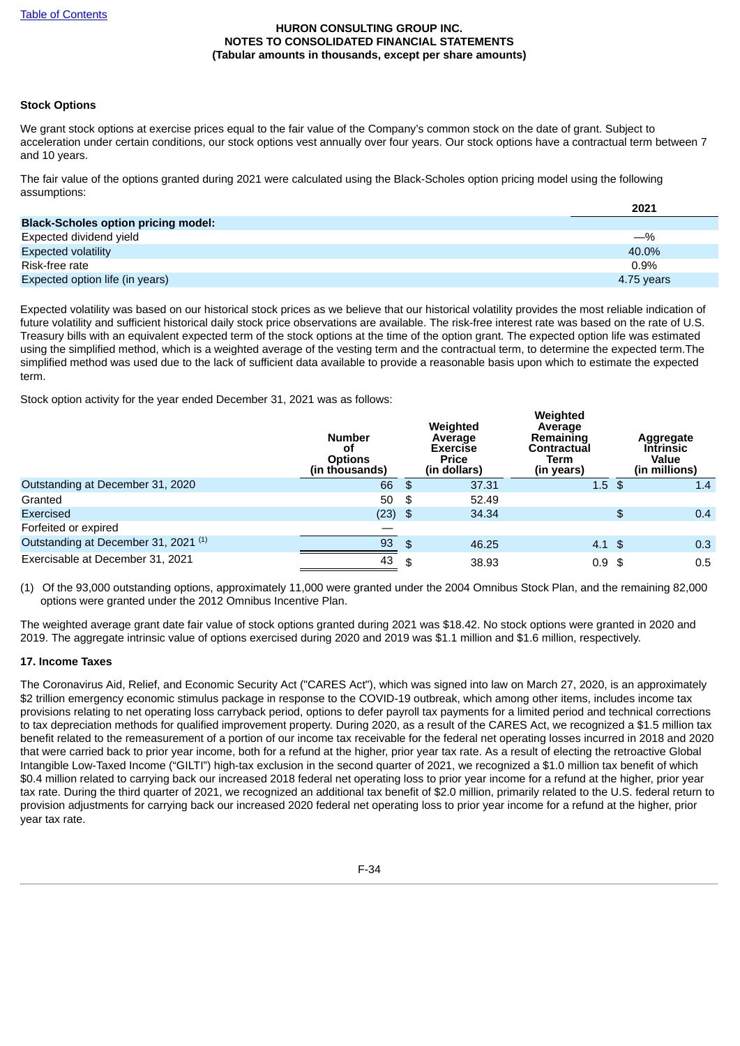# **Stock Options**

We grant stock options at exercise prices equal to the fair value of the Company's common stock on the date of grant. Subject to acceleration under certain conditions, our stock options vest annually over four years. Our stock options have a contractual term between 7 and 10 years.

The fair value of the options granted during 2021 were calculated using the Black-Scholes option pricing model using the following assumptions:

|                                            | 2021       |
|--------------------------------------------|------------|
| <b>Black-Scholes option pricing model:</b> |            |
| Expected dividend yield                    | $-$ %      |
| <b>Expected volatility</b>                 | 40.0%      |
| Risk-free rate                             | $0.9\%$    |
| Expected option life (in years)            | 4.75 years |

**2021**

**Weighted**

Expected volatility was based on our historical stock prices as we believe that our historical volatility provides the most reliable indication of future volatility and sufficient historical daily stock price observations are available. The risk-free interest rate was based on the rate of U.S. Treasury bills with an equivalent expected term of the stock options at the time of the option grant. The expected option life was estimated using the simplified method, which is a weighted average of the vesting term and the contractual term, to determine the expected term.The simplified method was used due to the lack of sufficient data available to provide a reasonable basis upon which to estimate the expected term.

Stock option activity for the year ended December 31, 2021 was as follows:

| <b>Number</b><br>οt<br><b>Options</b><br>(in thousands) |     | Weighted<br>Average<br><b>Exercise</b><br><b>Price</b><br>(in dollars) | wuuyuutu<br>Average<br>Remaining<br><b>Contractual</b><br>Term<br>(in years) | Aggregate<br><b>Intrinsic</b><br>Value<br>(in millions) |
|---------------------------------------------------------|-----|------------------------------------------------------------------------|------------------------------------------------------------------------------|---------------------------------------------------------|
| 66                                                      |     | 37.31                                                                  |                                                                              | 1.4                                                     |
| 50                                                      |     | 52.49                                                                  |                                                                              |                                                         |
|                                                         |     | 34.34                                                                  |                                                                              | \$<br>0.4                                               |
|                                                         |     |                                                                        |                                                                              |                                                         |
| 93                                                      | -\$ | 46.25                                                                  |                                                                              | 0.3                                                     |
| 43                                                      |     | 38.93                                                                  |                                                                              | 0.5                                                     |
|                                                         |     | - \$<br>- \$<br>$(23)$ \$<br>- \$                                      |                                                                              | $1.5$ \$<br>$4.1 \text{ }$ \$<br>$0.9 \text{ } $$       |

(1) Of the 93,000 outstanding options, approximately 11,000 were granted under the 2004 Omnibus Stock Plan, and the remaining 82,000 options were granted under the 2012 Omnibus Incentive Plan.

The weighted average grant date fair value of stock options granted during 2021 was \$18.42. No stock options were granted in 2020 and 2019. The aggregate intrinsic value of options exercised during 2020 and 2019 was \$1.1 million and \$1.6 million, respectively.

# **17. Income Taxes**

The Coronavirus Aid, Relief, and Economic Security Act ("CARES Act"), which was signed into law on March 27, 2020, is an approximately \$2 trillion emergency economic stimulus package in response to the COVID-19 outbreak, which among other items, includes income tax provisions relating to net operating loss carryback period, options to defer payroll tax payments for a limited period and technical corrections to tax depreciation methods for qualified improvement property. During 2020, as a result of the CARES Act, we recognized a \$1.5 million tax benefit related to the remeasurement of a portion of our income tax receivable for the federal net operating losses incurred in 2018 and 2020 that were carried back to prior year income, both for a refund at the higher, prior year tax rate. As a result of electing the retroactive Global Intangible Low-Taxed Income ("GILTI") high-tax exclusion in the second quarter of 2021, we recognized a \$1.0 million tax benefit of which \$0.4 million related to carrying back our increased 2018 federal net operating loss to prior year income for a refund at the higher, prior year tax rate. During the third quarter of 2021, we recognized an additional tax benefit of \$2.0 million, primarily related to the U.S. federal return to provision adjustments for carrying back our increased 2020 federal net operating loss to prior year income for a refund at the higher, prior year tax rate.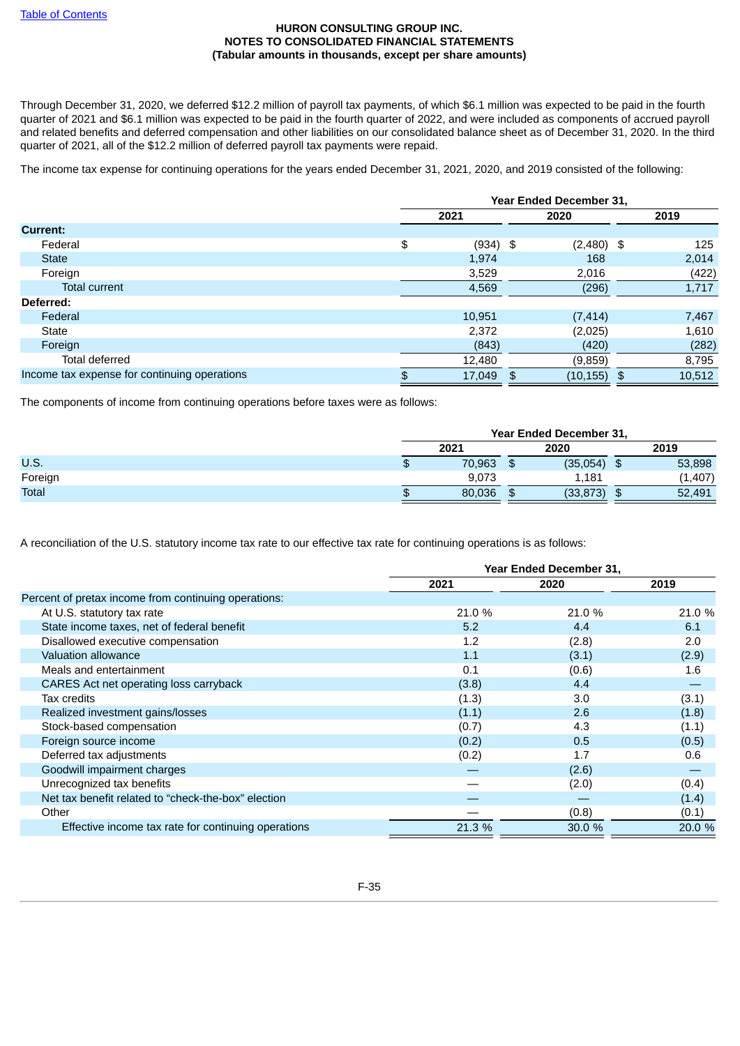Through December 31, 2020, we deferred \$12.2 million of payroll tax payments, of which \$6.1 million was expected to be paid in the fourth quarter of 2021 and \$6.1 million was expected to be paid in the fourth quarter of 2022, and were included as components of accrued payroll and related benefits and deferred compensation and other liabilities on our consolidated balance sheet as of December 31, 2020. In the third quarter of 2021, all of the \$12.2 million of deferred payroll tax payments were repaid.

The income tax expense for continuing operations for the years ended December 31, 2021, 2020, and 2019 consisted of the following:

|                                              | Year Ended December 31, |                       |  |        |  |
|----------------------------------------------|-------------------------|-----------------------|--|--------|--|
|                                              | 2021                    | 2020                  |  | 2019   |  |
| <b>Current:</b>                              |                         |                       |  |        |  |
| Federal                                      | \$<br>$(934)$ \$        | $(2,480)$ \$          |  | 125    |  |
| <b>State</b>                                 | 1,974                   | 168                   |  | 2,014  |  |
| Foreign                                      | 3,529                   | 2,016                 |  | (422)  |  |
| <b>Total current</b>                         | 4,569                   | (296)                 |  | 1,717  |  |
| Deferred:                                    |                         |                       |  |        |  |
| Federal                                      | 10,951                  | (7, 414)              |  | 7,467  |  |
| State                                        | 2,372                   | (2,025)               |  | 1,610  |  |
| Foreign                                      | (843)                   | (420)                 |  | (282)  |  |
| Total deferred                               | 12,480                  | (9,859)               |  | 8,795  |  |
| Income tax expense for continuing operations | 17,049                  | $(10, 155)$ \$<br>-\$ |  | 10,512 |  |

The components of income from continuing operations before taxes were as follows:

|              | Year Ended December 31, |    |           |        |         |  |  |
|--------------|-------------------------|----|-----------|--------|---------|--|--|
|              | 2021                    |    | 2020      |        | 2019    |  |  |
| <b>U.S.</b>  | 70,963                  | \$ | (35,054)  | ሖ<br>Ф | 53,898  |  |  |
| Foreign      | 9.073                   |    | 1.181     |        | (1,407) |  |  |
| <b>Total</b> | 80,036                  | \$ | (33, 873) | œ<br>Œ | 52,491  |  |  |

A reconciliation of the U.S. statutory income tax rate to our effective tax rate for continuing operations is as follows:

|                                                      | <b>Year Ended December 31,</b> |        |        |  |  |  |  |
|------------------------------------------------------|--------------------------------|--------|--------|--|--|--|--|
|                                                      | 2021                           | 2020   | 2019   |  |  |  |  |
| Percent of pretax income from continuing operations: |                                |        |        |  |  |  |  |
| At U.S. statutory tax rate                           | 21.0 %                         | 21.0 % | 21.0 % |  |  |  |  |
| State income taxes, net of federal benefit           | 5.2                            | 4.4    | 6.1    |  |  |  |  |
| Disallowed executive compensation                    | 1.2                            | (2.8)  | 2.0    |  |  |  |  |
| <b>Valuation allowance</b>                           | 1.1                            | (3.1)  | (2.9)  |  |  |  |  |
| Meals and entertainment                              | 0.1                            | (0.6)  | 1.6    |  |  |  |  |
| CARES Act net operating loss carryback               | (3.8)                          | 4.4    |        |  |  |  |  |
| Tax credits                                          | (1.3)                          | 3.0    | (3.1)  |  |  |  |  |
| Realized investment gains/losses                     | (1.1)                          | 2.6    | (1.8)  |  |  |  |  |
| Stock-based compensation                             | (0.7)                          | 4.3    | (1.1)  |  |  |  |  |
| Foreign source income                                | (0.2)                          | 0.5    | (0.5)  |  |  |  |  |
| Deferred tax adjustments                             | (0.2)                          | 1.7    | 0.6    |  |  |  |  |
| Goodwill impairment charges                          |                                | (2.6)  |        |  |  |  |  |
| Unrecognized tax benefits                            |                                | (2.0)  | (0.4)  |  |  |  |  |
| Net tax benefit related to "check-the-box" election  |                                |        | (1.4)  |  |  |  |  |
| Other                                                |                                | (0.8)  | (0.1)  |  |  |  |  |
| Effective income tax rate for continuing operations  | 21.3 %                         | 30.0 % | 20.0 % |  |  |  |  |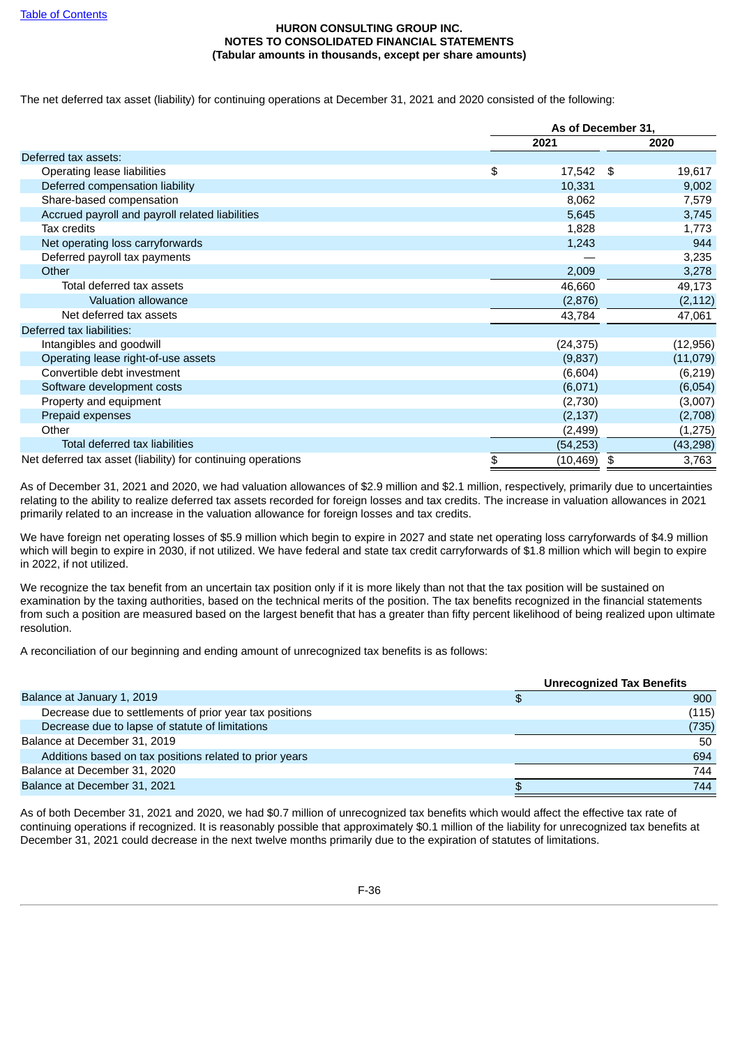The net deferred tax asset (liability) for continuing operations at December 31, 2021 and 2020 consisted of the following:

|                                                              | As of December 31,   |    |           |  |  |
|--------------------------------------------------------------|----------------------|----|-----------|--|--|
|                                                              | 2021                 |    | 2020      |  |  |
| Deferred tax assets:                                         |                      |    |           |  |  |
| Operating lease liabilities                                  | \$<br>17,542         | \$ | 19,617    |  |  |
| Deferred compensation liability                              | 10,331               |    | 9,002     |  |  |
| Share-based compensation                                     | 8,062                |    | 7,579     |  |  |
| Accrued payroll and payroll related liabilities              | 5,645                |    | 3,745     |  |  |
| <b>Tax credits</b>                                           | 1,828                |    | 1,773     |  |  |
| Net operating loss carryforwards                             | 1,243                |    | 944       |  |  |
| Deferred payroll tax payments                                |                      |    | 3,235     |  |  |
| Other                                                        | 2,009                |    | 3,278     |  |  |
| Total deferred tax assets                                    | 46,660               |    | 49,173    |  |  |
| <b>Valuation allowance</b>                                   | (2,876)              |    | (2, 112)  |  |  |
| Net deferred tax assets                                      | 43,784               |    | 47,061    |  |  |
| Deferred tax liabilities:                                    |                      |    |           |  |  |
| Intangibles and goodwill                                     | (24, 375)            |    | (12, 956) |  |  |
| Operating lease right-of-use assets                          | (9,837)              |    | (11,079)  |  |  |
| Convertible debt investment                                  | (6,604)              |    | (6, 219)  |  |  |
| Software development costs                                   | (6,071)              |    | (6,054)   |  |  |
| Property and equipment                                       | (2,730)              |    | (3,007)   |  |  |
| Prepaid expenses                                             | (2, 137)             |    | (2,708)   |  |  |
| Other                                                        | (2,499)              |    | (1, 275)  |  |  |
| Total deferred tax liabilities                               | (54, 253)            |    | (43, 298) |  |  |
| Net deferred tax asset (liability) for continuing operations | \$<br>$(10, 469)$ \$ |    | 3,763     |  |  |

As of December 31, 2021 and 2020, we had valuation allowances of \$2.9 million and \$2.1 million, respectively, primarily due to uncertainties relating to the ability to realize deferred tax assets recorded for foreign losses and tax credits. The increase in valuation allowances in 2021 primarily related to an increase in the valuation allowance for foreign losses and tax credits.

We have foreign net operating losses of \$5.9 million which begin to expire in 2027 and state net operating loss carryforwards of \$4.9 million which will begin to expire in 2030, if not utilized. We have federal and state tax credit carryforwards of \$1.8 million which will begin to expire in 2022, if not utilized.

We recognize the tax benefit from an uncertain tax position only if it is more likely than not that the tax position will be sustained on examination by the taxing authorities, based on the technical merits of the position. The tax benefits recognized in the financial statements from such a position are measured based on the largest benefit that has a greater than fifty percent likelihood of being realized upon ultimate resolution.

A reconciliation of our beginning and ending amount of unrecognized tax benefits is as follows:

|                                                         | <b>Unrecognized Tax Benefits</b> |
|---------------------------------------------------------|----------------------------------|
| Balance at January 1, 2019                              | 900                              |
| Decrease due to settlements of prior year tax positions | (115)                            |
| Decrease due to lapse of statute of limitations         | (735)                            |
| Balance at December 31, 2019                            | 50                               |
| Additions based on tax positions related to prior years | 694                              |
| Balance at December 31, 2020                            | 744                              |
| Balance at December 31, 2021                            | 744                              |

As of both December 31, 2021 and 2020, we had \$0.7 million of unrecognized tax benefits which would affect the effective tax rate of continuing operations if recognized. It is reasonably possible that approximately \$0.1 million of the liability for unrecognized tax benefits at December 31, 2021 could decrease in the next twelve months primarily due to the expiration of statutes of limitations.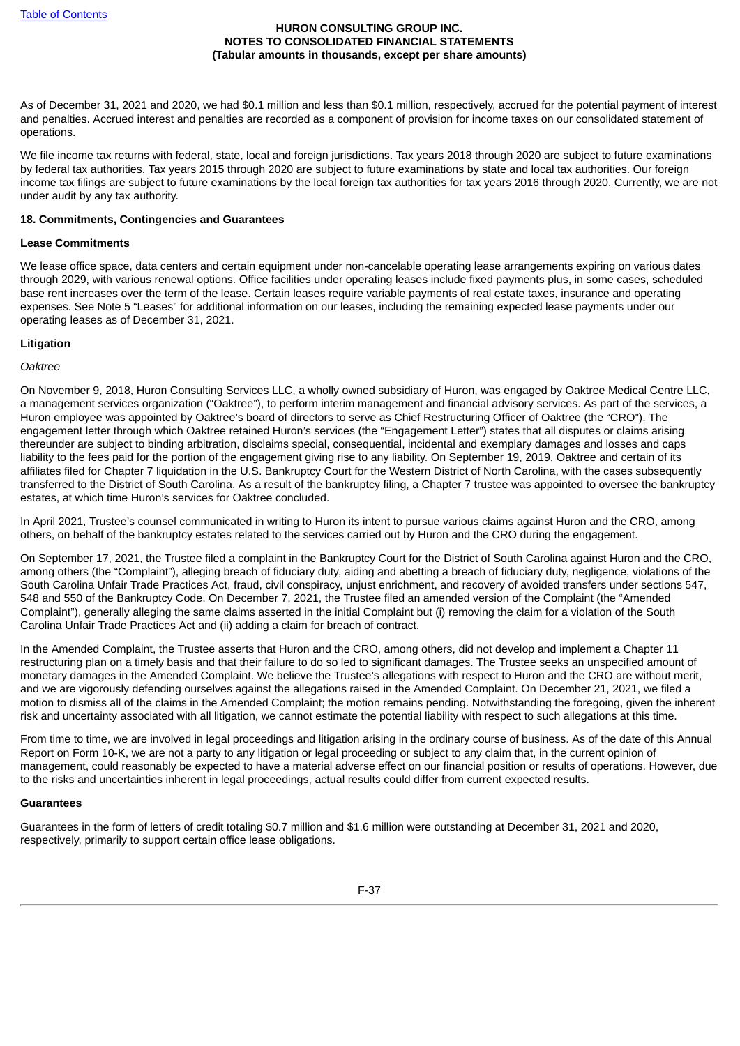As of December 31, 2021 and 2020, we had \$0.1 million and less than \$0.1 million, respectively, accrued for the potential payment of interest and penalties. Accrued interest and penalties are recorded as a component of provision for income taxes on our consolidated statement of operations.

We file income tax returns with federal, state, local and foreign jurisdictions. Tax years 2018 through 2020 are subject to future examinations by federal tax authorities. Tax years 2015 through 2020 are subject to future examinations by state and local tax authorities. Our foreign income tax filings are subject to future examinations by the local foreign tax authorities for tax years 2016 through 2020. Currently, we are not under audit by any tax authority.

# **18. Commitments, Contingencies and Guarantees**

## **Lease Commitments**

We lease office space, data centers and certain equipment under non-cancelable operating lease arrangements expiring on various dates through 2029, with various renewal options. Office facilities under operating leases include fixed payments plus, in some cases, scheduled base rent increases over the term of the lease. Certain leases require variable payments of real estate taxes, insurance and operating expenses. See Note 5 "Leases" for additional information on our leases, including the remaining expected lease payments under our operating leases as of December 31, 2021.

# **Litigation**

# *Oaktree*

On November 9, 2018, Huron Consulting Services LLC, a wholly owned subsidiary of Huron, was engaged by Oaktree Medical Centre LLC, a management services organization ("Oaktree"), to perform interim management and financial advisory services. As part of the services, a Huron employee was appointed by Oaktree's board of directors to serve as Chief Restructuring Officer of Oaktree (the "CRO"). The engagement letter through which Oaktree retained Huron's services (the "Engagement Letter") states that all disputes or claims arising thereunder are subject to binding arbitration, disclaims special, consequential, incidental and exemplary damages and losses and caps liability to the fees paid for the portion of the engagement giving rise to any liability. On September 19, 2019, Oaktree and certain of its affiliates filed for Chapter 7 liquidation in the U.S. Bankruptcy Court for the Western District of North Carolina, with the cases subsequently transferred to the District of South Carolina. As a result of the bankruptcy filing, a Chapter 7 trustee was appointed to oversee the bankruptcy estates, at which time Huron's services for Oaktree concluded.

In April 2021, Trustee's counsel communicated in writing to Huron its intent to pursue various claims against Huron and the CRO, among others, on behalf of the bankruptcy estates related to the services carried out by Huron and the CRO during the engagement.

On September 17, 2021, the Trustee filed a complaint in the Bankruptcy Court for the District of South Carolina against Huron and the CRO, among others (the "Complaint"), alleging breach of fiduciary duty, aiding and abetting a breach of fiduciary duty, negligence, violations of the South Carolina Unfair Trade Practices Act, fraud, civil conspiracy, unjust enrichment, and recovery of avoided transfers under sections 547, 548 and 550 of the Bankruptcy Code. On December 7, 2021, the Trustee filed an amended version of the Complaint (the "Amended Complaint"), generally alleging the same claims asserted in the initial Complaint but (i) removing the claim for a violation of the South Carolina Unfair Trade Practices Act and (ii) adding a claim for breach of contract.

In the Amended Complaint, the Trustee asserts that Huron and the CRO, among others, did not develop and implement a Chapter 11 restructuring plan on a timely basis and that their failure to do so led to significant damages. The Trustee seeks an unspecified amount of monetary damages in the Amended Complaint. We believe the Trustee's allegations with respect to Huron and the CRO are without merit, and we are vigorously defending ourselves against the allegations raised in the Amended Complaint. On December 21, 2021, we filed a motion to dismiss all of the claims in the Amended Complaint; the motion remains pending. Notwithstanding the foregoing, given the inherent risk and uncertainty associated with all litigation, we cannot estimate the potential liability with respect to such allegations at this time.

From time to time, we are involved in legal proceedings and litigation arising in the ordinary course of business. As of the date of this Annual Report on Form 10-K, we are not a party to any litigation or legal proceeding or subject to any claim that, in the current opinion of management, could reasonably be expected to have a material adverse effect on our financial position or results of operations. However, due to the risks and uncertainties inherent in legal proceedings, actual results could differ from current expected results.

## **Guarantees**

Guarantees in the form of letters of credit totaling \$0.7 million and \$1.6 million were outstanding at December 31, 2021 and 2020, respectively, primarily to support certain office lease obligations.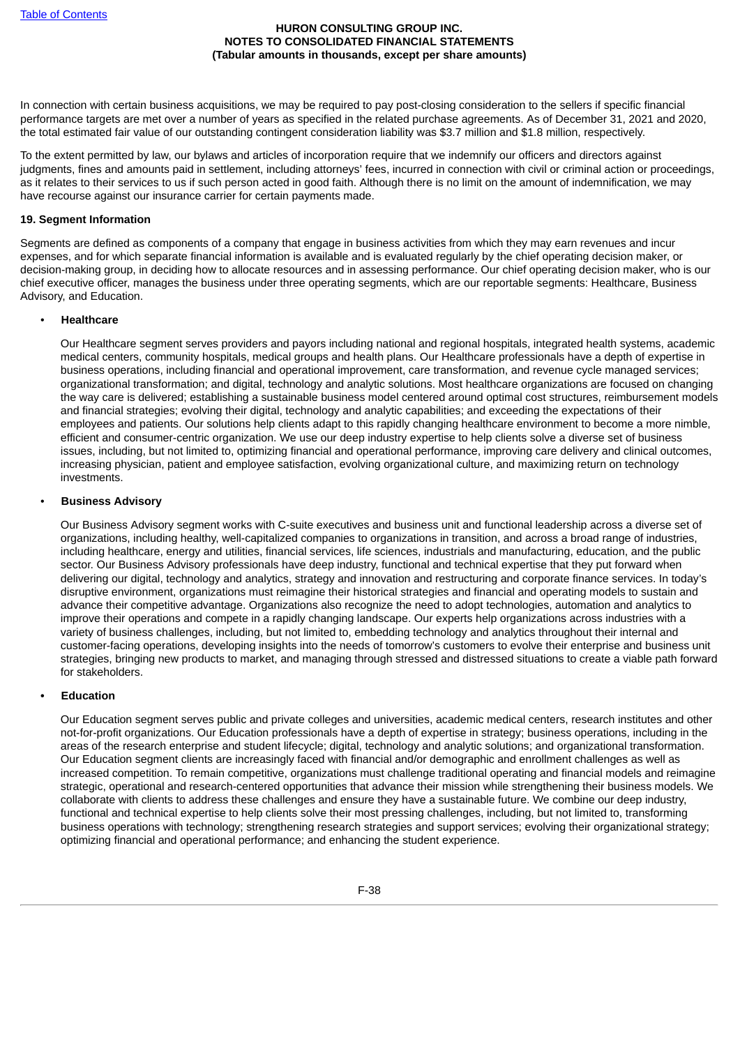In connection with certain business acquisitions, we may be required to pay post-closing consideration to the sellers if specific financial performance targets are met over a number of years as specified in the related purchase agreements. As of December 31, 2021 and 2020, the total estimated fair value of our outstanding contingent consideration liability was \$3.7 million and \$1.8 million, respectively.

To the extent permitted by law, our bylaws and articles of incorporation require that we indemnify our officers and directors against judgments, fines and amounts paid in settlement, including attorneys' fees, incurred in connection with civil or criminal action or proceedings, as it relates to their services to us if such person acted in good faith. Although there is no limit on the amount of indemnification, we may have recourse against our insurance carrier for certain payments made.

#### **19. Segment Information**

Segments are defined as components of a company that engage in business activities from which they may earn revenues and incur expenses, and for which separate financial information is available and is evaluated regularly by the chief operating decision maker, or decision-making group, in deciding how to allocate resources and in assessing performance. Our chief operating decision maker, who is our chief executive officer, manages the business under three operating segments, which are our reportable segments: Healthcare, Business Advisory, and Education.

#### • **Healthcare**

Our Healthcare segment serves providers and payors including national and regional hospitals, integrated health systems, academic medical centers, community hospitals, medical groups and health plans. Our Healthcare professionals have a depth of expertise in business operations, including financial and operational improvement, care transformation, and revenue cycle managed services; organizational transformation; and digital, technology and analytic solutions. Most healthcare organizations are focused on changing the way care is delivered; establishing a sustainable business model centered around optimal cost structures, reimbursement models and financial strategies; evolving their digital, technology and analytic capabilities; and exceeding the expectations of their employees and patients. Our solutions help clients adapt to this rapidly changing healthcare environment to become a more nimble, efficient and consumer-centric organization. We use our deep industry expertise to help clients solve a diverse set of business issues, including, but not limited to, optimizing financial and operational performance, improving care delivery and clinical outcomes, increasing physician, patient and employee satisfaction, evolving organizational culture, and maximizing return on technology investments.

## • **Business Advisory**

Our Business Advisory segment works with C-suite executives and business unit and functional leadership across a diverse set of organizations, including healthy, well-capitalized companies to organizations in transition, and across a broad range of industries, including healthcare, energy and utilities, financial services, life sciences, industrials and manufacturing, education, and the public sector. Our Business Advisory professionals have deep industry, functional and technical expertise that they put forward when delivering our digital, technology and analytics, strategy and innovation and restructuring and corporate finance services. In today's disruptive environment, organizations must reimagine their historical strategies and financial and operating models to sustain and advance their competitive advantage. Organizations also recognize the need to adopt technologies, automation and analytics to improve their operations and compete in a rapidly changing landscape. Our experts help organizations across industries with a variety of business challenges, including, but not limited to, embedding technology and analytics throughout their internal and customer-facing operations, developing insights into the needs of tomorrow's customers to evolve their enterprise and business unit strategies, bringing new products to market, and managing through stressed and distressed situations to create a viable path forward for stakeholders.

## **• Education**

Our Education segment serves public and private colleges and universities, academic medical centers, research institutes and other not-for-profit organizations. Our Education professionals have a depth of expertise in strategy; business operations, including in the areas of the research enterprise and student lifecycle; digital, technology and analytic solutions; and organizational transformation. Our Education segment clients are increasingly faced with financial and/or demographic and enrollment challenges as well as increased competition. To remain competitive, organizations must challenge traditional operating and financial models and reimagine strategic, operational and research-centered opportunities that advance their mission while strengthening their business models. We collaborate with clients to address these challenges and ensure they have a sustainable future. We combine our deep industry, functional and technical expertise to help clients solve their most pressing challenges, including, but not limited to, transforming business operations with technology; strengthening research strategies and support services; evolving their organizational strategy; optimizing financial and operational performance; and enhancing the student experience.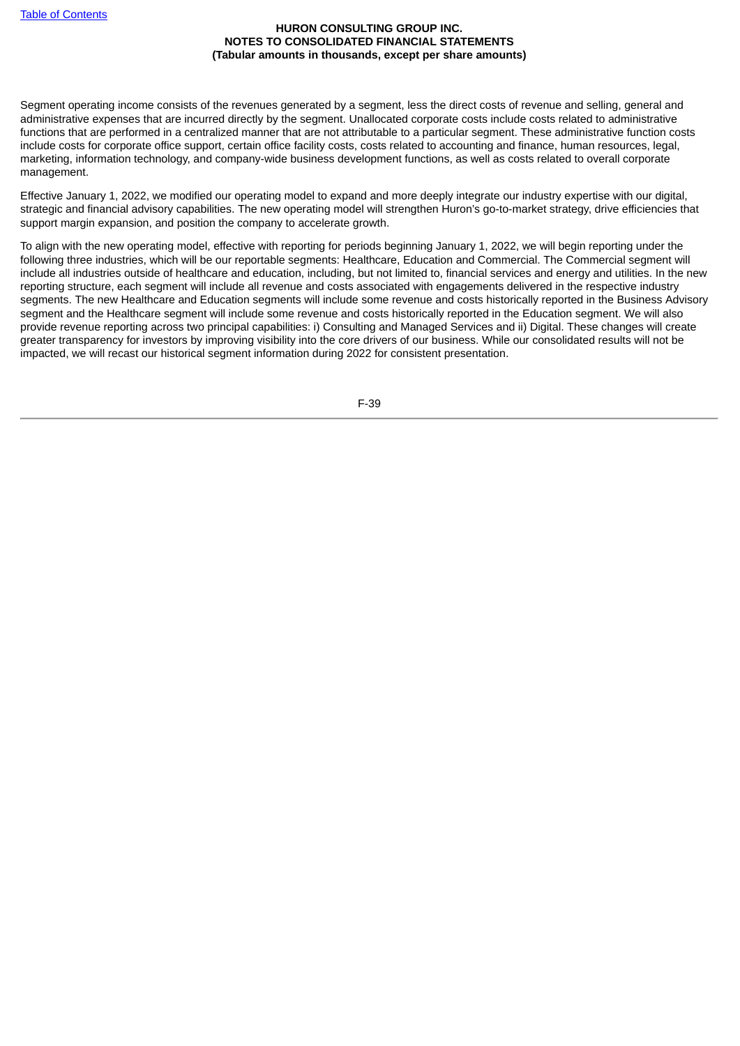Segment operating income consists of the revenues generated by a segment, less the direct costs of revenue and selling, general and administrative expenses that are incurred directly by the segment. Unallocated corporate costs include costs related to administrative functions that are performed in a centralized manner that are not attributable to a particular segment. These administrative function costs include costs for corporate office support, certain office facility costs, costs related to accounting and finance, human resources, legal, marketing, information technology, and company-wide business development functions, as well as costs related to overall corporate management.

Effective January 1, 2022, we modified our operating model to expand and more deeply integrate our industry expertise with our digital, strategic and financial advisory capabilities. The new operating model will strengthen Huron's go-to-market strategy, drive efficiencies that support margin expansion, and position the company to accelerate growth.

To align with the new operating model, effective with reporting for periods beginning January 1, 2022, we will begin reporting under the following three industries, which will be our reportable segments: Healthcare, Education and Commercial. The Commercial segment will include all industries outside of healthcare and education, including, but not limited to, financial services and energy and utilities. In the new reporting structure, each segment will include all revenue and costs associated with engagements delivered in the respective industry segments. The new Healthcare and Education segments will include some revenue and costs historically reported in the Business Advisory segment and the Healthcare segment will include some revenue and costs historically reported in the Education segment. We will also provide revenue reporting across two principal capabilities: i) Consulting and Managed Services and ii) Digital. These changes will create greater transparency for investors by improving visibility into the core drivers of our business. While our consolidated results will not be impacted, we will recast our historical segment information during 2022 for consistent presentation.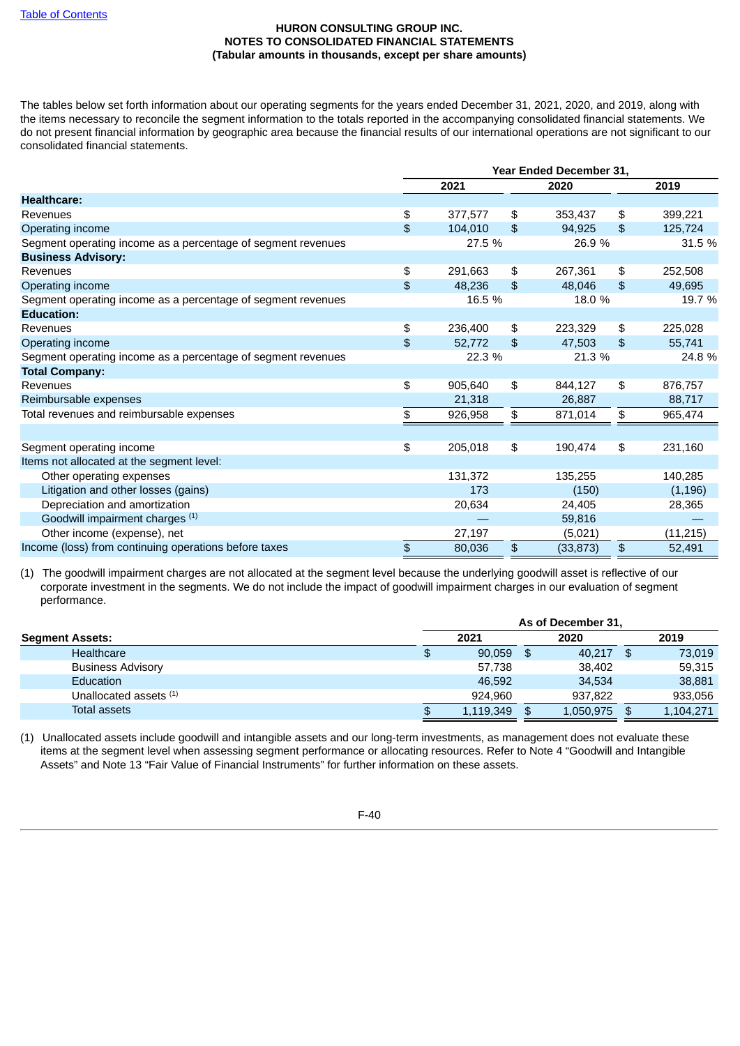The tables below set forth information about our operating segments for the years ended December 31, 2021, 2020, and 2019, along with the items necessary to reconcile the segment information to the totals reported in the accompanying consolidated financial statements. We do not present financial information by geographic area because the financial results of our international operations are not significant to our consolidated financial statements.

|                                                              | Year Ended December 31, |         |    |           |                |           |
|--------------------------------------------------------------|-------------------------|---------|----|-----------|----------------|-----------|
|                                                              | 2021                    |         |    | 2020      |                | 2019      |
| <b>Healthcare:</b>                                           |                         |         |    |           |                |           |
| Revenues                                                     | \$                      | 377,577 | \$ | 353,437   | \$             | 399,221   |
| Operating income                                             | \$                      | 104.010 | \$ | 94.925    | \$             | 125,724   |
| Segment operating income as a percentage of segment revenues |                         | 27.5 %  |    | 26.9 %    |                | 31.5 %    |
| <b>Business Advisory:</b>                                    |                         |         |    |           |                |           |
| Revenues                                                     | \$                      | 291,663 | \$ | 267.361   | \$             | 252,508   |
| Operating income                                             | \$                      | 48.236  | \$ | 48.046    | \$             | 49,695    |
| Segment operating income as a percentage of segment revenues |                         | 16.5 %  |    | 18.0 %    |                | 19.7 %    |
| <b>Education:</b>                                            |                         |         |    |           |                |           |
| Revenues                                                     | \$                      | 236,400 | \$ | 223,329   | \$             | 225,028   |
| Operating income                                             | \$                      | 52,772  | \$ | 47,503    | $\mathfrak{L}$ | 55,741    |
| Segment operating income as a percentage of segment revenues |                         | 22.3 %  |    | 21.3 %    |                | 24.8 %    |
| <b>Total Company:</b>                                        |                         |         |    |           |                |           |
| Revenues                                                     | \$                      | 905,640 | \$ | 844,127   | \$             | 876,757   |
| Reimbursable expenses                                        |                         | 21,318  |    | 26,887    |                | 88,717    |
| Total revenues and reimbursable expenses                     | \$                      | 926,958 | \$ | 871,014   | \$             | 965,474   |
|                                                              |                         |         |    |           |                |           |
| Segment operating income                                     | \$                      | 205,018 | \$ | 190,474   | \$             | 231,160   |
| Items not allocated at the segment level:                    |                         |         |    |           |                |           |
| Other operating expenses                                     |                         | 131,372 |    | 135,255   |                | 140,285   |
| Litigation and other losses (gains)                          |                         | 173     |    | (150)     |                | (1, 196)  |
| Depreciation and amortization                                |                         | 20,634  |    | 24,405    |                | 28,365    |
| Goodwill impairment charges <sup>(1)</sup>                   |                         |         |    | 59,816    |                |           |
| Other income (expense), net                                  |                         | 27,197  |    | (5,021)   |                | (11, 215) |
| Income (loss) from continuing operations before taxes        | \$                      | 80,036  | \$ | (33, 873) | $\frac{4}{5}$  | 52,491    |

(1) The goodwill impairment charges are not allocated at the segment level because the underlying goodwill asset is reflective of our corporate investment in the segments. We do not include the impact of goodwill impairment charges in our evaluation of segment performance.

|                          | As of December 31, |           |     |           |    |           |  |  |  |  |
|--------------------------|--------------------|-----------|-----|-----------|----|-----------|--|--|--|--|
| <b>Segment Assets:</b>   |                    | 2021      |     | 2020      |    | 2019      |  |  |  |  |
| Healthcare               | Ф                  | 90,059    | \$  | 40,217    | \$ | 73,019    |  |  |  |  |
| <b>Business Advisory</b> |                    | 57.738    |     | 38,402    |    | 59,315    |  |  |  |  |
| Education                |                    | 46.592    |     | 34.534    |    | 38,881    |  |  |  |  |
| Unallocated assets (1)   |                    | 924.960   |     | 937.822   |    | 933.056   |  |  |  |  |
| <b>Total assets</b>      |                    | 1.119.349 | \$. | 1,050,975 | \$ | 1,104,271 |  |  |  |  |

(1) Unallocated assets include goodwill and intangible assets and our long-term investments, as management does not evaluate these items at the segment level when assessing segment performance or allocating resources. Refer to Note 4 "Goodwill and Intangible Assets" and Note 13 "Fair Value of Financial Instruments" for further information on these assets.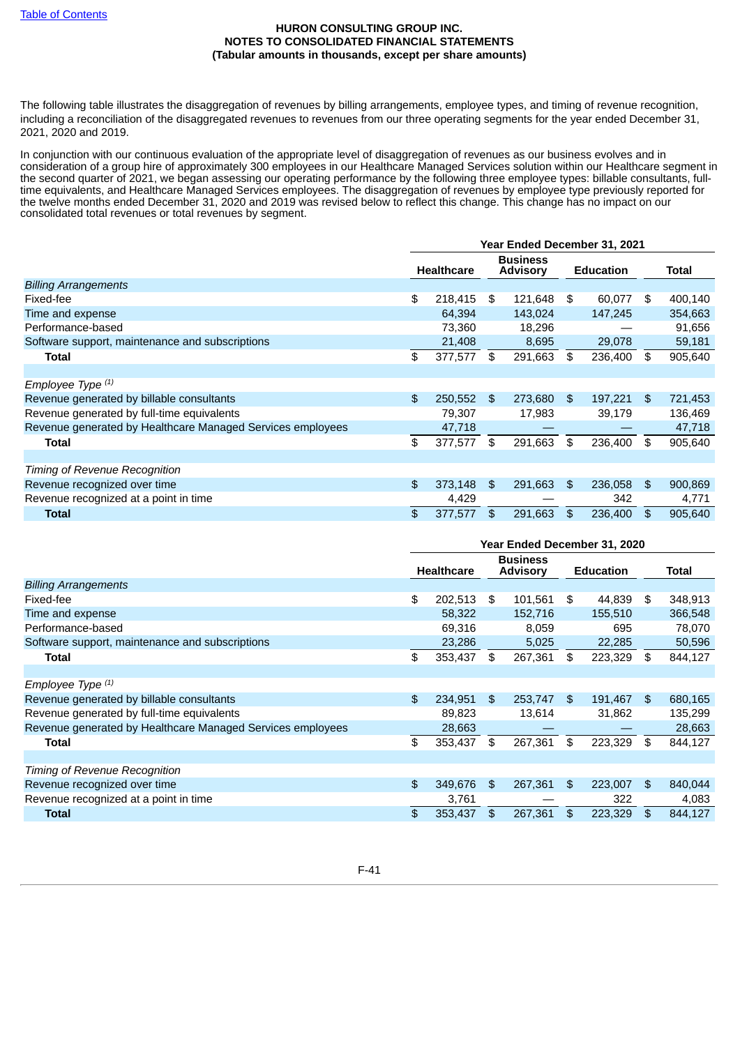The following table illustrates the disaggregation of revenues by billing arrangements, employee types, and timing of revenue recognition, including a reconciliation of the disaggregated revenues to revenues from our three operating segments for the year ended December 31, 2021, 2020 and 2019.

In conjunction with our continuous evaluation of the appropriate level of disaggregation of revenues as our business evolves and in consideration of a group hire of approximately 300 employees in our Healthcare Managed Services solution within our Healthcare segment in the second quarter of 2021, we began assessing our operating performance by the following three employee types: billable consultants, fulltime equivalents, and Healthcare Managed Services employees. The disaggregation of revenues by employee type previously reported for the twelve months ended December 31, 2020 and 2019 was revised below to reflect this change. This change has no impact on our consolidated total revenues or total revenues by segment.

|                                                            | Year Ended December 31, 2021 |         |                                    |         |                  |         |    |         |
|------------------------------------------------------------|------------------------------|---------|------------------------------------|---------|------------------|---------|----|---------|
|                                                            | <b>Healthcare</b>            |         | <b>Business</b><br><b>Advisory</b> |         | <b>Education</b> |         |    | Total   |
| <b>Billing Arrangements</b>                                |                              |         |                                    |         |                  |         |    |         |
| Fixed-fee                                                  | \$                           | 218.415 | \$                                 | 121,648 | \$               | 60.077  | \$ | 400,140 |
| Time and expense                                           |                              | 64,394  |                                    | 143,024 |                  | 147,245 |    | 354,663 |
| Performance-based                                          |                              | 73,360  |                                    | 18,296  |                  |         |    | 91,656  |
| Software support, maintenance and subscriptions            |                              | 21,408  |                                    | 8,695   |                  | 29,078  |    | 59,181  |
| Total                                                      | \$                           | 377,577 | \$                                 | 291,663 | \$               | 236,400 | \$ | 905,640 |
|                                                            |                              |         |                                    |         |                  |         |    |         |
| Employee Type <sup>(1)</sup>                               |                              |         |                                    |         |                  |         |    |         |
| Revenue generated by billable consultants                  | \$                           | 250,552 | \$                                 | 273,680 | \$               | 197,221 | \$ | 721,453 |
| Revenue generated by full-time equivalents                 |                              | 79,307  |                                    | 17,983  |                  | 39,179  |    | 136,469 |
| Revenue generated by Healthcare Managed Services employees |                              | 47,718  |                                    |         |                  |         |    | 47,718  |
| Total                                                      | \$                           | 377,577 | \$                                 | 291,663 | \$               | 236,400 | \$ | 905,640 |
|                                                            |                              |         |                                    |         |                  |         |    |         |
| <b>Timing of Revenue Recognition</b>                       |                              |         |                                    |         |                  |         |    |         |
| Revenue recognized over time                               | $\mathfrak{L}$               | 373,148 | \$                                 | 291,663 | \$               | 236,058 | \$ | 900,869 |
| Revenue recognized at a point in time                      |                              | 4,429   |                                    |         |                  | 342     |    | 4,771   |
| <b>Total</b>                                               | \$                           | 377,577 | \$                                 | 291,663 | \$               | 236,400 | \$ | 905,640 |

|                                                            | Year Ended December 31, 2020 |         |                                    |         |                  |         |    |         |
|------------------------------------------------------------|------------------------------|---------|------------------------------------|---------|------------------|---------|----|---------|
|                                                            | <b>Healthcare</b>            |         | <b>Business</b><br><b>Advisory</b> |         | <b>Education</b> |         |    | Total   |
| <b>Billing Arrangements</b>                                |                              |         |                                    |         |                  |         |    |         |
| Fixed-fee                                                  | \$                           | 202,513 | \$                                 | 101,561 | \$               | 44,839  | \$ | 348,913 |
| Time and expense                                           |                              | 58,322  |                                    | 152,716 |                  | 155,510 |    | 366,548 |
| Performance-based                                          |                              | 69,316  |                                    | 8,059   |                  | 695     |    | 78,070  |
| Software support, maintenance and subscriptions            |                              | 23,286  |                                    | 5,025   |                  | 22,285  |    | 50,596  |
| <b>Total</b>                                               | \$                           | 353,437 | \$                                 | 267,361 | \$               | 223,329 | \$ | 844,127 |
|                                                            |                              |         |                                    |         |                  |         |    |         |
| Employee Type <sup>(1)</sup>                               |                              |         |                                    |         |                  |         |    |         |
| Revenue generated by billable consultants                  | \$                           | 234,951 | \$                                 | 253,747 | \$               | 191,467 | \$ | 680,165 |
| Revenue generated by full-time equivalents                 |                              | 89,823  |                                    | 13,614  |                  | 31,862  |    | 135,299 |
| Revenue generated by Healthcare Managed Services employees |                              | 28,663  |                                    |         |                  |         |    | 28,663  |
| <b>Total</b>                                               | \$                           | 353,437 | \$                                 | 267,361 | \$               | 223,329 | \$ | 844,127 |
|                                                            |                              |         |                                    |         |                  |         |    |         |
| <b>Timing of Revenue Recognition</b>                       |                              |         |                                    |         |                  |         |    |         |
| Revenue recognized over time                               | \$                           | 349,676 | \$                                 | 267,361 | \$               | 223,007 | \$ | 840,044 |
| Revenue recognized at a point in time                      |                              | 3,761   |                                    |         |                  | 322     |    | 4,083   |
| <b>Total</b>                                               | \$                           | 353,437 | \$                                 | 267,361 | \$               | 223,329 | \$ | 844,127 |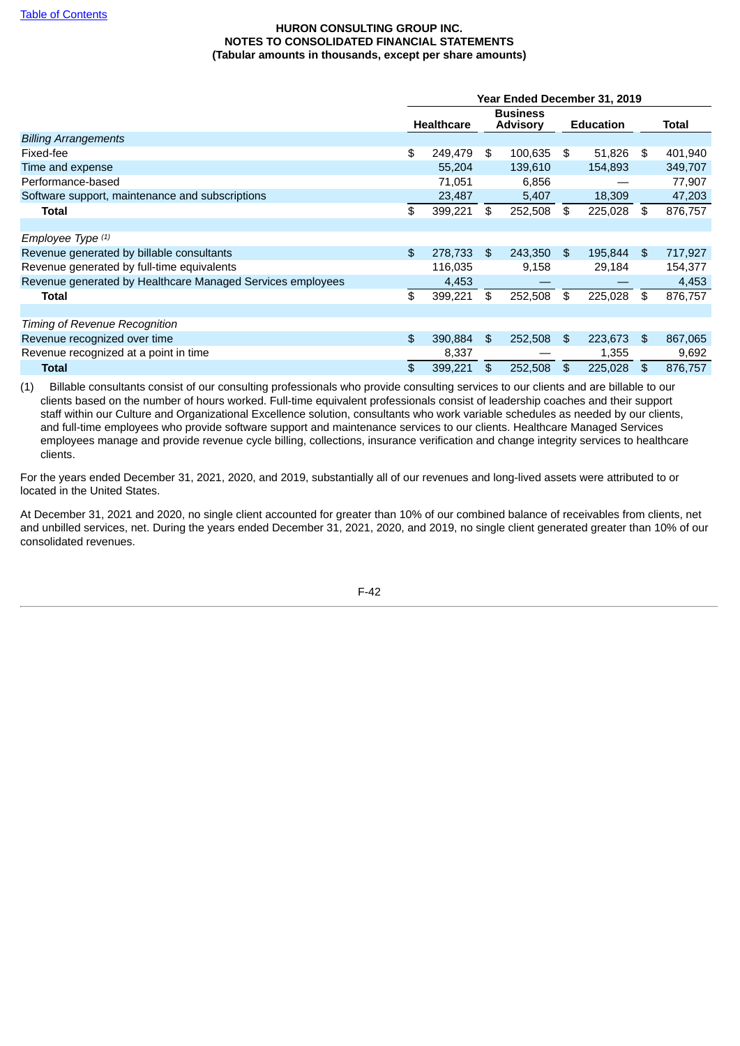|                                                            | Year Ended December 31, 2019 |    |                                    |                  |         |    |         |
|------------------------------------------------------------|------------------------------|----|------------------------------------|------------------|---------|----|---------|
|                                                            | <b>Healthcare</b>            |    | <b>Business</b><br><b>Advisory</b> | <b>Education</b> |         |    | Total   |
| <b>Billing Arrangements</b>                                |                              |    |                                    |                  |         |    |         |
| Fixed-fee                                                  | \$<br>249.479                | \$ | 100,635                            | \$               | 51.826  | \$ | 401,940 |
| Time and expense                                           | 55,204                       |    | 139,610                            |                  | 154,893 |    | 349,707 |
| Performance-based                                          | 71,051                       |    | 6,856                              |                  |         |    | 77,907  |
| Software support, maintenance and subscriptions            | 23,487                       |    | 5,407                              |                  | 18,309  |    | 47,203  |
| <b>Total</b>                                               | \$<br>399,221                | \$ | 252,508                            | \$               | 225,028 | \$ | 876,757 |
|                                                            |                              |    |                                    |                  |         |    |         |
| Employee Type (1)                                          |                              |    |                                    |                  |         |    |         |
| Revenue generated by billable consultants                  | \$<br>278,733                | \$ | 243,350                            | \$               | 195,844 | \$ | 717,927 |
| Revenue generated by full-time equivalents                 | 116,035                      |    | 9,158                              |                  | 29,184  |    | 154,377 |
| Revenue generated by Healthcare Managed Services employees | 4,453                        |    |                                    |                  |         |    | 4,453   |
| Total                                                      | \$<br>399,221                | \$ | 252,508                            | \$               | 225,028 | \$ | 876,757 |
|                                                            |                              |    |                                    |                  |         |    |         |
| <b>Timing of Revenue Recognition</b>                       |                              |    |                                    |                  |         |    |         |
| Revenue recognized over time                               | \$<br>390,884                | \$ | 252,508                            | \$               | 223,673 | \$ | 867,065 |
| Revenue recognized at a point in time                      | 8,337                        |    |                                    |                  | 1,355   |    | 9,692   |
| <b>Total</b>                                               | \$<br>399,221                | \$ | 252,508                            | \$               | 225,028 | \$ | 876,757 |

(1) Billable consultants consist of our consulting professionals who provide consulting services to our clients and are billable to our clients based on the number of hours worked. Full-time equivalent professionals consist of leadership coaches and their support staff within our Culture and Organizational Excellence solution, consultants who work variable schedules as needed by our clients, and full-time employees who provide software support and maintenance services to our clients. Healthcare Managed Services employees manage and provide revenue cycle billing, collections, insurance verification and change integrity services to healthcare clients.

For the years ended December 31, 2021, 2020, and 2019, substantially all of our revenues and long-lived assets were attributed to or located in the United States.

At December 31, 2021 and 2020, no single client accounted for greater than 10% of our combined balance of receivables from clients, net and unbilled services, net. During the years ended December 31, 2021, 2020, and 2019, no single client generated greater than 10% of our consolidated revenues.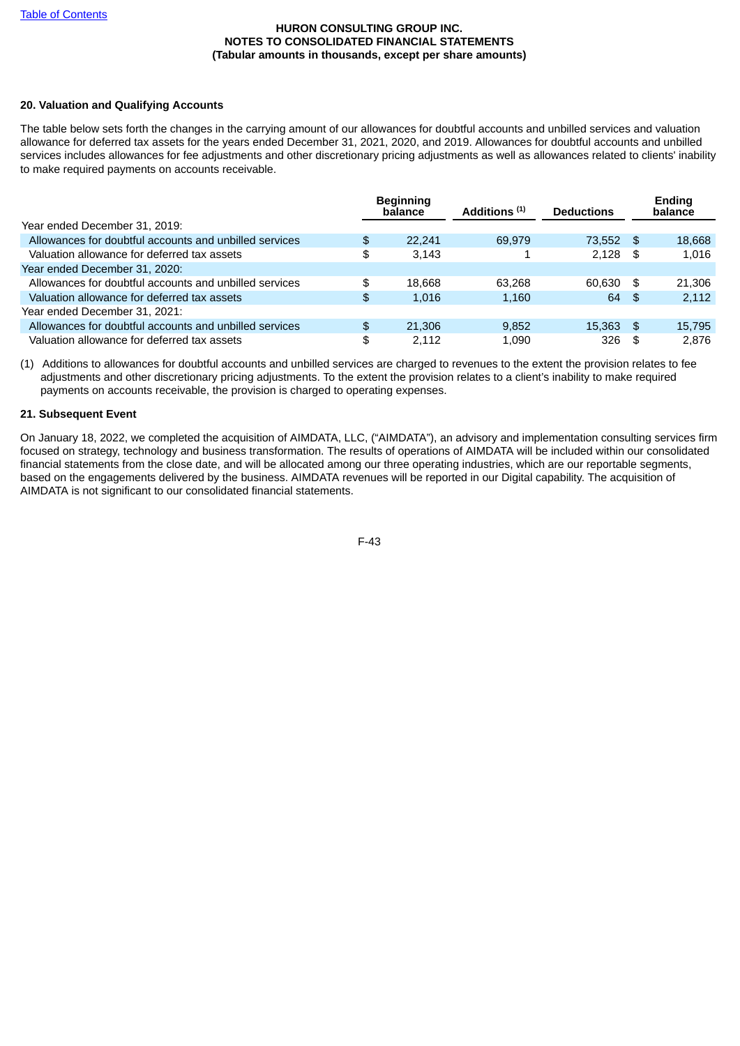# **20. Valuation and Qualifying Accounts**

The table below sets forth the changes in the carrying amount of our allowances for doubtful accounts and unbilled services and valuation allowance for deferred tax assets for the years ended December 31, 2021, 2020, and 2019. Allowances for doubtful accounts and unbilled services includes allowances for fee adjustments and other discretionary pricing adjustments as well as allowances related to clients' inability to make required payments on accounts receivable.

|                                                        | <b>Beginning</b><br>balance | Additions <sup>(1)</sup> | <b>Deductions</b> |      | Ending<br>balance |
|--------------------------------------------------------|-----------------------------|--------------------------|-------------------|------|-------------------|
| Year ended December 31, 2019:                          |                             |                          |                   |      |                   |
| Allowances for doubtful accounts and unbilled services | \$<br>22.241                | 69.979                   | 73.552            | - \$ | 18,668            |
| Valuation allowance for deferred tax assets            | \$<br>3.143                 |                          | 2.128             | \$   | 1.016             |
| Year ended December 31, 2020:                          |                             |                          |                   |      |                   |
| Allowances for doubtful accounts and unbilled services | \$<br>18.668                | 63.268                   | 60.630            | -\$  | 21.306            |
| Valuation allowance for deferred tax assets            | \$<br>1.016                 | 1.160                    | 64                | \$   | 2.112             |
| Year ended December 31, 2021:                          |                             |                          |                   |      |                   |
| Allowances for doubtful accounts and unbilled services | \$<br>21,306                | 9.852                    | 15.363 \$         |      | 15,795            |
| Valuation allowance for deferred tax assets            | \$<br>2.112                 | 1.090                    | 326               | \$   | 2.876             |

(1) Additions to allowances for doubtful accounts and unbilled services are charged to revenues to the extent the provision relates to fee adjustments and other discretionary pricing adjustments. To the extent the provision relates to a client's inability to make required payments on accounts receivable, the provision is charged to operating expenses.

# **21. Subsequent Event**

On January 18, 2022, we completed the acquisition of AIMDATA, LLC, ("AIMDATA"), an advisory and implementation consulting services firm focused on strategy, technology and business transformation. The results of operations of AIMDATA will be included within our consolidated financial statements from the close date, and will be allocated among our three operating industries, which are our reportable segments, based on the engagements delivered by the business. AIMDATA revenues will be reported in our Digital capability. The acquisition of AIMDATA is not significant to our consolidated financial statements.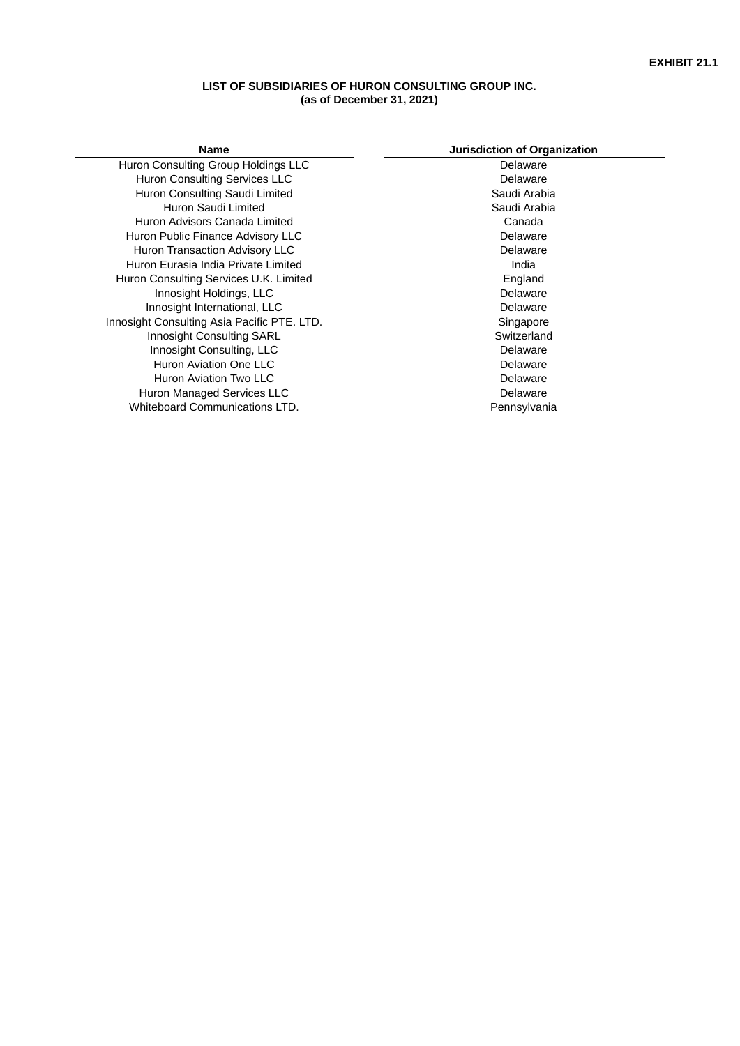e.

# **LIST OF SUBSIDIARIES OF HURON CONSULTING GROUP INC. (as of December 31, 2021)**

| <b>Name</b>                                 | Jurisdiction of Organization |
|---------------------------------------------|------------------------------|
| Huron Consulting Group Holdings LLC         | Delaware                     |
| Huron Consulting Services LLC               | Delaware                     |
| Huron Consulting Saudi Limited              | Saudi Arabia                 |
| Huron Saudi Limited                         | Saudi Arabia                 |
| Huron Advisors Canada Limited               | Canada                       |
| Huron Public Finance Advisory LLC           | Delaware                     |
| Huron Transaction Advisory LLC              | Delaware                     |
| Huron Eurasia India Private Limited         | India                        |
| Huron Consulting Services U.K. Limited      | England                      |
| Innosight Holdings, LLC                     | Delaware                     |
| Innosight International, LLC                | Delaware                     |
| Innosight Consulting Asia Pacific PTE. LTD. | Singapore                    |
| Innosight Consulting SARL                   | Switzerland                  |
| Innosight Consulting, LLC                   | Delaware                     |
| Huron Aviation One LLC                      | Delaware                     |
| <b>Huron Aviation Two LLC</b>               | Delaware                     |
| Huron Managed Services LLC                  | Delaware                     |
| <b>Whiteboard Communications LTD.</b>       | Pennsylvania                 |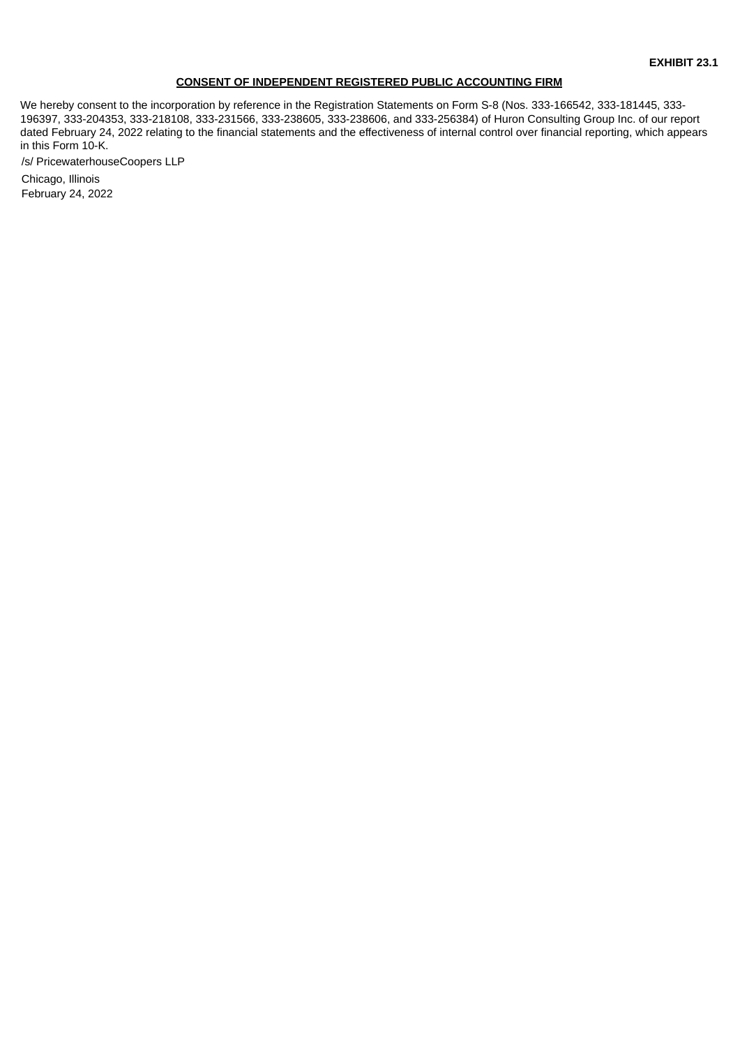# **CONSENT OF INDEPENDENT REGISTERED PUBLIC ACCOUNTING FIRM**

We hereby consent to the incorporation by reference in the Registration Statements on Form S-8 (Nos. 333-166542, 333-181445, 333- 196397, 333-204353, 333-218108, 333-231566, 333-238605, 333-238606, and 333-256384) of Huron Consulting Group Inc. of our report dated February 24, 2022 relating to the financial statements and the effectiveness of internal control over financial reporting, which appears in this Form 10-K.

/s/ PricewaterhouseCoopers LLP

Chicago, Illinois February 24, 2022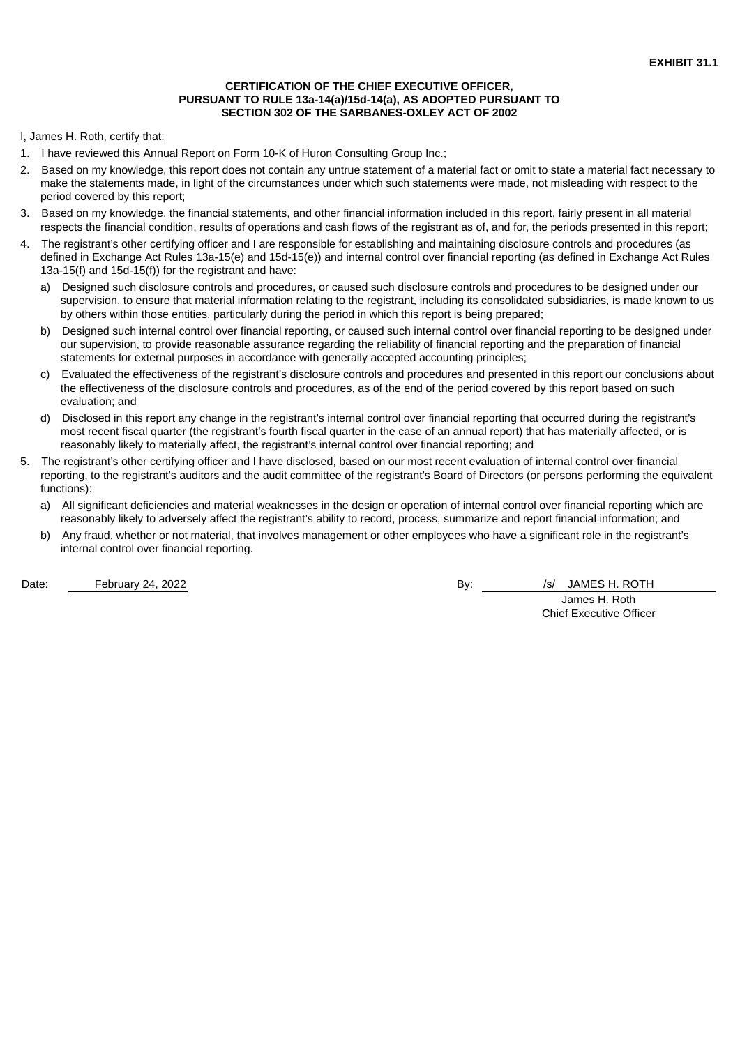#### **CERTIFICATION OF THE CHIEF EXECUTIVE OFFICER, PURSUANT TO RULE 13a-14(a)/15d-14(a), AS ADOPTED PURSUANT TO SECTION 302 OF THE SARBANES-OXLEY ACT OF 2002**

I, James H. Roth, certify that:

- 1. I have reviewed this Annual Report on Form 10-K of Huron Consulting Group Inc.;
- 2. Based on my knowledge, this report does not contain any untrue statement of a material fact or omit to state a material fact necessary to make the statements made, in light of the circumstances under which such statements were made, not misleading with respect to the period covered by this report;
- 3. Based on my knowledge, the financial statements, and other financial information included in this report, fairly present in all material respects the financial condition, results of operations and cash flows of the registrant as of, and for, the periods presented in this report;
- 4. The registrant's other certifying officer and I are responsible for establishing and maintaining disclosure controls and procedures (as defined in Exchange Act Rules 13a-15(e) and 15d-15(e)) and internal control over financial reporting (as defined in Exchange Act Rules 13a-15(f) and 15d-15(f)) for the registrant and have:
	- a) Designed such disclosure controls and procedures, or caused such disclosure controls and procedures to be designed under our supervision, to ensure that material information relating to the registrant, including its consolidated subsidiaries, is made known to us by others within those entities, particularly during the period in which this report is being prepared;
	- b) Designed such internal control over financial reporting, or caused such internal control over financial reporting to be designed under our supervision, to provide reasonable assurance regarding the reliability of financial reporting and the preparation of financial statements for external purposes in accordance with generally accepted accounting principles;
	- c) Evaluated the effectiveness of the registrant's disclosure controls and procedures and presented in this report our conclusions about the effectiveness of the disclosure controls and procedures, as of the end of the period covered by this report based on such evaluation; and
	- d) Disclosed in this report any change in the registrant's internal control over financial reporting that occurred during the registrant's most recent fiscal quarter (the registrant's fourth fiscal quarter in the case of an annual report) that has materially affected, or is reasonably likely to materially affect, the registrant's internal control over financial reporting; and
- 5. The registrant's other certifying officer and I have disclosed, based on our most recent evaluation of internal control over financial reporting, to the registrant's auditors and the audit committee of the registrant's Board of Directors (or persons performing the equivalent functions):
	- a) All significant deficiencies and material weaknesses in the design or operation of internal control over financial reporting which are reasonably likely to adversely affect the registrant's ability to record, process, summarize and report financial information; and
	- b) Any fraud, whether or not material, that involves management or other employees who have a significant role in the registrant's internal control over financial reporting.

Date: February 24, 2022 **By:** By: *Islamic September 15* By: *Islamic September 15* By: *Islamic September 15* By:

James H. Roth Chief Executive Officer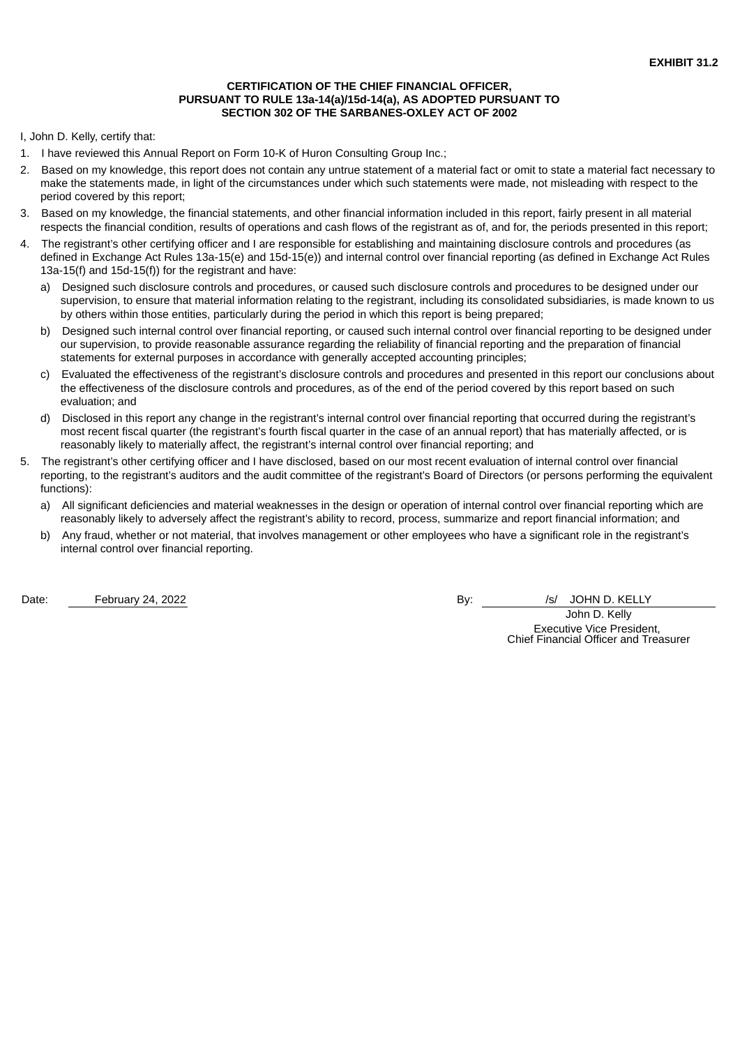#### **CERTIFICATION OF THE CHIEF FINANCIAL OFFICER, PURSUANT TO RULE 13a-14(a)/15d-14(a), AS ADOPTED PURSUANT TO SECTION 302 OF THE SARBANES-OXLEY ACT OF 2002**

I, John D. Kelly, certify that:

- 1. I have reviewed this Annual Report on Form 10-K of Huron Consulting Group Inc.;
- 2. Based on my knowledge, this report does not contain any untrue statement of a material fact or omit to state a material fact necessary to make the statements made, in light of the circumstances under which such statements were made, not misleading with respect to the period covered by this report;
- 3. Based on my knowledge, the financial statements, and other financial information included in this report, fairly present in all material respects the financial condition, results of operations and cash flows of the registrant as of, and for, the periods presented in this report;
- 4. The registrant's other certifying officer and I are responsible for establishing and maintaining disclosure controls and procedures (as defined in Exchange Act Rules 13a-15(e) and 15d-15(e)) and internal control over financial reporting (as defined in Exchange Act Rules 13a-15(f) and 15d-15(f)) for the registrant and have:
	- a) Designed such disclosure controls and procedures, or caused such disclosure controls and procedures to be designed under our supervision, to ensure that material information relating to the registrant, including its consolidated subsidiaries, is made known to us by others within those entities, particularly during the period in which this report is being prepared;
	- b) Designed such internal control over financial reporting, or caused such internal control over financial reporting to be designed under our supervision, to provide reasonable assurance regarding the reliability of financial reporting and the preparation of financial statements for external purposes in accordance with generally accepted accounting principles;
	- c) Evaluated the effectiveness of the registrant's disclosure controls and procedures and presented in this report our conclusions about the effectiveness of the disclosure controls and procedures, as of the end of the period covered by this report based on such evaluation; and
	- d) Disclosed in this report any change in the registrant's internal control over financial reporting that occurred during the registrant's most recent fiscal quarter (the registrant's fourth fiscal quarter in the case of an annual report) that has materially affected, or is reasonably likely to materially affect, the registrant's internal control over financial reporting; and
- 5. The registrant's other certifying officer and I have disclosed, based on our most recent evaluation of internal control over financial reporting, to the registrant's auditors and the audit committee of the registrant's Board of Directors (or persons performing the equivalent functions):
	- a) All significant deficiencies and material weaknesses in the design or operation of internal control over financial reporting which are reasonably likely to adversely affect the registrant's ability to record, process, summarize and report financial information; and
	- b) Any fraud, whether or not material, that involves management or other employees who have a significant role in the registrant's internal control over financial reporting.

Date: February 24, 2022 **By:** By: *ISI* JOHN D. KELLY

John D. Kelly Executive Vice President, Chief Financial Officer and Treasurer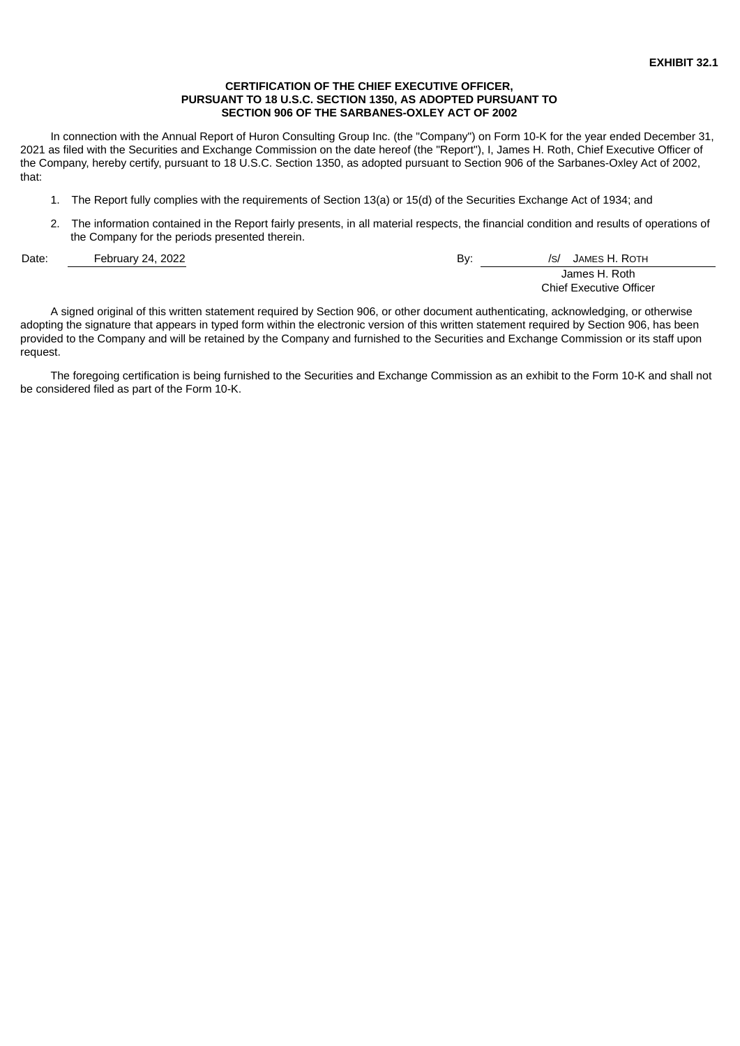#### **CERTIFICATION OF THE CHIEF EXECUTIVE OFFICER, PURSUANT TO 18 U.S.C. SECTION 1350, AS ADOPTED PURSUANT TO SECTION 906 OF THE SARBANES-OXLEY ACT OF 2002**

In connection with the Annual Report of Huron Consulting Group Inc. (the "Company") on Form 10-K for the year ended December 31, 2021 as filed with the Securities and Exchange Commission on the date hereof (the "Report"), I, James H. Roth, Chief Executive Officer of the Company, hereby certify, pursuant to 18 U.S.C. Section 1350, as adopted pursuant to Section 906 of the Sarbanes-Oxley Act of 2002, that:

- 1. The Report fully complies with the requirements of Section 13(a) or 15(d) of the Securities Exchange Act of 1934; and
- 2. The information contained in the Report fairly presents, in all material respects, the financial condition and results of operations of the Company for the periods presented therein.

Date: February 24, 2022 **By:** By: *ISI* JAMES H. ROTH

James H. Roth Chief Executive Officer

A signed original of this written statement required by Section 906, or other document authenticating, acknowledging, or otherwise adopting the signature that appears in typed form within the electronic version of this written statement required by Section 906, has been provided to the Company and will be retained by the Company and furnished to the Securities and Exchange Commission or its staff upon request.

The foregoing certification is being furnished to the Securities and Exchange Commission as an exhibit to the Form 10-K and shall not be considered filed as part of the Form 10-K.